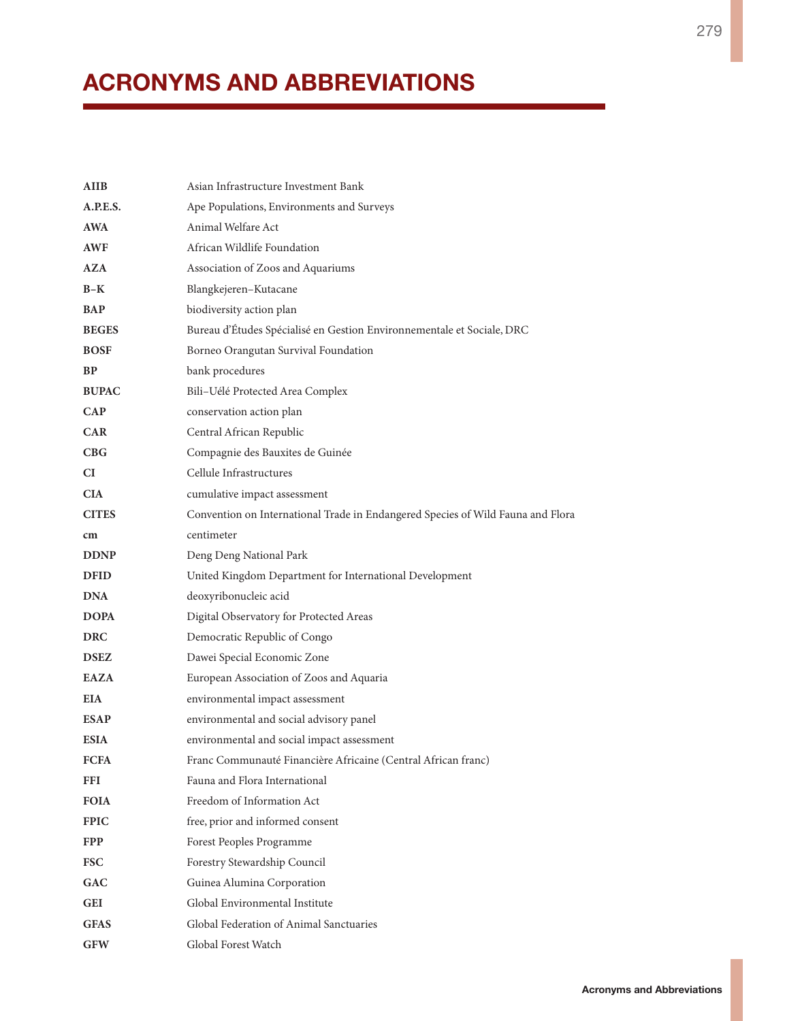## **ACRONYMS AND ABBREVIATIONS**

| AIIB         | Asian Infrastructure Investment Bank                                            |
|--------------|---------------------------------------------------------------------------------|
| A.P.E.S.     | Ape Populations, Environments and Surveys                                       |
| AWA          | Animal Welfare Act                                                              |
| AWF          | African Wildlife Foundation                                                     |
| AZA          | Association of Zoos and Aquariums                                               |
| B-K          | Blangkejeren-Kutacane                                                           |
| BAP          | biodiversity action plan                                                        |
| <b>BEGES</b> | Bureau d'Études Spécialisé en Gestion Environnementale et Sociale, DRC          |
| <b>BOSF</b>  | Borneo Orangutan Survival Foundation                                            |
| BP           | bank procedures                                                                 |
| <b>BUPAC</b> | Bili-Uélé Protected Area Complex                                                |
| <b>CAP</b>   | conservation action plan                                                        |
| <b>CAR</b>   | Central African Republic                                                        |
| CBG          | Compagnie des Bauxites de Guinée                                                |
| CI           | Cellule Infrastructures                                                         |
| <b>CIA</b>   | cumulative impact assessment                                                    |
| <b>CITES</b> | Convention on International Trade in Endangered Species of Wild Fauna and Flora |
| cm           | centimeter                                                                      |
| <b>DDNP</b>  | Deng Deng National Park                                                         |
| <b>DFID</b>  | United Kingdom Department for International Development                         |
| <b>DNA</b>   | deoxyribonucleic acid                                                           |
| <b>DOPA</b>  | Digital Observatory for Protected Areas                                         |
| <b>DRC</b>   | Democratic Republic of Congo                                                    |
| <b>DSEZ</b>  | Dawei Special Economic Zone                                                     |
| <b>EAZA</b>  | European Association of Zoos and Aquaria                                        |
| EIA          | environmental impact assessment                                                 |
| <b>ESAP</b>  | environmental and social advisory panel                                         |
| <b>ESIA</b>  | environmental and social impact assessment                                      |
| <b>FCFA</b>  | Franc Communauté Financière Africaine (Central African franc)                   |
| FFI.         | Fauna and Flora International                                                   |
| <b>FOIA</b>  | Freedom of Information Act                                                      |
| <b>FPIC</b>  | free, prior and informed consent                                                |
| <b>FPP</b>   | Forest Peoples Programme                                                        |
| <b>FSC</b>   | Forestry Stewardship Council                                                    |
| GAC          | Guinea Alumina Corporation                                                      |
| GEI          | Global Environmental Institute                                                  |
| GFAS         | Global Federation of Animal Sanctuaries                                         |
| <b>GFW</b>   | Global Forest Watch                                                             |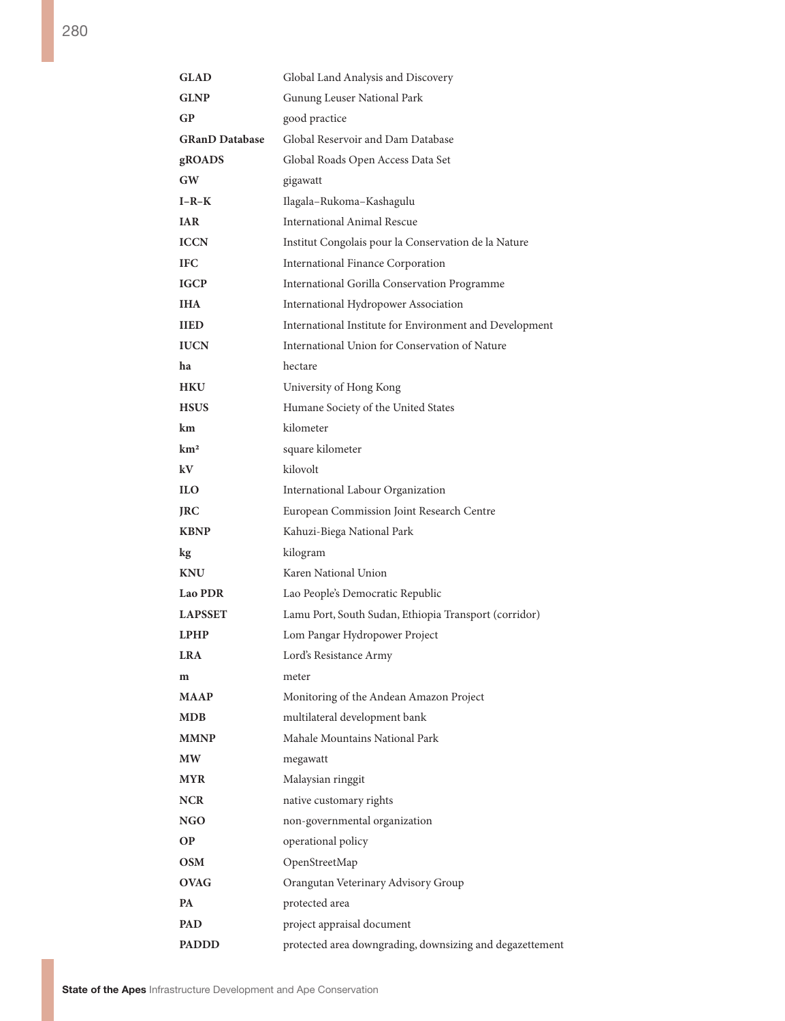| <b>GLAD</b>           | Global Land Analysis and Discovery                       |
|-----------------------|----------------------------------------------------------|
| <b>GLNP</b>           | Gunung Leuser National Park                              |
| GP                    | good practice                                            |
| <b>GRanD Database</b> | Global Reservoir and Dam Database                        |
| gROADS                | Global Roads Open Access Data Set                        |
| GW                    | gigawatt                                                 |
| $I-R-K$               | Ilagala-Rukoma-Kashagulu                                 |
| <b>IAR</b>            | <b>International Animal Rescue</b>                       |
| <b>ICCN</b>           | Institut Congolais pour la Conservation de la Nature     |
| <b>IFC</b>            | International Finance Corporation                        |
| <b>IGCP</b>           | International Gorilla Conservation Programme             |
| <b>IHA</b>            | International Hydropower Association                     |
| <b>IIED</b>           | International Institute for Environment and Development  |
| <b>IUCN</b>           | International Union for Conservation of Nature           |
| ha                    | hectare                                                  |
| <b>HKU</b>            | University of Hong Kong                                  |
| <b>HSUS</b>           | Humane Society of the United States                      |
| km.                   | kilometer                                                |
| km <sup>2</sup>       | square kilometer                                         |
| kV                    | kilovolt                                                 |
| <b>ILO</b>            | International Labour Organization                        |
| <b>JRC</b>            | European Commission Joint Research Centre                |
| <b>KBNP</b>           | Kahuzi-Biega National Park                               |
| kg                    | kilogram                                                 |
| <b>KNU</b>            | Karen National Union                                     |
| <b>Lao PDR</b>        | Lao People's Democratic Republic                         |
| <b>LAPSSET</b>        | Lamu Port, South Sudan, Ethiopia Transport (corridor)    |
| <b>LPHP</b>           | Lom Pangar Hydropower Project                            |
| <b>LRA</b>            | Lord's Resistance Army                                   |
| m                     | meter                                                    |
| <b>MAAP</b>           | Monitoring of the Andean Amazon Project                  |
| MDB                   | multilateral development bank                            |
| <b>MMNP</b>           | Mahale Mountains National Park                           |
| МW                    | megawatt                                                 |
| MYR                   | Malaysian ringgit                                        |
| <b>NCR</b>            | native customary rights                                  |
| NGO                   | non-governmental organization                            |
| ОP                    | operational policy                                       |
| OSM                   | OpenStreetMap                                            |
| <b>OVAG</b>           | Orangutan Veterinary Advisory Group                      |
| PA                    | protected area                                           |
| <b>PAD</b>            | project appraisal document                               |
| <b>PADDD</b>          | protected area downgrading, downsizing and degazettement |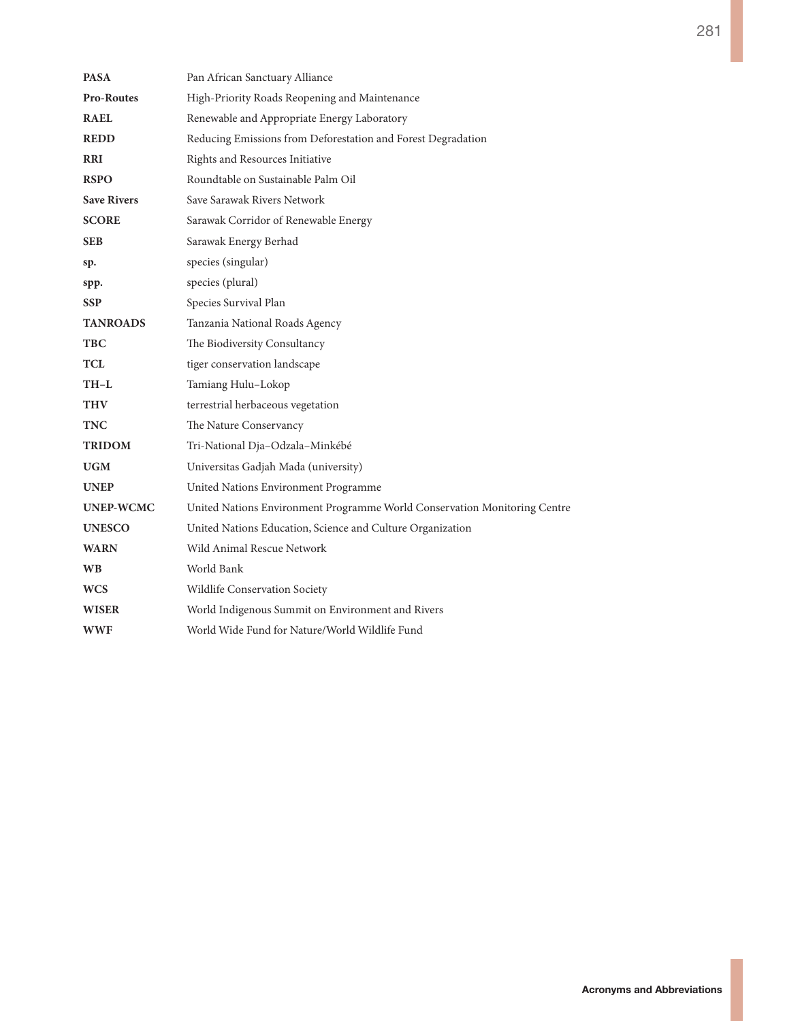| <b>PASA</b>        | Pan African Sanctuary Alliance                                            |
|--------------------|---------------------------------------------------------------------------|
| <b>Pro-Routes</b>  | High-Priority Roads Reopening and Maintenance                             |
| <b>RAEL</b>        | Renewable and Appropriate Energy Laboratory                               |
| <b>REDD</b>        | Reducing Emissions from Deforestation and Forest Degradation              |
| <b>RRI</b>         | Rights and Resources Initiative                                           |
| <b>RSPO</b>        | Roundtable on Sustainable Palm Oil                                        |
| <b>Save Rivers</b> | Save Sarawak Rivers Network                                               |
| <b>SCORE</b>       | Sarawak Corridor of Renewable Energy                                      |
| SEB                | Sarawak Energy Berhad                                                     |
| sp.                | species (singular)                                                        |
| spp.               | species (plural)                                                          |
| SSP.               | Species Survival Plan                                                     |
| <b>TANROADS</b>    | Tanzania National Roads Agency                                            |
| TBC                | The Biodiversity Consultancy                                              |
| TCL                | tiger conservation landscape                                              |
| TH-L               | Tamiang Hulu-Lokop                                                        |
| <b>THV</b>         | terrestrial herbaceous vegetation                                         |
| TNC                | The Nature Conservancy                                                    |
| TRIDOM             | Tri-National Dja-Odzala-Minkébé                                           |
| UGM                | Universitas Gadjah Mada (university)                                      |
| <b>UNEP</b>        | United Nations Environment Programme                                      |
| <b>UNEP-WCMC</b>   | United Nations Environment Programme World Conservation Monitoring Centre |
| <b>UNESCO</b>      | United Nations Education, Science and Culture Organization                |
| <b>WARN</b>        | Wild Animal Rescue Network                                                |
| <b>WB</b>          | World Bank                                                                |
| <b>WCS</b>         | Wildlife Conservation Society                                             |
| <b>WISER</b>       | World Indigenous Summit on Environment and Rivers                         |
| WWF                | World Wide Fund for Nature/World Wildlife Fund                            |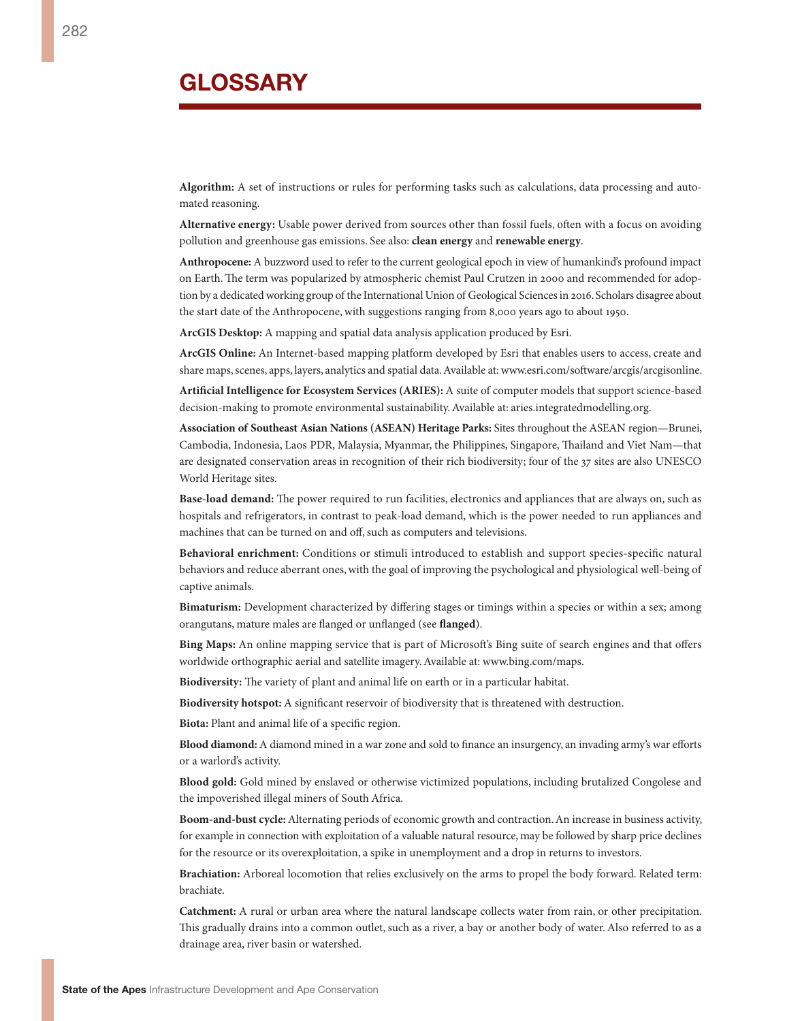**Algorithm:** A set of instructions or rules for performing tasks such as calculations, data processing and automated reasoning.

**Alternative energy:** Usable power derived from sources other than fossil fuels, often with a focus on avoiding pollution and greenhouse gas emissions. See also: **clean energy** and **renewable energy**.

**Anthropocene:** A buzzword used to refer to the current geological epoch in view of humankind's profound impact on Earth. The term was popularized by atmospheric chemist Paul Crutzen in 2000 and recommended for adoption by a dedicated working group of the International Union of Geological Sciences in 2016. Scholars disagree about the start date of the Anthropocene, with suggestions ranging from 8,000 years ago to about 1950.

**ArcGIS Desktop:** A mapping and spatial data analysis application produced by Esri.

**ArcGIS Online:** An Internet-based mapping platform developed by Esri that enables users to access, create and share maps, scenes, apps, layers, analytics and spatial data. Available at: [www.esri.com/software/arcgis/arcgisonline.](http://www.esri.com/software/arcgis/arcgisonline)

**Artificial Intelligence for Ecosystem Services (ARIES):** A suite of computer models that support science-based decision-making to promote environmental sustainability. Available at: aries.integratedmodelling.org.

**Association of Southeast Asian Nations (ASEAN) Heritage Parks:** Sites throughout the ASEAN region—Brunei, Cambodia, Indonesia, Laos PDR, Malaysia, Myanmar, the Philippines, Singapore, Thailand and Viet Nam—that are designated conservation areas in recognition of their rich biodiversity; four of the 37 sites are also UNESCO World Heritage sites.

**Base-load demand:** The power required to run facilities, electronics and appliances that are always on, such as hospitals and refrigerators, in contrast to peak-load demand, which is the power needed to run appliances and machines that can be turned on and off, such as computers and televisions.

**Behavioral enrichment:** Conditions or stimuli introduced to establish and support species-specific natural behaviors and reduce aberrant ones, with the goal of improving the psychological and physiological well-being of captive animals.

**Bimaturism:** Development characterized by differing stages or timings within a species or within a sex; among orangutans, mature males are flanged or unflanged (see **flanged**).

**Bing Maps:** An online mapping service that is part of Microsoft's Bing suite of search engines and that offers worldwide orthographic aerial and satellite imagery. Available at: www.bing.com/maps.

**Biodiversity:** The variety of plant and animal life on earth or in a particular habitat.

**Biodiversity hotspot:** A significant reservoir of biodiversity that is threatened with destruction.

**Biota:** Plant and animal life of a specific region.

**Blood diamond:** A diamond mined in a war zone and sold to finance an insurgency, an invading army's war efforts or a warlord's activity.

**Blood gold:** Gold mined by enslaved or otherwise victimized populations, including brutalized Congolese and the impoverished illegal miners of South Africa.

**Boom-and-bust cycle:** Alternating periods of economic growth and contraction. An increase in business activity, for example in connection with exploitation of a valuable natural resource, may be followed by sharp price declines for the resource or its overexploitation, a spike in unemployment and a drop in returns to investors.

**Brachiation:** Arboreal locomotion that relies exclusively on the arms to propel the body forward. Related term: brachiate.

**Catchment:** A rural or urban area where the natural landscape collects water from rain, or other precipitation. This gradually drains into a common outlet, such as a river, a bay or another body of water. Also referred to as a drainage area, river basin or watershed.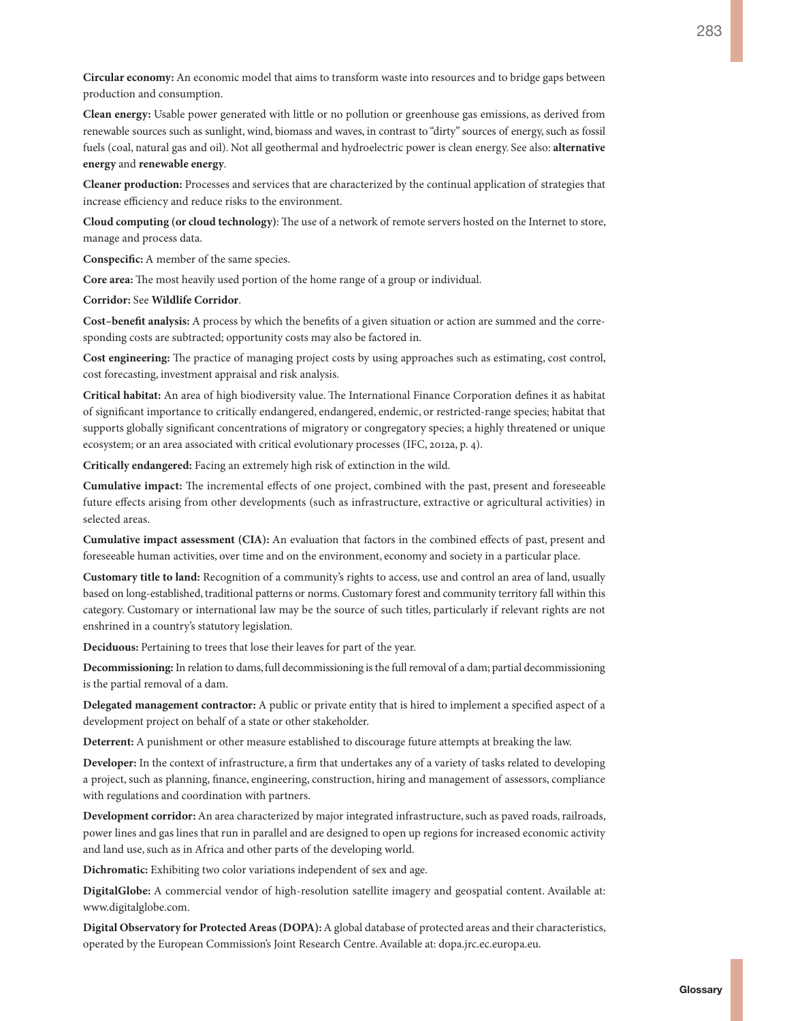**Circular economy:** An economic model that aims to transform waste into resources and to bridge gaps between production and consumption.

**Clean energy:** Usable power generated with little or no pollution or greenhouse gas emissions, as derived from renewable sources such as sunlight, wind, biomass and waves, in contrast to "dirty" sources of energy, such as fossil fuels (coal, natural gas and oil). Not all geothermal and hydroelectric power is clean energy. See also: **alternative energy** and **renewable energy**.

**Cleaner production:** Processes and services that are characterized by the continual application of strategies that increase efficiency and reduce risks to the environment.

**Cloud computing (or cloud technology)**: The use of a network of remote servers hosted on the Internet to store, manage and process data.

**Conspecific:** A member of the same species.

**Core area:** The most heavily used portion of the home range of a group or individual.

**Corridor:** See **Wildlife Corridor**.

**Cost–benefit analysis:** A process by which the benefits of a given situation or action are summed and the corresponding costs are subtracted; opportunity costs may also be factored in.

**Cost engineering:** The practice of managing project costs by using approaches such as estimating, cost control, cost forecasting, investment appraisal and risk analysis.

**Critical habitat:** An area of high biodiversity value. The International Finance Corporation defines it as habitat of significant importance to critically endangered, endangered, endemic, or restricted-range species; habitat that supports globally significant concentrations of migratory or congregatory species; a highly threatened or unique ecosystem; or an area associated with critical evolutionary processes (IFC, 2012a, p. 4).

**Critically endangered:** Facing an extremely high risk of extinction in the wild.

**Cumulative impact:** The incremental effects of one project, combined with the past, present and foreseeable future effects arising from other developments (such as infrastructure, extractive or agricultural activities) in selected areas.

**Cumulative impact assessment (CIA):** An evaluation that factors in the combined effects of past, present and foreseeable human activities, over time and on the environment, economy and society in a particular place.

**Customary title to land:** Recognition of a community's rights to access, use and control an area of land, usually based on long-established, traditional patterns or norms. Customary forest and community territory fall within this category. Customary or international law may be the source of such titles, particularly if relevant rights are not enshrined in a country's statutory legislation.

**Deciduous:** Pertaining to trees that lose their leaves for part of the year.

**Decommissioning:** In relation to dams, full decommissioning is the full removal of a dam; partial decommissioning is the partial removal of a dam.

**Delegated management contractor:** A public or private entity that is hired to implement a specified aspect of a development project on behalf of a state or other stakeholder.

**Deterrent:** A punishment or other measure established to discourage future attempts at breaking the law.

**Developer:** In the context of infrastructure, a firm that undertakes any of a variety of tasks related to developing a project, such as planning, finance, engineering, construction, hiring and management of assessors, compliance with regulations and coordination with partners.

**Development corridor:** An area characterized by major integrated infrastructure, such as paved roads, railroads, power lines and gas lines that run in parallel and are designed to open up regions for increased economic activity and land use, such as in Africa and other parts of the developing world.

**Dichromatic:** Exhibiting two color variations independent of sex and age.

**DigitalGlobe:** A commercial vendor of high-resolution satellite imagery and geospatial content. Available at: [www.digitalglobe.com.](www.digitalglobe.com)

**Digital Observatory for Protected Areas (DOPA):** A global database of protected areas and their characteristics, operated by the European Commission's Joint Research Centre. Available at: [dopa.jrc.ec.europa.eu.](dopa.jrc.ec.europa.eu)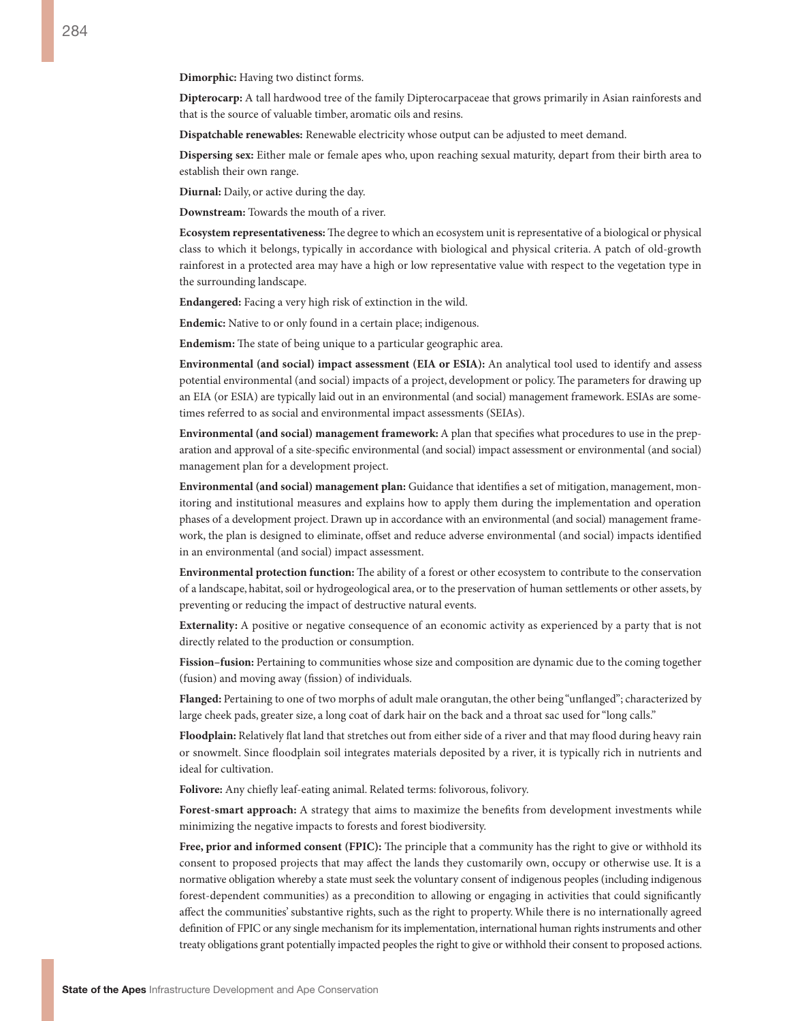**Dimorphic:** Having two distinct forms.

**Dipterocarp:** A tall hardwood tree of the family Dipterocarpaceae that grows primarily in Asian rainforests and that is the source of valuable timber, aromatic oils and resins.

**Dispatchable renewables:** Renewable electricity whose output can be adjusted to meet demand.

**Dispersing sex:** Either male or female apes who, upon reaching sexual maturity, depart from their birth area to establish their own range.

**Diurnal:** Daily, or active during the day.

**Downstream:** Towards the mouth of a river.

**Ecosystem representativeness:** The degree to which an ecosystem unit is representative of a biological or physical class to which it belongs, typically in accordance with biological and physical criteria. A patch of old-growth rainforest in a protected area may have a high or low representative value with respect to the vegetation type in the surrounding landscape.

**Endangered:** Facing a very high risk of extinction in the wild.

**Endemic:** Native to or only found in a certain place; indigenous.

**Endemism:** The state of being unique to a particular geographic area.

**Environmental (and social) impact assessment (EIA or ESIA):** An analytical tool used to identify and assess potential environmental (and social) impacts of a project, development or policy. The parameters for drawing up an EIA (or ESIA) are typically laid out in an environmental (and social) management framework. ESIAs are sometimes referred to as social and environmental impact assessments (SEIAs).

**Environmental (and social) management framework:** A plan that specifies what procedures to use in the preparation and approval of a site-specific environmental (and social) impact assessment or environmental (and social) management plan for a development project.

**Environmental (and social) management plan:** Guidance that identifies a set of mitigation, management, monitoring and institutional measures and explains how to apply them during the implementation and operation phases of a development project. Drawn up in accordance with an environmental (and social) management framework, the plan is designed to eliminate, offset and reduce adverse environmental (and social) impacts identified in an environmental (and social) impact assessment.

**Environmental protection function:** The ability of a forest or other ecosystem to contribute to the conservation of a landscape, habitat, soil or hydrogeological area, or to the preservation of human settlements or other assets, by preventing or reducing the impact of destructive natural events.

**Externality:** A positive or negative consequence of an economic activity as experienced by a party that is not directly related to the production or consumption.

**Fission–fusion:** Pertaining to communities whose size and composition are dynamic due to the coming together (fusion) and moving away (fission) of individuals.

**Flanged:** Pertaining to one of two morphs of adult male orangutan, the other being "unflanged"; characterized by large cheek pads, greater size, a long coat of dark hair on the back and a throat sac used for "long calls."

**Floodplain:** Relatively flat land that stretches out from either side of a river and that may flood during heavy rain or snowmelt. Since floodplain soil integrates materials deposited by a river, it is typically rich in nutrients and ideal for cultivation.

**Folivore:** Any chiefly leaf-eating animal. Related terms: folivorous, folivory.

**Forest-smart approach:** A strategy that aims to maximize the benefits from development investments while minimizing the negative impacts to forests and forest biodiversity.

**Free, prior and informed consent (FPIC):** The principle that a community has the right to give or withhold its consent to proposed projects that may affect the lands they customarily own, occupy or otherwise use. It is a normative obligation whereby a state must seek the voluntary consent of indigenous peoples (including indigenous forest-dependent communities) as a precondition to allowing or engaging in activities that could significantly affect the communities' substantive rights, such as the right to property. While there is no internationally agreed definition of FPIC or any single mechanism for its implementation, international human rights instruments and other treaty obligations grant potentially impacted peoples the right to give or withhold their consent to proposed actions.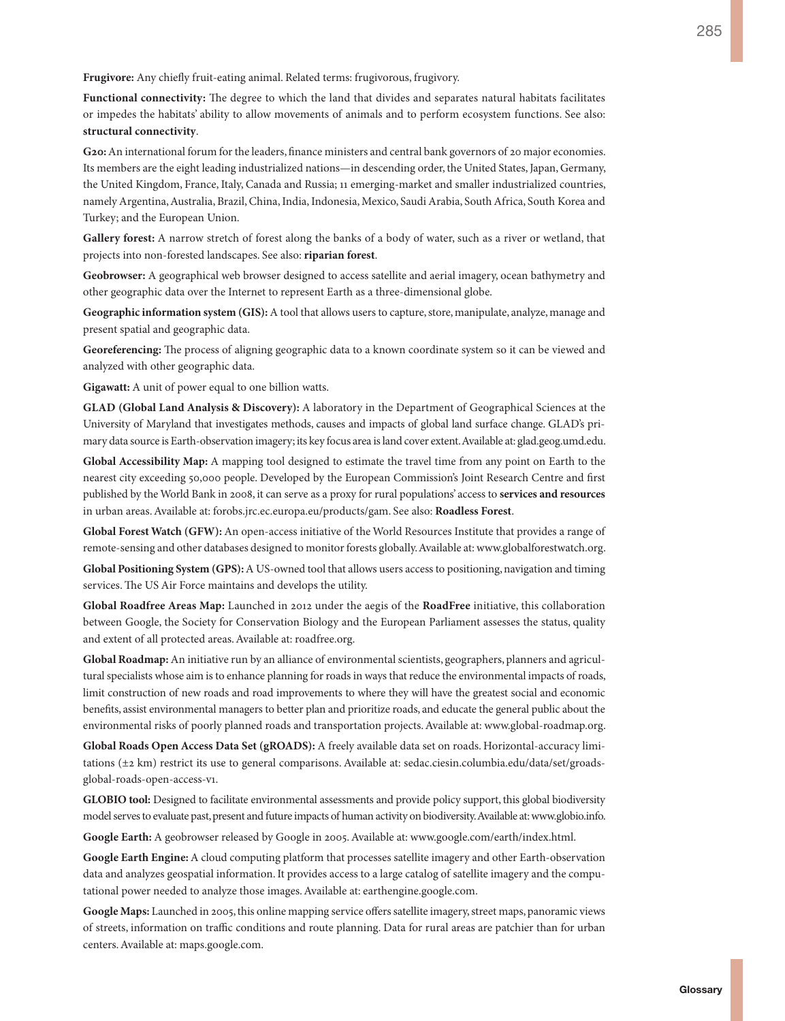**Frugivore:** Any chiefly fruit-eating animal. Related terms: frugivorous, frugivory.

**Functional connectivity:** The degree to which the land that divides and separates natural habitats facilitates or impedes the habitats' ability to allow movements of animals and to perform ecosystem functions. See also: **structural connectivity**.

**G20:** An international forum for the leaders, finance ministers and central bank governors of 20 major economies. Its members are the eight leading industrialized nations—in descending order, the United States, Japan, Germany, the United Kingdom, France, Italy, Canada and Russia; 11 emerging-market and smaller industrialized countries, namely Argentina, Australia, Brazil, China, India, Indonesia, Mexico, Saudi Arabia, South Africa, South Korea and Turkey; and the European Union.

**Gallery forest:** A narrow stretch of forest along the banks of a body of water, such as a river or wetland, that projects into non-forested landscapes. See also: **riparian forest**.

**Geobrowser:** A geographical web browser designed to access satellite and aerial imagery, ocean bathymetry and other geographic data over the Internet to represent Earth as a three-dimensional globe.

**Geographic information system (GIS):** A tool that allows users to capture, store, manipulate, analyze, manage and present spatial and geographic data.

**Georeferencing:** The process of aligning geographic data to a known coordinate system so it can be viewed and analyzed with other geographic data.

**Gigawatt:** A unit of power equal to one billion watts.

**GLAD (Global Land Analysis & Discovery):** A laboratory in the Department of Geographical Sciences at the University of Maryland that investigates methods, causes and impacts of global land surface change. GLAD's primary data source is Earth-observation imagery; its key focus area is land cover extent. Available at: [glad.geog.umd.edu.](http://glad.geog.umd.edu)

**Global Accessibility Map:** A mapping tool designed to estimate the travel time from any point on Earth to the nearest city exceeding 50,000 people. Developed by the European Commission's Joint Research Centre and first published by the World Bank in 2008, it can serve as a proxy for rural populations' access to **services and resources**  in urban areas. Available at: [forobs.jrc.ec.europa.eu/products/gam](http://forobs.jrc.ec.europa.eu/products/gam). See also: **Roadless Forest**.

**Global Forest Watch (GFW):** An open-access initiative of the World Resources Institute that provides a range of remote-sensing and other databases designed to monitor forests globally. Available at: [www.globalforestwatch.org.](www.globalforestwatch.org) **Global Positioning System (GPS):** A US-owned tool that allows users access to positioning, navigation and timing services. The US Air Force maintains and develops the utility.

**Global Roadfree Areas Map:** Launched in 2012 under the aegis of the **RoadFree** initiative, this collaboration between Google, the Society for Conservation Biology and the European Parliament assesses the status, quality and extent of all protected areas. Available at: roadfree.org.

**Global Roadmap:** An initiative run by an alliance of environmental scientists, geographers, planners and agricultural specialists whose aim is to enhance planning for roads in ways that reduce the environmental impacts of roads, limit construction of new roads and road improvements to where they will have the greatest social and economic benefits, assist environmental managers to better plan and prioritize roads, and educate the general public about the environmental risks of poorly planned roads and transportation projects. Available at: [www.global-roadmap.org.](www.global-roadmap.org)

**Global Roads Open Access Data Set (gROADS):** A freely available data set on roads. Horizontal-accuracy limitations (±2 km) restrict its use to general comparisons. Available at: [sedac.ciesin.columbia.edu/data/set/groads](sedac.ciesin.columbia.edu/data/set/groads-global-roads-open-access-v1)[global-roads-open-access-v1](sedac.ciesin.columbia.edu/data/set/groads-global-roads-open-access-v1).

**GLOBIO tool:** Designed to facilitate environmental assessments and provide policy support, this global biodiversity model serves to evaluate past, present and future impacts of human activity on biodiversity. Available at: [www.globio.info.](www.globio.info)

**Google Earth:** A geobrowser released by Google in 2005. Available at: [www.google.com/earth/index.html.](https://www.google.com/earth/index.html)

**Google Earth Engine:** A cloud computing platform that processes satellite imagery and other Earth-observation data and analyzes geospatial information. It provides access to a large catalog of satellite imagery and the computational power needed to analyze those images. Available at: [earthengine.google.com.](https://earthengine.google.com/) 

**Google Maps:** Launched in 2005, this online mapping service offers satellite imagery, street maps, panoramic views of streets, information on traffic conditions and route planning. Data for rural areas are patchier than for urban centers. Available at: <maps.google.com>.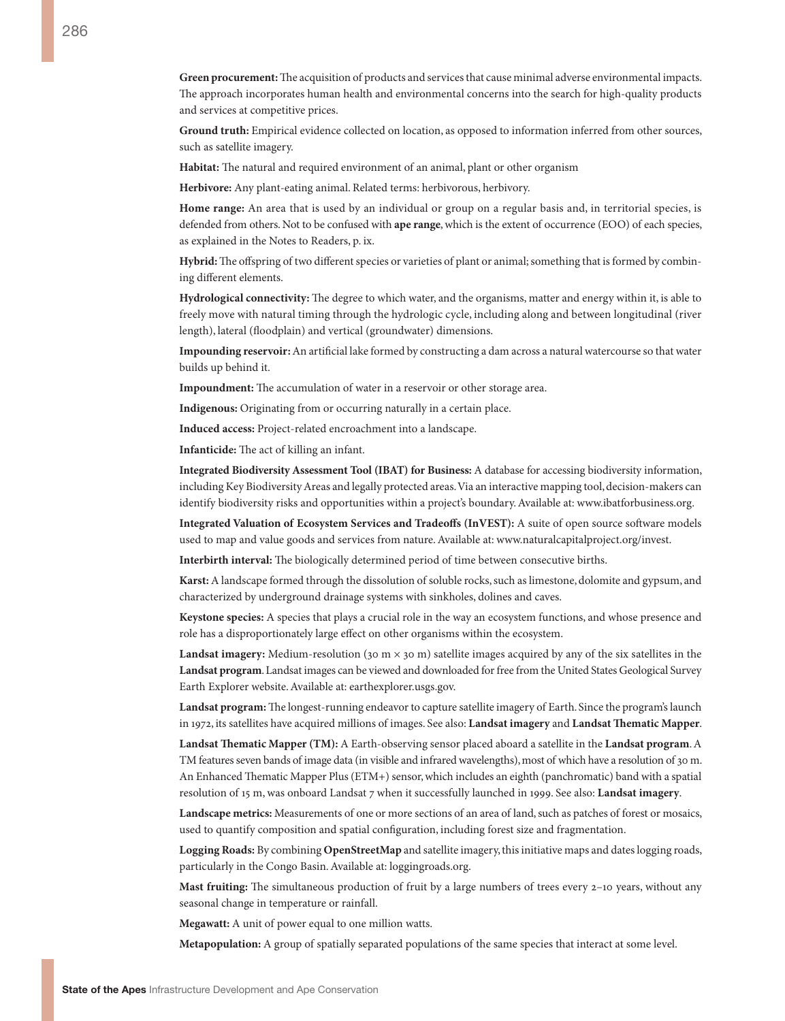**Green procurement:** The acquisition of products and services that cause minimal adverse environmental impacts. The approach incorporates human health and environmental concerns into the search for high-quality products and services at competitive prices.

**Ground truth:** Empirical evidence collected on location, as opposed to information inferred from other sources, such as satellite imagery.

**Habitat:** The natural and required environment of an animal, plant or other organism

**Herbivore:** Any plant-eating animal. Related terms: herbivorous, herbivory.

**Home range:** An area that is used by an individual or group on a regular basis and, in territorial species, is defended from others. Not to be confused with **ape range**, which is the extent of occurrence (EOO) of each species, as explained in the Notes to Readers, p. ix.

**Hybrid:** The offspring of two different species or varieties of plant or animal; something that is formed by combining different elements.

**Hydrological connectivity:** The degree to which water, and the organisms, matter and energy within it, is able to freely move with natural timing through the hydrologic cycle, including along and between longitudinal (river length), lateral (floodplain) and vertical (groundwater) dimensions.

**Impounding reservoir:** An artificial lake formed by constructing a dam across a natural watercourse so that water builds up behind it.

**Impoundment:** The accumulation of water in a reservoir or other storage area.

**Indigenous:** Originating from or occurring naturally in a certain place.

**Induced access:** Project-related encroachment into a landscape.

**Infanticide:** The act of killing an infant.

**Integrated Biodiversity Assessment Tool (IBAT) for Business:** A database for accessing biodiversity information, including Key Biodiversity Areas and legally protected areas. Via an interactive mapping tool, decision-makers can identify biodiversity risks and opportunities within a project's boundary. Available at: <www.ibatforbusiness.org>.

**Integrated Valuation of Ecosystem Services and Tradeoffs (InVEST):** A suite of open source software models used to map and value goods and services from nature. Available at: [www.naturalcapitalproject.org/invest.](www.naturalcapitalproject.org/invest)

**Interbirth interval:** The biologically determined period of time between consecutive births.

**Karst:** A landscape formed through the dissolution of soluble rocks, such as limestone, dolomite and gypsum, and characterized by underground drainage systems with sinkholes, dolines and caves.

**Keystone species:** A species that plays a crucial role in the way an ecosystem functions, and whose presence and role has a disproportionately large effect on other organisms within the ecosystem.

**Landsat imagery:** Medium-resolution (30 m  $\times$  30 m) satellite images acquired by any of the six satellites in the **Landsat program**. Landsat images can be viewed and downloaded for free from the United States Geological Survey Earth Explorer website. Available at: <earthexplorer.usgs.gov>.

**Landsat program:** The longest-running endeavor to capture satellite imagery of Earth. Since the program's launch in 1972, its satellites have acquired millions of images. See also: **Landsat imagery** and **Landsat Thematic Mapper**.

**Landsat Thematic Mapper (TM):** A Earth-observing sensor placed aboard a satellite in the **Landsat program**. A TM features seven bands of image data (in visible and infrared wavelengths), most of which have a resolution of 30 m. An Enhanced Thematic Mapper Plus (ETM+) sensor, which includes an eighth (panchromatic) band with a spatial resolution of 15 m, was onboard Landsat 7 when it successfully launched in 1999. See also: **Landsat imagery**.

**Landscape metrics:** Measurements of one or more sections of an area of land, such as patches of forest or mosaics, used to quantify composition and spatial configuration, including forest size and fragmentation.

**Logging Roads:** By combining **OpenStreetMap** and satellite imagery, this initiative maps and dates logging roads, particularly in the Congo Basin. Available at: [loggingroads.org.](https://loggingroads.org)

**Mast fruiting:** The simultaneous production of fruit by a large numbers of trees every 2-10 years, without any seasonal change in temperature or rainfall.

**Megawatt:** A unit of power equal to one million watts.

**Metapopulation:** A group of spatially separated populations of the same species that interact at some level.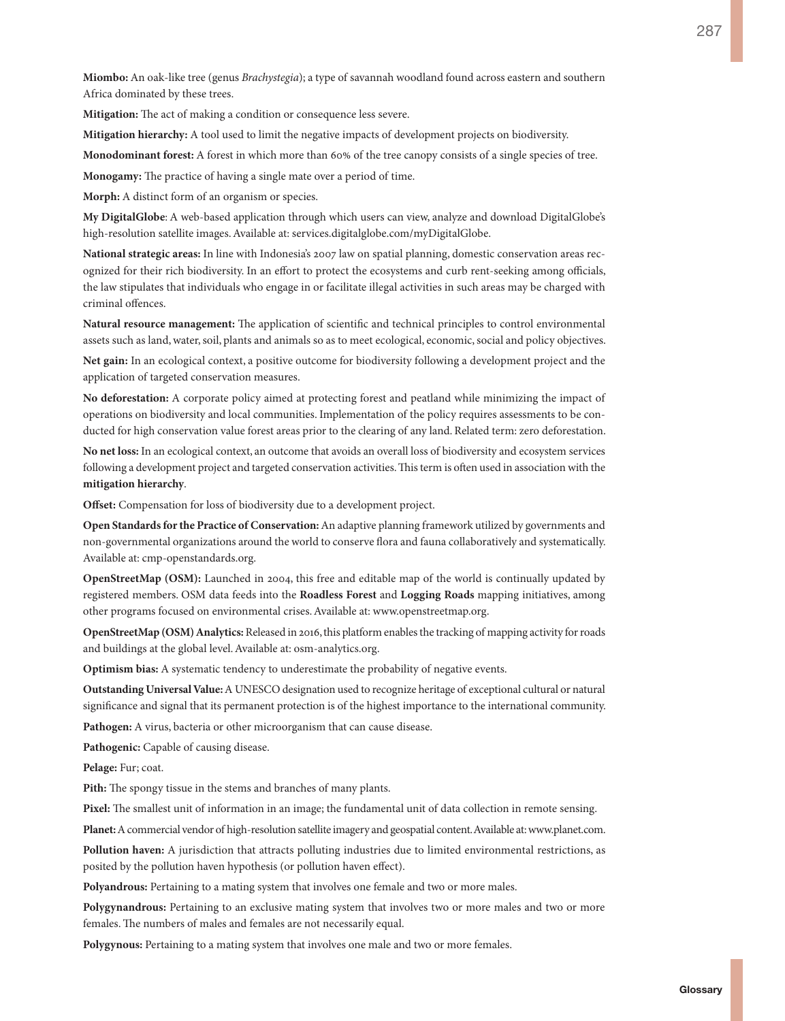**Miombo:** An oak-like tree (genus *Brachystegia*); a type of savannah woodland found across eastern and southern Africa dominated by these trees.

**Mitigation:** The act of making a condition or consequence less severe.

**Mitigation hierarchy:** A tool used to limit the negative impacts of development projects on biodiversity.

**Monodominant forest:** A forest in which more than 60% of the tree canopy consists of a single species of tree.

**Monogamy:** The practice of having a single mate over a period of time.

**Morph:** A distinct form of an organism or species.

**My DigitalGlobe**: A web-based application through which users can view, analyze and download DigitalGlobe's high-resolution satellite images. Available at: [services.digitalglobe.com/myDigitalGlobe.](https://services.digitalglobe.com/myDigitalGlobe/) 

**National strategic areas:** In line with Indonesia's 2007 law on spatial planning, domestic conservation areas recognized for their rich biodiversity. In an effort to protect the ecosystems and curb rent-seeking among officials, the law stipulates that individuals who engage in or facilitate illegal activities in such areas may be charged with criminal offences.

**Natural resource management:** The application of scientific and technical principles to control environmental assets such as land, water, soil, plants and animals so as to meet ecological, economic, social and policy objectives.

**Net gain:** In an ecological context, a positive outcome for biodiversity following a development project and the application of targeted conservation measures.

**No deforestation:** A corporate policy aimed at protecting forest and peatland while minimizing the impact of operations on biodiversity and local communities. Implementation of the policy requires assessments to be conducted for high conservation value forest areas prior to the clearing of any land. Related term: zero deforestation.

**No net loss:** In an ecological context, an outcome that avoids an overall loss of biodiversity and ecosystem services following a development project and targeted conservation activities. This term is often used in association with the **mitigation hierarchy**.

**Offset:** Compensation for loss of biodiversity due to a development project.

**Open Standards for the Practice of Conservation:** An adaptive planning framework utilized by governments and non-governmental organizations around the world to conserve flora and fauna collaboratively and systematically. Available at:<cmp-openstandards.org>.

**OpenStreetMap (OSM):** Launched in 2004, this free and editable map of the world is continually updated by registered members. OSM data feeds into the **Roadless Forest** and **Logging Roads** mapping initiatives, among other programs focused on environmental crises. Available at: <www.openstreetmap.org>.

**OpenStreetMap (OSM) Analytics:** Released in 2016, this platform enables the tracking of mapping activity for roads and buildings at the global level. Available at: <osm-analytics.org>.

**Optimism bias:** A systematic tendency to underestimate the probability of negative events.

**Outstanding Universal Value:** A UNESCO designation used to recognize heritage of exceptional cultural or natural significance and signal that its permanent protection is of the highest importance to the international community.

**Pathogen:** A virus, bacteria or other microorganism that can cause disease.

Pathogenic: Capable of causing disease.

**Pelage:** Fur; coat.

**Pith:** The spongy tissue in the stems and branches of many plants.

**Pixel:** The smallest unit of information in an image; the fundamental unit of data collection in remote sensing.

**Planet:** A commercial vendor of high-resolution satellite imagery and geospatial content. Available at: [www.planet.com.](https://www.planet.com)

**Pollution haven:** A jurisdiction that attracts polluting industries due to limited environmental restrictions, as posited by the pollution haven hypothesis (or pollution haven effect).

**Polyandrous:** Pertaining to a mating system that involves one female and two or more males.

**Polygynandrous:** Pertaining to an exclusive mating system that involves two or more males and two or more females. The numbers of males and females are not necessarily equal.

**Polygynous:** Pertaining to a mating system that involves one male and two or more females.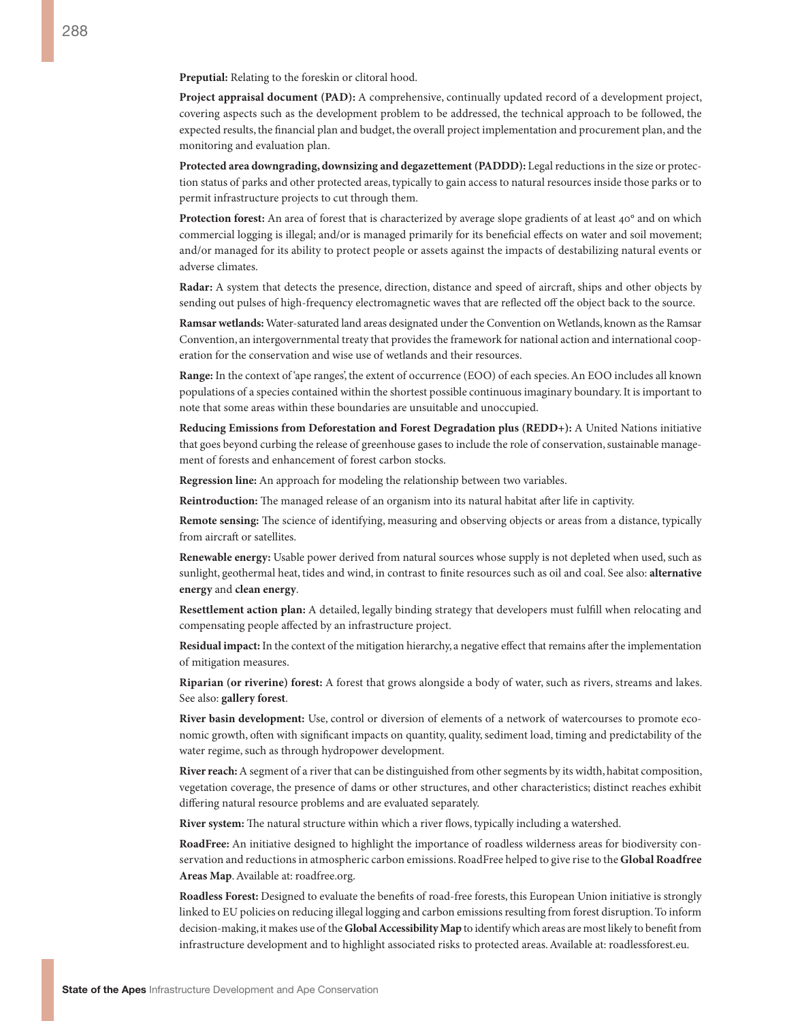**Preputial:** Relating to the foreskin or clitoral hood.

**Project appraisal document (PAD):** A comprehensive, continually updated record of a development project, covering aspects such as the development problem to be addressed, the technical approach to be followed, the expected results, the financial plan and budget, the overall project implementation and procurement plan, and the monitoring and evaluation plan.

**Protected area downgrading, downsizing and degazettement (PADDD):** Legal reductions in the size or protection status of parks and other protected areas, typically to gain access to natural resources inside those parks or to permit infrastructure projects to cut through them.

**Protection forest:** An area of forest that is characterized by average slope gradients of at least 40° and on which commercial logging is illegal; and/or is managed primarily for its beneficial effects on water and soil movement; and/or managed for its ability to protect people or assets against the impacts of destabilizing natural events or adverse climates.

**Radar:** A system that detects the presence, direction, distance and speed of aircraft, ships and other objects by sending out pulses of high-frequency electromagnetic waves that are reflected off the object back to the source.

**Ramsar wetlands:** Water-saturated land areas designated under the Convention on Wetlands, known as the Ramsar Convention, an intergovernmental treaty that provides the framework for national action and international cooperation for the conservation and wise use of wetlands and their resources.

**Range:** In the context of 'ape ranges', the extent of occurrence (EOO) of each species. An EOO includes all known populations of a species contained within the shortest possible continuous imaginary boundary. It is important to note that some areas within these boundaries are unsuitable and unoccupied.

**Reducing Emissions from Deforestation and Forest Degradation plus (REDD+):** A United Nations initiative that goes beyond curbing the release of greenhouse gases to include the role of conservation, sustainable management of forests and enhancement of forest carbon stocks.

**Regression line:** An approach for modeling the relationship between two variables.

**Reintroduction:** The managed release of an organism into its natural habitat after life in captivity.

**Remote sensing:** The science of identifying, measuring and observing objects or areas from a distance, typically from aircraft or satellites.

**Renewable energy:** Usable power derived from natural sources whose supply is not depleted when used, such as sunlight, geothermal heat, tides and wind, in contrast to finite resources such as oil and coal. See also: **alternative energy** and **clean energy**.

**Resettlement action plan:** A detailed, legally binding strategy that developers must fulfill when relocating and compensating people affected by an infrastructure project.

**Residual impact:** In the context of the mitigation hierarchy, a negative effect that remains after the implementation of mitigation measures.

**Riparian (or riverine) forest:** A forest that grows alongside a body of water, such as rivers, streams and lakes. See also: **gallery forest**.

**River basin development:** Use, control or diversion of elements of a network of watercourses to promote economic growth, often with significant impacts on quantity, quality, sediment load, timing and predictability of the water regime, such as through hydropower development.

**River reach:** A segment of a river that can be distinguished from other segments by its width, habitat composition, vegetation coverage, the presence of dams or other structures, and other characteristics; distinct reaches exhibit differing natural resource problems and are evaluated separately.

**River system:** The natural structure within which a river flows, typically including a watershed.

**RoadFree:** An initiative designed to highlight the importance of roadless wilderness areas for biodiversity conservation and reductions in atmospheric carbon emissions. RoadFree helped to give rise to the **Global Roadfree Areas Map**. Available at: [roadfree.org.](roadfree.org)

**Roadless Forest:** Designed to evaluate the benefits of road-free forests, this European Union initiative is strongly linked to EU policies on reducing illegal logging and carbon emissions resulting from forest disruption. To inform decision-making, it makes use of the **Global Accessibility Map** to identify which areas are most likely to benefit from infrastructure development and to highlight associated risks to protected areas. Available at: [roadlessforest.eu.](roadlessforest.eu)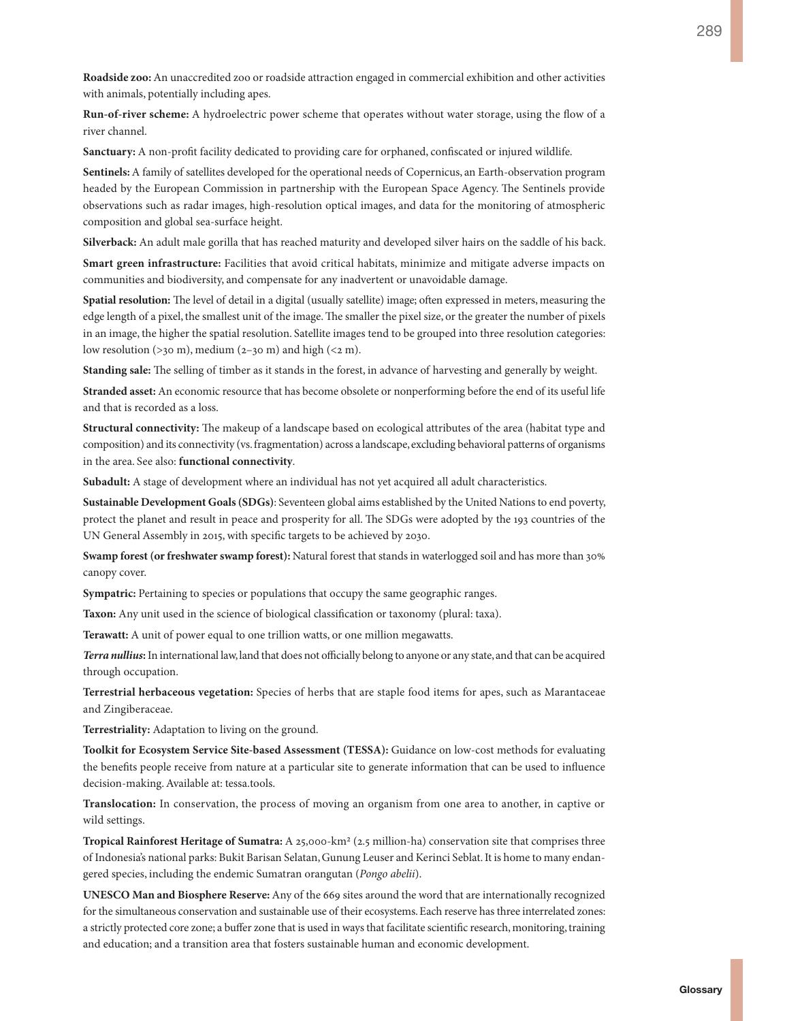**Roadside zoo:** An unaccredited zoo or roadside attraction engaged in commercial exhibition and other activities with animals, potentially including apes.

**Run-of-river scheme:** A hydroelectric power scheme that operates without water storage, using the flow of a river channel.

**Sanctuary:** A non-profit facility dedicated to providing care for orphaned, confiscated or injured wildlife.

**Sentinels:** A family of satellites developed for the operational needs of Copernicus, an Earth-observation program headed by the European Commission in partnership with the European Space Agency. The Sentinels provide observations such as radar images, high-resolution optical images, and data for the monitoring of atmospheric composition and global sea-surface height.

**Silverback:** An adult male gorilla that has reached maturity and developed silver hairs on the saddle of his back.

**Smart green infrastructure:** Facilities that avoid critical habitats, minimize and mitigate adverse impacts on communities and biodiversity, and compensate for any inadvertent or unavoidable damage.

**Spatial resolution:** The level of detail in a digital (usually satellite) image; often expressed in meters, measuring the edge length of a pixel, the smallest unit of the image. The smaller the pixel size, or the greater the number of pixels in an image, the higher the spatial resolution. Satellite images tend to be grouped into three resolution categories: low resolution ( $>30$  m), medium ( $2-30$  m) and high ( $<2$  m).

**Standing sale:** The selling of timber as it stands in the forest, in advance of harvesting and generally by weight.

**Stranded asset:** An economic resource that has become obsolete or nonperforming before the end of its useful life and that is recorded as a loss.

**Structural connectivity:** The makeup of a landscape based on ecological attributes of the area (habitat type and composition) and its connectivity (vs. fragmentation) across a landscape, excluding behavioral patterns of organisms in the area. See also: **functional connectivity**.

**Subadult:** A stage of development where an individual has not yet acquired all adult characteristics.

**Sustainable Development Goals (SDGs)**: Seventeen global aims established by the United Nations to end poverty, protect the planet and result in peace and prosperity for all. The SDGs were adopted by the 193 countries of the UN General Assembly in 2015, with specific targets to be achieved by 2030.

**Swamp forest (or freshwater swamp forest):** Natural forest that stands in waterlogged soil and has more than 30% canopy cover.

Sympatric: Pertaining to species or populations that occupy the same geographic ranges.

**Taxon:** Any unit used in the science of biological classification or taxonomy (plural: taxa).

**Terawatt:** A unit of power equal to one trillion watts, or one million megawatts.

*Terra nullius***:** In international law, land that does not officially belong to anyone or any state, and that can be acquired through occupation.

**Terrestrial herbaceous vegetation:** Species of herbs that are staple food items for apes, such as Marantaceae and Zingiberaceae.

**Terrestriality:** Adaptation to living on the ground.

**Toolkit for Ecosystem Service Site-based Assessment (TESSA):** Guidance on low-cost methods for evaluating the benefits people receive from nature at a particular site to generate information that can be used to influence decision-making. Available at: <tessa.tools>.

**Translocation:** In conservation, the process of moving an organism from one area to another, in captive or wild settings.

**Tropical Rainforest Heritage of Sumatra:** A 25,000-km2 (2.5 million-ha) conservation site that comprises three of Indonesia's national parks: Bukit Barisan Selatan, Gunung Leuser and Kerinci Seblat. It is home to many endangered species, including the endemic Sumatran orangutan (*Pongo abelii*).

**UNESCO Man and Biosphere Reserve:** Any of the 669 sites around the word that are internationally recognized for the simultaneous conservation and sustainable use of their ecosystems. Each reserve has three interrelated zones: a strictly protected core zone; a buffer zone that is used in ways that facilitate scientific research, monitoring, training and education; and a transition area that fosters sustainable human and economic development.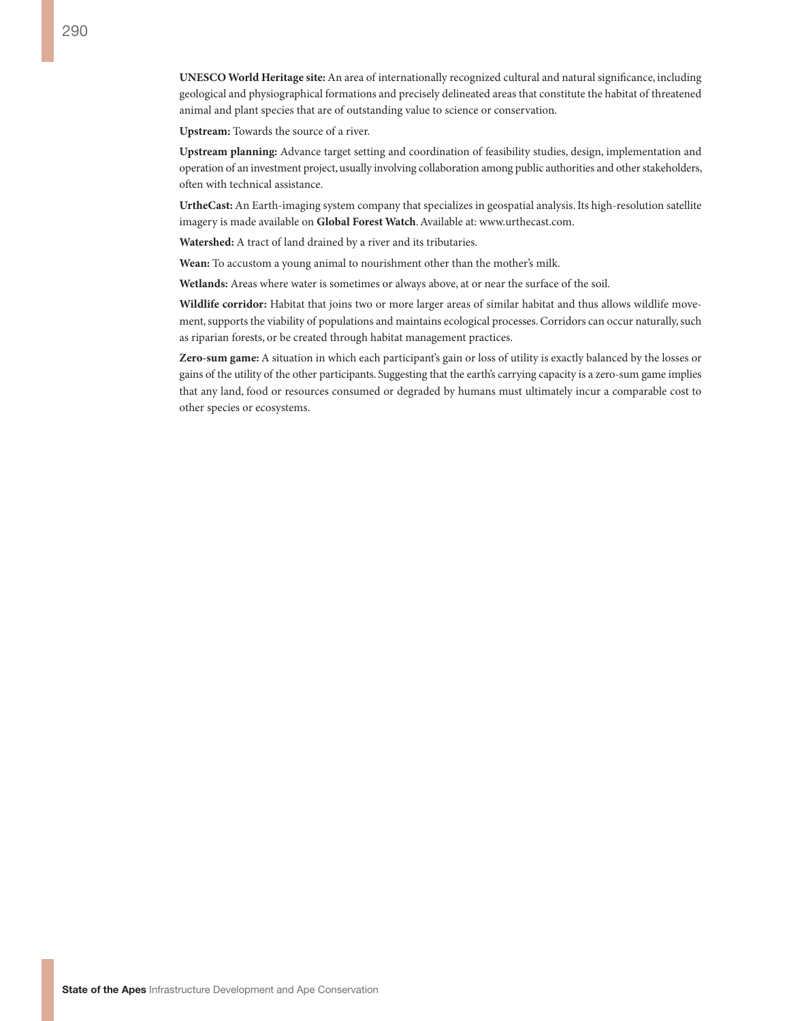**UNESCO World Heritage site:** An area of internationally recognized cultural and natural significance, including geological and physiographical formations and precisely delineated areas that constitute the habitat of threatened animal and plant species that are of outstanding value to science or conservation.

**Upstream:** Towards the source of a river.

**Upstream planning:** Advance target setting and coordination of feasibility studies, design, implementation and operation of an investment project, usually involving collaboration among public authorities and other stakeholders, often with technical assistance.

**UrtheCast:** An Earth-imaging system company that specializes in geospatial analysis. Its high-resolution satellite imagery is made available on **Global Forest Watch**. Available at: [www.urthecast.com.](http://www.urthecast.com)

**Watershed:** A tract of land drained by a river and its tributaries.

**Wean:** To accustom a young animal to nourishment other than the mother's milk.

**Wetlands:** Areas where water is sometimes or always above, at or near the surface of the soil.

**Wildlife corridor:** Habitat that joins two or more larger areas of similar habitat and thus allows wildlife movement, supports the viability of populations and maintains ecological processes. Corridors can occur naturally, such as riparian forests, or be created through habitat management practices.

**Zero-sum game:** A situation in which each participant's gain or loss of utility is exactly balanced by the losses or gains of the utility of the other participants. Suggesting that the earth's carrying capacity is a zero-sum game implies that any land, food or resources consumed or degraded by humans must ultimately incur a comparable cost to other species or ecosystems.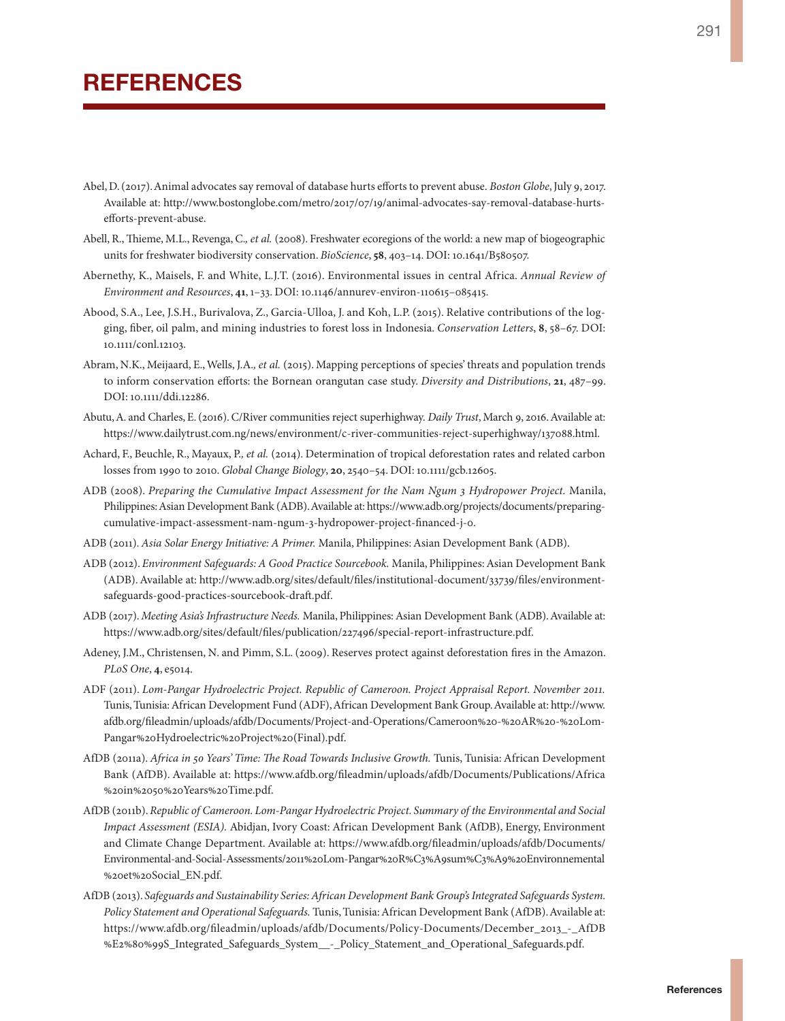- Abel, D. (2017). Animal advocates say removal of database hurts efforts to prevent abuse. *Boston Globe*, July 9, 2017. Available at: [http://www.bostonglobe.com/metro/2017/07/19/animal-advocates-say-removal-database-hurts](http://www.bostonglobe.com/metro/2017/07/19/animal-advocates-say-removal-database-hurts-efforts-prevent-abuse)[efforts-prevent-abuse.](http://www.bostonglobe.com/metro/2017/07/19/animal-advocates-say-removal-database-hurts-efforts-prevent-abuse)
- Abell, R., Thieme, M.L., Revenga, C.*, et al.* (2008). Freshwater ecoregions of the world: a new map of biogeographic units for freshwater biodiversity conservation. *BioScience*, **58**, 403–14. DOI: 10.1641/B580507.
- Abernethy, K., Maisels, F. and White, L.J.T. (2016). Environmental issues in central Africa. *Annual Review of Environment and Resources*, **41**, 1–33. DOI: 10.1146/annurev-environ-110615–085415.
- Abood, S.A., Lee, J.S.H., Burivalova, Z., Garcia-Ulloa, J. and Koh, L.P. (2015). Relative contributions of the logging, fiber, oil palm, and mining industries to forest loss in Indonesia. *Conservation Letters*, **8**, 58–67. DOI: 10.1111/conl.12103.
- Abram, N.K., Meijaard, E., Wells, J.A.*, et al.* (2015). Mapping perceptions of species' threats and population trends to inform conservation efforts: the Bornean orangutan case study. *Diversity and Distributions*, **21**, 487–99. DOI: 10.1111/ddi.12286.
- Abutu, A. and Charles, E. (2016). C/River communities reject superhighway. *Daily Trust*, March 9, 2016. Available at: [https://www.dailytrust.com.ng/news/environment/c-river-communities-reject-superhighway/137088.html.](https://www.dailytrust.com.ng/news/environment/c-river-communities-reject-superhighway/137088.html)
- Achard, F., Beuchle, R., Mayaux, P.*, et al.* (2014). Determination of tropical deforestation rates and related carbon losses from 1990 to 2010. *Global Change Biology*, **20**, 2540–54. DOI: 10.1111/gcb.12605.
- ADB (2008). *Preparing the Cumulative Impact Assessment for the Nam Ngum 3 Hydropower Project.* Manila, Philippines: Asian Development Bank (ADB). Available at: [https://www.adb.org/projects/documents/preparing](https://www.adb.org/projects/documents/preparing-cumulative-impact-assessment-nam-ngum-3-hydropower-project-financed-j-0)[cumulative-impact-assessment-nam-ngum-3-hydropower-project-financed-j-0](https://www.adb.org/projects/documents/preparing-cumulative-impact-assessment-nam-ngum-3-hydropower-project-financed-j-0).
- ADB (2011). *Asia Solar Energy Initiative: A Primer.* Manila, Philippines: Asian Development Bank (ADB).
- ADB (2012). *Environment Safeguards: A Good Practice Sourcebook.* Manila, Philippines: Asian Development Bank (ADB). Available at: [http://www.adb.org/sites/default/files/institutional-document/33739/files/environment](http://www.adb.org/sites/default/files/institutional-document/33739/files/environment-safeguards-good-practices-sourcebook-draft.pdf)[safeguards-good-practices-sourcebook-draft.pdf](http://www.adb.org/sites/default/files/institutional-document/33739/files/environment-safeguards-good-practices-sourcebook-draft.pdf).
- ADB (2017). *Meeting Asia's Infrastructure Needs.* Manila, Philippines: Asian Development Bank (ADB). Available at: [https://www.adb.org/sites/default/files/publication/227496/special-report-infrastructure.pdf.](https://www.adb.org/sites/default/files/publication/227496/special-report-infrastructure.pdf)
- Adeney, J.M., Christensen, N. and Pimm, S.L. (2009). Reserves protect against deforestation fires in the Amazon. *PLoS One*, **4**, e5014.
- ADF (2011). *Lom-Pangar Hydroelectric Project. Republic of Cameroon. Project Appraisal Report. November 2011.* Tunis, Tunisia: African Development Fund (ADF), African Development Bank Group. Available at: [http://www.](http://www.afdb.org/fileadmin/uploads/afdb/Documents/Project-and-Operations/Cameroon%20-%20AR%20-%20Lom-Pangar%20Hydroelectric%20Project%20(Final).pdf) [afdb.org/fileadmin/uploads/afdb/Documents/Project-and-Operations/Cameroon%20-%20AR%20-%20Lom-](http://www.afdb.org/fileadmin/uploads/afdb/Documents/Project-and-Operations/Cameroon%20-%20AR%20-%20Lom-Pangar%20Hydroelectric%20Project%20(Final).pdf)[Pangar%20Hydroelectric%20Project%20\(Final\).pdf.](http://www.afdb.org/fileadmin/uploads/afdb/Documents/Project-and-Operations/Cameroon%20-%20AR%20-%20Lom-Pangar%20Hydroelectric%20Project%20(Final).pdf)
- AfDB (2011a). *Africa in 50 Years' Time: The Road Towards Inclusive Growth.* Tunis, Tunisia: African Development Bank (AfDB). Available at: [https://www.afdb.org/fileadmin/uploads/afdb/Documents/Publications/Africa](https://www.afdb.org/fileadmin/uploads/afdb/Documents/Publications/Africa%20in%2050%20Years%20Time.pdf) [%20in%2050%20Years%20Time.pdf](https://www.afdb.org/fileadmin/uploads/afdb/Documents/Publications/Africa%20in%2050%20Years%20Time.pdf).
- AfDB (2011b). *Republic of Cameroon. Lom-Pangar Hydroelectric Project. Summary of the Environmental and Social Impact Assessment (ESIA).* Abidjan, Ivory Coast: African Development Bank (AfDB), Energy, Environment and Climate Change Department. Available at: [https://www.afdb.org/fileadmin/uploads/afdb/Documents/](https://www.afdb.org/fileadmin/uploads/afdb/Documents/Environmental-and-Social-Assessments/2011%20Lom-Pangar%20R%C3%A9sum%C3%A9%20Environnemental%20et%20Social_EN.pdf) [Environmental-and-Social-Assessments/2011%20Lom-Pangar%20R%C3%A9sum%C3%A9%20Environnemental](https://www.afdb.org/fileadmin/uploads/afdb/Documents/Environmental-and-Social-Assessments/2011%20Lom-Pangar%20R%C3%A9sum%C3%A9%20Environnemental%20et%20Social_EN.pdf) [%20et%20Social\\_EN.pdf.](https://www.afdb.org/fileadmin/uploads/afdb/Documents/Environmental-and-Social-Assessments/2011%20Lom-Pangar%20R%C3%A9sum%C3%A9%20Environnemental%20et%20Social_EN.pdf)
- AfDB (2013). *Safeguards and Sustainability Series: African Development Bank Group's Integrated Safeguards System. Policy Statement and Operational Safeguards.* Tunis, Tunisia: African Development Bank (AfDB). Available at: [https://www.afdb.org/fileadmin/uploads/afdb/Documents/Policy-Documents/December\\_2013\\_-\\_AfDB](https://www.afdb.org/fileadmin/uploads/afdb/Documents/Policy-Documents/December_2013_-_AfDB%E2%80%99S_Integrated_Safeguards_System__-_Policy_Statement_and_Operational_Safeguards.pdf) [%E2%80%99S\\_Integrated\\_Safeguards\\_System\\_\\_-\\_Policy\\_Statement\\_and\\_Operational\\_Safeguards.pdf](https://www.afdb.org/fileadmin/uploads/afdb/Documents/Policy-Documents/December_2013_-_AfDB%E2%80%99S_Integrated_Safeguards_System__-_Policy_Statement_and_Operational_Safeguards.pdf).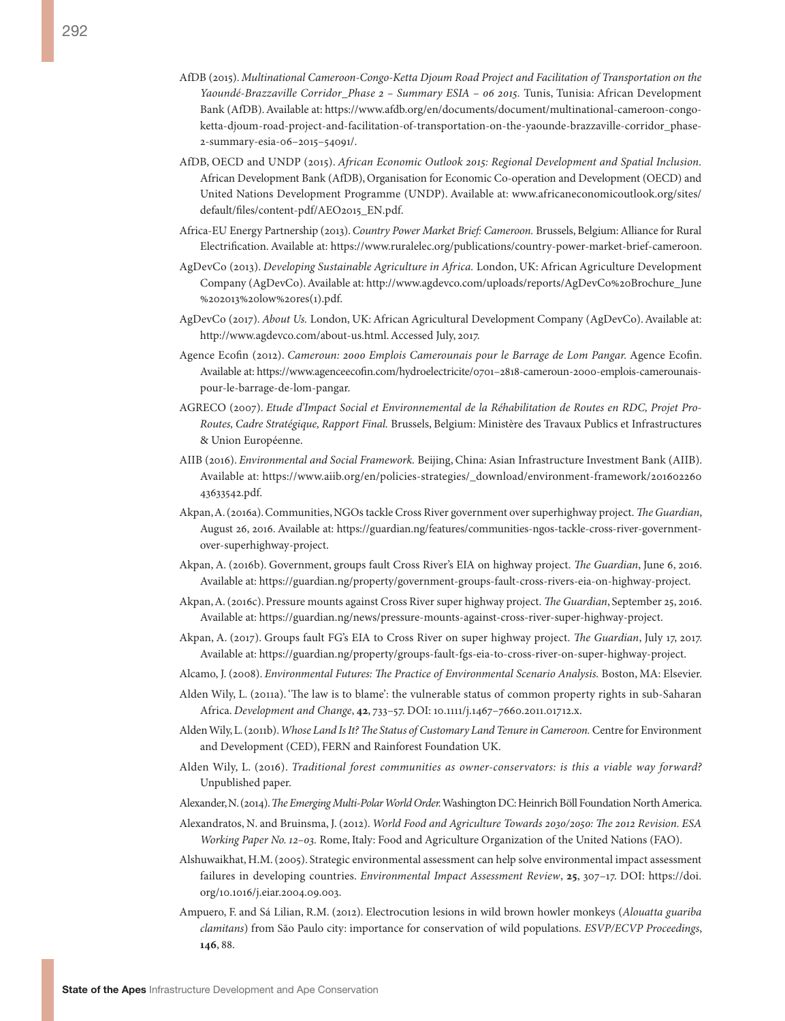- AfDB (2015). *Multinational Cameroon-Congo-Ketta Djoum Road Project and Facilitation of Transportation on the Yaoundé-Brazzaville Corridor\_Phase 2 – Summary ESIA – 06 2015.* Tunis, Tunisia: African Development Bank (AfDB). Available at: [https://www.afdb.org/en/documents/document/multinational-cameroon-congo](https://www.afdb.org/en/documents/document/multinational-cameroon-congo-ketta-djoum-road-project-and-facilitation-of-transportation-on-the-yaounde-brazzaville-corridor_phase-2-summary-esia-06-2015-54091/)[ketta-djoum-road-project-and-facilitation-of-transportation-on-the-yaounde-brazzaville-corridor\\_phase-](https://www.afdb.org/en/documents/document/multinational-cameroon-congo-ketta-djoum-road-project-and-facilitation-of-transportation-on-the-yaounde-brazzaville-corridor_phase-2-summary-esia-06-2015-54091/)[2-summary-esia-06–2015–54091/](https://www.afdb.org/en/documents/document/multinational-cameroon-congo-ketta-djoum-road-project-and-facilitation-of-transportation-on-the-yaounde-brazzaville-corridor_phase-2-summary-esia-06-2015-54091/).
- AfDB, OECD and UNDP (2015). *African Economic Outlook 2015: Regional Development and Spatial Inclusion.* African Development Bank (AfDB), Organisation for Economic Co-operation and Development (OECD) and United Nations Development Programme (UNDP). Available at: [www.africaneconomicoutlook.org/sites/](www.africaneconomicoutlook.org/sites/default/files/content-pdf/AEO2015_EN.pdf) [default/files/content-pdf/AEO2015\\_EN.pdf.](www.africaneconomicoutlook.org/sites/default/files/content-pdf/AEO2015_EN.pdf)
- Africa-EU Energy Partnership (2013). *Country Power Market Brief: Cameroon.* Brussels, Belgium: Alliance for Rural Electrification. Available at: [https://www.ruralelec.org/publications/country-power-market-brief-cameroon.](https://www.ruralelec.org/publications/country-power-market-brief-cameroon)
- AgDevCo (2013). *Developing Sustainable Agriculture in Africa.* London, UK: African Agriculture Development Company (AgDevCo). Available at: [http://www.agdevco.com/uploads/reports/AgDevCo%20Brochure\\_June](http://www.agdevco.com/uploads/reports/AgDevCo%20Brochure_June%202013%20low%20res(1).pdf) [%202013%20low%20res\(1\).pdf](http://www.agdevco.com/uploads/reports/AgDevCo%20Brochure_June%202013%20low%20res(1).pdf).
- AgDevCo (2017). *About Us.* London, UK: African Agricultural Development Company (AgDevCo). Available at: [http://www.agdevco.com/about-us.html.](http://www.agdevco.com/about-us.html) Accessed July, 2017.
- Agence Ecofin (2012). *Cameroun: 2000 Emplois Camerounais pour le Barrage de Lom Pangar.* Agence Ecofin. Available at: [https://www.agenceecofin.com/hydroelectricite/0701–2818-cameroun-2000-emplois-camerounais](https://www.agenceecofin.com/hydroelectricite/0701-2818-cameroun-2000-emplois-camerounais-pour-le-barrage-de-lom-pangar)[pour-le-barrage-de-lom-pangar](https://www.agenceecofin.com/hydroelectricite/0701-2818-cameroun-2000-emplois-camerounais-pour-le-barrage-de-lom-pangar).
- AGRECO (2007). *Etude d'Impact Social et Environnemental de la Réhabilitation de Routes en RDC, Projet Pro-Routes, Cadre Stratégique, Rapport Final.* Brussels, Belgium: Ministère des Travaux Publics et Infrastructures & Union Européenne.
- AIIB (2016). *Environmental and Social Framework.* Beijing, China: Asian Infrastructure Investment Bank (AIIB). Available at: [https://www.aiib.org/en/policies-strategies/\\_download/environment-framework/201602260](https://www.aiib.org/en/policies-strategies/_download/environment-framework/20160226043633542.pdf) [43633542.pdf](https://www.aiib.org/en/policies-strategies/_download/environment-framework/20160226043633542.pdf).
- Akpan, A. (2016a). Communities, NGOs tackle Cross River government over superhighway project. *The Guardian*, August 26, 2016. Available at: [https://guardian.ng/features/communities-ngos-tackle-cross-river-government](https://guardian.ng/features/communities-ngos-tackle-cross-river-government-over-superhighway-project)[over-superhighway-project.](https://guardian.ng/features/communities-ngos-tackle-cross-river-government-over-superhighway-project)
- Akpan, A. (2016b). Government, groups fault Cross River's EIA on highway project. *The Guardian*, June 6, 2016. Available at: [https://guardian.ng/property/government-groups-fault-cross-rivers-eia-on-highway-project.](https://guardian.ng/property/government-groups-fault-cross-rivers-eia-on-highway-project)
- Akpan, A. (2016c). Pressure mounts against Cross River super highway project. *The Guardian*, September 25, 2016. Available at: [https://guardian.ng/news/pressure-mounts-against-cross-river-super-highway-project.](https://guardian.ng/news/pressure-mounts-against-cross-river-super-highway-project)
- Akpan, A. (2017). Groups fault FG's EIA to Cross River on super highway project. *The Guardian*, July 17, 2017. Available at: [https://guardian.ng/property/groups-fault-fgs-eia-to-cross-river-on-super-highway-project.](https://guardian.ng/property/groups-fault-fgs-eia-to-cross-river-on-super-highway-project)
- Alcamo, J. (2008). *Environmental Futures: The Practice of Environmental Scenario Analysis.* Boston, MA: Elsevier.
- Alden Wily, L. (2011a). 'The law is to blame': the vulnerable status of common property rights in sub-Saharan Africa. *Development and Change*, **42**, 733–57. DOI: 10.1111/j.1467–7660.2011.01712.x.
- Alden Wily, L. (2011b). *Whose Land Is It? The Status of Customary Land Tenure in Cameroon.* Centre for Environment and Development (CED), FERN and Rainforest Foundation UK.
- Alden Wily, L. (2016). *Traditional forest communities as owner-conservators: is this a viable way forward?* Unpublished paper.
- Alexander, N. (2014). *The Emerging Multi-Polar World Order.* Washington DC: Heinrich Böll Foundation North America.
- Alexandratos, N. and Bruinsma, J. (2012). *World Food and Agriculture Towards 2030/2050: The 2012 Revision. ESA Working Paper No. 12–03.* Rome, Italy: Food and Agriculture Organization of the United Nations (FAO).
- Alshuwaikhat, H.M. (2005). Strategic environmental assessment can help solve environmental impact assessment failures in developing countries. *Environmental Impact Assessment Review*, **25**, 307–17. DOI: [https://doi.](https://doi.org/10.1016/j.eiar.2004.09.003) [org/10.1016/j.eiar.2004.09.003](https://doi.org/10.1016/j.eiar.2004.09.003).
- Ampuero, F. and Sá Lilian, R.M. (2012). Electrocution lesions in wild brown howler monkeys (*Alouatta guariba clamitans*) from São Paulo city: importance for conservation of wild populations. *ESVP/ECVP Proceedings*, **146**, 88.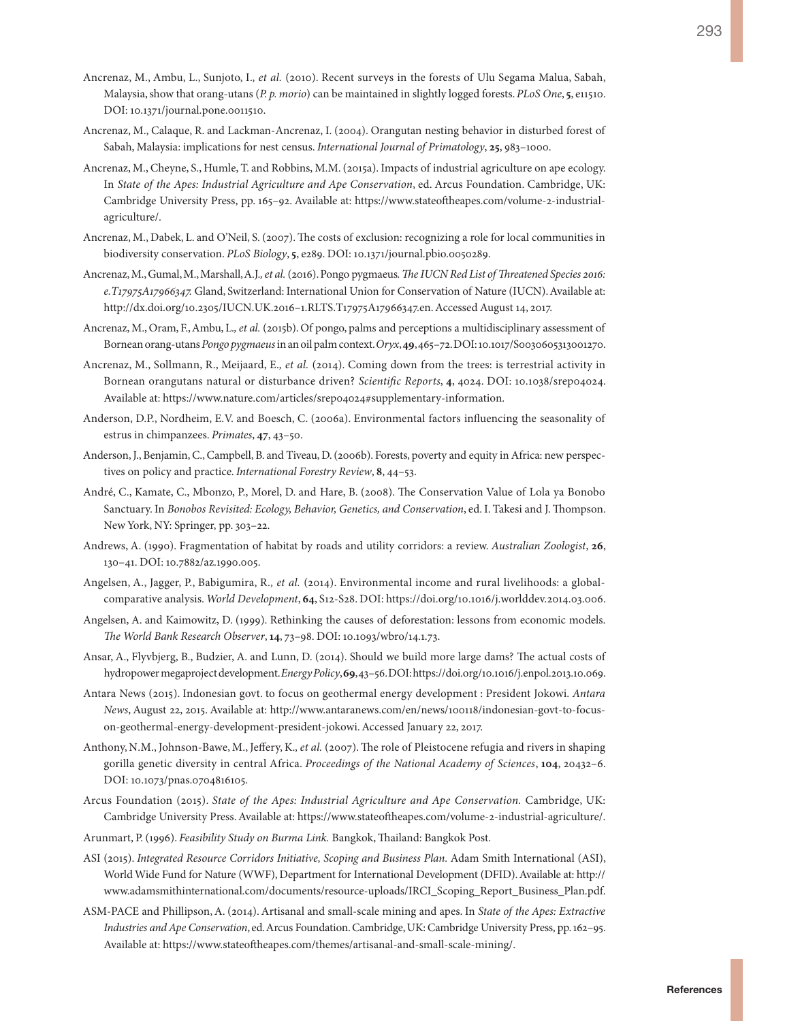- Ancrenaz, M., Ambu, L., Sunjoto, I.*, et al.* (2010). Recent surveys in the forests of Ulu Segama Malua, Sabah, Malaysia, show that orang-utans (*P. p. morio*) can be maintained in slightly logged forests. *PLoS One*, **5**, e11510. DOI: 10.1371/journal.pone.0011510.
- Ancrenaz, M., Calaque, R. and Lackman-Ancrenaz, I. (2004). Orangutan nesting behavior in disturbed forest of Sabah, Malaysia: implications for nest census. *International Journal of Primatology*, **25**, 983–1000.
- Ancrenaz, M., Cheyne, S., Humle, T. and Robbins, M.M. (2015a). Impacts of industrial agriculture on ape ecology. In *State of the Apes: Industrial Agriculture and Ape Conservation*, ed. Arcus Foundation. Cambridge, UK: Cambridge University Press, pp. 165–92. Available at: [https://www.stateoftheapes.com/volume-2-industrial](https://www.stateoftheapes.com/volume-2-industrial-agriculture/)[agriculture/](https://www.stateoftheapes.com/volume-2-industrial-agriculture/).
- Ancrenaz, M., Dabek, L. and O'Neil, S. (2007). The costs of exclusion: recognizing a role for local communities in biodiversity conservation. *PLoS Biology*, **5**, e289. DOI: 10.1371/journal.pbio.0050289.
- Ancrenaz, M., Gumal, M., Marshall, A.J.*, et al.* (2016). Pongo pygmaeus*. The IUCN Red List of Threatened Species 2016: e.T17975A17966347.* Gland, Switzerland: International Union for Conservation of Nature (IUCN). Available at: [http://dx.doi.org/10.2305/IUCN.UK.2016–1.RLTS.T17975A17966347.en](http://dx.doi.org/10.2305/IUCN.UK.2016-1.RLTS.T17975A17966347.en). Accessed August 14, 2017.
- Ancrenaz, M., Oram, F., Ambu, L.*, et al.* (2015b). Of pongo, palms and perceptions a multidisciplinary assessment of Bornean orang-utans *Pongo pygmaeus* in an oil palm context. *Oryx*, **49**, 465–72. DOI: 10.1017/S0030605313001270.
- Ancrenaz, M., Sollmann, R., Meijaard, E.*, et al.* (2014). Coming down from the trees: is terrestrial activity in Bornean orangutans natural or disturbance driven? *Scientific Reports*, **4**, 4024. DOI: 10.1038/srep04024. Available at: [https://www.nature.com/articles/srep04024#supplementary-information.](https://www.nature.com/articles/srep04024#supplementary-information)
- Anderson, D.P., Nordheim, E.V. and Boesch, C. (2006a). Environmental factors influencing the seasonality of estrus in chimpanzees. *Primates*, **47**, 43–50.
- Anderson, J., Benjamin, C., Campbell, B. and Tiveau, D. (2006b). Forests, poverty and equity in Africa: new perspectives on policy and practice. *International Forestry Review*, **8**, 44–53.
- André, C., Kamate, C., Mbonzo, P., Morel, D. and Hare, B. (2008). The Conservation Value of Lola ya Bonobo Sanctuary. In *Bonobos Revisited: Ecology, Behavior, Genetics, and Conservation*, ed. I. Takesi and J. Thompson. New York, NY: Springer, pp. 303–22.
- Andrews, A. (1990). Fragmentation of habitat by roads and utility corridors: a review. *Australian Zoologist*, **26**, 130–41. DOI: 10.7882/az.1990.005.
- Angelsen, A., Jagger, P., Babigumira, R.*, et al.* (2014). Environmental income and rural livelihoods: a globalcomparative analysis. *World Development*, **64**, S12-S28. DOI: https://doi.org/10.1016/j.worlddev.2014.03.006.
- Angelsen, A. and Kaimowitz, D. (1999). Rethinking the causes of deforestation: lessons from economic models. *The World Bank Research Observer*, **14**, 73–98. DOI: 10.1093/wbro/14.1.73.
- Ansar, A., Flyvbjerg, B., Budzier, A. and Lunn, D. (2014). Should we build more large dams? The actual costs of hydropower megaproject development. *Energy Policy*, **69**, 43–56. DOI: https://doi.org/10.1016/j.enpol.2013.10.069.
- Antara News (2015). Indonesian govt. to focus on geothermal energy development : President Jokowi. *Antara News*, August 22, 2015. Available at: [http://www.antaranews.com/en/news/100118/indonesian-govt-to-focus](http://www.antaranews.com/en/news/100118/indonesian-govt-to-focus-on-geothermal-energy-development-president-jokowi)[on-geothermal-energy-development-president-jokowi](http://www.antaranews.com/en/news/100118/indonesian-govt-to-focus-on-geothermal-energy-development-president-jokowi). Accessed January 22, 2017.
- Anthony, N.M., Johnson-Bawe, M., Jeffery, K.*, et al.* (2007). The role of Pleistocene refugia and rivers in shaping gorilla genetic diversity in central Africa. *Proceedings of the National Academy of Sciences*, **104**, 20432–6. DOI: 10.1073/pnas.0704816105.
- Arcus Foundation (2015). *State of the Apes: Industrial Agriculture and Ape Conservation.* Cambridge, UK: Cambridge University Press. Available at: [https://www.stateoftheapes.com/volume-2-industrial-agriculture/.](https://www.stateoftheapes.com/volume-2-industrial-agriculture/)
- Arunmart, P. (1996). *Feasibility Study on Burma Link.* Bangkok, Thailand: Bangkok Post.
- ASI (2015). *Integrated Resource Corridors Initiative, Scoping and Business Plan.* Adam Smith International (ASI), World Wide Fund for Nature (WWF), Department for International Development (DFID). Available at: [http://](http://www.adamsmithinternational.com/documents/resource-uploads/IRCI_Scoping_Report_Business_Plan.pdf.) [www.adamsmithinternational.com/documents/resource-uploads/IRCI\\_Scoping\\_Report\\_Business\\_Plan.pdf.](http://www.adamsmithinternational.com/documents/resource-uploads/IRCI_Scoping_Report_Business_Plan.pdf.)
- ASM-PACE and Phillipson, A. (2014). Artisanal and small-scale mining and apes. In *State of the Apes: Extractive Industries and Ape Conservation*, ed. Arcus Foundation. Cambridge, UK: Cambridge University Press, pp. 162–95. Available at:<https://www.stateoftheapes.com/themes/artisanal-and-small-scale-mining/>.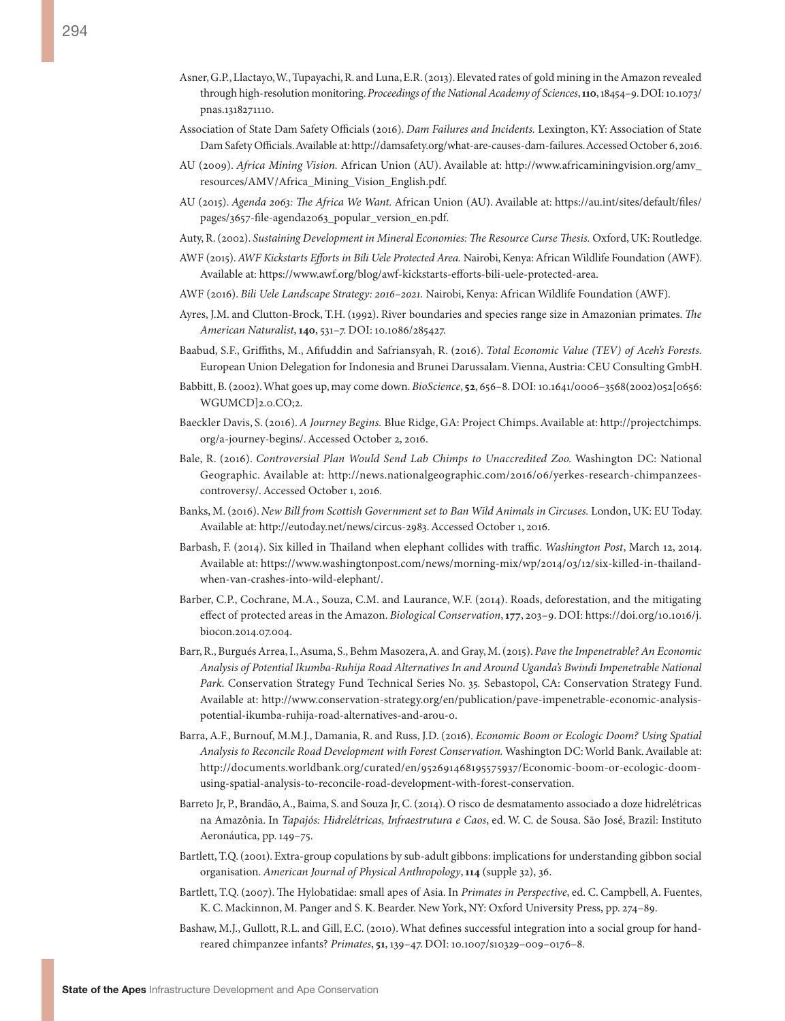- Asner, G.P., Llactayo, W., Tupayachi, R. and Luna, E.R. (2013). Elevated rates of gold mining in the Amazon revealed through high-resolution monitoring. *Proceedings of the National Academy of Sciences*, **110**, 18454–9. DOI: 10.1073/ pnas.1318271110.
- Association of State Dam Safety Officials (2016). *Dam Failures and Incidents.* Lexington, KY: Association of State Dam Safety Officials. Available at: http://damsafety.org/what-are-causes-dam-failures. Accessed October 6, 2016.
- AU (2009). *Africa Mining Vision.* African Union (AU). Available at: [http://www.africaminingvision.org/amv\\_](http://www.africaminingvision.org/amv_resources/AMV/Africa_Mining_Vision_English.pdf) [resources/AMV/Africa\\_Mining\\_Vision\\_English.pdf](http://www.africaminingvision.org/amv_resources/AMV/Africa_Mining_Vision_English.pdf).
- AU (2015). *Agenda 2063: The Africa We Want.* African Union (AU). Available at: [https://au.int/sites/default/files/](https://au.int/sites/default/files/pages/3657-file-agenda2063_popular_version_en.pdf) [pages/3657-file-agenda2063\\_popular\\_version\\_en.pdf.](https://au.int/sites/default/files/pages/3657-file-agenda2063_popular_version_en.pdf)
- Auty, R. (2002). *Sustaining Development in Mineral Economies: The Resource Curse Thesis.* Oxford, UK: Routledge.
- AWF (2015). *AWF Kickstarts Efforts in Bili Uele Protected Area.* Nairobi, Kenya: African Wildlife Foundation (AWF). Available at: [https://www.awf.org/blog/awf-kickstarts-efforts-bili-uele-protected-area.](https://www.awf.org/blog/awf-kickstarts-efforts-bili-uele-protected-area)
- AWF (2016). *Bili Uele Landscape Strategy: 2016–2021.* Nairobi, Kenya: African Wildlife Foundation (AWF).
- Ayres, J.M. and Clutton-Brock, T.H. (1992). River boundaries and species range size in Amazonian primates. *The American Naturalist*, **140**, 531–7. DOI: 10.1086/285427.
- Baabud, S.F., Griffiths, M., Afifuddin and Safriansyah, R. (2016). *Total Economic Value (TEV) of Aceh's Forests.*  European Union Delegation for Indonesia and Brunei Darussalam. Vienna, Austria: CEU Consulting GmbH.
- Babbitt, B. (2002). What goes up, may come down. *BioScience*, **52**, 656–8. DOI: 10.1641/0006–3568(2002)052[0656: WGUMCD]2.0.CO;2.
- Baeckler Davis, S. (2016). *A Journey Begins.* Blue Ridge, GA: Project Chimps. Available at: [http://projectchimps.](http://projectchimps.org/a-journey-begins/) [org/a-journey-begins/](http://projectchimps.org/a-journey-begins/). Accessed October 2, 2016.
- Bale, R. (2016). *Controversial Plan Would Send Lab Chimps to Unaccredited Zoo.* Washington DC: National Geographic. Available at: [http://news.nationalgeographic.com/2016/06/yerkes-research-chimpanzees](http://news.nationalgeographic.com/2016/06/yerkes-research-chimpanzees-controversy/)[controversy/.](http://news.nationalgeographic.com/2016/06/yerkes-research-chimpanzees-controversy/) Accessed October 1, 2016.
- Banks, M. (2016). *New Bill from Scottish Government set to Ban Wild Animals in Circuses.* London, UK: EU Today. Available at: http://eutoday.net/news/circus-2983. Accessed October 1, 2016.
- Barbash, F. (2014). Six killed in Thailand when elephant collides with traffic. *Washington Post*, March 12, 2014. Available at: [https://www.washingtonpost.com/news/morning-mix/wp/2014/03/12/six-killed-in-thailand](https://www.washingtonpost.com/news/morning-mix/wp/2014/03/12/six-killed-in-thailand-when-van-crashes-into-wild-elephant/)[when-van-crashes-into-wild-elephant/.](https://www.washingtonpost.com/news/morning-mix/wp/2014/03/12/six-killed-in-thailand-when-van-crashes-into-wild-elephant/)
- Barber, C.P., Cochrane, M.A., Souza, C.M. and Laurance, W.F. (2014). Roads, deforestation, and the mitigating effect of protected areas in the Amazon. *Biological Conservation*, **177**, 203–9. DOI: [https://doi.org/10.1016/j.](https://doi.org/10.1016/j.biocon.2014.07.004) [biocon.2014.07.004.](https://doi.org/10.1016/j.biocon.2014.07.004)
- Barr, R., Burgués Arrea, I., Asuma, S., Behm Masozera, A. and Gray, M. (2015). *Pave the Impenetrable? An Economic Analysis of Potential Ikumba-Ruhija Road Alternatives In and Around Uganda's Bwindi Impenetrable National Park.* Conservation Strategy Fund Technical Series No. 35*.* Sebastopol, CA: Conservation Strategy Fund. Available at: [http://www.conservation-strategy.org/en/publication/pave-impenetrable-economic-analysis](http://www.conservation-strategy.org/en/publication/pave-impenetrable-economic-analysis-potential-ikumba-ruhija-road-alternatives-and-arou-0)[potential-ikumba-ruhija-road-alternatives-and-arou-0.](http://www.conservation-strategy.org/en/publication/pave-impenetrable-economic-analysis-potential-ikumba-ruhija-road-alternatives-and-arou-0)
- Barra, A.F., Burnouf, M.M.J., Damania, R. and Russ, J.D. (2016). *Economic Boom or Ecologic Doom? Using Spatial Analysis to Reconcile Road Development with Forest Conservation.* Washington DC: World Bank. Available at: [http://documents.worldbank.org/curated/en/952691468195575937/Economic-boom-or-ecologic-doom](http://documents.worldbank.org/curated/en/952691468195575937/Economic-boom-or-ecologic-doom-using-spatial-analysis-to-reconcile-road-development-with-forest-conservation)[using-spatial-analysis-to-reconcile-road-development-with-forest-conservation](http://documents.worldbank.org/curated/en/952691468195575937/Economic-boom-or-ecologic-doom-using-spatial-analysis-to-reconcile-road-development-with-forest-conservation).
- Barreto Jr, P., Brandão, A., Baima, S. and Souza Jr, C. (2014). O risco de desmatamento associado a doze hidrelétricas na Amazônia. In *Tapajós: Hidrelétricas, Infraestrutura e Caos*, ed. W. C. de Sousa. São José, Brazil: Instituto Aeronáutica, pp. 149–75.
- Bartlett, T.Q. (2001). Extra-group copulations by sub-adult gibbons: implications for understanding gibbon social organisation. *American Journal of Physical Anthropology*, **114** (supple 32), 36.
- Bartlett, T.Q. (2007). The Hylobatidae: small apes of Asia. In *Primates in Perspective*, ed. C. Campbell, A. Fuentes, K. C. Mackinnon, M. Panger and S. K. Bearder. New York, NY: Oxford University Press, pp. 274–89.
- Bashaw, M.J., Gullott, R.L. and Gill, E.C. (2010). What defines successful integration into a social group for handreared chimpanzee infants? *Primates*, **51**, 139–47. DOI: 10.1007/s10329–009–0176–8.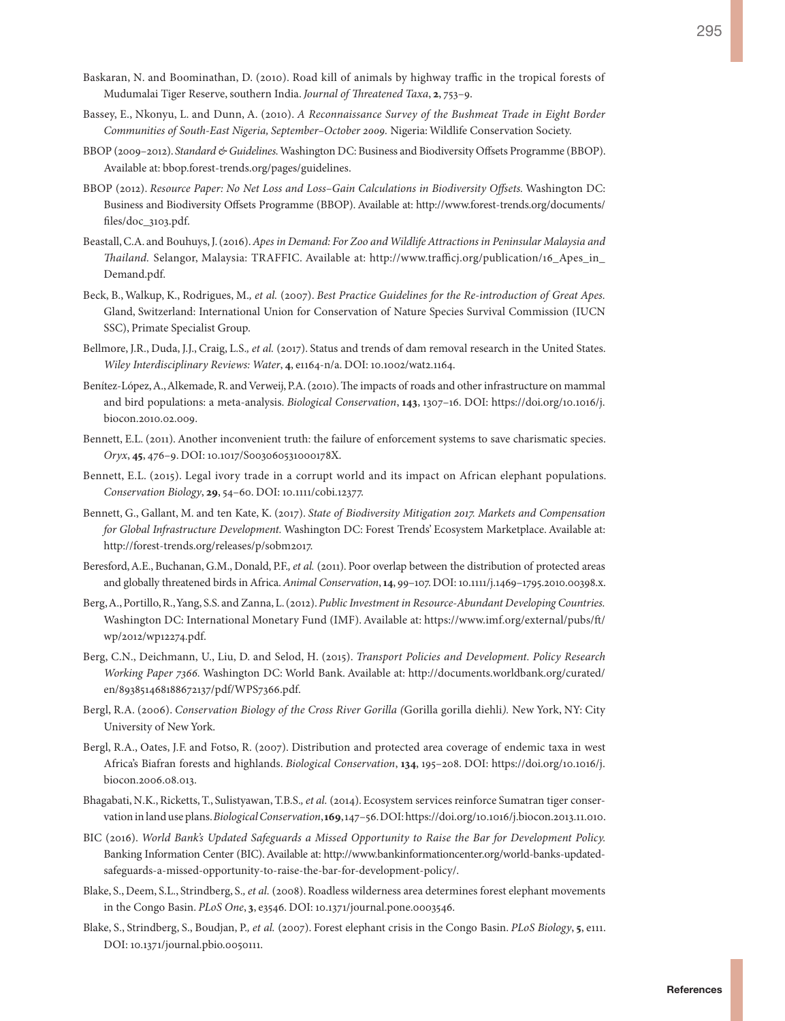- Baskaran, N. and Boominathan, D. (2010). Road kill of animals by highway traffic in the tropical forests of Mudumalai Tiger Reserve, southern India. *Journal of Threatened Taxa*, **2**, 753–9.
- Bassey, E., Nkonyu, L. and Dunn, A. (2010). *A Reconnaissance Survey of the Bushmeat Trade in Eight Border Communities of South-East Nigeria, September–October 2009.* Nigeria: Wildlife Conservation Society.
- BBOP (2009–2012). *Standard & Guidelines.* Washington DC: Business and Biodiversity Offsets Programme (BBOP). Available at:<bbop.forest-trends.org/pages/guidelines>.
- BBOP (2012). *Resource Paper: No Net Loss and Loss–Gain Calculations in Biodiversity Offsets.* Washington DC: Business and Biodiversity Offsets Programme (BBOP). Available at: [http://www.forest-trends.org/documents/](http://www.forest-trends.org/documents/files/doc_3103.pdf) [files/doc\\_3103.pdf.](http://www.forest-trends.org/documents/files/doc_3103.pdf)
- Beastall, C.A. and Bouhuys, J. (2016). *Apes in Demand: For Zoo and Wildlife Attractions in Peninsular Malaysia and Thailand.* Selangor, Malaysia: TRAFFIC. Available at: [http://www.trafficj.org/publication/16\\_Apes\\_in\\_](http://www.trafficj.org/publication/16_Apes_in_Demand.pdf) [Demand.pdf](http://www.trafficj.org/publication/16_Apes_in_Demand.pdf).
- Beck, B., Walkup, K., Rodrigues, M.*, et al.* (2007). *Best Practice Guidelines for the Re-introduction of Great Apes.* Gland, Switzerland: International Union for Conservation of Nature Species Survival Commission (IUCN SSC), Primate Specialist Group.
- Bellmore, J.R., Duda, J.J., Craig, L.S.*, et al.* (2017). Status and trends of dam removal research in the United States. *Wiley Interdisciplinary Reviews: Water*, **4**, e1164-n/a. DOI: 10.1002/wat2.1164.
- Benítez-López, A., Alkemade, R. and Verweij, P.A. (2010). The impacts of roads and other infrastructure on mammal and bird populations: a meta-analysis. *Biological Conservation*, **143**, 1307–16. DOI: [https://doi.org/10.1016/j.](https://doi.org/10.1016/j.biocon.2010.02.009) [biocon.2010.02.009](https://doi.org/10.1016/j.biocon.2010.02.009).
- Bennett, E.L. (2011). Another inconvenient truth: the failure of enforcement systems to save charismatic species. *Oryx*, **45**, 476–9. DOI: 10.1017/S003060531000178X.
- Bennett, E.L. (2015). Legal ivory trade in a corrupt world and its impact on African elephant populations. *Conservation Biology*, **29**, 54–60. DOI: 10.1111/cobi.12377.
- Bennett, G., Gallant, M. and ten Kate, K. (2017). *State of Biodiversity Mitigation 2017. Markets and Compensation for Global Infrastructure Development.* Washington DC: Forest Trends' Ecosystem Marketplace. Available at: [http://forest-trends.org/releases/p/sobm2017.](http://forest-trends.org/releases/p/sobm2017)
- Beresford, A.E., Buchanan, G.M., Donald, P.F.*, et al.* (2011). Poor overlap between the distribution of protected areas and globally threatened birds in Africa. *Animal Conservation*, **14**, 99–107. DOI: 10.1111/j.1469–1795.2010.00398.x.
- Berg, A., Portillo, R., Yang, S.S. and Zanna, L. (2012). *Public Investment in Resource-Abundant Developing Countries.* Washington DC: International Monetary Fund (IMF). Available at: [https://www.imf.org/external/pubs/ft/](https://www.imf.org/external/pubs/ft/wp/2012/wp12274.pdf) [wp/2012/wp12274.pdf](https://www.imf.org/external/pubs/ft/wp/2012/wp12274.pdf).
- Berg, C.N., Deichmann, U., Liu, D. and Selod, H. (2015). *Transport Policies and Development. Policy Research Working Paper 7366.* Washington DC: World Bank. Available at: [http://documents.worldbank.org/curated/](http://documents.worldbank.org/curated/en/893851468188672137/pdf/WPS7366.pdf) [en/893851468188672137/pdf/WPS7366.pdf.](http://documents.worldbank.org/curated/en/893851468188672137/pdf/WPS7366.pdf)
- Bergl, R.A. (2006). *Conservation Biology of the Cross River Gorilla (*Gorilla gorilla diehli*).* New York, NY: City University of New York.
- Bergl, R.A., Oates, J.F. and Fotso, R. (2007). Distribution and protected area coverage of endemic taxa in west Africa's Biafran forests and highlands. *Biological Conservation*, **134**, 195–208. DOI: [https://doi.org/10.1016/j.](https://doi.org/10.1016/j.biocon.2006.08.013) [biocon.2006.08.013.](https://doi.org/10.1016/j.biocon.2006.08.013)
- Bhagabati, N.K., Ricketts, T., Sulistyawan, T.B.S.*, et al.* (2014). Ecosystem services reinforce Sumatran tiger conservation in land use plans. *Biological Conservation*, **169**, 147–56. DOI: https://doi.org/10.1016/j.biocon.2013.11.010.
- BIC (2016). *World Bank's Updated Safeguards a Missed Opportunity to Raise the Bar for Development Policy.* Banking Information Center (BIC). Available at: [http://www.bankinformationcenter.org/world-banks-updated](http://www.bankinformationcenter.org/world-banks-updated-safeguards-a-missed-opportunity-to-raise-the-bar-for-development-policy/)[safeguards-a-missed-opportunity-to-raise-the-bar-for-development-policy/.](http://www.bankinformationcenter.org/world-banks-updated-safeguards-a-missed-opportunity-to-raise-the-bar-for-development-policy/)
- Blake, S., Deem, S.L., Strindberg, S.*, et al.* (2008). Roadless wilderness area determines forest elephant movements in the Congo Basin. *PLoS One*, **3**, e3546. DOI: 10.1371/journal.pone.0003546.
- Blake, S., Strindberg, S., Boudjan, P.*, et al.* (2007). Forest elephant crisis in the Congo Basin. *PLoS Biology*, **5**, e111. DOI: 10.1371/journal.pbio.0050111.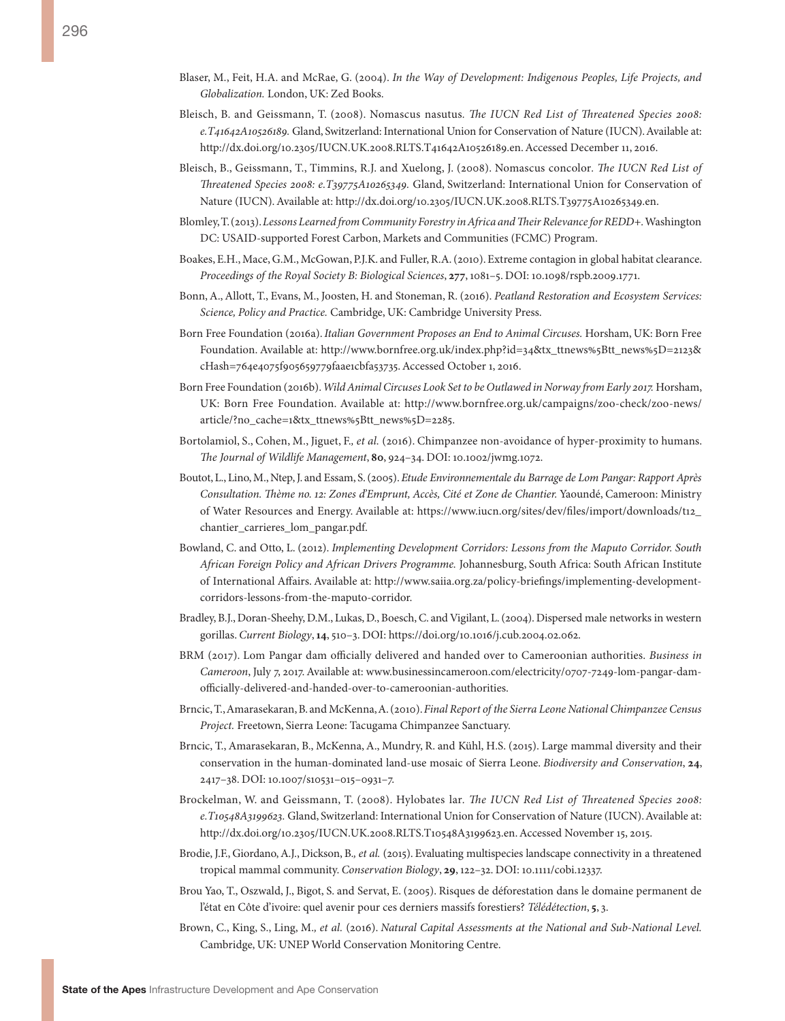- Blaser, M., Feit, H.A. and McRae, G. (2004). *In the Way of Development: Indigenous Peoples, Life Projects, and Globalization.* London, UK: Zed Books.
- Bleisch, B. and Geissmann, T. (2008). Nomascus nasutus*. The IUCN Red List of Threatened Species 2008: e.T41642A10526189.* Gland, Switzerland: International Union for Conservation of Nature (IUCN). Available at: [http://dx.doi.org/10.2305/IUCN.UK.2008.RLTS.T41642A10526189.en.](http://dx.doi.org/10.2305/IUCN.UK.2008.RLTS.T41642A10526189.en) Accessed December 11, 2016.
- Bleisch, B., Geissmann, T., Timmins, R.J. and Xuelong, J. (2008). Nomascus concolor*. The IUCN Red List of Threatened Species 2008: e.T39775A10265349.* Gland, Switzerland: International Union for Conservation of Nature (IUCN). Available at:<http://dx.doi.org/10.2305/IUCN.UK.2008.RLTS.T39775A10265349.en>.
- Blomley, T. (2013). *Lessons Learned from Community Forestry in Africa and Their Relevance for REDD+.* Washington DC: USAID-supported Forest Carbon, Markets and Communities (FCMC) Program.
- Boakes, E.H., Mace, G.M., McGowan, P.J.K. and Fuller, R.A. (2010). Extreme contagion in global habitat clearance. *Proceedings of the Royal Society B: Biological Sciences*, **277**, 1081–5. DOI: 10.1098/rspb.2009.1771.
- Bonn, A., Allott, T., Evans, M., Joosten, H. and Stoneman, R. (2016). *Peatland Restoration and Ecosystem Services: Science, Policy and Practice.* Cambridge, UK: Cambridge University Press.
- Born Free Foundation (2016a). *Italian Government Proposes an End to Animal Circuses.* Horsham, UK: Born Free Foundation. Available at: [http://www.bornfree.org.uk/index.php?id=34&tx\\_ttnews%5Btt\\_news%5D=2123&](http://www.bornfree.org.uk/index.php?id=34&tx_ttnews%5Btt_news%5D=2123&cHash=764e4075f905659779faae1cbfa53735) [cHash=764e4075f905659779faae1cbfa53735.](http://www.bornfree.org.uk/index.php?id=34&tx_ttnews%5Btt_news%5D=2123&cHash=764e4075f905659779faae1cbfa53735) Accessed October 1, 2016.
- Born Free Foundation (2016b). *Wild Animal Circuses Look Set to be Outlawed in Norway from Early 2017.* Horsham, UK: Born Free Foundation. Available at: [http://www.bornfree.org.uk/campaigns/zoo-check/zoo-news/](http://www.bornfree.org.uk/campaigns/zoo-check/zoo-news/article/?no_cache=1&tx_ttnews%5Btt_news%5D=2285) [article/?no\\_cache=1&tx\\_ttnews%5Btt\\_news%5D=2285.](http://www.bornfree.org.uk/campaigns/zoo-check/zoo-news/article/?no_cache=1&tx_ttnews%5Btt_news%5D=2285)
- Bortolamiol, S., Cohen, M., Jiguet, F.*, et al.* (2016). Chimpanzee non-avoidance of hyper-proximity to humans. *The Journal of Wildlife Management*, **80**, 924–34. DOI: 10.1002/jwmg.1072.
- Boutot, L., Lino, M., Ntep, J. and Essam, S. (2005). *Etude Environnementale du Barrage de Lom Pangar: Rapport Après Consultation. Thème no. 12: Zones d'Emprunt, Accès, Cité et Zone de Chantier.* Yaoundé, Cameroon: Ministry of Water Resources and Energy. Available at: [https://www.iucn.org/sites/dev/files/import/downloads/t12\\_](https://www.iucn.org/sites/dev/files/import/downloads/t12_chantier_carrieres_lom_pangar.pdf) [chantier\\_carrieres\\_lom\\_pangar.pdf](https://www.iucn.org/sites/dev/files/import/downloads/t12_chantier_carrieres_lom_pangar.pdf).
- Bowland, C. and Otto, L. (2012). *Implementing Development Corridors: Lessons from the Maputo Corridor. South African Foreign Policy and African Drivers Programme.* Johannesburg, South Africa: South African Institute of International Affairs. Available at: [http://www.saiia.org.za/policy-briefings/implementing-development](http://www.saiia.org.za/policy-briefings/implementing-development-corridors-lessons-from-the-maputo-corridor)[corridors-lessons-from-the-maputo-corridor.](http://www.saiia.org.za/policy-briefings/implementing-development-corridors-lessons-from-the-maputo-corridor)
- Bradley, B.J., Doran-Sheehy, D.M., Lukas, D., Boesch, C. and Vigilant, L. (2004). Dispersed male networks in western gorillas. *Current Biology*, **14**, 510–3. DOI: [https://doi.org/10.1016/j.cub.2004.02.062.](https://doi.org/10.1016/j.cub.2004.02.062)
- BRM (2017). Lom Pangar dam officially delivered and handed over to Cameroonian authorities. *Business in Cameroon*, July 7, 2017. Available at: [www.businessincameroon.com/electricity/0707-7249-lom-pangar-dam](www.businessincameroon.com/electricity/0707-7249-lom-pangar-dam-officially-delivered-and-handed-over-to-cameroonian-authorities)[officially-delivered-and-handed-over-to-cameroonian-authorities](www.businessincameroon.com/electricity/0707-7249-lom-pangar-dam-officially-delivered-and-handed-over-to-cameroonian-authorities).
- Brncic, T., Amarasekaran, B. and McKenna, A. (2010). *Final Report of the Sierra Leone National Chimpanzee Census Project.* Freetown, Sierra Leone: Tacugama Chimpanzee Sanctuary.
- Brncic, T., Amarasekaran, B., McKenna, A., Mundry, R. and Kühl, H.S. (2015). Large mammal diversity and their conservation in the human-dominated land-use mosaic of Sierra Leone. *Biodiversity and Conservation*, **24**, 2417–38. DOI: 10.1007/s10531–015–0931–7.
- Brockelman, W. and Geissmann, T. (2008). Hylobates lar*. The IUCN Red List of Threatened Species 2008: e.T10548A3199623.* Gland, Switzerland: International Union for Conservation of Nature (IUCN). Available at: [http://dx.doi.org/10.2305/IUCN.UK.2008.RLTS.T10548A3199623.en.](http://dx.doi.org/10.2305/IUCN.UK.2008.RLTS.T10548A3199623.en) Accessed November 15, 2015.
- Brodie, J.F., Giordano, A.J., Dickson, B.*, et al.* (2015). Evaluating multispecies landscape connectivity in a threatened tropical mammal community. *Conservation Biology*, **29**, 122–32. DOI: 10.1111/cobi.12337.
- Brou Yao, T., Oszwald, J., Bigot, S. and Servat, E. (2005). Risques de déforestation dans le domaine permanent de l'état en Côte d'ivoire: quel avenir pour ces derniers massifs forestiers? *Télédétection*, **5**, 3.
- Brown, C., King, S., Ling, M.*, et al.* (2016). *Natural Capital Assessments at the National and Sub-National Level.* Cambridge, UK: UNEP World Conservation Monitoring Centre.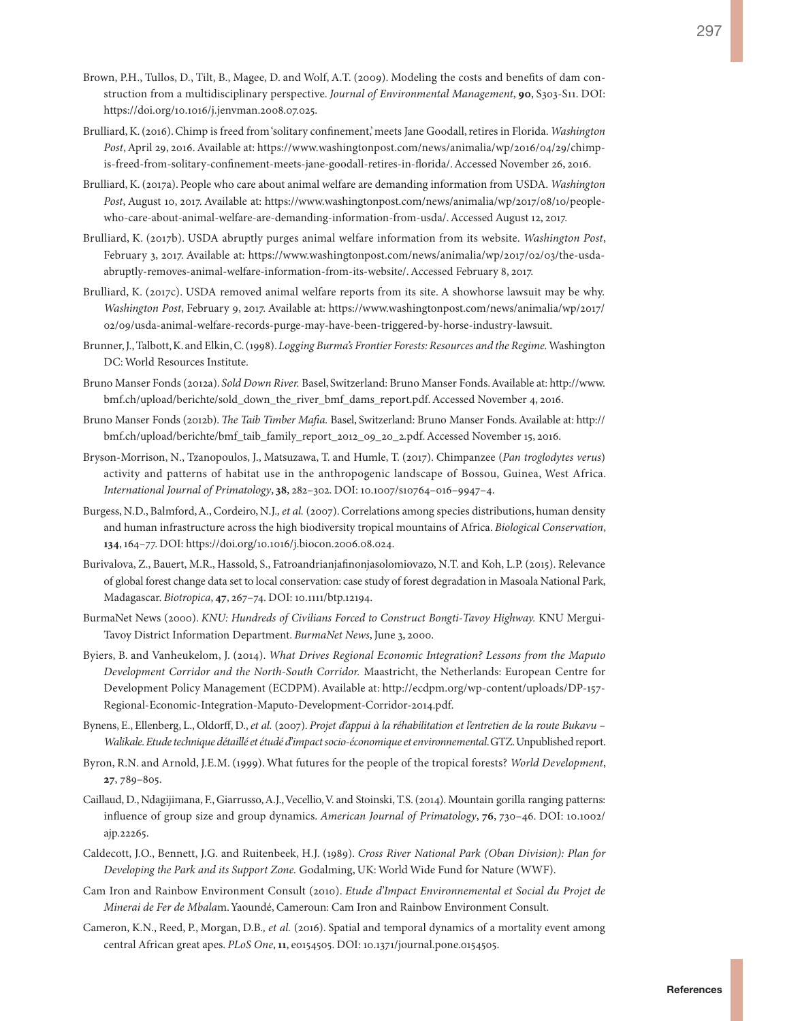- Brown, P.H., Tullos, D., Tilt, B., Magee, D. and Wolf, A.T. (2009). Modeling the costs and benefits of dam construction from a multidisciplinary perspective. *Journal of Environmental Management*, **90**, S303-S11. DOI: [https://doi.org/10.1016/j.jenvman.2008.07.025.](https://doi.org/10.1016/j.jenvman.2008.07.025)
- Brulliard, K. (2016). Chimp is freed from 'solitary confinement,' meets Jane Goodall, retires in Florida. *Washington Post*, April 29, 2016. Available at: [https://www.washingtonpost.com/news/animalia/wp/2016/04/29/chimp](https://www.washingtonpost.com/news/animalia/wp/2016/04/29/chimp-is-freed-from-solitary-confinement-meets-jane-goodall-retires-in-florida/)[is-freed-from-solitary-confinement-meets-jane-goodall-retires-in-florida/](https://www.washingtonpost.com/news/animalia/wp/2016/04/29/chimp-is-freed-from-solitary-confinement-meets-jane-goodall-retires-in-florida/). Accessed November 26, 2016.
- Brulliard, K. (2017a). People who care about animal welfare are demanding information from USDA. *Washington Post*, August 10, 2017. Available at: [https://www.washingtonpost.com/news/animalia/wp/2017/08/10/people](https://www.washingtonpost.com/news/animalia/wp/2017/08/10/people-who-care-about-animal-welfare-are-demanding-information-from-usda/)[who-care-about-animal-welfare-are-demanding-information-from-usda/.](https://www.washingtonpost.com/news/animalia/wp/2017/08/10/people-who-care-about-animal-welfare-are-demanding-information-from-usda/) Accessed August 12, 2017.
- Brulliard, K. (2017b). USDA abruptly purges animal welfare information from its website. *Washington Post*, February 3, 2017. Available at: [https://www.washingtonpost.com/news/animalia/wp/2017/02/03/the-usda](https://www.washingtonpost.com/news/animalia/wp/2017/02/03/the-usda-abruptly-removes-animal-welfare-information-from-its-website/)[abruptly-removes-animal-welfare-information-from-its-website/](https://www.washingtonpost.com/news/animalia/wp/2017/02/03/the-usda-abruptly-removes-animal-welfare-information-from-its-website/). Accessed February 8, 2017.
- Brulliard, K. (2017c). USDA removed animal welfare reports from its site. A showhorse lawsuit may be why. *Washington Post*, February 9, 2017. Available at: h[ttps://www.washingtonpost.com/news/animalia/wp/2017/](ttps://www.washingtonpost.com/news/animalia/wp/2017/02/09/usda-animal-welfare-records-purge-may-have-been-triggered-by-horse-industry-lawsuit) [02/09/usda-animal-welfare-records-purge-may-have-been-triggered-by-horse-industry-lawsuit](ttps://www.washingtonpost.com/news/animalia/wp/2017/02/09/usda-animal-welfare-records-purge-may-have-been-triggered-by-horse-industry-lawsuit).
- Brunner, J., Talbott, K. and Elkin, C. (1998). *Logging Burma's Frontier Forests: Resources and the Regime.* Washington DC: World Resources Institute.
- Bruno Manser Fonds (2012a). *Sold Down River.* Basel, Switzerland: Bruno Manser Fonds. Available at: [http://www.](http://www.bmf.ch/upload/berichte/sold_down_the_river_bmf_dams_report.pdf) [bmf.ch/upload/berichte/sold\\_down\\_the\\_river\\_bmf\\_dams\\_report.pdf](http://www.bmf.ch/upload/berichte/sold_down_the_river_bmf_dams_report.pdf). Accessed November 4, 2016.
- Bruno Manser Fonds (2012b). *The Taib Timber Mafia.* Basel, Switzerland: Bruno Manser Fonds. Available at: [http://](http://bmf.ch/upload/berichte/bmf_taib_family_report_2012_09_20_2.pdf) [bmf.ch/upload/berichte/bmf\\_taib\\_family\\_report\\_2012\\_09\\_20\\_2.pdf.](http://bmf.ch/upload/berichte/bmf_taib_family_report_2012_09_20_2.pdf) Accessed November 15, 2016.
- Bryson-Morrison, N., Tzanopoulos, J., Matsuzawa, T. and Humle, T. (2017). Chimpanzee (*Pan troglodytes verus*) activity and patterns of habitat use in the anthropogenic landscape of Bossou, Guinea, West Africa. *International Journal of Primatology*, **38**, 282–302. DOI: 10.1007/s10764–016–9947–4.
- Burgess, N.D., Balmford, A., Cordeiro, N.J.*, et al.* (2007). Correlations among species distributions, human density and human infrastructure across the high biodiversity tropical mountains of Africa. *Biological Conservation*, **134**, 164–77. DOI: [https://doi.org/10.1016/j.biocon.2006.08.024.](https://doi.org/10.1016/j.biocon.2006.08.024)
- Burivalova, Z., Bauert, M.R., Hassold, S., Fatroandrianjafinonjasolomiovazo, N.T. and Koh, L.P. (2015). Relevance of global forest change data set to local conservation: case study of forest degradation in Masoala National Park, Madagascar. *Biotropica*, **47**, 267–74. DOI: 10.1111/btp.12194.
- BurmaNet News (2000). *KNU: Hundreds of Civilians Forced to Construct Bongti-Tavoy Highway.* KNU Mergui-Tavoy District Information Department. *BurmaNet News*, June 3, 2000.
- Byiers, B. and Vanheukelom, J. (2014). *What Drives Regional Economic Integration? Lessons from the Maputo Development Corridor and the North-South Corridor.* Maastricht, the Netherlands: European Centre for Development Policy Management (ECDPM). Available at: [http://ecdpm.org/wp-content/uploads/DP-157-](http://ecdpm.org/wp-content/uploads/DP-157-Regional-Economic-Integration-Maputo-Development-Corridor-2014.pdf) [Regional-Economic-Integration-Maputo-Development-Corridor-2014.pdf](http://ecdpm.org/wp-content/uploads/DP-157-Regional-Economic-Integration-Maputo-Development-Corridor-2014.pdf).
- Bynens, E., Ellenberg, L., Oldorff, D., *et al.* (2007). *Projet d'appui à la réhabilitation et l'entretien de la route Bukavu Walikale. Etude technique détaillé et étudé d'impact socio-économique et environnemental*. GTZ. Unpublished report.
- Byron, R.N. and Arnold, J.E.M. (1999). What futures for the people of the tropical forests? *World Development*, **27**, 789–805.
- Caillaud, D., Ndagijimana, F., Giarrusso, A.J., Vecellio, V. and Stoinski, T.S. (2014). Mountain gorilla ranging patterns: influence of group size and group dynamics. *American Journal of Primatology*, **76**, 730–46. DOI: 10.1002/ ajp.22265.
- Caldecott, J.O., Bennett, J.G. and Ruitenbeek, H.J. (1989). *Cross River National Park (Oban Division): Plan for Developing the Park and its Support Zone.* Godalming, UK: World Wide Fund for Nature (WWF).
- Cam Iron and Rainbow Environment Consult (2010). *Etude d'Impact Environnemental et Social du Projet de Minerai de Fer de Mbala*m. Yaoundé, Cameroun: Cam Iron and Rainbow Environment Consult.
- Cameron, K.N., Reed, P., Morgan, D.B.*, et al.* (2016). Spatial and temporal dynamics of a mortality event among central African great apes. *PLoS One*, **11**, e0154505. DOI: 10.1371/journal.pone.0154505.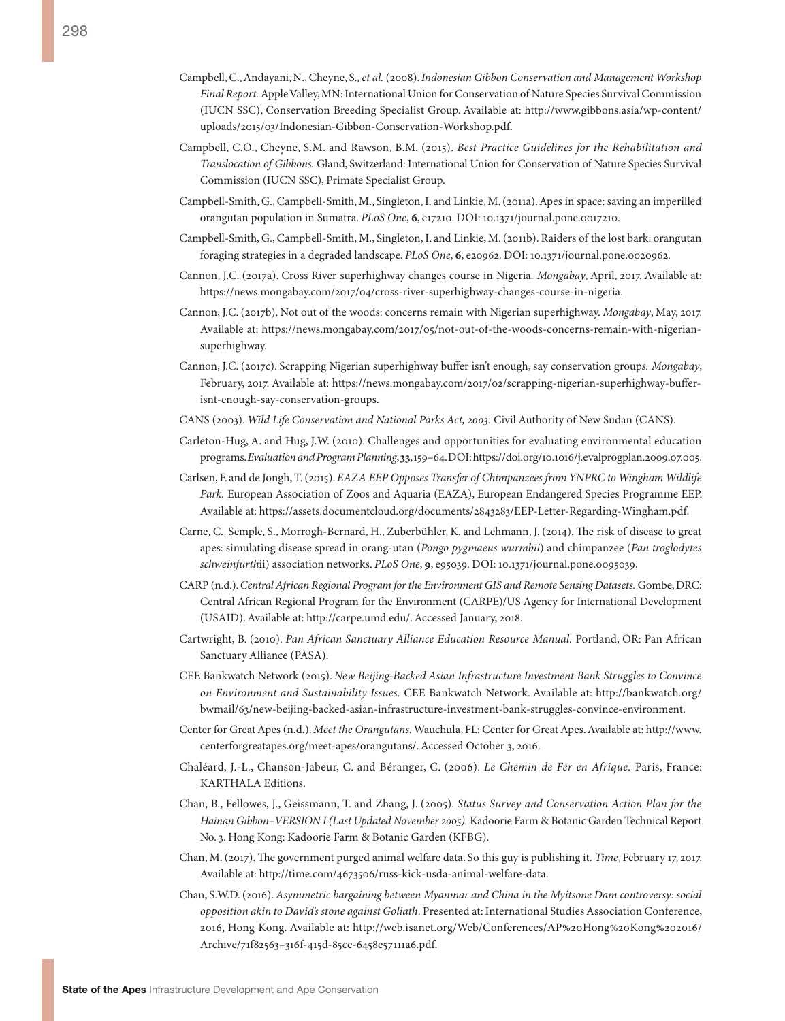- Campbell, C., Andayani, N., Cheyne, S.*, et al.* (2008). *Indonesian Gibbon Conservation and Management Workshop Final Report.* Apple Valley, MN: International Union for Conservation of Nature Species Survival Commission (IUCN SSC), Conservation Breeding Specialist Group. Available at: [http://www.gibbons.asia/wp-content/](http://www.gibbons.asia/wp-content/uploads/2015/03/Indonesian-Gibbon-Conservation-Workshop.pdf) [uploads/2015/03/Indonesian-Gibbon-Conservation-Workshop.pdf](http://www.gibbons.asia/wp-content/uploads/2015/03/Indonesian-Gibbon-Conservation-Workshop.pdf).
- Campbell, C.O., Cheyne, S.M. and Rawson, B.M. (2015). *Best Practice Guidelines for the Rehabilitation and Translocation of Gibbons.* Gland, Switzerland: International Union for Conservation of Nature Species Survival Commission (IUCN SSC), Primate Specialist Group.
- Campbell-Smith, G., Campbell-Smith, M., Singleton, I. and Linkie, M. (2011a). Apes in space: saving an imperilled orangutan population in Sumatra. *PLoS One*, **6**, e17210. DOI: 10.1371/journal.pone.0017210.
- Campbell-Smith, G., Campbell-Smith, M., Singleton, I. and Linkie, M. (2011b). Raiders of the lost bark: orangutan foraging strategies in a degraded landscape. *PLoS One*, **6**, e20962. DOI: 10.1371/journal.pone.0020962.
- Cannon, J.C. (2017a). Cross River superhighway changes course in Nigeria*. Mongabay*, April, 2017. Available at: [https://news.mongabay.com/2017/04/cross-river-superhighway-changes-course-in-nigeria.](https://news.mongabay.com/2017/04/cross-river-superhighway-changes-course-in-nigeria)
- Cannon, J.C. (2017b). Not out of the woods: concerns remain with Nigerian superhighway. *Mongabay*, May, 2017. Available at: [https://news.mongabay.com/2017/05/not-out-of-the-woods-concerns-remain-with-nigerian](https://news.mongabay.com/2017/05/not-out-of-the-woods-concerns-remain-with-nigerian-superhighway)[superhighway](https://news.mongabay.com/2017/05/not-out-of-the-woods-concerns-remain-with-nigerian-superhighway).
- Cannon, J.C. (2017c). Scrapping Nigerian superhighway buffer isn't enough, say conservation group*s. Mongabay*, February, 2017. Available at: [https://news.mongabay.com/2017/02/scrapping-nigerian-superhighway-buffer](https://news.mongabay.com/2017/02/scrapping-nigerian-superhighway-buffer-isnt-enough-say-conservation-groups)[isnt-enough-say-conservation-groups](https://news.mongabay.com/2017/02/scrapping-nigerian-superhighway-buffer-isnt-enough-say-conservation-groups).
- CANS (2003). *Wild Life Conservation and National Parks Act, 2003.* Civil Authority of New Sudan (CANS).
- Carleton-Hug, A. and Hug, J.W. (2010). Challenges and opportunities for evaluating environmental education programs. *Evaluation and Program Planning*, **33**, 159–64. DOI: [https://doi.org/10.1016/j.evalprogplan.2009.07.005.](https://doi.org/10.1016/j.evalprogplan.2009.07.005)
- Carlsen, F. and de Jongh, T. (2015). *EAZA EEP Opposes Transfer of Chimpanzees from YNPRC to Wingham Wildlife Park.* European Association of Zoos and Aquaria (EAZA), European Endangered Species Programme EEP. Available at: [https://assets.documentcloud.org/documents/2843283/EEP-Letter-Regarding-Wingham.pdf.](https://assets.documentcloud.org/documents/2843283/EEP-Letter-Regarding-Wingham.pdf)
- Carne, C., Semple, S., Morrogh-Bernard, H., Zuberbühler, K. and Lehmann, J. (2014). The risk of disease to great apes: simulating disease spread in orang-utan (*Pongo pygmaeus wurmbii*) and chimpanzee (*Pan troglodytes schweinfurth*ii) association networks. *PLoS One*, **9**, e95039. DOI: 10.1371/journal.pone.0095039.
- CARP (n.d.). *Central African Regional Program for the Environment GIS and Remote Sensing Datasets.* Gombe, DRC: Central African Regional Program for the Environment (CARPE)/US Agency for International Development (USAID). Available at: http://carpe.umd.edu/. Accessed January, 2018.
- Cartwright, B. (2010). *Pan African Sanctuary Alliance Education Resource Manual.* Portland, OR: Pan African Sanctuary Alliance (PASA).
- CEE Bankwatch Network (2015). *New Beijing-Backed Asian Infrastructure Investment Bank Struggles to Convince on Environment and Sustainability Issues.* CEE Bankwatch Network. Available at: [http://bankwatch.org/](http://bankwatch.org/bwmail/63/new-beijing-backed-asian-infrastructure-investment-bank-struggles-convince-environment) [bwmail/63/new-beijing-backed-asian-infrastructure-investment-bank-struggles-convince-environment](http://bankwatch.org/bwmail/63/new-beijing-backed-asian-infrastructure-investment-bank-struggles-convince-environment).
- Center for Great Apes (n.d.). *Meet the Orangutans.* Wauchula, FL: Center for Great Apes. Available at: [http://www.](http://www.centerforgreatapes.org/meet-apes/orangutans/) [centerforgreatapes.org/meet-apes/orangutans/](http://www.centerforgreatapes.org/meet-apes/orangutans/). Accessed October 3, 2016.
- Chaléard, J.-L., Chanson-Jabeur, C. and Béranger, C. (2006). *Le Chemin de Fer en Afrique.* Paris, France: KARTHALA Editions.
- Chan, B., Fellowes, J., Geissmann, T. and Zhang, J. (2005). *Status Survey and Conservation Action Plan for the Hainan Gibbon–VERSION I (Last Updated November 2005).* Kadoorie Farm & Botanic Garden Technical Report No. 3. Hong Kong: Kadoorie Farm & Botanic Garden (KFBG).
- Chan, M. (2017). The government purged animal welfare data. So this guy is publishing it. *Time*, February 17, 2017. Available at: [http://time.com/4673506/russ-kick-usda-animal-welfare-data.](http://time.com/4673506/russ-kick-usda-animal-welfare-data)
- Chan, S.W.D. (2016). *Asymmetric bargaining between Myanmar and China in the Myitsone Dam controversy: social opposition akin to David's stone against Goliath*. Presented at: International Studies Association Conference, 2016, Hong Kong. Available at: [http://web.isanet.org/Web/Conferences/AP%20Hong%20Kong%202016/](http://web.isanet.org/Web/Conferences/AP%20Hong%20Kong%202016/Archive/71f82563-316f-415d-85ce-6458e57111a6.pdf) [Archive/71f82563–316f-415d-85ce-6458e57111a6.pdf.](http://web.isanet.org/Web/Conferences/AP%20Hong%20Kong%202016/Archive/71f82563-316f-415d-85ce-6458e57111a6.pdf)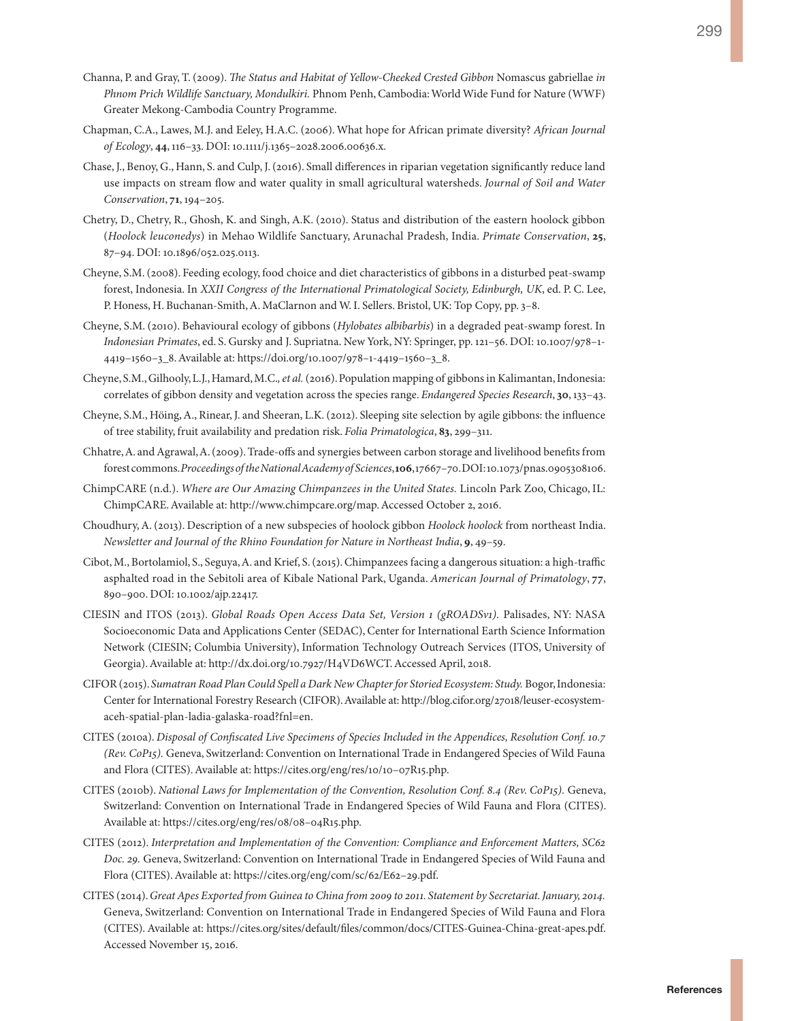- Channa, P. and Gray, T. (2009). *The Status and Habitat of Yellow-Cheeked Crested Gibbon* Nomascus gabriellae *in Phnom Prich Wildlife Sanctuary, Mondulkiri.* Phnom Penh, Cambodia: World Wide Fund for Nature (WWF) Greater Mekong-Cambodia Country Programme.
- Chapman, C.A., Lawes, M.J. and Eeley, H.A.C. (2006). What hope for African primate diversity? *African Journal of Ecology*, **44**, 116–33. DOI: 10.1111/j.1365–2028.2006.00636.x.
- Chase, J., Benoy, G., Hann, S. and Culp, J. (2016). Small differences in riparian vegetation significantly reduce land use impacts on stream flow and water quality in small agricultural watersheds. *Journal of Soil and Water Conservation*, **71**, 194–205.
- Chetry, D., Chetry, R., Ghosh, K. and Singh, A.K. (2010). Status and distribution of the eastern hoolock gibbon (*Hoolock leuconedys*) in Mehao Wildlife Sanctuary, Arunachal Pradesh, India. *Primate Conservation*, **25**, 87–94. DOI: 10.1896/052.025.0113.
- Cheyne, S.M. (2008). Feeding ecology, food choice and diet characteristics of gibbons in a disturbed peat-swamp forest, Indonesia. In *XXII Congress of the International Primatological Society, Edinburgh, UK*, ed. P. C. Lee, P. Honess, H. Buchanan-Smith, A. MaClarnon and W. I. Sellers. Bristol, UK: Top Copy, pp. 3–8.
- Cheyne, S.M. (2010). Behavioural ecology of gibbons (*Hylobates albibarbis*) in a degraded peat-swamp forest. In *Indonesian Primates*, ed. S. Gursky and J. Supriatna. New York, NY: Springer, pp. 121–56. DOI: 10.1007/978–1- 4419–1560–3\_8. Available at: [https://doi.org/10.1007/978–1-4419–1560–3\\_8](https://doi.org/10.1007/978-1-4419-1560-3_8).
- Cheyne, S.M., Gilhooly, L.J., Hamard, M.C.*, et al.* (2016). Population mapping of gibbons in Kalimantan, Indonesia: correlates of gibbon density and vegetation across the species range. *Endangered Species Research*, **30**, 133–43.
- Cheyne, S.M., Höing, A., Rinear, J. and Sheeran, L.K. (2012). Sleeping site selection by agile gibbons: the influence of tree stability, fruit availability and predation risk. *Folia Primatologica*, **83**, 299–311.
- Chhatre, A. and Agrawal, A. (2009). Trade-offs and synergies between carbon storage and livelihood benefits from forest commons. *Proceedings of the National Academy of Sciences*, **106**, 17667–70. DOI: 10.1073/pnas.0905308106.
- ChimpCARE (n.d.). *Where are Our Amazing Chimpanzees in the United States.* Lincoln Park Zoo, Chicago, IL: ChimpCARE. Available at: <http://www.chimpcare.org/map>. Accessed October 2, 2016.
- Choudhury, A. (2013). Description of a new subspecies of hoolock gibbon *Hoolock hoolock* from northeast India. *Newsletter and Journal of the Rhino Foundation for Nature in Northeast India*, **9**, 49–59.
- Cibot, M., Bortolamiol, S., Seguya, A. and Krief, S. (2015). Chimpanzees facing a dangerous situation: a high-traffic asphalted road in the Sebitoli area of Kibale National Park, Uganda. *American Journal of Primatology*, **77**, 890–900. DOI: 10.1002/ajp.22417.
- CIESIN and ITOS (2013). *Global Roads Open Access Data Set, Version 1 (gROADSv1).* Palisades, NY: NASA Socioeconomic Data and Applications Center (SEDAC), Center for International Earth Science Information Network (CIESIN; Columbia University), Information Technology Outreach Services (ITOS, University of Georgia). Available at:<http://dx.doi.org/10.7927/H4VD6WCT>. Accessed April, 2018.
- CIFOR (2015). *Sumatran Road Plan Could Spell a Dark New Chapter for Storied Ecosystem: Study.* Bogor, Indonesia: Center for International Forestry Research (CIFOR). Available at: [http://blog.cifor.org/27018/leuser-ecosystem](http://blog.cifor.org/27018/leuser-ecosystem-aceh-spatial-plan-ladia-galaska-road?fnl=en)[aceh-spatial-plan-ladia-galaska-road?fnl=en](http://blog.cifor.org/27018/leuser-ecosystem-aceh-spatial-plan-ladia-galaska-road?fnl=en).
- CITES (2010a). *Disposal of Confiscated Live Specimens of Species Included in the Appendices, Resolution Conf. 10.7 (Rev. CoP15).* Geneva, Switzerland: Convention on International Trade in Endangered Species of Wild Fauna and Flora (CITES). Available at: [https://cites.org/eng/res/10/10–07R15.php.](https://cites.org/eng/res/10/10-07R15.php)
- CITES (2010b). *National Laws for Implementation of the Convention, Resolution Conf. 8.4 (Rev. CoP15).* Geneva, Switzerland: Convention on International Trade in Endangered Species of Wild Fauna and Flora (CITES). Available at: [https://cites.org/eng/res/08/08–04R15.php](https://cites.org/eng/res/08/08-04R15.php).
- CITES (2012). *Interpretation and Implementation of the Convention: Compliance and Enforcement Matters, SC62 Doc. 29.* Geneva, Switzerland: Convention on International Trade in Endangered Species of Wild Fauna and Flora (CITES). Available at: https://cites.org/eng/com/sc/62/E62–29.pdf.
- CITES (2014). *Great Apes Exported from Guinea to China from 2009 to 2011. Statement by Secretariat. January, 2014.* Geneva, Switzerland: Convention on International Trade in Endangered Species of Wild Fauna and Flora (CITES). Available at: [https://cites.org/sites/default/files/common/docs/CITES-Guinea-China-great-apes.pdf.](https://cites.org/sites/default/files/common/docs/CITES-Guinea-China-great-apes.pdf) Accessed November 15, 2016.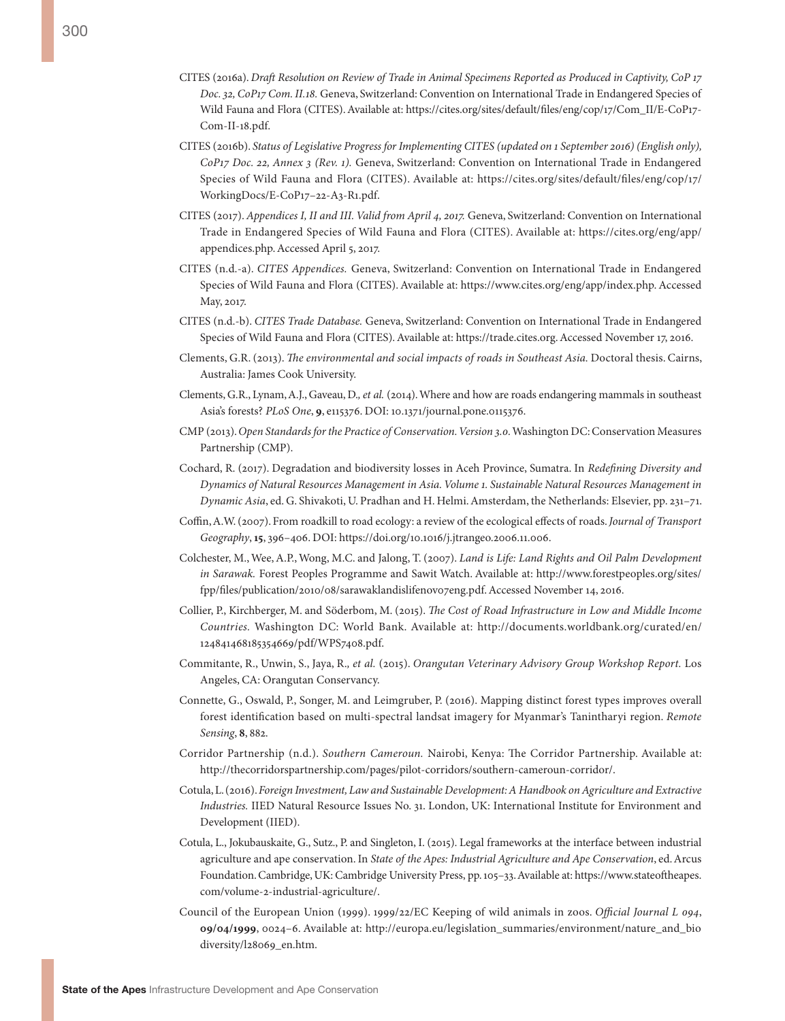- CITES (2016a). *Draft Resolution on Review of Trade in Animal Specimens Reported as Produced in Captivity, CoP 17 Doc. 32, CoP17 Com. II.18.* Geneva, Switzerland: Convention on International Trade in Endangered Species of Wild Fauna and Flora (CITES). Available at: [https://cites.org/sites/default/files/eng/cop/17/Com\\_II/E-CoP17-](https://cites.org/sites/default/files/eng/cop/17/Com_II/E-CoP17-Com-II-18.pdf) [Com-II-18.pdf.](https://cites.org/sites/default/files/eng/cop/17/Com_II/E-CoP17-Com-II-18.pdf)
- CITES (2016b). *Status of Legislative Progress for Implementing CITES (updated on 1 September 2016) (English only), CoP17 Doc. 22, Annex 3 (Rev. 1).* Geneva, Switzerland: Convention on International Trade in Endangered Species of Wild Fauna and Flora (CITES). Available at: [https://cites.org/sites/default/files/eng/cop/17/](https://cites.org/sites/default/files/eng/cop/17/WorkingDocs/E-CoP17-22-A3-R1.pdf) [WorkingDocs/E-CoP17–22-A3-R1.pdf.](https://cites.org/sites/default/files/eng/cop/17/WorkingDocs/E-CoP17-22-A3-R1.pdf)
- CITES (2017). *Appendices I, II and III. Valid from April 4, 2017.* Geneva, Switzerland: Convention on International Trade in Endangered Species of Wild Fauna and Flora (CITES). Available at: [https://cites.org/eng/app/](https://cites.org/eng/app/appendices.php) [appendices.php](https://cites.org/eng/app/appendices.php). Accessed April 5, 2017.
- CITES (n.d.-a). *CITES Appendices.* Geneva, Switzerland: Convention on International Trade in Endangered Species of Wild Fauna and Flora (CITES). Available at: [https://www.cites.org/eng/app/index.php.](https://www.cites.org/eng/app/index.php) Accessed May, 2017.
- CITES (n.d.-b). *CITES Trade Database.* Geneva, Switzerland: Convention on International Trade in Endangered Species of Wild Fauna and Flora (CITES). Available at: https://trade.cites.org. Accessed November 17, 2016.
- Clements, G.R. (2013). *The environmental and social impacts of roads in Southeast Asia.* Doctoral thesis. Cairns, Australia: James Cook University.
- Clements, G.R., Lynam, A.J., Gaveau, D.*, et al.* (2014). Where and how are roads endangering mammals in southeast Asia's forests? *PLoS One*, **9**, e115376. DOI: 10.1371/journal.pone.0115376.
- CMP (2013). *Open Standards for the Practice of Conservation. Version 3.0.* Washington DC: Conservation Measures Partnership (CMP).
- Cochard, R. (2017). Degradation and biodiversity losses in Aceh Province, Sumatra. In *Redefining Diversity and Dynamics of Natural Resources Management in Asia. Volume 1. Sustainable Natural Resources Management in Dynamic Asia*, ed. G. Shivakoti, U. Pradhan and H. Helmi. Amsterdam, the Netherlands: Elsevier, pp. 231–71.
- Coffin, A.W. (2007). From roadkill to road ecology: a review of the ecological effects of roads. *Journal of Transport Geography*, **15**, 396–406. DOI: [https://doi.org/10.1016/j.jtrangeo.2006.11.006.](https://doi.org/10.1016/j.jtrangeo.2006.11.006)
- Colchester, M., Wee, A.P., Wong, M.C. and Jalong, T. (2007). *Land is Life: Land Rights and Oil Palm Development in Sarawak.* Forest Peoples Programme and Sawit Watch. Available at: [http://www.forestpeoples.org/sites/](http://www.forestpeoples.org/sites/fpp/files/publication/2010/08/sarawaklandislifenov07eng.pdf) [fpp/files/publication/2010/08/sarawaklandislifenov07eng.pdf.](http://www.forestpeoples.org/sites/fpp/files/publication/2010/08/sarawaklandislifenov07eng.pdf) Accessed November 14, 2016.
- Collier, P., Kirchberger, M. and Söderbom, M. (2015). *The Cost of Road Infrastructure in Low and Middle Income Countries.* Washington DC: World Bank. Available at: [http://documents.worldbank.org/curated/en/](http://documents.worldbank.org/curated/en/124841468185354669/pdf/WPS7408.pdf) [124841468185354669/pdf/WPS7408.pdf](http://documents.worldbank.org/curated/en/124841468185354669/pdf/WPS7408.pdf).
- Commitante, R., Unwin, S., Jaya, R.*, et al.* (2015). *Orangutan Veterinary Advisory Group Workshop Report.* Los Angeles, CA: Orangutan Conservancy.
- Connette, G., Oswald, P., Songer, M. and Leimgruber, P. (2016). Mapping distinct forest types improves overall forest identification based on multi-spectral landsat imagery for Myanmar's Tanintharyi region. *Remote Sensing*, **8**, 882.
- Corridor Partnership (n.d.). *Southern Cameroun.* Nairobi, Kenya: The Corridor Partnership. Available at: <http://thecorridorspartnership.com/pages/pilot-corridors/southern-cameroun-corridor/>.
- Cotula, L. (2016). *Foreign Investment, Law and Sustainable Development: A Handbook on Agriculture and Extractive Industries.* IIED Natural Resource Issues No. 31. London, UK: International Institute for Environment and Development (IIED).
- Cotula, L., Jokubauskaite, G., Sutz., P. and Singleton, I. (2015). Legal frameworks at the interface between industrial agriculture and ape conservation. In *State of the Apes: Industrial Agriculture and Ape Conservation*, ed. Arcus Foundation. Cambridge, UK: Cambridge University Press, pp. 105–33. Available at: [https://www.stateoftheapes.](https://www.stateoftheapes.com/volume-2-industrial-agriculture/) [com/volume-2-industrial-agriculture/.](https://www.stateoftheapes.com/volume-2-industrial-agriculture/)
- Council of the European Union (1999). 1999/22/EC Keeping of wild animals in zoos. *Official Journal L 094*, **09/04/1999**, 0024–6. Available at: [http://europa.eu/legislation\\_summaries/environment/nature\\_and\\_bio](http://europa.eu/legislation_summaries/environment/nature_and_biodiversity/l28069_en.htm) [diversity/l28069\\_en.htm.](http://europa.eu/legislation_summaries/environment/nature_and_biodiversity/l28069_en.htm)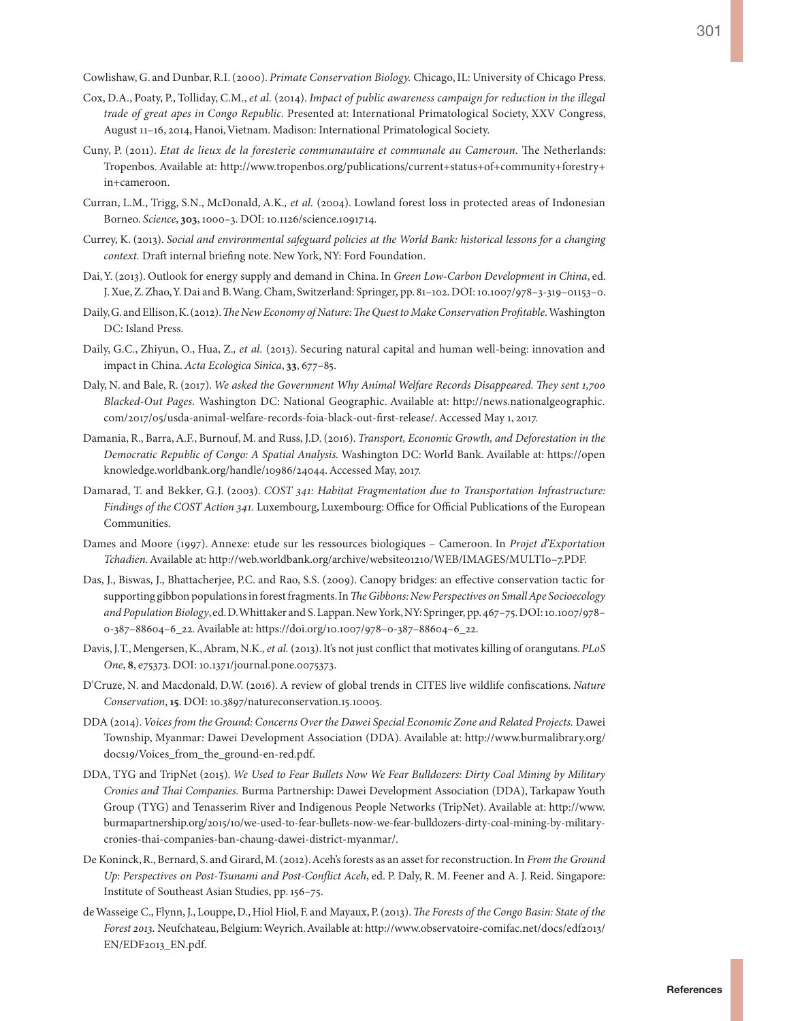Cowlishaw, G. and Dunbar, R.I. (2000). *Primate Conservation Biology.* Chicago, IL: University of Chicago Press.

- Cox, D.A., Poaty, P., Tolliday, C.M., *et al.* (2014). *Impact of public awareness campaign for reduction in the illegal trade of great apes in Congo Republic*. Presented at: International Primatological Society, XXV Congress, August 11–16, 2014, Hanoi, Vietnam. Madison: International Primatological Society.
- Cuny, P. (2011). *Etat de lieux de la foresterie communautaire et communale au Cameroun.* The Netherlands: Tropenbos. Available at: [http://www.tropenbos.org/publications/current+status+of+community+forestry+](http://www.tropenbos.org/publications/current+status+of+community+forestry+in+cameroon) [in+cameroon](http://www.tropenbos.org/publications/current+status+of+community+forestry+in+cameroon).
- Curran, L.M., Trigg, S.N., McDonald, A.K.*, et al.* (2004). Lowland forest loss in protected areas of Indonesian Borneo. *Science*, **303**, 1000–3. DOI: 10.1126/science.1091714.
- Currey, K. (2013). *Social and environmental safeguard policies at the World Bank: historical lessons for a changing context.* Draft internal briefing note. New York, NY: Ford Foundation.
- Dai, Y. (2013). Outlook for energy supply and demand in China. In *Green Low-Carbon Development in China*, ed. J. Xue, Z. Zhao, Y. Dai and B. Wang. Cham, Switzerland: Springer, pp. 81–102. DOI: 10.1007/978–3-319–01153–0.
- Daily, G. and Ellison, K. (2012). *The New Economy of Nature: The Quest to Make Conservation Profitable.* Washington DC: Island Press.
- Daily, G.C., Zhiyun, O., Hua, Z.*, et al.* (2013). Securing natural capital and human well-being: innovation and impact in China. *Acta Ecologica Sinica*, **33**, 677–85.
- Daly, N. and Bale, R. (2017). *We asked the Government Why Animal Welfare Records Disappeared. They sent 1,700 Blacked-Out Pages*. Washington DC: National Geographic. Available at: [http://news.nationalgeographic.](http://news.nationalgeographic.com/2017/05/usda-animal-welfare-records-foia-black-out-first-release/) [com/2017/05/usda-animal-welfare-records-foia-black-out-first-release/.](http://news.nationalgeographic.com/2017/05/usda-animal-welfare-records-foia-black-out-first-release/) Accessed May 1, 2017.
- Damania, R., Barra, A.F., Burnouf, M. and Russ, J.D. (2016). *Transport, Economic Growth, and Deforestation in the Democratic Republic of Congo: A Spatial Analysis.* Washington DC: World Bank. Available at: [https://open](https://openknowledge.worldbank.org/handle/10986/24044) [knowledge.worldbank.org/handle/10986/24044.](https://openknowledge.worldbank.org/handle/10986/24044) Accessed May, 2017.
- Damarad, T. and Bekker, G.J. (2003). *COST 341: Habitat Fragmentation due to Transportation Infrastructure: Findings of the COST Action 341.* Luxembourg, Luxembourg: Office for Official Publications of the European Communities.
- Dames and Moore (1997). Annexe: etude sur les ressources biologiques Cameroon. In *Projet d'Exportation Tchadien*. Available at: [http://web.worldbank.org/archive/website01210/WEB/IMAGES/MULTI0–7.PDF.](http://web.worldbank.org/archive/website01210/WEB/IMAGES/MULTI0-7.PDF)
- Das, J., Biswas, J., Bhattacherjee, P.C. and Rao, S.S. (2009). Canopy bridges: an effective conservation tactic for supporting gibbon populations in forest fragments. In *The Gibbons: New Perspectives on Small Ape Socioecology and Population Biology*, ed. D. Whittaker and S. Lappan. New York, NY: Springer, pp. 467–75. DOI: 10.1007/978– 0-387–88604–6\_22. Available at: [https://doi.org/10.1007/978–0-387–88604–6\\_22.](https://doi.org/10.1007/978-0-387-88604-6_22)
- Davis, J.T., Mengersen, K., Abram, N.K.*, et al.* (2013). It's not just conflict that motivates killing of orangutans. *PLoS One*, **8**, e75373. DOI: 10.1371/journal.pone.0075373.
- D'Cruze, N. and Macdonald, D.W. (2016). A review of global trends in CITES live wildlife confiscations. *Nature Conservation*, **15**. DOI: 10.3897/natureconservation.15.10005.
- DDA (2014). *Voices from the Ground: Concerns Over the Dawei Special Economic Zone and Related Projects.* Dawei Township, Myanmar: Dawei Development Association (DDA). Available at: [http://www.burmalibrary.org/](http://www.burmalibrary.org/docs19/Voices_from_the_ground-en-red.pdf) [docs19/Voices\\_from\\_the\\_ground-en-red.pdf](http://www.burmalibrary.org/docs19/Voices_from_the_ground-en-red.pdf).
- DDA, TYG and TripNet (2015). *We Used to Fear Bullets Now We Fear Bulldozers: Dirty Coal Mining by Military Cronies and Thai Companies.* Burma Partnership: Dawei Development Association (DDA), Tarkapaw Youth Group (TYG) and Tenasserim River and Indigenous People Networks (TripNet). Available at: [http://www.](http://www.burmapartnership.org/2015/10/we-used-to-fear-bullets-now-we-fear-bulldozers-dirty-coal-mining-by-military-cronies-thai-companies-ban-chaung-dawei-district-myanmar/) [burmapartnership.org/2015/10/we-used-to-fear-bullets-now-we-fear-bulldozers-dirty-coal-mining-by-military](http://www.burmapartnership.org/2015/10/we-used-to-fear-bullets-now-we-fear-bulldozers-dirty-coal-mining-by-military-cronies-thai-companies-ban-chaung-dawei-district-myanmar/)[cronies-thai-companies-ban-chaung-dawei-district-myanmar/](http://www.burmapartnership.org/2015/10/we-used-to-fear-bullets-now-we-fear-bulldozers-dirty-coal-mining-by-military-cronies-thai-companies-ban-chaung-dawei-district-myanmar/).
- De Koninck, R., Bernard, S. and Girard, M. (2012). Aceh's forests as an asset for reconstruction. In *From the Ground Up: Perspectives on Post-Tsunami and Post-Conflict Aceh*, ed. P. Daly, R. M. Feener and A. J. Reid. Singapore: Institute of Southeast Asian Studies, pp. 156–75.
- de Wasseige C., Flynn, J., Louppe, D., Hiol Hiol, F. and Mayaux, P. (2013). *The Forests of the Congo Basin: State of the Forest 2013.* Neufchateau, Belgium: Weyrich. Available at: [http://www.observatoire-comifac.net/docs/edf2013/](http://www.observatoire-comifac.net/docs/edf2013/EN/EDF2013_EN.pdf) [EN/EDF2013\\_EN.pdf](http://www.observatoire-comifac.net/docs/edf2013/EN/EDF2013_EN.pdf).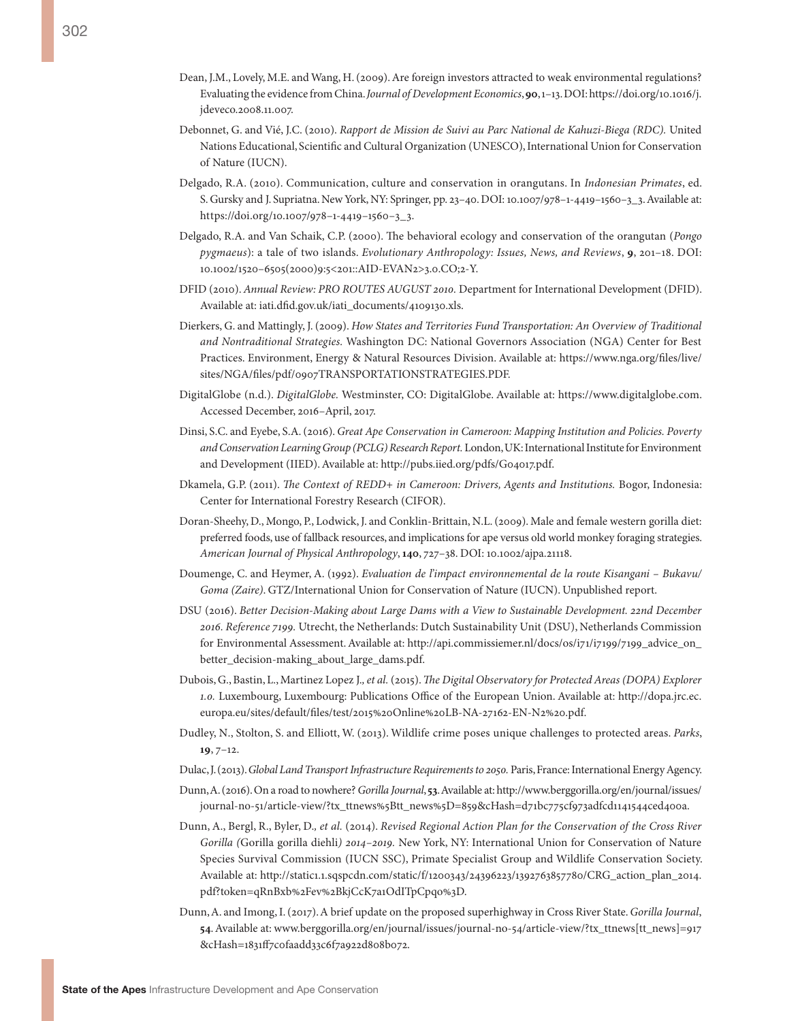- Dean, J.M., Lovely, M.E. and Wang, H. (2009). Are foreign investors attracted to weak environmental regulations? Evaluating the evidence from China. *Journal of Development Economics*, **90**, 1–13. DOI: [https://doi.org/10.1016/j.](https://doi.org/10.1016/j.jdeveco.2008.11.007) [jdeveco.2008.11.007.](https://doi.org/10.1016/j.jdeveco.2008.11.007)
- Debonnet, G. and Vié, J.C. (2010). *Rapport de Mission de Suivi au Parc National de Kahuzi-Biega (RDC).* United Nations Educational, Scientific and Cultural Organization (UNESCO), International Union for Conservation of Nature (IUCN).
- Delgado, R.A. (2010). Communication, culture and conservation in orangutans. In *Indonesian Primates*, ed. S. Gursky and J. Supriatna. New York, NY: Springer, pp. 23–40. DOI: 10.1007/978–1-4419–1560–3\_3. Available at: [https://doi.org/10.1007/978–1-4419–1560–3\\_3](https://doi.org/10.1007/978-1-4419-1560-3_3).
- Delgado, R.A. and Van Schaik, C.P. (2000). The behavioral ecology and conservation of the orangutan (*Pongo pygmaeus*): a tale of two islands. *Evolutionary Anthropology: Issues, News, and Reviews*, **9**, 201–18. DOI: 10.1002/1520–6505(2000)9:5<201::AID-EVAN2>3.0.CO;2-Y.
- DFID (2010). *Annual Review: PRO ROUTES AUGUST 2010.* Department for International Development (DFID). Available at: [iati.dfid.gov.uk/iati\\_documents/4109130.xls.](iati.dfid.gov.uk/iati_documents/4109130.xls)
- Dierkers, G. and Mattingly, J. (2009). *How States and Territories Fund Transportation: An Overview of Traditional and Nontraditional Strategies.* Washington DC: National Governors Association (NGA) Center for Best Practices. Environment, Energy & Natural Resources Division. Available at: [https://www.nga.org/files/live/](https://www.nga.org/files/live/sites/NGA/files/pdf/0907TRANSPORTATIONSTRATEGIES.PDF) [sites/NGA/files/pdf/0907TRANSPORTATIONSTRATEGIES.PDF.](https://www.nga.org/files/live/sites/NGA/files/pdf/0907TRANSPORTATIONSTRATEGIES.PDF)
- DigitalGlobe (n.d.). *DigitalGlobe.* Westminster, CO: DigitalGlobe. Available at: [https://www.digitalglobe.com.](https://www.digitalglobe.com) Accessed December, 2016–April, 2017.
- Dinsi, S.C. and Eyebe, S.A. (2016). *Great Ape Conservation in Cameroon: Mapping Institution and Policies. Poverty and Conservation Learning Group (PCLG) Research Report.* London, UK: International Institute for Environment and Development (IIED). Available at: http://pubs.iied.org/pdfs/G04017.pdf.
- Dkamela, G.P. (2011). *The Context of REDD+ in Cameroon: Drivers, Agents and Institutions.* Bogor, Indonesia: Center for International Forestry Research (CIFOR).
- Doran-Sheehy, D., Mongo, P., Lodwick, J. and Conklin-Brittain, N.L. (2009). Male and female western gorilla diet: preferred foods, use of fallback resources, and implications for ape versus old world monkey foraging strategies. *American Journal of Physical Anthropology*, **140**, 727–38. DOI: 10.1002/ajpa.21118.
- Doumenge, C. and Heymer, A. (1992). *Evaluation de l'impact environnemental de la route Kisangani Bukavu/ Goma (Zaire)*. GTZ/International Union for Conservation of Nature (IUCN). Unpublished report.
- DSU (2016). *Better Decision-Making about Large Dams with a View to Sustainable Development. 22nd December 2016. Reference 7199.* Utrecht, the Netherlands: Dutch Sustainability Unit (DSU), Netherlands Commission for Environmental Assessment. Available at: [http://api.commissiemer.nl/docs/os/i71/i7199/7199\\_advice\\_on\\_](http://api.commissiemer.nl/docs/os/i71/i7199/7199_advice_on_better_decision-making_about_large_dams.pdf) [better\\_decision-making\\_about\\_large\\_dams.pdf](http://api.commissiemer.nl/docs/os/i71/i7199/7199_advice_on_better_decision-making_about_large_dams.pdf).
- Dubois, G., Bastin, L., Martinez Lopez J.*, et al.* (2015). *The Digital Observatory for Protected Areas (DOPA) Explorer 1.0.* Luxembourg, Luxembourg: Publications Office of the European Union. Available at: [http://dopa.jrc.ec.](http://dopa.jrc.ec.europa.eu/sites/default/files/test/2015%20Online%20LB-NA-27162-EN-N2%20.pdf) [europa.eu/sites/default/files/test/2015%20Online%20LB-NA-27162-EN-N2%20.pdf.](http://dopa.jrc.ec.europa.eu/sites/default/files/test/2015%20Online%20LB-NA-27162-EN-N2%20.pdf)
- Dudley, N., Stolton, S. and Elliott, W. (2013). Wildlife crime poses unique challenges to protected areas. *Parks*, **19**, 7–12.
- Dulac, J. (2013). *Global Land Transport Infrastructure Requirements to 2050.* Paris, France: International Energy Agency.
- Dunn, A. (2016). On a road to nowhere? *Gorilla Journal*, **53**. Available at: [http://www.berggorilla.org/en/journal/issues/](http://www.berggorilla.org/en/journal/issues/journal-no-51/article-view/?tx_ttnews%5Btt_news%5D=859&cHash=d71bc775cf973adfcd1141544ced400a) [journal-no-51/article-view/?tx\\_ttnews%5Btt\\_news%5D=859&cHash=d71bc775cf973adfcd1141544ced400a](http://www.berggorilla.org/en/journal/issues/journal-no-51/article-view/?tx_ttnews%5Btt_news%5D=859&cHash=d71bc775cf973adfcd1141544ced400a).
- Dunn, A., Bergl, R., Byler, D.*, et al.* (2014). *Revised Regional Action Plan for the Conservation of the Cross River Gorilla (*Gorilla gorilla diehli*) 2014–2019.* New York, NY: International Union for Conservation of Nature Species Survival Commission (IUCN SSC), Primate Specialist Group and Wildlife Conservation Society. Available at: [http://static1.1.sqspcdn.com/static/f/1200343/24396223/1392763857780/CRG\\_action\\_plan\\_2014.](http://static1.1.sqspcdn.com/static/f/1200343/24396223/1392763857780/CRG_action_plan_2014.pdf?token=qRnBxb%2Fev%2BkjCcK7a1OdITpCpqo%3D) [pdf?token=qRnBxb%2Fev%2BkjCcK7a1OdITpCpqo%3D.](http://static1.1.sqspcdn.com/static/f/1200343/24396223/1392763857780/CRG_action_plan_2014.pdf?token=qRnBxb%2Fev%2BkjCcK7a1OdITpCpqo%3D)
- Dunn, A. and Imong, I. (2017). A brief update on the proposed superhighway in Cross River State. *Gorilla Journal*, **54**. Available at: [www.berggorilla.org/en/journal/issues/journal-no-54/article-view/?tx\\_ttnews\[tt\\_news\]=917](file:///C:\Users\Alison\Dropbox\Arcus%202016\Referencing\From%20Eva\www.berggorilla.org\en\journal\issues\journal-no-54\article-view\%3ftx_ttnews%5btt_news%5d=917&cHash=1831ff7c0faadd33c6f7a922d808b072) [&cHash=1831ff7c0faadd33c6f7a922d808b072](file:///C:\Users\Alison\Dropbox\Arcus%202016\Referencing\From%20Eva\www.berggorilla.org\en\journal\issues\journal-no-54\article-view\%3ftx_ttnews%5btt_news%5d=917&cHash=1831ff7c0faadd33c6f7a922d808b072).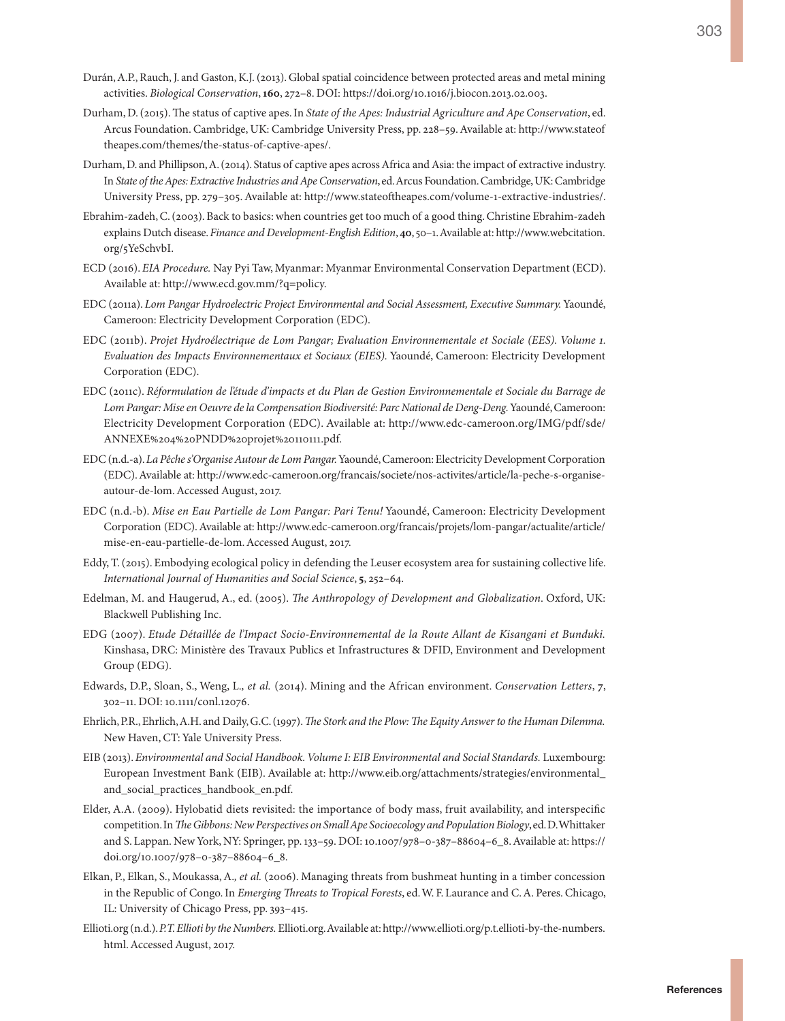- Durán, A.P., Rauch, J. and Gaston, K.J. (2013). Global spatial coincidence between protected areas and metal mining activities. *Biological Conservation*, **160**, 272–8. DOI: https://doi.org/10.1016/j.biocon.2013.02.003.
- Durham, D. (2015). The status of captive apes. In *State of the Apes: Industrial Agriculture and Ape Conservation*, ed. Arcus Foundation. Cambridge, UK: Cambridge University Press, pp. 228–59. Available at: [http://www.stateof](http://www.stateoftheapes.com/themes/the-status-of-captive-apes/) [theapes.com/themes/the-status-of-captive-apes/](http://www.stateoftheapes.com/themes/the-status-of-captive-apes/).
- Durham, D. and Phillipson, A. (2014). Status of captive apes across Africa and Asia: the impact of extractive industry. In *State of the Apes: Extractive Industries and Ape Conservation*, ed. Arcus Foundation. Cambridge, UK: Cambridge University Press, pp. 279–305. Available at: [http://www.stateoftheapes.com/volume-1-extractive-industries/.](http://www.stateoftheapes.com/volume-1-extractive-industries/)
- Ebrahim-zadeh, C. (2003). Back to basics: when countries get too much of a good thing. Christine Ebrahim-zadeh explains Dutch disease. *Finance and Development-English Edition*, **40**, 50–1. Available at: [http://www.webcitation.](http://www.webcitation.org/5YeSchvbI) [org/5YeSchvbI.](http://www.webcitation.org/5YeSchvbI)
- ECD (2016). *EIA Procedure.* Nay Pyi Taw, Myanmar: Myanmar Environmental Conservation Department (ECD). Available at:<http://www.ecd.gov.mm/?q=policy>.
- EDC (2011a). *Lom Pangar Hydroelectric Project Environmental and Social Assessment, Executive Summary.* Yaoundé, Cameroon: Electricity Development Corporation (EDC).
- EDC (2011b). *Projet Hydroélectrique de Lom Pangar; Evaluation Environnementale et Sociale (EES). Volume 1. Evaluation des Impacts Environnementaux et Sociaux (EIES).* Yaoundé, Cameroon: Electricity Development Corporation (EDC).
- EDC (2011c). *Réformulation de l'étude d'impacts et du Plan de Gestion Environnementale et Sociale du Barrage de Lom Pangar: Mise en Oeuvre de la Compensation Biodiversité: Parc National de Deng-Deng.* Yaoundé, Cameroon: Electricity Development Corporation (EDC). Available at: [http://www.edc-cameroon.org/IMG/pdf/sde/](http://www.edc-cameroon.org/IMG/pdf/sde/ANNEXE%204%20PNDD%20projet%20110111.pdf) [ANNEXE%204%20PNDD%20projet%20110111.pdf.](http://www.edc-cameroon.org/IMG/pdf/sde/ANNEXE%204%20PNDD%20projet%20110111.pdf)
- EDC (n.d.-a). *La Pêche s'Organise Autour de Lom Pangar.* Yaoundé, Cameroon: Electricity Development Corporation (EDC). Available at: [http://www.edc-cameroon.org/francais/societe/nos-activites/article/la-peche-s-organise](http://www.edc-cameroon.org/francais/societe/nos-activites/article/la-peche-s-organise-autour-de-lom)[autour-de-lom.](http://www.edc-cameroon.org/francais/societe/nos-activites/article/la-peche-s-organise-autour-de-lom) Accessed August, 2017.
- EDC (n.d.-b). *Mise en Eau Partielle de Lom Pangar: Pari Tenu!* Yaoundé, Cameroon: Electricity Development Corporation (EDC). Available at: [http://www.edc-cameroon.org/francais/projets/lom-pangar/actualite/article/](http://www.edc-cameroon.org/francais/projets/lom-pangar/actualite/article/mise-en-eau-partielle-de-lom) [mise-en-eau-partielle-de-lom](http://www.edc-cameroon.org/francais/projets/lom-pangar/actualite/article/mise-en-eau-partielle-de-lom). Accessed August, 2017.
- Eddy, T. (2015). Embodying ecological policy in defending the Leuser ecosystem area for sustaining collective life. *International Journal of Humanities and Social Science*, **5**, 252–64.
- Edelman, M. and Haugerud, A., ed. (2005). *The Anthropology of Development and Globalization*. Oxford, UK: Blackwell Publishing Inc.
- EDG (2007). *Etude Détaillée de l'Impact Socio-Environnemental de la Route Allant de Kisangani et Bunduki.* Kinshasa, DRC: Ministère des Travaux Publics et Infrastructures & DFID, Environment and Development Group (EDG).
- Edwards, D.P., Sloan, S., Weng, L.*, et al.* (2014). Mining and the African environment. *Conservation Letters*, **7**, 302–11. DOI: 10.1111/conl.12076.
- Ehrlich, P.R., Ehrlich, A.H. and Daily, G.C. (1997). *The Stork and the Plow: The Equity Answer to the Human Dilemma.* New Haven, CT: Yale University Press.
- EIB (2013). *Environmental and Social Handbook. Volume I: EIB Environmental and Social Standards.* Luxembourg: European Investment Bank (EIB). Available at: [http://www.eib.org/attachments/strategies/environmental\\_](http://www.eib.org/attachments/strategies/environmental_and_social_practices_handbook_en.pdf) [and\\_social\\_practices\\_handbook\\_en.pdf](http://www.eib.org/attachments/strategies/environmental_and_social_practices_handbook_en.pdf).
- Elder, A.A. (2009). Hylobatid diets revisited: the importance of body mass, fruit availability, and interspecific competition. In *The Gibbons: New Perspectives on Small Ape Socioecology and Population Biology*, ed. D. Whittaker and S. Lappan. New York, NY: Springer, pp. 133–59. DOI: 10.1007/978–0-387–88604–6\_8. Available at: [https://](https://doi.org/10.1007/978-0-387-88604-6_8) [doi.org/10.1007/978–0-387–88604–6\\_8.](https://doi.org/10.1007/978-0-387-88604-6_8)
- Elkan, P., Elkan, S., Moukassa, A.*, et al.* (2006). Managing threats from bushmeat hunting in a timber concession in the Republic of Congo. In *Emerging Threats to Tropical Forests*, ed. W. F. Laurance and C. A. Peres. Chicago, IL: University of Chicago Press, pp. 393–415.
- Ellioti.org (n.d.). *P.T. Ellioti by the Numbers.* Ellioti.org. Available at: [http://www.ellioti.org/p.t.ellioti-by-the-numbers.](http://www.ellioti.org/p.t.ellioti-by-the-numbers.html) [html](http://www.ellioti.org/p.t.ellioti-by-the-numbers.html). Accessed August, 2017.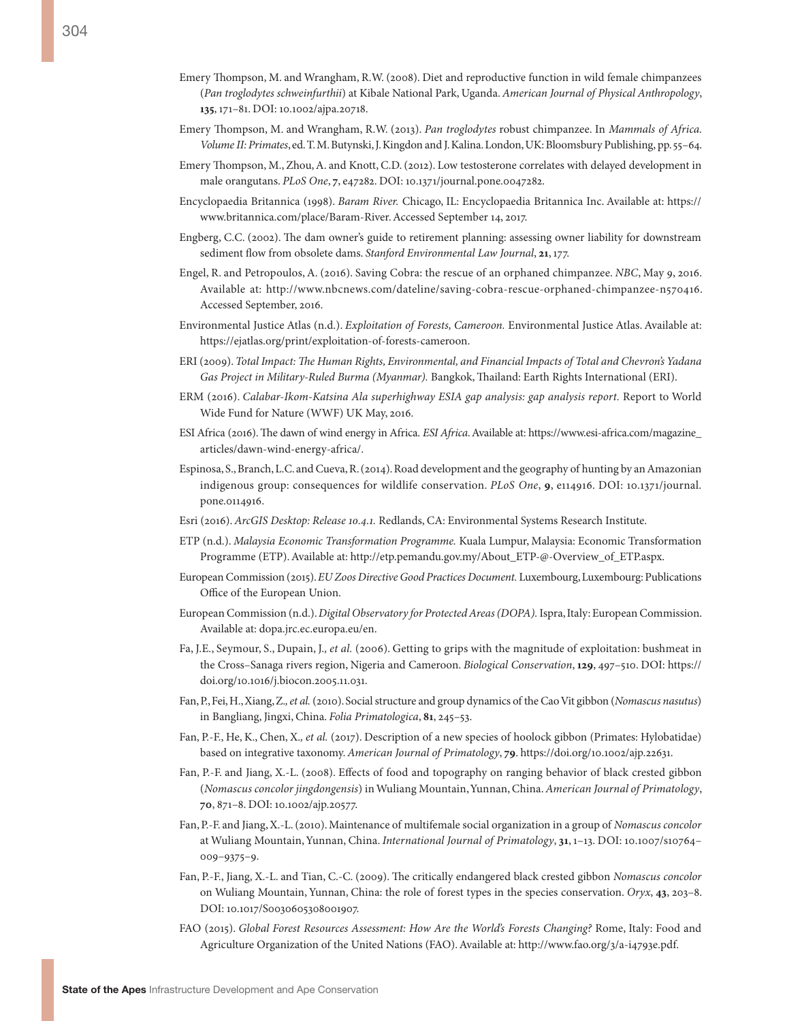**135**, 171–81. DOI: 10.1002/ajpa.20718.

- Emery Thompson, M. and Wrangham, R.W. (2013). *Pan troglodytes* robust chimpanzee. In *Mammals of Africa. Volume II: Primates*, ed. T. M. Butynski, J. Kingdon and J. Kalina. London, UK: Bloomsbury Publishing, pp. 55–64.
- Emery Thompson, M., Zhou, A. and Knott, C.D. (2012). Low testosterone correlates with delayed development in male orangutans. *PLoS One*, **7**, e47282. DOI: 10.1371/journal.pone.0047282.
- Encyclopaedia Britannica (1998). *Baram River.* Chicago, IL: Encyclopaedia Britannica Inc. Available at: [https://](https://www.britannica.com/place/Baram-River) [www.britannica.com/place/Baram-River](https://www.britannica.com/place/Baram-River). Accessed September 14, 2017.
- Engberg, C.C. (2002). The dam owner's guide to retirement planning: assessing owner liability for downstream sediment flow from obsolete dams. *Stanford Environmental Law Journal*, **21**, 177.
- Engel, R. and Petropoulos, A. (2016). Saving Cobra: the rescue of an orphaned chimpanzee. *NBC*, May 9, 2016. Available at: [http://www.nbcnews.com/dateline/saving-cobra-rescue-orphaned-chimpanzee-n570416.](http://www.nbcnews.com/dateline/saving-cobra-rescue-orphaned-chimpanzee-n570416) Accessed September, 2016.
- Environmental Justice Atlas (n.d.). *Exploitation of Forests, Cameroon.* Environmental Justice Atlas. Available at: <https://ejatlas.org/print/exploitation-of-forests-cameroon>.
- ERI (2009). *Total Impact: The Human Rights, Environmental, and Financial Impacts of Total and Chevron's Yadana Gas Project in Military-Ruled Burma (Myanmar).* Bangkok, Thailand: Earth Rights International (ERI).
- ERM (2016). *Calabar-Ikom-Katsina Ala superhighway ESIA gap analysis: gap analysis report.* Report to World Wide Fund for Nature (WWF) UK May, 2016.
- ESI Africa (2016). The dawn of wind energy in Africa. *ESI Africa*. Available at: [https://www.esi-africa.com/magazine\\_](https://www.esi-africa.com/magazine_articles/dawn-wind-energy-africa/) [articles/dawn-wind-energy-africa/.](https://www.esi-africa.com/magazine_articles/dawn-wind-energy-africa/)
- Espinosa, S., Branch, L.C. and Cueva, R. (2014). Road development and the geography of hunting by an Amazonian indigenous group: consequences for wildlife conservation. *PLoS One*, **9**, e114916. DOI: 10.1371/journal. pone.0114916.
- Esri (2016). *ArcGIS Desktop: Release 10.4.1.* Redlands, CA: Environmental Systems Research Institute.
- ETP (n.d.). *Malaysia Economic Transformation Programme.* Kuala Lumpur, Malaysia: Economic Transformation Programme (ETP). Available at: [http://etp.pemandu.gov.my/About\\_ETP-@-Overview\\_of\\_ETP.aspx](http://etp.pemandu.gov.my/About_ETP-@-Overview_of_ETP.aspx).
- European Commission (2015). *EU Zoos Directive Good Practices Document.* Luxembourg, Luxembourg: Publications Office of the European Union.
- European Commission (n.d.). *Digital Observatory for Protected Areas (DOPA).* Ispra, Italy: European Commission. Available at: [dopa.jrc.ec.europa.eu/en.](dopa.jrc.ec.europa.eu/en)
- Fa, J.E., Seymour, S., Dupain, J.*, et al.* (2006). Getting to grips with the magnitude of exploitation: bushmeat in the Cross–Sanaga rivers region, Nigeria and Cameroon. *Biological Conservation*, **129**, 497–510. DOI: [https://](https://doi.org/10.1016/j.biocon.2005.11.031) [doi.org/10.1016/j.biocon.2005.11.031](https://doi.org/10.1016/j.biocon.2005.11.031).
- Fan, P., Fei, H., Xiang, Z.*, et al.* (2010). Social structure and group dynamics of the Cao Vit gibbon (*Nomascus nasutus*) in Bangliang, Jingxi, China. *Folia Primatologica*, **81**, 245–53.
- Fan, P.-F., He, K., Chen, X.*, et al.* (2017). Description of a new species of hoolock gibbon (Primates: Hylobatidae) based on integrative taxonomy. *American Journal of Primatology*, **79**. [https://doi.org/10.1002/ajp.22631.](https://doi.org/10.1002/ajp.22631)
- Fan, P.-F. and Jiang, X.-L. (2008). Effects of food and topography on ranging behavior of black crested gibbon (*Nomascus concolor jingdongensis*) in Wuliang Mountain, Yunnan, China. *American Journal of Primatology*, **70**, 871–8. DOI: 10.1002/ajp.20577.
- Fan, P.-F. and Jiang, X.-L. (2010). Maintenance of multifemale social organization in a group of *Nomascus concolor* at Wuliang Mountain, Yunnan, China. *International Journal of Primatology*, **31**, 1–13. DOI: 10.1007/s10764– 009–9375–9.
- Fan, P.-F., Jiang, X.-L. and Tian, C.-C. (2009). The critically endangered black crested gibbon *Nomascus concolor*  on Wuliang Mountain, Yunnan, China: the role of forest types in the species conservation. *Oryx*, **43**, 203–8. DOI: 10.1017/S0030605308001907.
- FAO (2015). *Global Forest Resources Assessment: How Are the World's Forests Changing?* Rome, Italy: Food and Agriculture Organization of the United Nations (FAO). Available at: [http://www.fao.org/3/a-i4793e.pdf.](http://www.fao.org/3/a-i4793e.pdf)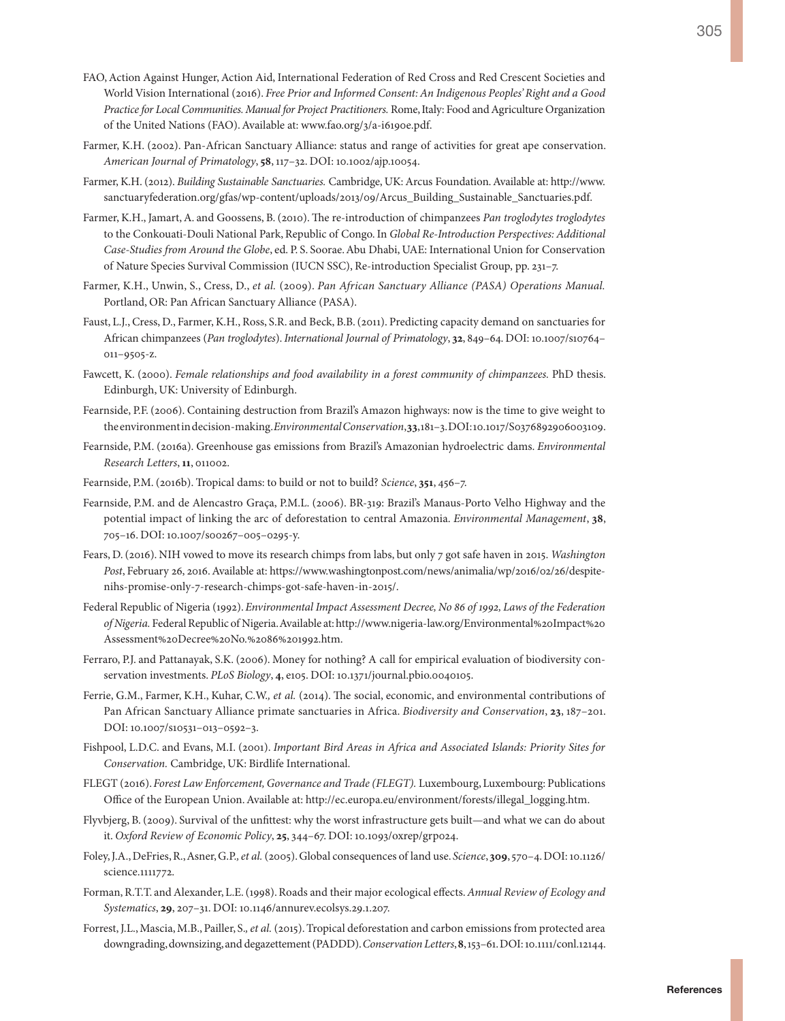- FAO, Action Against Hunger, Action Aid, International Federation of Red Cross and Red Crescent Societies and World Vision International (2016). *Free Prior and Informed Consent: An Indigenous Peoples' Right and a Good Practice for Local Communities. Manual for Project Practitioners.* Rome, Italy: Food and Agriculture Organization of the United Nations (FAO). Available at: www.fao.org/3/a-i6190e.pdf.
- Farmer, K.H. (2002). Pan-African Sanctuary Alliance: status and range of activities for great ape conservation. *American Journal of Primatology*, **58**, 117–32. DOI: 10.1002/ajp.10054.
- Farmer, K.H. (2012). *Building Sustainable Sanctuaries.* Cambridge, UK: Arcus Foundation. Available at: [http://www.](http://www.sanctuaryfederation.org/gfas/wp-content/uploads/2013/09/Arcus_Building_Sustainable_Sanctuaries.pdf) [sanctuaryfederation.org/gfas/wp-content/uploads/2013/09/Arcus\\_Building\\_Sustainable\\_Sanctuaries.pdf.](http://www.sanctuaryfederation.org/gfas/wp-content/uploads/2013/09/Arcus_Building_Sustainable_Sanctuaries.pdf)
- Farmer, K.H., Jamart, A. and Goossens, B. (2010). The re-introduction of chimpanzees *Pan troglodytes troglodytes* to the Conkouati-Douli National Park, Republic of Congo. In *Global Re-Introduction Perspectives: Additional Case-Studies from Around the Globe*, ed. P. S. Soorae. Abu Dhabi, UAE: International Union for Conservation of Nature Species Survival Commission (IUCN SSC), Re-introduction Specialist Group, pp. 231–7.
- Farmer, K.H., Unwin, S., Cress, D., *et al.* (2009). *Pan African Sanctuary Alliance (PASA) Operations Manual.* Portland, OR: Pan African Sanctuary Alliance (PASA).
- Faust, L.J., Cress, D., Farmer, K.H., Ross, S.R. and Beck, B.B. (2011). Predicting capacity demand on sanctuaries for African chimpanzees (*Pan troglodytes*). *International Journal of Primatology*, **32**, 849–64. DOI: 10.1007/s10764– 011–9505-z.
- Fawcett, K. (2000). *Female relationships and food availability in a forest community of chimpanzees.* PhD thesis. Edinburgh, UK: University of Edinburgh.
- Fearnside, P.F. (2006). Containing destruction from Brazil's Amazon highways: now is the time to give weight to the environment in decision-making. *Environmental Conservation*, **33**, 181–3. DOI: 10.1017/S0376892906003109.
- Fearnside, P.M. (2016a). Greenhouse gas emissions from Brazil's Amazonian hydroelectric dams. *Environmental Research Letters*, **11**, 011002.
- Fearnside, P.M. (2016b). Tropical dams: to build or not to build? *Science*, **351**, 456–7.
- Fearnside, P.M. and de Alencastro Graça, P.M.L. (2006). BR-319: Brazil's Manaus-Porto Velho Highway and the potential impact of linking the arc of deforestation to central Amazonia. *Environmental Management*, **38**, 705–16. DOI: 10.1007/s00267–005–0295-y.
- Fears, D. (2016). NIH vowed to move its research chimps from labs, but only 7 got safe haven in 2015. *Washington Post*, February 26, 2016. Available at: [https://www.washingtonpost.com/news/animalia/wp/2016/02/26/despite](https://www.washingtonpost.com/news/animalia/wp/2016/02/26/despite-nihs-promise-only-7-research-chimps-got-safe-haven-in-2015/)[nihs-promise-only-7-research-chimps-got-safe-haven-in-2015/.](https://www.washingtonpost.com/news/animalia/wp/2016/02/26/despite-nihs-promise-only-7-research-chimps-got-safe-haven-in-2015/)
- Federal Republic of Nigeria (1992). *Environmental Impact Assessment Decree, No 86 of 1992, Laws of the Federation of Nigeria.* Federal Republic of Nigeria. Available at: [http://www.nigeria-law.org/Environmental%20Impact%20](http://www.nigeria-law.org/Environmental%20Impact%20Assessment%20Decree%20No.%2086%201992.htm) [Assessment%20Decree%20No.%2086%201992.htm](http://www.nigeria-law.org/Environmental%20Impact%20Assessment%20Decree%20No.%2086%201992.htm).
- Ferraro, P.J. and Pattanayak, S.K. (2006). Money for nothing? A call for empirical evaluation of biodiversity conservation investments. *PLoS Biology*, **4**, e105. DOI: 10.1371/journal.pbio.0040105.
- Ferrie, G.M., Farmer, K.H., Kuhar, C.W., et al. (2014). The social, economic, and environmental contributions of Pan African Sanctuary Alliance primate sanctuaries in Africa. *Biodiversity and Conservation*, **23**, 187–201. DOI: 10.1007/s10531–013–0592–3.
- Fishpool, L.D.C. and Evans, M.I. (2001). *Important Bird Areas in Africa and Associated Islands: Priority Sites for Conservation.* Cambridge, UK: Birdlife International.
- FLEGT (2016). *Forest Law Enforcement, Governance and Trade (FLEGT).* Luxembourg, Luxembourg: Publications Office of the European Union. Available at: [http://ec.europa.eu/environment/forests/illegal\\_logging.htm.](http://ec.europa.eu/environment/forests/illegal_logging.htm)
- Flyvbjerg, B. (2009). Survival of the unfittest: why the worst infrastructure gets built—and what we can do about it. *Oxford Review of Economic Policy*, **25**, 344–67. DOI: 10.1093/oxrep/grp024.
- Foley, J.A., DeFries, R., Asner, G.P.*, et al.* (2005). Global consequences of land use. *Science*, **309**, 570–4. DOI: 10.1126/ science.1111772.
- Forman, R.T.T. and Alexander, L.E. (1998). Roads and their major ecological effects. *Annual Review of Ecology and Systematics*, **29**, 207–31. DOI: 10.1146/annurev.ecolsys.29.1.207.
- Forrest, J.L., Mascia, M.B., Pailler, S.*, et al.* (2015). Tropical deforestation and carbon emissions from protected area downgrading, downsizing, and degazettement (PADDD). *Conservation Letters*, **8**, 153–61. DOI: 10.1111/conl.12144.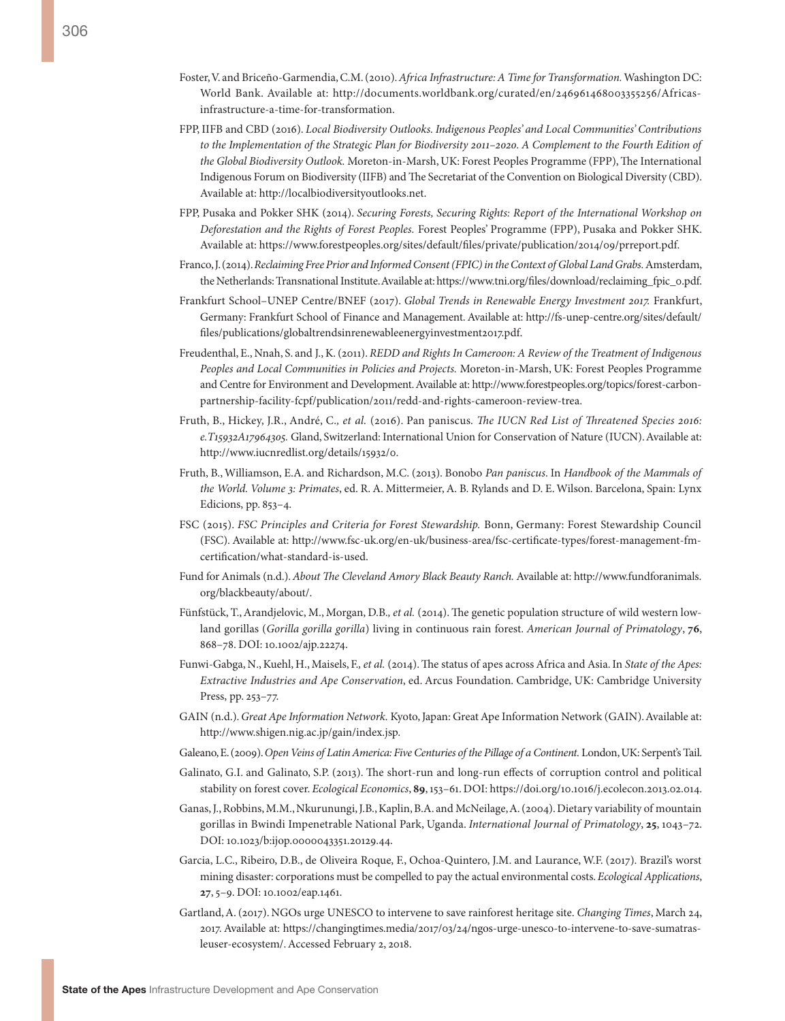- Foster, V. and Briceño-Garmendia, C.M. (2010). *Africa Infrastructure: A Time for Transformation.* Washington DC: World Bank. Available at: [http://documents.worldbank.org/curated/en/246961468003355256/Africas](http://documents.worldbank.org/curated/en/246961468003355256/Africas-infrastructure-a-time-for-transformation)[infrastructure-a-time-for-transformation.](http://documents.worldbank.org/curated/en/246961468003355256/Africas-infrastructure-a-time-for-transformation)
- FPP, IIFB and CBD (2016). *Local Biodiversity Outlooks. Indigenous Peoples' and Local Communities' Contributions to the Implementation of the Strategic Plan for Biodiversity 2011–2020. A Complement to the Fourth Edition of the Global Biodiversity Outlook.* Moreton-in-Marsh, UK: Forest Peoples Programme (FPP), The International Indigenous Forum on Biodiversity (IIFB) and The Secretariat of the Convention on Biological Diversity (CBD). Available at: <http://localbiodiversityoutlooks.net>.
- FPP, Pusaka and Pokker SHK (2014). *Securing Forests, Securing Rights: Report of the International Workshop on Deforestation and the Rights of Forest Peoples.* Forest Peoples' Programme (FPP), Pusaka and Pokker SHK. Available at: <https://www.forestpeoples.org/sites/default/files/private/publication/2014/09/prreport.pdf>.
- Franco, J. (2014). *Reclaiming Free Prior and Informed Consent (FPIC) in the Context of Global Land Grabs.* Amsterdam, the Netherlands: Transnational Institute. Available at: [https://www.tni.org/files/download/reclaiming\\_fpic\\_0.pdf.](https://www.tni.org/files/download/reclaiming_fpic_0.pdf)
- Frankfurt School–UNEP Centre/BNEF (2017). *Global Trends in Renewable Energy Investment 2017.* Frankfurt, Germany: Frankfurt School of Finance and Management. Available at: [http://fs-unep-centre.org/sites/default/](http://fs-unep-centre.org/sites/default/files/publications/globaltrendsinrenewableenergyinvestment2017.pdf) [files/publications/globaltrendsinrenewableenergyinvestment2017.pdf](http://fs-unep-centre.org/sites/default/files/publications/globaltrendsinrenewableenergyinvestment2017.pdf).
- Freudenthal, E., Nnah, S. and J., K. (2011). *REDD and Rights In Cameroon: A Review of the Treatment of Indigenous Peoples and Local Communities in Policies and Projects.* Moreton-in-Marsh, UK: Forest Peoples Programme and Centre for Environment and Development. Available at: http://www.forestpeoples.org/topics/forest-carbonpartnership-facility-fcpf/publication/2011/redd-and-rights-cameroon-review-trea.
- Fruth, B., Hickey, J.R., André, C.*, et al.* (2016). Pan paniscus*. The IUCN Red List of Threatened Species 2016: e.T15932A17964305.* Gland, Switzerland: International Union for Conservation of Nature (IUCN). Available at: http://www.iucnredlist.org/details/15932/0.
- Fruth, B., Williamson, E.A. and Richardson, M.C. (2013). Bonobo *Pan paniscus*. In *Handbook of the Mammals of the World. Volume 3: Primates*, ed. R. A. Mittermeier, A. B. Rylands and D. E. Wilson. Barcelona, Spain: Lynx Edicions, pp. 853–4.
- FSC (2015). *FSC Principles and Criteria for Forest Stewardship.* Bonn, Germany: Forest Stewardship Council (FSC). Available at: http://www.fsc-uk.org/en-uk/business-area/fsc-certificate-types/forest-management-fmcertification/what-standard-is-used.
- Fund for Animals (n.d.). *About The Cleveland Amory Black Beauty Ranch.* Available at: [http://www.fundforanimals.](http://www.fundforanimals.org/blackbeauty/about/) [org/blackbeauty/about/](http://www.fundforanimals.org/blackbeauty/about/).
- Fünfstück, T., Arandjelovic, M., Morgan, D.B.*, et al.* (2014). The genetic population structure of wild western lowland gorillas (*Gorilla gorilla gorilla*) living in continuous rain forest. *American Journal of Primatology*, **76**, 868–78. DOI: 10.1002/ajp.22274.
- Funwi-Gabga, N., Kuehl, H., Maisels, F.*, et al.* (2014). The status of apes across Africa and Asia. In *State of the Apes: Extractive Industries and Ape Conservation*, ed. Arcus Foundation. Cambridge, UK: Cambridge University Press, pp. 253–77.
- GAIN (n.d.). *Great Ape Information Network.* Kyoto, Japan: Great Ape Information Network (GAIN). Available at: [http://www.shigen.nig.ac.jp/gain/index.jsp.](http://www.shigen.nig.ac.jp/gain/index.jsp)
- Galeano, E. (2009). *Open Veins of Latin America: Five Centuries of the Pillage of a Continent.* London, UK: Serpent's Tail.
- Galinato, G.I. and Galinato, S.P. (2013). The short-run and long-run effects of corruption control and political stability on forest cover. *Ecological Economics*, **89**, 153–61. DOI: https://doi.org/10.1016/j.ecolecon.2013.02.014.
- Ganas, J., Robbins, M.M., Nkurunungi, J.B., Kaplin, B.A. and McNeilage, A. (2004). Dietary variability of mountain gorillas in Bwindi Impenetrable National Park, Uganda. *International Journal of Primatology*, **25**, 1043–72. DOI: 10.1023/b:ijop.0000043351.20129.44.
- Garcia, L.C., Ribeiro, D.B., de Oliveira Roque, F., Ochoa-Quintero, J.M. and Laurance, W.F. (2017). Brazil's worst mining disaster: corporations must be compelled to pay the actual environmental costs. *Ecological Applications*, **27**, 5–9. DOI: 10.1002/eap.1461.
- Gartland, A. (2017). NGOs urge UNESCO to intervene to save rainforest heritage site. *Changing Times*, March 24, 2017. Available at: [https://changingtimes.media/2017/03/24/ngos-urge-unesco-to-intervene-to-save-sumatras](https://changingtimes.media/2017/03/24/ngos-urge-unesco-to-intervene-to-save-sumatras-leuser-ecosystem/)[leuser-ecosystem/.](https://changingtimes.media/2017/03/24/ngos-urge-unesco-to-intervene-to-save-sumatras-leuser-ecosystem/) Accessed February 2, 2018.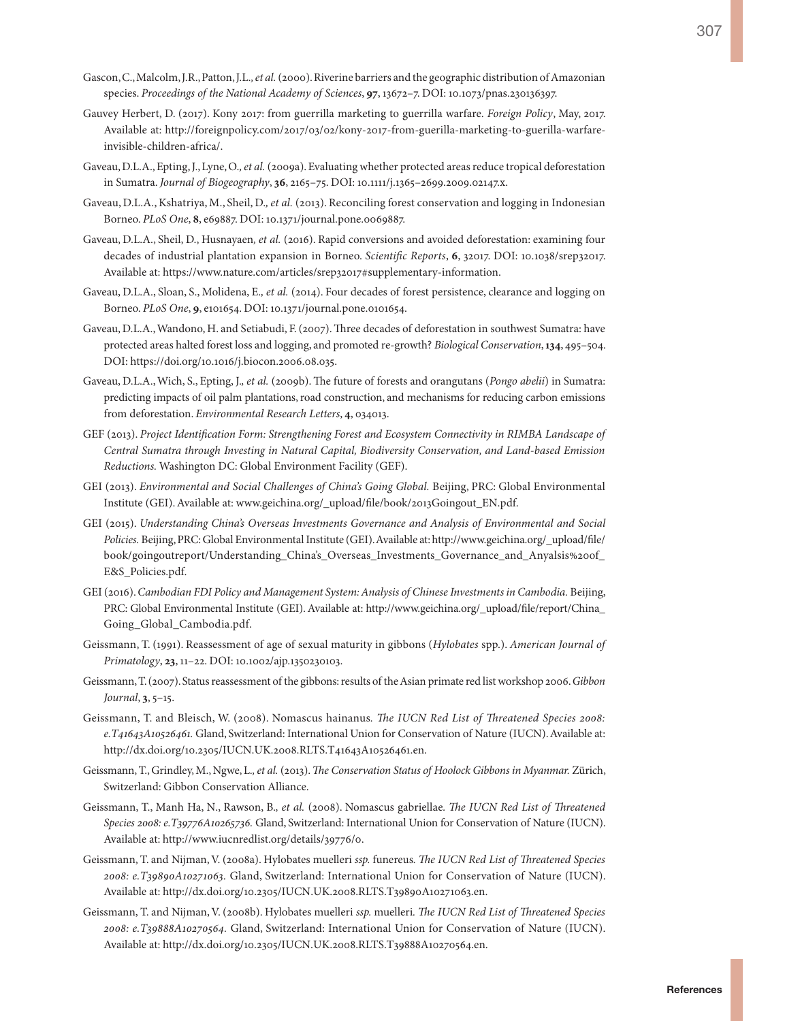- Gascon, C., Malcolm, J.R., Patton, J.L.*, et al.* (2000). Riverine barriers and the geographic distribution of Amazonian species. *Proceedings of the National Academy of Sciences*, **97**, 13672–7. DOI: 10.1073/pnas.230136397.
- Gauvey Herbert, D. (2017). Kony 2017: from guerrilla marketing to guerrilla warfare. *Foreign Policy*, May, 2017. Available at: [http://foreignpolicy.com/2017/03/02/kony-2017-from-guerilla-marketing-to-guerilla-warfare](http://foreignpolicy.com/2017/03/02/kony-2017-from-guerilla-marketing-to-guerilla-warfare-invisible-children-africa/)[invisible-children-africa/](http://foreignpolicy.com/2017/03/02/kony-2017-from-guerilla-marketing-to-guerilla-warfare-invisible-children-africa/).
- Gaveau, D.L.A., Epting, J., Lyne, O.*, et al.* (2009a). Evaluating whether protected areas reduce tropical deforestation in Sumatra. *Journal of Biogeography*, **36**, 2165–75. DOI: 10.1111/j.1365–2699.2009.02147.x.
- Gaveau, D.L.A., Kshatriya, M., Sheil, D.*, et al.* (2013). Reconciling forest conservation and logging in Indonesian Borneo. *PLoS One*, **8**, e69887. DOI: 10.1371/journal.pone.0069887.
- Gaveau, D.L.A., Sheil, D., Husnayaen*, et al.* (2016). Rapid conversions and avoided deforestation: examining four decades of industrial plantation expansion in Borneo. *Scientific Reports*, **6**, 32017. DOI: 10.1038/srep32017. Available at:<https://www.nature.com/articles/srep32017#supplementary-information>.
- Gaveau, D.L.A., Sloan, S., Molidena, E.*, et al.* (2014). Four decades of forest persistence, clearance and logging on Borneo. *PLoS One*, **9**, e101654. DOI: 10.1371/journal.pone.0101654.
- Gaveau, D.L.A., Wandono, H. and Setiabudi, F. (2007). Three decades of deforestation in southwest Sumatra: have protected areas halted forest loss and logging, and promoted re-growth? *Biological Conservation*, **134**, 495–504. DOI:<https://doi.org/10.1016/j.biocon.2006.08.035>.
- Gaveau, D.L.A., Wich, S., Epting, J.*, et al.* (2009b). The future of forests and orangutans (*Pongo abelii*) in Sumatra: predicting impacts of oil palm plantations, road construction, and mechanisms for reducing carbon emissions from deforestation. *Environmental Research Letters*, **4**, 034013.
- GEF (2013). *Project Identification Form: Strengthening Forest and Ecosystem Connectivity in RIMBA Landscape of Central Sumatra through Investing in Natural Capital, Biodiversity Conservation, and Land-based Emission Reductions.* Washington DC: Global Environment Facility (GEF).
- GEI (2013). *Environmental and Social Challenges of China's Going Global.* Beijing, PRC: Global Environmental Institute (GEI). Available at: [www.geichina.org/\\_upload/file/book/2013Goingout\\_EN.pdf](www.geichina.org/_upload/file/book/2013Goingout_EN.pdf).
- GEI (2015). *Understanding China's Overseas Investments Governance and Analysis of Environmental and Social Policies.* Beijing, PRC: Global Environmental Institute (GEI). Available at: [http://www.geichina.org/\\_upload/file/](http://www.geichina.org/_upload/file/book/goingoutreport/Understanding_China’s_Overseas_Investments_Governance_and_Anyalsis%20of_E&S_Policies.pdf) [book/goingoutreport/Understanding\\_China's\\_Overseas\\_Investments\\_Governance\\_and\\_Anyalsis%20of\\_](http://www.geichina.org/_upload/file/book/goingoutreport/Understanding_China’s_Overseas_Investments_Governance_and_Anyalsis%20of_E&S_Policies.pdf) [E&S\\_Policies.pdf.](http://www.geichina.org/_upload/file/book/goingoutreport/Understanding_China’s_Overseas_Investments_Governance_and_Anyalsis%20of_E&S_Policies.pdf)
- GEI (2016). *Cambodian FDI Policy and Management System: Analysis of Chinese Investments in Cambodia.* Beijing, PRC: Global Environmental Institute (GEI). Available at: [http://www.geichina.org/\\_upload/file/report/China\\_](http://www.geichina.org/_upload/file/report/China_Going_Global_Cambodia.pdf) [Going\\_Global\\_Cambodia.pdf](http://www.geichina.org/_upload/file/report/China_Going_Global_Cambodia.pdf).
- Geissmann, T. (1991). Reassessment of age of sexual maturity in gibbons (*Hylobates* spp.). *American Journal of Primatology*, **23**, 11–22. DOI: 10.1002/ajp.1350230103.
- Geissmann, T. (2007). Status reassessment of the gibbons: results of the Asian primate red list workshop 2006. *Gibbon Journal*, **3**, 5–15.
- Geissmann, T. and Bleisch, W. (2008). Nomascus hainanus*. The IUCN Red List of Threatened Species 2008: e.T41643A10526461.* Gland, Switzerland: International Union for Conservation of Nature (IUCN). Available at: http://dx.doi.org/10.2305/IUCN.UK.2008.RLTS.T41643A10526461.en.
- Geissmann, T., Grindley, M., Ngwe, L.*, et al.* (2013). *The Conservation Status of Hoolock Gibbons in Myanmar.* Zürich, Switzerland: Gibbon Conservation Alliance.
- Geissmann, T., Manh Ha, N., Rawson, B.*, et al.* (2008). Nomascus gabriellae*. The IUCN Red List of Threatened Species 2008: e.T39776A10265736.* Gland, Switzerland: International Union for Conservation of Nature (IUCN). Available at: [http://www.iucnredlist.org/details/39776/0.](http://www.iucnredlist.org/details/39776/0)
- Geissmann, T. and Nijman, V. (2008a). Hylobates muelleri *ssp.* funereus*. The IUCN Red List of Threatened Species 2008: e.T39890A10271063.* Gland, Switzerland: International Union for Conservation of Nature (IUCN). Available at:<http://dx.doi.org/10.2305/IUCN.UK.2008.RLTS.T39890A10271063.en>.
- Geissmann, T. and Nijman, V. (2008b). Hylobates muelleri *ssp.* muelleri*. The IUCN Red List of Threatened Species 2008: e.T39888A10270564.* Gland, Switzerland: International Union for Conservation of Nature (IUCN). Available at:<http://dx.doi.org/10.2305/IUCN.UK.2008.RLTS.T39888A10270564.en>.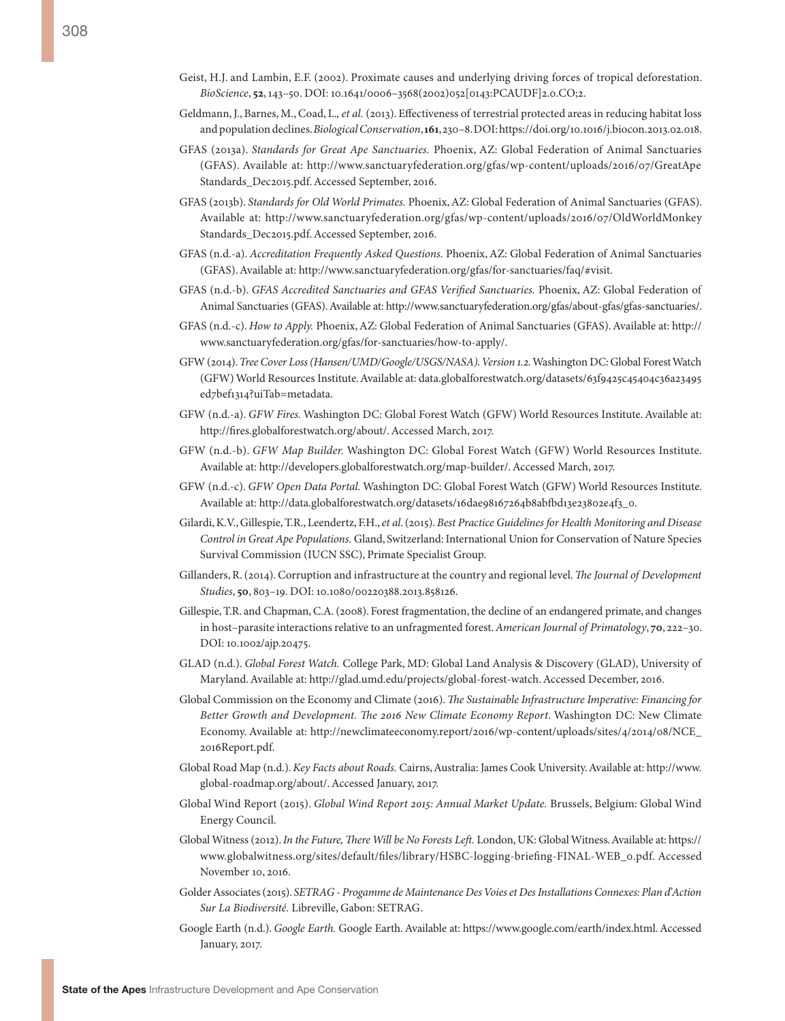- Geist, H.J. and Lambin, E.F. (2002). Proximate causes and underlying driving forces of tropical deforestation. *BioScience*, **52**, 143–50. DOI: 10.1641/0006–3568(2002)052[0143:PCAUDF]2.0.CO;2.
- Geldmann, J., Barnes, M., Coad, L.*, et al.* (2013). Effectiveness of terrestrial protected areas in reducing habitat loss and population declines. *Biological Conservation*, **161**, 230–8. DOI: https://doi.org/10.1016/j.biocon.2013.02.018.
- GFAS (2013a). *Standards for Great Ape Sanctuaries.* Phoenix, AZ: Global Federation of Animal Sanctuaries (GFAS). Available at: [http://www.sanctuaryfederation.org/gfas/wp-content/uploads/2016/07/GreatApe](http://www.sanctuaryfederation.org/gfas/wp-content/uploads/2016/07/GreatApeStandards_Dec2015.pdf) [Standards\\_Dec2015.pdf](http://www.sanctuaryfederation.org/gfas/wp-content/uploads/2016/07/GreatApeStandards_Dec2015.pdf). Accessed September, 2016.
- GFAS (2013b). *Standards for Old World Primates.* Phoenix, AZ: Global Federation of Animal Sanctuaries (GFAS). Available at: [http://www.sanctuaryfederation.org/gfas/wp-content/uploads/2016/07/OldWorldMonkey](http://www.sanctuaryfederation.org/gfas/wp-content/uploads/2016/07/OldWorldMonkeyStandards_Dec2015.pdf) [Standards\\_Dec2015.pdf](http://www.sanctuaryfederation.org/gfas/wp-content/uploads/2016/07/OldWorldMonkeyStandards_Dec2015.pdf). Accessed September, 2016.
- GFAS (n.d.-a). *Accreditation Frequently Asked Questions.* Phoenix, AZ: Global Federation of Animal Sanctuaries (GFAS). Available at: [http://www.sanctuaryfederation.org/gfas/for-sanctuaries/faq/#visit.](http://www.sanctuaryfederation.org/gfas/for-sanctuaries/faq/#visit)
- GFAS (n.d.-b). *GFAS Accredited Sanctuaries and GFAS Verified Sanctuaries.* Phoenix, AZ: Global Federation of Animal Sanctuaries (GFAS). Available at: [http://www.sanctuaryfederation.org/gfas/about-gfas/gfas-sanctuaries/.](http://www.sanctuaryfederation.org/gfas/about-gfas/gfas-sanctuaries/)
- GFAS (n.d.-c). *How to Apply.* Phoenix, AZ: Global Federation of Animal Sanctuaries (GFAS). Available at: [http://](http://www.sanctuaryfederation.org/gfas/for-sanctuaries/how-to-apply/) [www.sanctuaryfederation.org/gfas/for-sanctuaries/how-to-apply/.](http://www.sanctuaryfederation.org/gfas/for-sanctuaries/how-to-apply/)
- GFW (2014). *Tree Cover Loss (Hansen/UMD/Google/USGS/NASA). Version 1.2.* Washington DC: Global Forest Watch (GFW) World Resources Institute. Available at: [data.globalforestwatch.org/datasets/63f9425c45404c36a23495](data.globalforestwatch.org/datasets/63f9425c45404c36a23495ed7bef1314?uiTab=metadata) [ed7bef1314?uiTab=metadata.](data.globalforestwatch.org/datasets/63f9425c45404c36a23495ed7bef1314?uiTab=metadata)
- GFW (n.d.-a). *GFW Fires.* Washington DC: Global Forest Watch (GFW) World Resources Institute. Available at: <http://fires.globalforestwatch.org/about/>. Accessed March, 2017.
- GFW (n.d.-b). *GFW Map Builder.* Washington DC: Global Forest Watch (GFW) World Resources Institute. Available at: <http://developers.globalforestwatch.org/map-builder/>. Accessed March, 2017.
- GFW (n.d.-c). *GFW Open Data Portal.* Washington DC: Global Forest Watch (GFW) World Resources Institute. Available at: [http://data.globalforestwatch.org/datasets/16dae98167264b8abfbd13e23802e4f3\\_0](http://data.globalforestwatch.org/datasets/16dae98167264b8abfbd13e23802e4f3_0).
- Gilardi, K.V., Gillespie, T.R., Leendertz, F.H., *et al*. (2015). *Best Practice Guidelines for Health Monitoring and Disease Control in Great Ape Populations.* Gland, Switzerland: International Union for Conservation of Nature Species Survival Commission (IUCN SSC), Primate Specialist Group.
- Gillanders, R. (2014). Corruption and infrastructure at the country and regional level. *The Journal of Development Studies*, **50**, 803–19. DOI: 10.1080/00220388.2013.858126.
- Gillespie, T.R. and Chapman, C.A. (2008). Forest fragmentation, the decline of an endangered primate, and changes in host–parasite interactions relative to an unfragmented forest. *American Journal of Primatology*, **70**, 222–30. DOI: 10.1002/ajp.20475.
- GLAD (n.d.). *Global Forest Watch.* College Park, MD: Global Land Analysis & Discovery (GLAD), University of Maryland. Available at: [http://glad.umd.edu/projects/global-forest-watch.](http://glad.umd.edu/projects/global-forest-watch) Accessed December, 2016.
- Global Commission on the Economy and Climate (2016). *The Sustainable Infrastructure Imperative: Financing for Better Growth and Development. The 2016 New Climate Economy Report.* Washington DC: New Climate Economy. Available at: [http://newclimateeconomy.report/2016/wp-content/uploads/sites/4/2014/08/NCE\\_](http://newclimateeconomy.report/2016/wp-content/uploads/sites/4/2014/08/NCE_ 2016Report.pdf) [2016Report.pdf.](http://newclimateeconomy.report/2016/wp-content/uploads/sites/4/2014/08/NCE_ 2016Report.pdf)
- Global Road Map (n.d.). *Key Facts about Roads.* Cairns, Australia: James Cook University. Available at: [http://www.](http://www.global-roadmap.org/about/) [global-roadmap.org/about/](http://www.global-roadmap.org/about/). Accessed January, 2017.
- Global Wind Report (2015). *Global Wind Report 2015: Annual Market Update.* Brussels, Belgium: Global Wind Energy Council.
- Global Witness (2012). *In the Future, There Will be No Forests Left.* London, UK: Global Witness. Available at: [https://](https://www.globalwitness.org/sites/default/files/library/HSBC-logging-briefing-FINAL-WEB_0.pdf) [www.globalwitness.org/sites/default/files/library/HSBC-logging-briefing-FINAL-WEB\\_0.pdf](https://www.globalwitness.org/sites/default/files/library/HSBC-logging-briefing-FINAL-WEB_0.pdf). Accessed November 10, 2016.
- Golder Associates (2015). *SETRAG Progamme de Maintenance Des Voies et Des Installations Connexes: Plan d'Action Sur La Biodiversité.* Libreville, Gabon: SETRAG.
- Google Earth (n.d.). *Google Earth.* Google Earth. Available at: https://www.google.com/earth/index.html. Accessed January, 2017.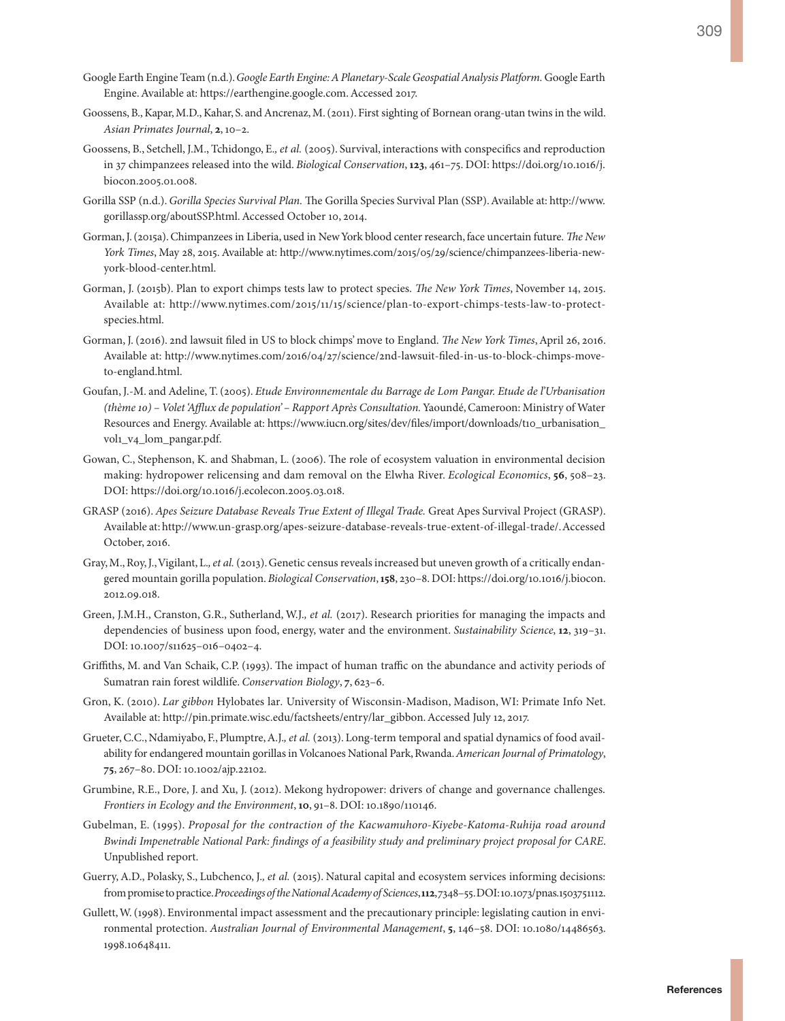- Google Earth Engine Team (n.d.). *Google Earth Engine: A Planetary-Scale Geospatial Analysis Platform.* Google Earth Engine. Available at: <https://earthengine.google.com>. Accessed 2017.
- Goossens, B., Kapar, M.D., Kahar, S. and Ancrenaz, M. (2011). First sighting of Bornean orang-utan twins in the wild. *Asian Primates Journal*, **2**, 10–2.
- Goossens, B., Setchell, J.M., Tchidongo, E.*, et al.* (2005). Survival, interactions with conspecifics and reproduction in 37 chimpanzees released into the wild. *Biological Conservation*, **123**, 461–75. DOI: [https://doi.org/10.1016/j.](https://doi.org/10.1016/j.biocon.2005.01.008) [biocon.2005.01.008.](https://doi.org/10.1016/j.biocon.2005.01.008)
- Gorilla SSP (n.d.). *Gorilla Species Survival Plan.* The Gorilla Species Survival Plan (SSP). Available at: [http://www.](http://www.gorillassp.org/aboutSSP.html) [gorillassp.org/aboutSSP.html](http://www.gorillassp.org/aboutSSP.html). Accessed October 10, 2014.
- Gorman, J. (2015a). Chimpanzees in Liberia, used in New York blood center research, face uncertain future. *The New York Times*, May 28, 2015. Available at: [http://www.nytimes.com/2015/05/29/science/chimpanzees-liberia-new](http://www.nytimes.com/2015/05/29/science/chimpanzees-liberia-new-york-blood-center.html)[york-blood-center.html.](http://www.nytimes.com/2015/05/29/science/chimpanzees-liberia-new-york-blood-center.html)
- Gorman, J. (2015b). Plan to export chimps tests law to protect species. *The New York Times*, November 14, 2015. Available at: [http://www.nytimes.com/2015/11/15/science/plan-to-export-chimps-tests-law-to-protect](http://www.nytimes.com/2015/11/15/science/plan-to-export-chimps-tests-law-to-protect-species.html)[species.html](http://www.nytimes.com/2015/11/15/science/plan-to-export-chimps-tests-law-to-protect-species.html).
- Gorman, J. (2016). 2nd lawsuit filed in US to block chimps' move to England. *The New York Times*, April 26, 2016. Available at: [http://www.nytimes.com/2016/04/27/science/2nd-lawsuit-filed-in-us-to-block-chimps-move](http://www.nytimes.com/2016/04/27/science/2nd-lawsuit-filed-in-us-to-block-chimps-move-to-england.html)[to-england.html.](http://www.nytimes.com/2016/04/27/science/2nd-lawsuit-filed-in-us-to-block-chimps-move-to-england.html)
- Goufan, J.-M. and Adeline, T. (2005). *Etude Environnementale du Barrage de Lom Pangar. Etude de l'Urbanisation (thème 10) – Volet 'Afflux de population' – Rapport Après Consultation.* Yaoundé, Cameroon: Ministry of Water Resources and Energy. Available at: [https://www.iucn.org/sites/dev/files/import/downloads/t10\\_urbanisation\\_](https://www.iucn.org/sites/dev/files/import/downloads/t10_urbanisation_vol1_v4_lom_pangar.pdf) [vol1\\_v4\\_lom\\_pangar.pdf.](https://www.iucn.org/sites/dev/files/import/downloads/t10_urbanisation_vol1_v4_lom_pangar.pdf)
- Gowan, C., Stephenson, K. and Shabman, L. (2006). The role of ecosystem valuation in environmental decision making: hydropower relicensing and dam removal on the Elwha River. *Ecological Economics*, **56**, 508–23. DOI: [https://doi.org/10.1016/j.ecolecon.2005.03.018.](https://doi.org/10.1016/j.ecolecon.2005.03.018)
- GRASP (2016). *Apes Seizure Database Reveals True Extent of Illegal Trade.* Great Apes Survival Project (GRASP). Available at: [http://www.un-grasp.org/apes-seizure-database-reveals-true-extent-of-illegal-trade/.](http://www.un-grasp.org/apes-seizure-database-reveals-true-extent-of-illegal-trade/) Accessed October, 2016.
- Gray, M., Roy, J., Vigilant, L.*, et al.* (2013). Genetic census reveals increased but uneven growth of a critically endangered mountain gorilla population. *Biological Conservation*, **158**, 230–8. DOI: [https://doi.org/10.1016/j.biocon.](https://doi.org/10.1016/j.biocon.2012.09.018) [2012.09.018](https://doi.org/10.1016/j.biocon.2012.09.018).
- Green, J.M.H., Cranston, G.R., Sutherland, W.J.*, et al.* (2017). Research priorities for managing the impacts and dependencies of business upon food, energy, water and the environment. *Sustainability Science*, **12**, 319–31. DOI: 10.1007/s11625–016–0402–4.
- Griffiths, M. and Van Schaik, C.P. (1993). The impact of human traffic on the abundance and activity periods of Sumatran rain forest wildlife. *Conservation Biology*, **7**, 623–6.
- Gron, K. (2010). *Lar gibbon* Hylobates lar*.* University of Wisconsin-Madison, Madison, WI: Primate Info Net. Available at: [http://pin.primate.wisc.edu/factsheets/entry/lar\\_gibbon](http://pin.primate.wisc.edu/factsheets/entry/lar_gibbon). Accessed July 12, 2017.
- Grueter, C.C., Ndamiyabo, F., Plumptre, A.J.*, et al.* (2013). Long-term temporal and spatial dynamics of food availability for endangered mountain gorillas in Volcanoes National Park, Rwanda. *American Journal of Primatology*, **75**, 267–80. DOI: 10.1002/ajp.22102.
- Grumbine, R.E., Dore, J. and Xu, J. (2012). Mekong hydropower: drivers of change and governance challenges. *Frontiers in Ecology and the Environment*, **10**, 91–8. DOI: 10.1890/110146.
- Gubelman, E. (1995). *Proposal for the contraction of the Kacwamuhoro-Kiyebe-Katoma-Ruhija road around Bwindi Impenetrable National Park: findings of a feasibility study and preliminary project proposal for CARE*. Unpublished report.
- Guerry, A.D., Polasky, S., Lubchenco, J.*, et al.* (2015). Natural capital and ecosystem services informing decisions: from promise to practice. *Proceedings of the National Academy of Sciences*, **112**, 7348–55. DOI: 10.1073/pnas.1503751112.
- Gullett, W. (1998). Environmental impact assessment and the precautionary principle: legislating caution in environmental protection. *Australian Journal of Environmental Management*, **5**, 146–58. DOI: 10.1080/14486563. 1998.10648411.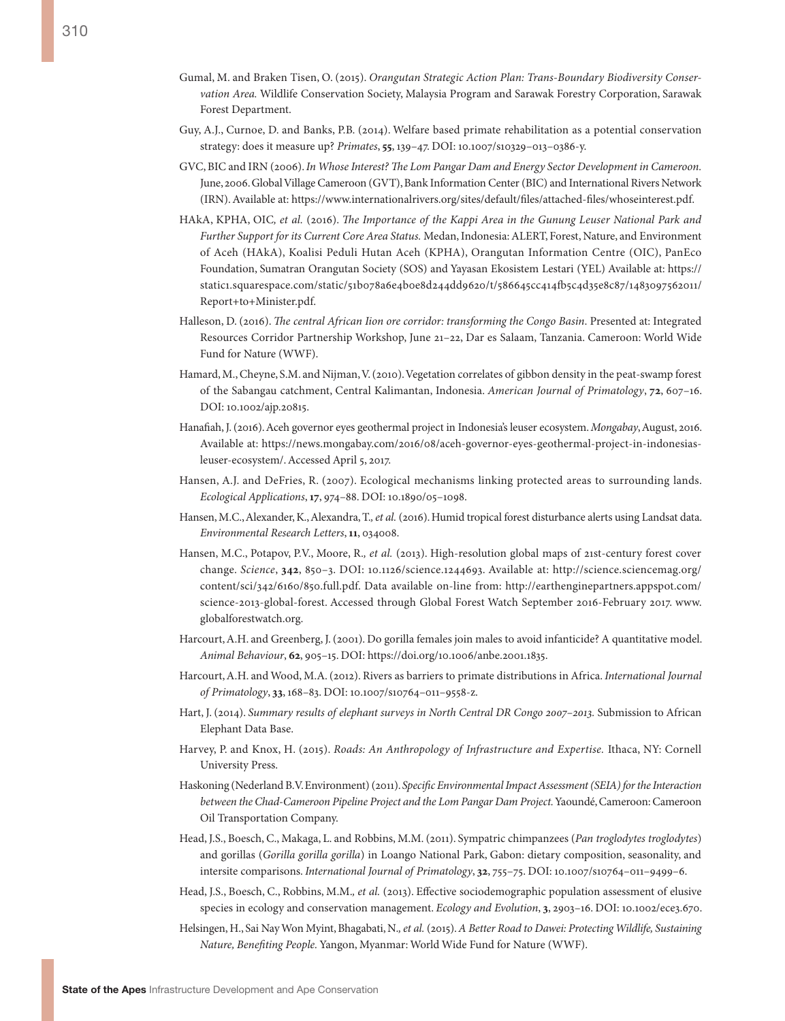- Gumal, M. and Braken Tisen, O. (2015). *Orangutan Strategic Action Plan: Trans-Boundary Biodiversity Conservation Area.* Wildlife Conservation Society, Malaysia Program and Sarawak Forestry Corporation, Sarawak Forest Department.
- Guy, A.J., Curnoe, D. and Banks, P.B. (2014). Welfare based primate rehabilitation as a potential conservation strategy: does it measure up? *Primates*, **55**, 139–47. DOI: 10.1007/s10329–013–0386-y.
- GVC, BIC and IRN (2006). *In Whose Interest? The Lom Pangar Dam and Energy Sector Development in Cameroon.* June, 2006. Global Village Cameroon (GVT), Bank Information Center (BIC) and International Rivers Network (IRN). Available at:<https://www.internationalrivers.org/sites/default/files/attached-files/whoseinterest.pdf>.
- HAkA, KPHA, OIC*, et al.* (2016). *The Importance of the Kappi Area in the Gunung Leuser National Park and Further Support for its Current Core Area Status.* Medan, Indonesia: ALERT, Forest, Nature, and Environment of Aceh (HAkA), Koalisi Peduli Hutan Aceh (KPHA), Orangutan Information Centre (OIC), PanEco Foundation, Sumatran Orangutan Society (SOS) and Yayasan Ekosistem Lestari (YEL) Available at: [https://](https://static1.squarespace.com/static/51b078a6e4b0e8d244dd9620/t/586645cc414fb5c4d35e8c87/1483097562011/Report+to+Minister.pdf) [static1.squarespace.com/static/51b078a6e4b0e8d244dd9620/t/586645cc414fb5c4d35e8c87/1483097562011/](https://static1.squarespace.com/static/51b078a6e4b0e8d244dd9620/t/586645cc414fb5c4d35e8c87/1483097562011/Report+to+Minister.pdf) [Report+to+Minister.pdf.](https://static1.squarespace.com/static/51b078a6e4b0e8d244dd9620/t/586645cc414fb5c4d35e8c87/1483097562011/Report+to+Minister.pdf)
- Halleson, D. (2016). *The central African Iion ore corridor: transforming the Congo Basin*. Presented at: Integrated Resources Corridor Partnership Workshop, June 21–22, Dar es Salaam, Tanzania. Cameroon: World Wide Fund for Nature (WWF).
- Hamard, M., Cheyne, S.M. and Nijman, V. (2010). Vegetation correlates of gibbon density in the peat-swamp forest of the Sabangau catchment, Central Kalimantan, Indonesia. *American Journal of Primatology*, **72**, 607–16. DOI: 10.1002/ajp.20815.
- Hanafiah, J. (2016). Aceh governor eyes geothermal project in Indonesia's leuser ecosystem. *Mongabay*, August, 2016. Available at: [https://news.mongabay.com/2016/08/aceh-governor-eyes-geothermal-project-in-indonesias](https://news.mongabay.com/2016/08/aceh-governor-eyes-geothermal-project-in-indonesias-leuser-ecosystem/)[leuser-ecosystem/.](https://news.mongabay.com/2016/08/aceh-governor-eyes-geothermal-project-in-indonesias-leuser-ecosystem/) Accessed April 5, 2017.
- Hansen, A.J. and DeFries, R. (2007). Ecological mechanisms linking protected areas to surrounding lands. *Ecological Applications*, **17**, 974–88. DOI: 10.1890/05–1098.
- Hansen, M.C., Alexander, K., Alexandra, T.*, et al.* (2016). Humid tropical forest disturbance alerts using Landsat data. *Environmental Research Letters*, **11**, 034008.
- Hansen, M.C., Potapov, P.V., Moore, R.*, et al.* (2013). High-resolution global maps of 21st-century forest cover change. *Science*, **342**, 850–3. DOI: 10.1126/science.1244693. Available at: [http://science.sciencemag.org/](http://science.sciencemag.org/content/sci/342/6160/850.full.pdf) [content/sci/342/6160/850.full.pdf.](http://science.sciencemag.org/content/sci/342/6160/850.full.pdf) Data available on-line from: [http://earthenginepartners.appspot.com/](http://earthenginepartners.appspot.com/science-2013-global-forest) [science-2013-global-forest.](http://earthenginepartners.appspot.com/science-2013-global-forest) Accessed through Global Forest Watch September 2016-February 2017. [www.](file:///C:\Users\Alison\Dropbox\Arcus%202016\Referencing\From%20Eva\www.globalforestwatch.org) [globalforestwatch.org](file:///C:\Users\Alison\Dropbox\Arcus%202016\Referencing\From%20Eva\www.globalforestwatch.org).
- Harcourt, A.H. and Greenberg, J. (2001). Do gorilla females join males to avoid infanticide? A quantitative model. *Animal Behaviour*, **62**, 905–15. DOI: <https://doi.org/10.1006/anbe.2001.1835>.
- Harcourt, A.H. and Wood, M.A. (2012). Rivers as barriers to primate distributions in Africa. *International Journal of Primatology*, **33**, 168–83. DOI: 10.1007/s10764–011–9558-z.
- Hart, J. (2014). *Summary results of elephant surveys in North Central DR Congo 2007–2013.* Submission to African Elephant Data Base.
- Harvey, P. and Knox, H. (2015). *Roads: An Anthropology of Infrastructure and Expertise.* Ithaca, NY: Cornell University Press.
- Haskoning (Nederland B.V. Environment) (2011). *Specific Environmental Impact Assessment (SEIA) for the Interaction between the Chad-Cameroon Pipeline Project and the Lom Pangar Dam Project.* Yaoundé, Cameroon: Cameroon Oil Transportation Company.
- Head, J.S., Boesch, C., Makaga, L. and Robbins, M.M. (2011). Sympatric chimpanzees (*Pan troglodytes troglodytes*) and gorillas (*Gorilla gorilla gorilla*) in Loango National Park, Gabon: dietary composition, seasonality, and intersite comparisons. *International Journal of Primatology*, **32**, 755–75. DOI: 10.1007/s10764–011–9499–6.
- Head, J.S., Boesch, C., Robbins, M.M.*, et al.* (2013). Effective sociodemographic population assessment of elusive species in ecology and conservation management. *Ecology and Evolution*, **3**, 2903-16. DOI: 10.1002/ece3.670.
- Helsingen, H., Sai Nay Won Myint, Bhagabati, N.*, et al.* (2015). *A Better Road to Dawei: Protecting Wildlife, Sustaining Nature, Benefiting People.* Yangon, Myanmar: World Wide Fund for Nature (WWF).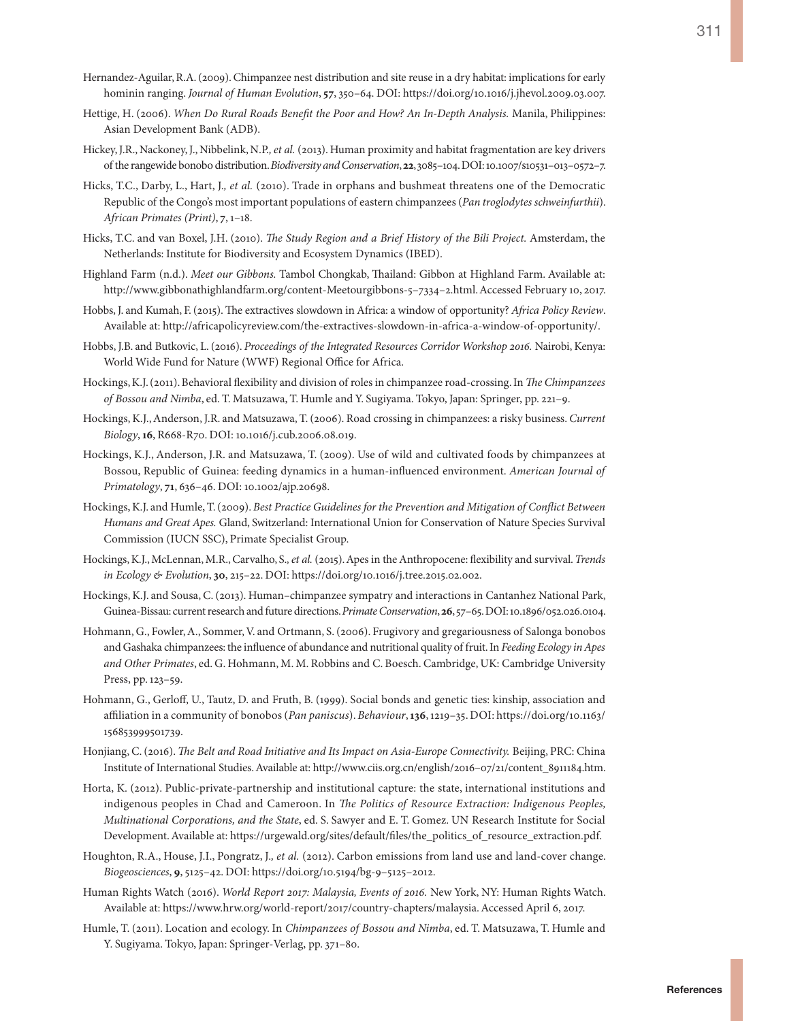- Hernandez-Aguilar, R.A. (2009). Chimpanzee nest distribution and site reuse in a dry habitat: implications for early hominin ranging. *Journal of Human Evolution*, **57**, 350–64. DOI: https://doi.org/10.1016/j.jhevol.2009.03.007.
- Hettige, H. (2006). *When Do Rural Roads Benefit the Poor and How? An In-Depth Analysis.* Manila, Philippines: Asian Development Bank (ADB).
- Hickey, J.R., Nackoney, J., Nibbelink, N.P.*, et al.* (2013). Human proximity and habitat fragmentation are key drivers of the rangewide bonobo distribution. *Biodiversity and Conservation*, **22**, 3085–104. DOI: 10.1007/s10531–013–0572–7.
- Hicks, T.C., Darby, L., Hart, J.*, et al.* (2010). Trade in orphans and bushmeat threatens one of the Democratic Republic of the Congo's most important populations of eastern chimpanzees (*Pan troglodytes schweinfurthii*). *African Primates (Print)*, **7**, 1–18.
- Hicks, T.C. and van Boxel, J.H. (2010). *The Study Region and a Brief History of the Bili Project.* Amsterdam, the Netherlands: Institute for Biodiversity and Ecosystem Dynamics (IBED).
- Highland Farm (n.d.). *Meet our Gibbons.* Tambol Chongkab, Thailand: Gibbon at Highland Farm. Available at: [http://www.gibbonathighlandfarm.org/content-Meetourgibbons-5–7334–2.html.](http://www.gibbonathighlandfarm.org/content-Meetourgibbons-5-7334-2.html) Accessed February 10, 2017.
- Hobbs, J. and Kumah, F. (2015). The extractives slowdown in Africa: a window of opportunity? *Africa Policy Review*. Available at:<http://africapolicyreview.com/the-extractives-slowdown-in-africa-a-window-of-opportunity/>.
- Hobbs, J.B. and Butkovic, L. (2016). *Proceedings of the Integrated Resources Corridor Workshop 2016.* Nairobi, Kenya: World Wide Fund for Nature (WWF) Regional Office for Africa.
- Hockings, K.J. (2011). Behavioral flexibility and division of roles in chimpanzee road-crossing. In *The Chimpanzees of Bossou and Nimba*, ed. T. Matsuzawa, T. Humle and Y. Sugiyama. Tokyo, Japan: Springer, pp. 221–9.
- Hockings, K.J., Anderson, J.R. and Matsuzawa, T. (2006). Road crossing in chimpanzees: a risky business. *Current Biology*, **16**, R668-R70. DOI: 10.1016/j.cub.2006.08.019.
- Hockings, K.J., Anderson, J.R. and Matsuzawa, T. (2009). Use of wild and cultivated foods by chimpanzees at Bossou, Republic of Guinea: feeding dynamics in a human-influenced environment. *American Journal of Primatology*, **71**, 636–46. DOI: 10.1002/ajp.20698.
- Hockings, K.J. and Humle, T. (2009). *Best Practice Guidelines for the Prevention and Mitigation of Conflict Between Humans and Great Apes.* Gland, Switzerland: International Union for Conservation of Nature Species Survival Commission (IUCN SSC), Primate Specialist Group.
- Hockings, K.J., McLennan, M.R., Carvalho, S.*, et al.* (2015). Apes in the Anthropocene: flexibility and survival. *Trends in Ecology & Evolution*, **30**, 215–22. DOI: https://doi.org/10.1016/j.tree.2015.02.002.
- Hockings, K.J. and Sousa, C. (2013). Human–chimpanzee sympatry and interactions in Cantanhez National Park, Guinea-Bissau: current research and future directions. *Primate Conservation*, **26**, 57–65. DOI: 10.1896/052.026.0104.
- Hohmann, G., Fowler, A., Sommer, V. and Ortmann, S. (2006). Frugivory and gregariousness of Salonga bonobos and Gashaka chimpanzees: the influence of abundance and nutritional quality of fruit. In *Feeding Ecology in Apes and Other Primates*, ed. G. Hohmann, M. M. Robbins and C. Boesch. Cambridge, UK: Cambridge University Press, pp. 123–59.
- Hohmann, G., Gerloff, U., Tautz, D. and Fruth, B. (1999). Social bonds and genetic ties: kinship, association and affiliation in a community of bonobos (*Pan paniscus*). *Behaviour*, **136**, 1219–35. DOI: https://doi.org/10.1163/ 156853999501739.
- Honjiang, C. (2016). *The Belt and Road Initiative and Its Impact on Asia-Europe Connectivity.* Beijing, PRC: China Institute of International Studies. Available at: [http://www.ciis.org.cn/english/2016–07/21/content\\_8911184.htm.](http://www.ciis.org.cn/english/2016-07/21/content_8911184.htm)
- Horta, K. (2012). Public-private-partnership and institutional capture: the state, international institutions and indigenous peoples in Chad and Cameroon. In *The Politics of Resource Extraction: Indigenous Peoples, Multinational Corporations, and the State*, ed. S. Sawyer and E. T. Gomez. UN Research Institute for Social Development. Available at: [https://urgewald.org/sites/default/files/the\\_politics\\_of\\_resource\\_extraction.pdf](https://urgewald.org/sites/default/files/the_politics_of_resource_extraction.pdf).
- Houghton, R.A., House, J.I., Pongratz, J.*, et al.* (2012). Carbon emissions from land use and land-cover change. *Biogeosciences*, **9**, 5125–42. DOI: https://doi.org/10.5194/bg-9–5125–2012.
- Human Rights Watch (2016). *World Report 2017: Malaysia, Events of 2016.* New York, NY: Human Rights Watch. Available at:<https://www.hrw.org/world-report/2017/country-chapters/malaysia>. Accessed April 6, 2017.
- Humle, T. (2011). Location and ecology. In *Chimpanzees of Bossou and Nimba*, ed. T. Matsuzawa, T. Humle and Y. Sugiyama. Tokyo, Japan: Springer-Verlag, pp. 371–80.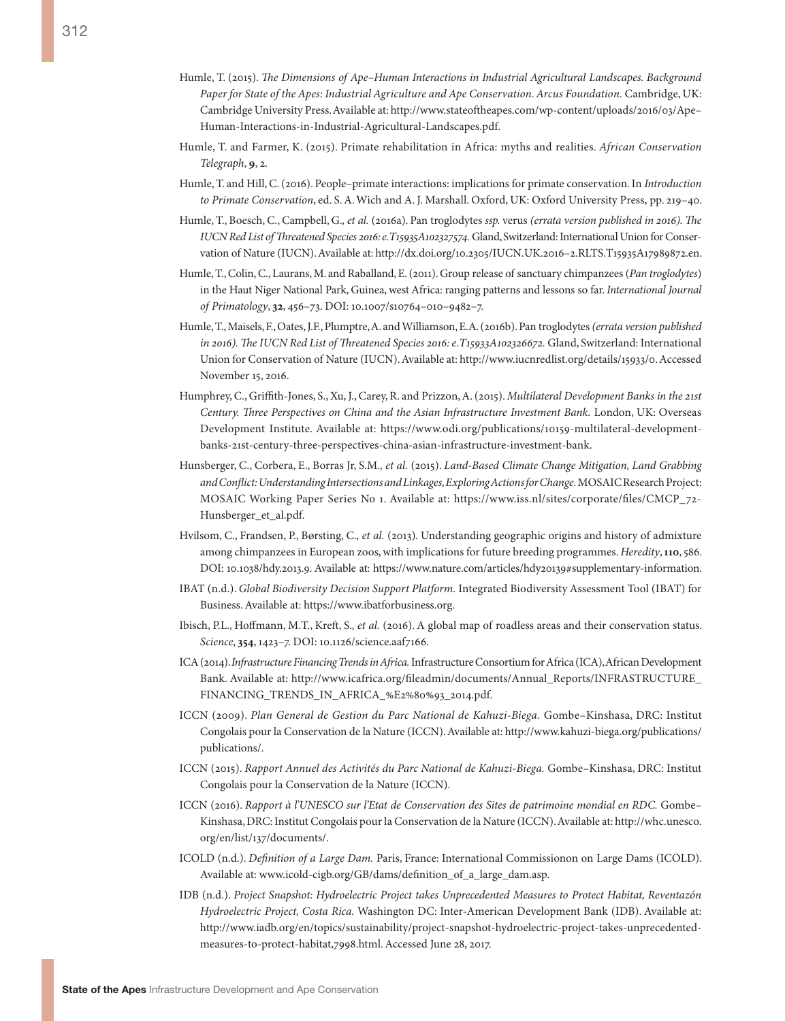- Humle, T. (2015). *The Dimensions of Ape–Human Interactions in Industrial Agricultural Landscapes. Background Paper for State of the Apes: Industrial Agriculture and Ape Conservation. Arcus Foundation.* Cambridge, UK: Cambridge University Press. Available at: [http://www.stateoftheapes.com/wp-content/uploads/2016/03/Ape–](http://www.stateoftheapes.com/wp-content/uploads/2016/03/Ape-Human-Interactions-in-Industrial-Agricultural-Landscapes.pdf) [Human-Interactions-in-Industrial-Agricultural-Landscapes.pdf](http://www.stateoftheapes.com/wp-content/uploads/2016/03/Ape-Human-Interactions-in-Industrial-Agricultural-Landscapes.pdf).
- Humle, T. and Farmer, K. (2015). Primate rehabilitation in Africa: myths and realities. *African Conservation Telegraph*, **9**, 2.
- Humle, T. and Hill, C. (2016). People–primate interactions: implications for primate conservation. In *Introduction to Primate Conservation*, ed. S. A. Wich and A. J. Marshall. Oxford, UK: Oxford University Press, pp. 219–40.
- Humle, T., Boesch, C., Campbell, G.*, et al.* (2016a). Pan troglodytes *ssp.* verus *(errata version published in 2016). The IUCN Red List of Threatened Species 2016: e.T15935A102327574.* Gland, Switzerland: International Union for Conservation of Nature (IUCN). Available at: [http://dx.doi.org/10.2305/IUCN.UK.2016–2.RLTS.T15935A17989872.en.](http://dx.doi.org/10.2305/IUCN.UK.2016-2.RLTS.T15935A17989872.en)
- Humle, T., Colin, C., Laurans, M. and Raballand, E. (2011). Group release of sanctuary chimpanzees (*Pan troglodytes*) in the Haut Niger National Park, Guinea, west Africa: ranging patterns and lessons so far. *International Journal of Primatology*, **32**, 456–73. DOI: 10.1007/s10764–010–9482–7.
- Humle, T., Maisels, F., Oates, J.F., Plumptre, A. and Williamson, E.A. (2016b). Pan troglodytes *(errata version published in 2016). The IUCN Red List of Threatened Species 2016: e.T15933A102326672.* Gland, Switzerland: International Union for Conservation of Nature (IUCN). Available at:<http://www.iucnredlist.org/details/15933/0>. Accessed November 15, 2016.
- Humphrey, C., Griffith-Jones, S., Xu, J., Carey, R. and Prizzon, A. (2015). *Multilateral Development Banks in the 21st Century. Three Perspectives on China and the Asian Infrastructure Investment Bank.* London, UK: Overseas Development Institute. Available at: [https://www.odi.org/publications/10159-multilateral-development](https://www.odi.org/publications/10159-multilateral-development-banks-21st-century-three-perspectives-china-asian-infrastructure-investment-bank)[banks-21st-century-three-perspectives-china-asian-infrastructure-investment-bank](https://www.odi.org/publications/10159-multilateral-development-banks-21st-century-three-perspectives-china-asian-infrastructure-investment-bank).
- Hunsberger, C., Corbera, E., Borras Jr, S.M.*, et al.* (2015). *Land-Based Climate Change Mitigation, Land Grabbing and Conflict: Understanding Intersections and Linkages, Exploring Actions for Change.* MOSAIC Research Project: MOSAIC Working Paper Series No 1. Available at: [https://www.iss.nl/sites/corporate/files/CMCP\\_72-](https://www.iss.nl/sites/corporate/files/CMCP_72-Hunsberger_et_al.pdf) [Hunsberger\\_et\\_al.pdf](https://www.iss.nl/sites/corporate/files/CMCP_72-Hunsberger_et_al.pdf).
- Hvilsom, C., Frandsen, P., Børsting, C.*, et al.* (2013). Understanding geographic origins and history of admixture among chimpanzees in European zoos, with implications for future breeding programmes. *Heredity*, **110**, 586. DOI: 10.1038/hdy.2013.9. Available at: [https://www.nature.com/articles/hdy20139#supplementary-information.](https://www.nature.com/articles/hdy20139#supplementary-information)
- IBAT (n.d.). *Global Biodiversity Decision Support Platform.* Integrated Biodiversity Assessment Tool (IBAT) for Business. Available at: [https://www.ibatforbusiness.org.](https://www.ibatforbusiness.org)
- Ibisch, P.L., Hoffmann, M.T., Kreft, S.*, et al.* (2016). A global map of roadless areas and their conservation status. *Science*, **354**, 1423–7. DOI: 10.1126/science.aaf7166.
- ICA (2014). *Infrastructure Financing Trends in Africa.* Infrastructure Consortium for Africa (ICA), African Development Bank. Available at: [http://www.icafrica.org/fileadmin/documents/Annual\\_Reports/INFRASTRUCTURE\\_](http://www.icafrica.org/fileadmin/documents/Annual_Reports/INFRASTRUCTURE_FINANCING_TRENDS_IN_AFRICA_%E2%80%93_2014.pdf) [FINANCING\\_TRENDS\\_IN\\_AFRICA\\_%E2%80%93\\_2014.pdf.](http://www.icafrica.org/fileadmin/documents/Annual_Reports/INFRASTRUCTURE_FINANCING_TRENDS_IN_AFRICA_%E2%80%93_2014.pdf)
- ICCN (2009). *Plan General de Gestion du Parc National de Kahuzi-Biega.* Gombe–Kinshasa, DRC: Institut Congolais pour la Conservation de la Nature (ICCN). Available at: [http://www.kahuzi-biega.org/publications/](http://www.kahuzi-biega.org/publications/publications/) [publications/](http://www.kahuzi-biega.org/publications/publications/).
- ICCN (2015). *Rapport Annuel des Activités du Parc National de Kahuzi-Biega.* Gombe–Kinshasa, DRC: Institut Congolais pour la Conservation de la Nature (ICCN).
- ICCN (2016). *Rapport à l'UNESCO sur l'Etat de Conservation des Sites de patrimoine mondial en RDC.* Gombe– Kinshasa, DRC: Institut Congolais pour la Conservation de la Nature (ICCN). Available at: [http://whc.unesco.](http://whc.unesco.org/en/list/137/documents/) [org/en/list/137/documents/.](http://whc.unesco.org/en/list/137/documents/)
- ICOLD (n.d.). *Definition of a Large Dam.* Paris, France: International Commissionon on Large Dams (ICOLD). Available at: [www.icold-cigb.org/GB/dams/definition\\_of\\_a\\_large\\_dam.asp](www.icold-cigb.org/GB/dams/definition_of_a_large_dam.asp).
- IDB (n.d.). *Project Snapshot: Hydroelectric Project takes Unprecedented Measures to Protect Habitat, Reventazón Hydroelectric Project, Costa Rica.* Washington DC: Inter-American Development Bank (IDB). Available at: [http://www.iadb.org/en/topics/sustainability/project-snapshot-hydroelectric-project-takes-unprecedented](http://www.iadb.org/en/topics/sustainability/project-snapshot-hydroelectric-project-takes-unprecedented-measures-to-protect-habitat,7998.html)[measures-to-protect-habitat,7998.html.](http://www.iadb.org/en/topics/sustainability/project-snapshot-hydroelectric-project-takes-unprecedented-measures-to-protect-habitat,7998.html) Accessed June 28, 2017.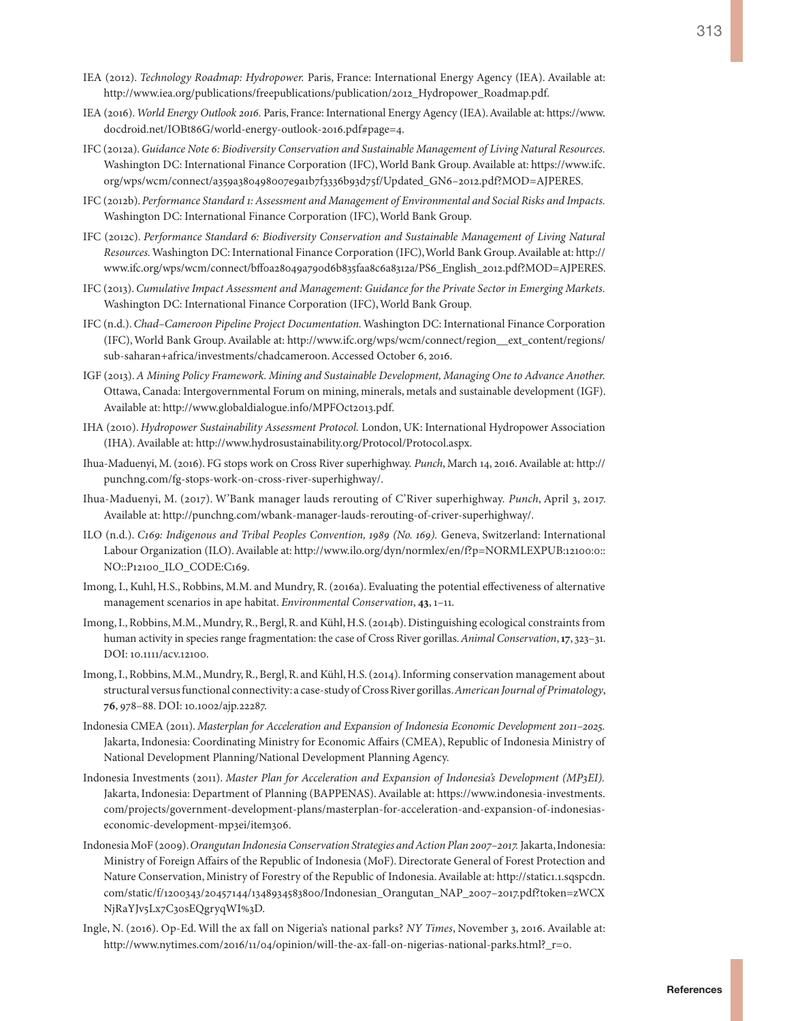- IEA (2012). *Technology Roadmap: Hydropower.* Paris, France: International Energy Agency (IEA). Available at: [http://www.iea.org/publications/freepublications/publication/2012\\_Hydropower\\_Roadmap.pdf.](http://www.iea.org/publications/freepublications/publication/2012_Hydropower_Roadmap.pdf)
- IEA (2016). *World Energy Outlook 2016.* Paris, France: International Energy Agency (IEA). Available at: [https://www.](https://www.docdroid.net/IOBt86G/world-energy-outlook-2016.pdf#page=4) [docdroid.net/IOBt86G/world-energy-outlook-2016.pdf#page=4](https://www.docdroid.net/IOBt86G/world-energy-outlook-2016.pdf#page=4).
- IFC (2012a). *Guidance Note 6: Biodiversity Conservation and Sustainable Management of Living Natural Resources.* Washington DC: International Finance Corporation (IFC), World Bank Group. Available at: [https://www.ifc.](https://www.ifc.org/wps/wcm/connect/a359a380498007e9a1b7f3336b93d75f/Updated_GN6-2012.pdf?MOD=AJPERES) [org/wps/wcm/connect/a359a380498007e9a1b7f3336b93d75f/Updated\\_GN6–2012.pdf?MOD=AJPERES.](https://www.ifc.org/wps/wcm/connect/a359a380498007e9a1b7f3336b93d75f/Updated_GN6-2012.pdf?MOD=AJPERES)
- IFC (2012b). *Performance Standard 1: Assessment and Management of Environmental and Social Risks and Impacts.* Washington DC: International Finance Corporation (IFC), World Bank Group.
- IFC (2012c). *Performance Standard 6: Biodiversity Conservation and Sustainable Management of Living Natural Resources.* Washington DC: International Finance Corporation (IFC), World Bank Group. Available at: [http://](http://www.ifc.org/wps/wcm/connect/bff0a28049a790d6b835faa8c6a8312a/PS6_English_2012.pdf?MOD=AJPERES) [www.ifc.org/wps/wcm/connect/bff0a28049a790d6b835faa8c6a8312a/PS6\\_English\\_2012.pdf?MOD=AJPERES.](http://www.ifc.org/wps/wcm/connect/bff0a28049a790d6b835faa8c6a8312a/PS6_English_2012.pdf?MOD=AJPERES)
- IFC (2013). *Cumulative Impact Assessment and Management: Guidance for the Private Sector in Emerging Markets.* Washington DC: International Finance Corporation (IFC), World Bank Group.
- IFC (n.d.). *Chad–Cameroon Pipeline Project Documentation.* Washington DC: International Finance Corporation (IFC), World Bank Group. Available at: [http://www.ifc.org/wps/wcm/connect/region\\_\\_ext\\_content/regions/](http://www.ifc.org/wps/wcm/connect/region__ext_content/regions/sub-saharan+africa/investments/chadcameroon) [sub-saharan+africa/investments/chadcameroon](http://www.ifc.org/wps/wcm/connect/region__ext_content/regions/sub-saharan+africa/investments/chadcameroon). Accessed October 6, 2016.
- IGF (2013). *A Mining Policy Framework. Mining and Sustainable Development, Managing One to Advance Another.* Ottawa, Canada: Intergovernmental Forum on mining, minerals, metals and sustainable development (IGF). Available at:<http://www.globaldialogue.info/MPFOct2013.pdf>.
- IHA (2010). *Hydropower Sustainability Assessment Protocol.* London, UK: International Hydropower Association (IHA). Available at: [http://www.hydrosustainability.org/Protocol/Protocol.aspx.](http://www.hydrosustainability.org/Protocol/Protocol.aspx)
- Ihua-Maduenyi, M. (2016). FG stops work on Cross River superhighway. *Punch*, March 14, 2016. Available at: [http://](http://punchng.com/fg-stops-work-on-cross-river-superhighway/) [punchng.com/fg-stops-work-on-cross-river-superhighway/](http://punchng.com/fg-stops-work-on-cross-river-superhighway/).
- Ihua-Maduenyi, M. (2017). W'Bank manager lauds rerouting of C'River superhighway. *Punch*, April 3, 2017. Available at: [http://punchng.com/wbank-manager-lauds-rerouting-of-criver-superhighway/.](http://punchng.com/wbank-manager-lauds-rerouting-of-criver-superhighway/)
- ILO (n.d.). *C169: Indigenous and Tribal Peoples Convention, 1989 (No. 169).* Geneva, Switzerland: International Labour Organization (ILO). Available at: [http://www.ilo.org/dyn/normlex/en/f?p=NORMLEXPUB:12100:0::](http://www.ilo.org/dyn/normlex/en/f?p=NORMLEXPUB:12100:0::NO::P12100_ILO_CODE:C169) [NO::P12100\\_ILO\\_CODE:C169.](http://www.ilo.org/dyn/normlex/en/f?p=NORMLEXPUB:12100:0::NO::P12100_ILO_CODE:C169)
- Imong, I., Kuhl, H.S., Robbins, M.M. and Mundry, R. (2016a). Evaluating the potential effectiveness of alternative management scenarios in ape habitat. *Environmental Conservation*, **43**, 1–11.
- Imong, I., Robbins, M.M., Mundry, R., Bergl, R. and Kühl, H.S. (2014b). Distinguishing ecological constraints from human activity in species range fragmentation: the case of Cross River gorillas. *Animal Conservation*, **17**, 323–31. DOI: 10.1111/acv.12100.
- Imong, I., Robbins, M.M., Mundry, R., Bergl, R. and Kühl, H.S. (2014). Informing conservation management about structural versus functional connectivity: a case-study of Cross River gorillas. *American Journal of Primatology*, **76**, 978–88. DOI: 10.1002/ajp.22287.
- Indonesia CMEA (2011). *Masterplan for Acceleration and Expansion of Indonesia Economic Development 2011–2025.* Jakarta, Indonesia: Coordinating Ministry for Economic Affairs (CMEA), Republic of Indonesia Ministry of National Development Planning/National Development Planning Agency.
- Indonesia Investments (2011). *Master Plan for Acceleration and Expansion of Indonesia's Development (MP3EI).* Jakarta, Indonesia: Department of Planning (BAPPENAS). Available at: [https://www.indonesia-investments.](https://www.indonesia-investments.com/projects/government-development-plans/masterplan-for-acceleration-and-expansion-of-indonesias-economic-development-mp3ei/item306) [com/projects/government-development-plans/masterplan-for-acceleration-and-expansion-of-indonesias](https://www.indonesia-investments.com/projects/government-development-plans/masterplan-for-acceleration-and-expansion-of-indonesias-economic-development-mp3ei/item306)[economic-development-mp3ei/item306](https://www.indonesia-investments.com/projects/government-development-plans/masterplan-for-acceleration-and-expansion-of-indonesias-economic-development-mp3ei/item306).
- Indonesia MoF (2009). *Orangutan Indonesia Conservation Strategies and Action Plan 2007–2017.* Jakarta, Indonesia: Ministry of Foreign Affairs of the Republic of Indonesia (MoF). Directorate General of Forest Protection and Nature Conservation, Ministry of Forestry of the Republic of Indonesia. Available at: [http://static1.1.sqspcdn.](http://static1.1.sqspcdn.com/static/f/1200343/20457144/1348934583800/Indonesian_Orangutan_NAP_2007-2017.pdf?token=zWCXNjRaYJv5Lx7C30sEQgryqWI%3D) [com/static/f/1200343/20457144/1348934583800/Indonesian\\_Orangutan\\_NAP\\_2007–2017.pdf?token=zWCX](http://static1.1.sqspcdn.com/static/f/1200343/20457144/1348934583800/Indonesian_Orangutan_NAP_2007-2017.pdf?token=zWCXNjRaYJv5Lx7C30sEQgryqWI%3D) [NjRaYJv5Lx7C30sEQgryqWI%3D](http://static1.1.sqspcdn.com/static/f/1200343/20457144/1348934583800/Indonesian_Orangutan_NAP_2007-2017.pdf?token=zWCXNjRaYJv5Lx7C30sEQgryqWI%3D).
- Ingle, N. (2016). Op-Ed. Will the ax fall on Nigeria's national parks? *NY Times*, November 3, 2016. Available at: [http://www.nytimes.com/2016/11/04/opinion/will-the-ax-fall-on-nigerias-national-parks.html?\\_r=0.](http://www.nytimes.com/2016/11/04/opinion/will-the-ax-fall-on-nigerias-national-parks.html?_r=0)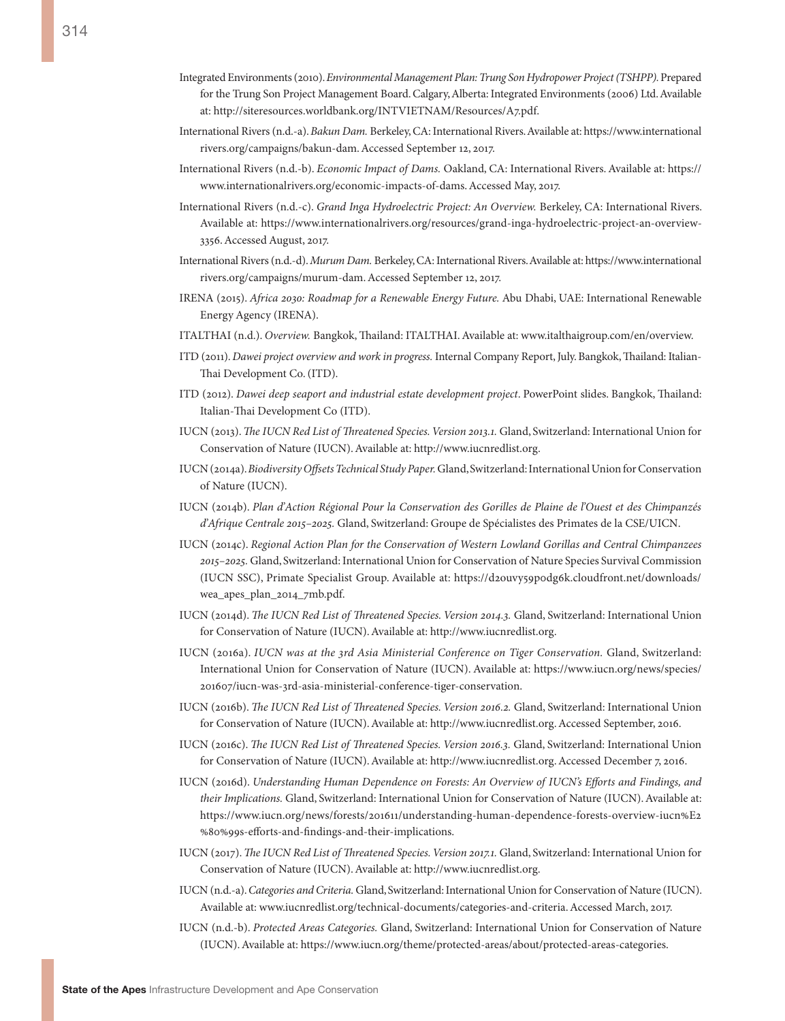- Integrated Environments (2010). *Environmental Management Plan: Trung Son Hydropower Project (TSHPP).* Prepared for the Trung Son Project Management Board. Calgary, Alberta: Integrated Environments (2006) Ltd. Available at: <http://siteresources.worldbank.org/INTVIETNAM/Resources/A7.pdf>.
- International Rivers (n.d.-a). *Bakun Dam.* Berkeley, CA: International Rivers. Available at: [https://www.international](https://www.internationalrivers.org/campaigns/bakun-dam) [rivers.org/campaigns/bakun-dam.](https://www.internationalrivers.org/campaigns/bakun-dam) Accessed September 12, 2017.
- International Rivers (n.d.-b). *Economic Impact of Dams.* Oakland, CA: International Rivers. Available at: [https://](https://www.internationalrivers.org/economic-impacts-of-dams) [www.internationalrivers.org/economic-impacts-of-dams](https://www.internationalrivers.org/economic-impacts-of-dams). Accessed May, 2017.
- International Rivers (n.d.-c). *Grand Inga Hydroelectric Project: An Overview.* Berkeley, CA: International Rivers. Available at: [https://www.internationalrivers.org/resources/grand-inga-hydroelectric-project-an-overview-](https://www.internationalrivers.org/resources/grand-inga-hydroelectric-project-an-overview-3356)[3356](https://www.internationalrivers.org/resources/grand-inga-hydroelectric-project-an-overview-3356). Accessed August, 2017.
- International Rivers (n.d.-d). *Murum Dam.* Berkeley, CA: International Rivers. Available at: [https://www.international](https://www.internationalrivers.org/campaigns/murum-dam) [rivers.org/campaigns/murum-dam](https://www.internationalrivers.org/campaigns/murum-dam). Accessed September 12, 2017.
- IRENA (2015). *Africa 2030: Roadmap for a Renewable Energy Future.* Abu Dhabi, UAE: International Renewable Energy Agency (IRENA).
- ITALTHAI (n.d.). *Overview.* Bangkok, Thailand: ITALTHAI. Available at: [www.italthaigroup.com/en/overview.](www.italthaigroup.com/en/overview)
- ITD (2011). *Dawei project overview and work in progress.* Internal Company Report, July. Bangkok, Thailand: Italian-Thai Development Co. (ITD).
- ITD (2012). *Dawei deep seaport and industrial estate development project*. PowerPoint slides. Bangkok, Thailand: Italian-Thai Development Co (ITD).
- IUCN (2013). *The IUCN Red List of Threatened Species. Version 2013.1.* Gland, Switzerland: International Union for Conservation of Nature (IUCN). Available at: <http://www.iucnredlist.org>.
- IUCN (2014a). *Biodiversity Offsets Technical Study Paper.* Gland, Switzerland: International Union for Conservation of Nature (IUCN).
- IUCN (2014b). *Plan d'Action Régional Pour la Conservation des Gorilles de Plaine de l'Ouest et des Chimpanzés d'Afrique Centrale 2015–2025.* Gland, Switzerland: Groupe de Spécialistes des Primates de la CSE/UICN.
- IUCN (2014c). *Regional Action Plan for the Conservation of Western Lowland Gorillas and Central Chimpanzees 2015–2025.* Gland, Switzerland: International Union for Conservation of Nature Species Survival Commission (IUCN SSC), Primate Specialist Group. Available at: [https://d2ouvy59p0dg6k.cloudfront.net/downloads/](https://d2ouvy59p0dg6k.cloudfront.net/downloads/wea_apes_plan_2014_7mb.pdf) [wea\\_apes\\_plan\\_2014\\_7mb.pdf.](https://d2ouvy59p0dg6k.cloudfront.net/downloads/wea_apes_plan_2014_7mb.pdf)
- IUCN (2014d). *The IUCN Red List of Threatened Species. Version 2014.3.* Gland, Switzerland: International Union for Conservation of Nature (IUCN). Available at: http://www.iucnredlist.org.
- IUCN (2016a). *IUCN was at the 3rd Asia Ministerial Conference on Tiger Conservation.* Gland, Switzerland: International Union for Conservation of Nature (IUCN). Available at: [https://www.iucn.org/news/species/](https://www.iucn.org/news/species/201607/iucn-was-3rd-asia-ministerial-conference-tiger-conservation) [201607/iucn-was-3rd-asia-ministerial-conference-tiger-conservation.](https://www.iucn.org/news/species/201607/iucn-was-3rd-asia-ministerial-conference-tiger-conservation)
- IUCN (2016b). *The IUCN Red List of Threatened Species. Version 2016.2.* Gland, Switzerland: International Union for Conservation of Nature (IUCN). Available at: <http://www.iucnredlist.org>. Accessed September, 2016.
- IUCN (2016c). *The IUCN Red List of Threatened Species. Version 2016.3.* Gland, Switzerland: International Union for Conservation of Nature (IUCN). Available at: <http://www.iucnredlist.org>. Accessed December 7, 2016.
- IUCN (2016d). *Understanding Human Dependence on Forests: An Overview of IUCN's Efforts and Findings, and their Implications.* Gland, Switzerland: International Union for Conservation of Nature (IUCN). Available at: [https://www.iucn.org/news/forests/201611/understanding-human-dependence-forests-overview-iucn%E2](https://www.iucn.org/news/forests/201611/understanding-human-dependence-forests-overview-iucn%E2%80%99s-efforts-and-findings-and-their-implications) [%80%99s-efforts-and-findings-and-their-implications](https://www.iucn.org/news/forests/201611/understanding-human-dependence-forests-overview-iucn%E2%80%99s-efforts-and-findings-and-their-implications).
- IUCN (2017). *The IUCN Red List of Threatened Species. Version 2017.1.* Gland, Switzerland: International Union for Conservation of Nature (IUCN). Available at: <http://www.iucnredlist.org>.
- IUCN (n.d.-a). *Categories and Criteria.* Gland, Switzerland: International Union for Conservation of Nature (IUCN). Available at: [www.iucnredlist.org/technical-documents/categories-and-criteria](file:///C:\Users\Alison\Dropbox\Arcus%202016\Referencing\From%20Eva\www.iucnredlist.org\technical-documents\categories-and-criteria). Accessed March, 2017.
- IUCN (n.d.-b). *Protected Areas Categories.* Gland, Switzerland: International Union for Conservation of Nature (IUCN). Available at: [https://www.iucn.org/theme/protected-areas/about/protected-areas-categories.](https://www.iucn.org/theme/protected-areas/about/protected-areas-categories)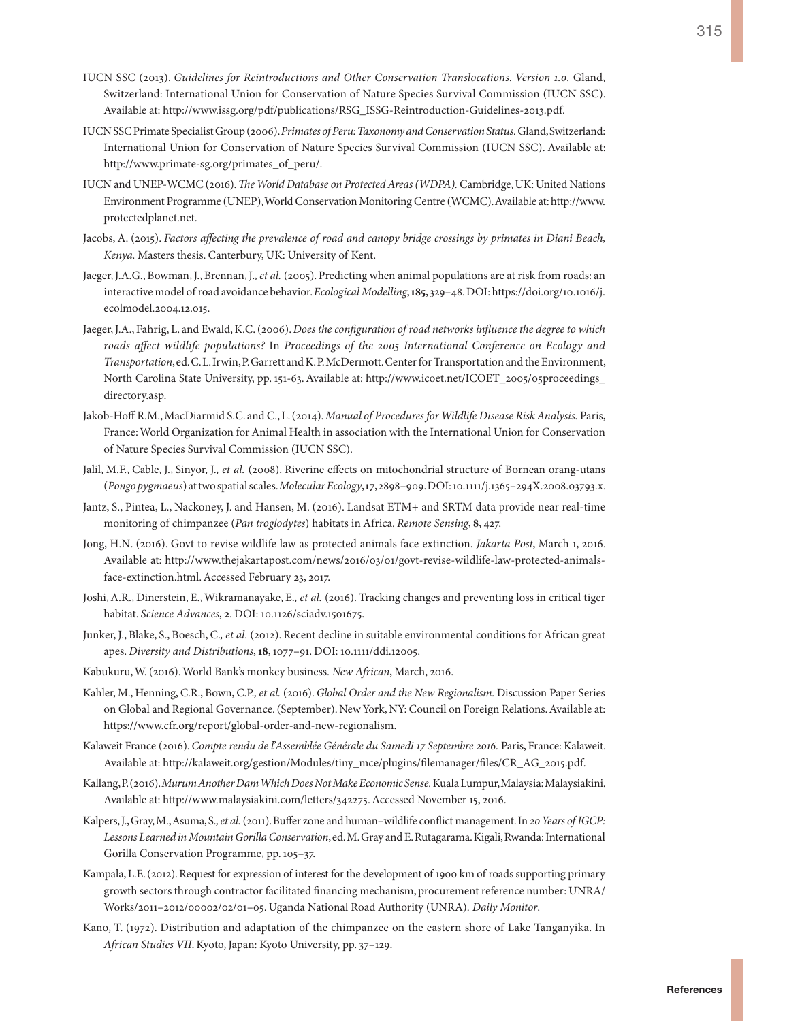- IUCN SSC (2013). *Guidelines for Reintroductions and Other Conservation Translocations. Version 1.0.* Gland, Switzerland: International Union for Conservation of Nature Species Survival Commission (IUCN SSC). Available at: [http://www.issg.org/pdf/publications/RSG\\_ISSG-Reintroduction-Guidelines-2013.pdf](http://www.issg.org/pdf/publications/RSG_ISSG-Reintroduction-Guidelines-2013.pdf).
- IUCN SSC Primate Specialist Group (2006). *Primates of Peru: Taxonomy and Conservation Status.* Gland, Switzerland: International Union for Conservation of Nature Species Survival Commission (IUCN SSC). Available at: [http://www.primate-sg.org/primates\\_of\\_peru/](http://www.primate-sg.org/primates_of_peru/).
- IUCN and UNEP-WCMC (2016). *The World Database on Protected Areas (WDPA).* Cambridge, UK: United Nations Environment Programme (UNEP), World Conservation Monitoring Centre (WCMC). Available at: [http://www.](http://www.protectedplanet.net) [protectedplanet.net.](http://www.protectedplanet.net)
- Jacobs, A. (2015). *Factors affecting the prevalence of road and canopy bridge crossings by primates in Diani Beach, Kenya.* Masters thesis. Canterbury, UK: University of Kent.
- Jaeger, J.A.G., Bowman, J., Brennan, J.*, et al.* (2005). Predicting when animal populations are at risk from roads: an interactive model of road avoidance behavior. *Ecological Modelling*, **185**, 329–48. DOI: [https://doi.org/10.1016/j.](https://doi.org/10.1016/j.ecolmodel.2004.12.015) [ecolmodel.2004.12.015.](https://doi.org/10.1016/j.ecolmodel.2004.12.015)
- Jaeger, J.A., Fahrig, L. and Ewald, K.C. (2006). *Does the configuration of road networks influence the degree to which roads affect wildlife populations?* In *Proceedings of the 2005 International Conference on Ecology and Transportation*, ed. C. L. Irwin, P. Garrett and K. P. McDermott. Center for Transportation and the Environment, North Carolina State University, pp. 151-63. Available at: [http://www.icoet.net/ICOET\\_2005/05proceedings\\_](http://www.icoet.net/ICOET_2005/05proceedings_directory.asp) [directory.asp.](http://www.icoet.net/ICOET_2005/05proceedings_directory.asp)
- Jakob-Hoff R.M., MacDiarmid S.C. and C., L. (2014). *Manual of Procedures for Wildlife Disease Risk Analysis.* Paris, France: World Organization for Animal Health in association with the International Union for Conservation of Nature Species Survival Commission (IUCN SSC).
- Jalil, M.F., Cable, J., Sinyor, J.*, et al.* (2008). Riverine effects on mitochondrial structure of Bornean orang-utans (*Pongo pygmaeus*) at two spatial scales. *Molecular Ecology*, **17**, 2898–909. DOI: 10.1111/j.1365–294X.2008.03793.x.
- Jantz, S., Pintea, L., Nackoney, J. and Hansen, M. (2016). Landsat ETM+ and SRTM data provide near real-time monitoring of chimpanzee (*Pan troglodytes*) habitats in Africa. *Remote Sensing*, **8**, 427.
- Jong, H.N. (2016). Govt to revise wildlife law as protected animals face extinction. *Jakarta Post*, March 1, 2016. Available at: [http://www.thejakartapost.com/news/2016/03/01/govt-revise-wildlife-law-protected-animals](http://www.thejakartapost.com/news/2016/03/01/govt-revise-wildlife-law-protected-animals-face-extinction.html)[face-extinction.html.](http://www.thejakartapost.com/news/2016/03/01/govt-revise-wildlife-law-protected-animals-face-extinction.html) Accessed February 23, 2017.
- Joshi, A.R., Dinerstein, E., Wikramanayake, E.*, et al.* (2016). Tracking changes and preventing loss in critical tiger habitat. *Science Advances*, **2**. DOI: 10.1126/sciadv.1501675.
- Junker, J., Blake, S., Boesch, C.*, et al.* (2012). Recent decline in suitable environmental conditions for African great apes. *Diversity and Distributions*, **18**, 1077–91. DOI: 10.1111/ddi.12005.
- Kabukuru, W. (2016). World Bank's monkey business. *New African*, March, 2016.
- Kahler, M., Henning, C.R., Bown, C.P.*, et al.* (2016). *Global Order and the New Regionalism.* Discussion Paper Series on Global and Regional Governance. (September). New York, NY: Council on Foreign Relations. Available at: <https://www.cfr.org/report/global-order-and-new-regionalism>.
- Kalaweit France (2016). *Compte rendu de l'Assemblée Générale du Samedi 17 Septembre 2016.* Paris, France: Kalaweit. Available at: [http://kalaweit.org/gestion/Modules/tiny\\_mce/plugins/filemanager/files/CR\\_AG\\_2015.pdf](http://kalaweit.org/gestion/Modules/tiny_mce/plugins/filemanager/files/CR_AG_2015.pdf).
- Kallang, P. (2016). *Murum Another Dam Which Does Not Make Economic Sense.* Kuala Lumpur, Malaysia: Malaysiakini. Available at:<http://www.malaysiakini.com/letters/342275>. Accessed November 15, 2016.
- Kalpers, J., Gray, M., Asuma, S.*, et al.* (2011). Buffer zone and human–wildlife conflict management. In *20 Years of IGCP: Lessons Learned in Mountain Gorilla Conservation*, ed. M. Gray and E. Rutagarama. Kigali, Rwanda: International Gorilla Conservation Programme, pp. 105–37.
- Kampala, L.E. (2012). Request for expression of interest for the development of 1900 km of roads supporting primary growth sectors through contractor facilitated financing mechanism, procurement reference number: UNRA/ Works/2011–2012/00002/02/01–05. Uganda National Road Authority (UNRA). *Daily Monitor*.
- Kano, T. (1972). Distribution and adaptation of the chimpanzee on the eastern shore of Lake Tanganyika. In *African Studies VII*. Kyoto, Japan: Kyoto University, pp. 37–129.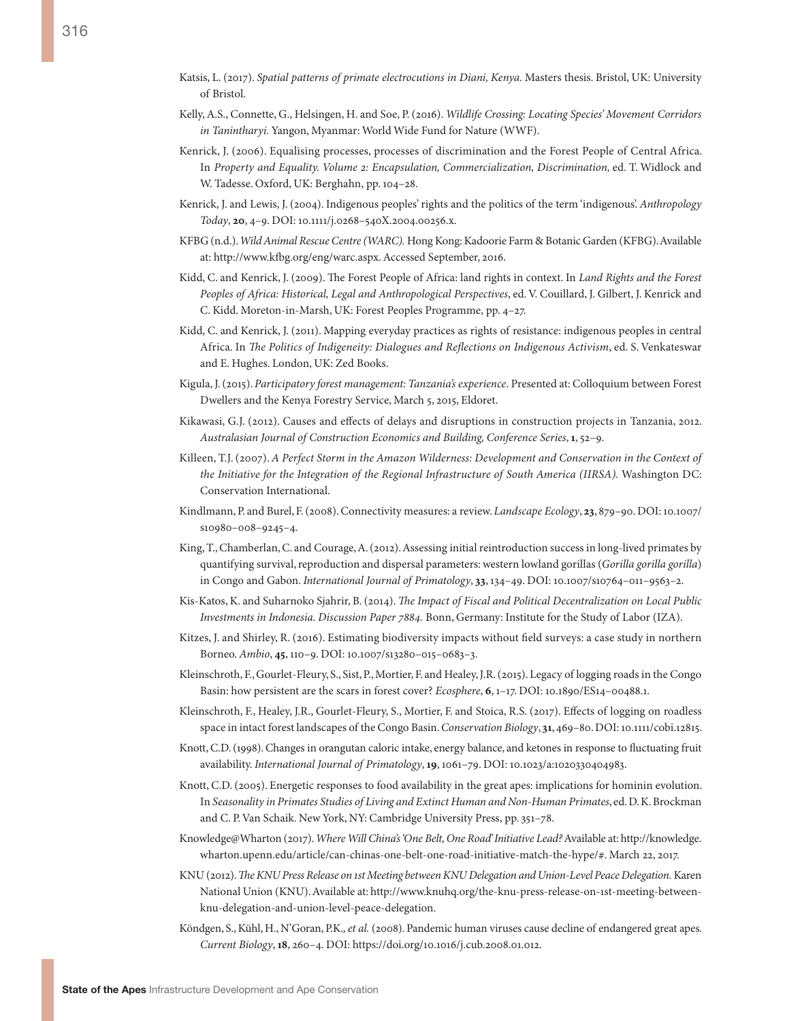- Katsis, L. (2017). *Spatial patterns of primate electrocutions in Diani, Kenya. Masters thesis. Bristol, UK: University* of Bristol.
- Kelly, A.S., Connette, G., Helsingen, H. and Soe, P. (2016). *Wildlife Crossing: Locating Species' Movement Corridors in Tanintharyi.* Yangon, Myanmar: World Wide Fund for Nature (WWF).
- Kenrick, J. (2006). Equalising processes, processes of discrimination and the Forest People of Central Africa. In *Property and Equality. Volume 2: Encapsulation, Commercialization, Discrimination*, ed. T. Widlock and W. Tadesse. Oxford, UK: Berghahn, pp. 104–28.
- Kenrick, J. and Lewis, J. (2004). Indigenous peoples' rights and the politics of the term 'indigenous'. *Anthropology Today*, **20**, 4–9. DOI: 10.1111/j.0268–540X.2004.00256.x.
- KFBG (n.d.). *Wild Animal Rescue Centre (WARC).* Hong Kong: Kadoorie Farm & Botanic Garden (KFBG). Available at: [http://www.kfbg.org/eng/warc.aspx.](http://www.kfbg.org/eng/warc.aspx) Accessed September, 2016.
- Kidd, C. and Kenrick, J. (2009). The Forest People of Africa: land rights in context. In *Land Rights and the Forest Peoples of Africa: Historical, Legal and Anthropological Perspectives*, ed. V. Couillard, J. Gilbert, J. Kenrick and C. Kidd. Moreton-in-Marsh, UK: Forest Peoples Programme, pp. 4–27.
- Kidd, C. and Kenrick, J. (2011). Mapping everyday practices as rights of resistance: indigenous peoples in central Africa. In *The Politics of Indigeneity: Dialogues and Reflections on Indigenous Activism*, ed. S. Venkateswar and E. Hughes. London, UK: Zed Books.
- Kigula, J. (2015). *Participatory forest management: Tanzania's experience*. Presented at: Colloquium between Forest Dwellers and the Kenya Forestry Service, March 5, 2015, Eldoret.
- Kikawasi, G.J. (2012). Causes and effects of delays and disruptions in construction projects in Tanzania, 2012. *Australasian Journal of Construction Economics and Building, Conference Series*, **1**, 52–9.
- Killeen, T.J. (2007). *A Perfect Storm in the Amazon Wilderness: Development and Conservation in the Context of the Initiative for the Integration of the Regional Infrastructure of South America (IIRSA).* Washington DC: Conservation International.
- Kindlmann, P. and Burel, F. (2008). Connectivity measures: a review. *Landscape Ecology*, **23**, 879–90. DOI: 10.1007/ s10980–008–9245–4.
- King, T., Chamberlan, C. and Courage, A. (2012). Assessing initial reintroduction success in long-lived primates by quantifying survival, reproduction and dispersal parameters: western lowland gorillas (*Gorilla gorilla gorilla*) in Congo and Gabon. *International Journal of Primatology*, **33**, 134–49. DOI: 10.1007/s10764–011–9563–2.
- Kis-Katos, K. and Suharnoko Sjahrir, B. (2014). *The Impact of Fiscal and Political Decentralization on Local Public Investments in Indonesia. Discussion Paper 7884.* Bonn, Germany: Institute for the Study of Labor (IZA).
- Kitzes, J. and Shirley, R. (2016). Estimating biodiversity impacts without field surveys: a case study in northern Borneo. *Ambio*, **45**, 110–9. DOI: 10.1007/s13280–015–0683–3.
- Kleinschroth, F., Gourlet-Fleury, S., Sist, P., Mortier, F. and Healey, J.R. (2015). Legacy of logging roads in the Congo Basin: how persistent are the scars in forest cover? *Ecosphere*, **6**, 1–17. DOI: 10.1890/ES14–00488.1.
- Kleinschroth, F., Healey, J.R., Gourlet-Fleury, S., Mortier, F. and Stoica, R.S. (2017). Effects of logging on roadless space in intact forest landscapes of the Congo Basin. *Conservation Biology*, **31**, 469–80. DOI: 10.1111/cobi.12815.
- Knott, C.D. (1998). Changes in orangutan caloric intake, energy balance, and ketones in response to fluctuating fruit availability. *International Journal of Primatology*, **19**, 1061–79. DOI: 10.1023/a:1020330404983.
- Knott, C.D. (2005). Energetic responses to food availability in the great apes: implications for hominin evolution. In *Seasonality in Primates Studies of Living and Extinct Human and Non-Human Primates*, ed. D. K. Brockman and C. P. Van Schaik. New York, NY: Cambridge University Press, pp. 351–78.
- Knowledge@Wharton (2017). *Where Will China's 'One Belt, One Road' Initiative Lead?* Available at: [http://knowledge.](http://knowledge.wharton.upenn.edu/article/can-chinas-one-belt-one-road-initiative-match-the-hype/#) [wharton.upenn.edu/article/can-chinas-one-belt-one-road-initiative-match-the-hype/#.](http://knowledge.wharton.upenn.edu/article/can-chinas-one-belt-one-road-initiative-match-the-hype/#) March 22, 2017.
- KNU (2012). *The KNU Press Release on 1st Meeting between KNU Delegation and Union-Level Peace Delegation.* Karen National Union (KNU). Available at: [http://www.knuhq.org/the-knu-press-release-on-1st-meeting-between](http://www.knuhq.org/the-knu-press-release-on-1st-meeting-between-knu-delegation-and-union-level-peace-delegation)[knu-delegation-and-union-level-peace-delegation.](http://www.knuhq.org/the-knu-press-release-on-1st-meeting-between-knu-delegation-and-union-level-peace-delegation)
- Köndgen, S., Kühl, H., N'Goran, P.K.*, et al.* (2008). Pandemic human viruses cause decline of endangered great apes. *Current Biology*, **18**, 260–4. DOI: https://doi.org/10.1016/j.cub.2008.01.012.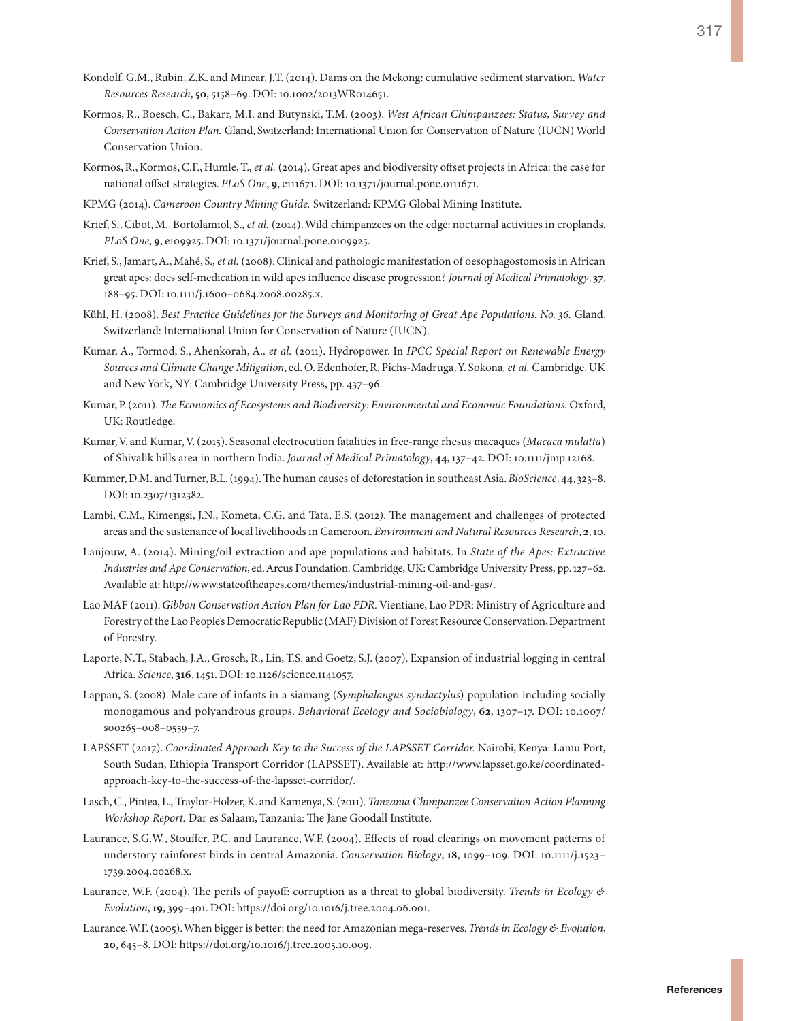- Kondolf, G.M., Rubin, Z.K. and Minear, J.T. (2014). Dams on the Mekong: cumulative sediment starvation. *Water Resources Research*, **50**, 5158–69. DOI: 10.1002/2013WR014651.
- Kormos, R., Boesch, C., Bakarr, M.I. and Butynski, T.M. (2003). *West African Chimpanzees: Status, Survey and Conservation Action Plan.* Gland, Switzerland: International Union for Conservation of Nature (IUCN) World Conservation Union.
- Kormos, R., Kormos, C.F., Humle, T.*, et al.* (2014). Great apes and biodiversity offset projects in Africa: the case for national offset strategies. *PLoS One*, **9**, e111671. DOI: 10.1371/journal.pone.0111671.
- KPMG (2014). *Cameroon Country Mining Guide.* Switzerland: KPMG Global Mining Institute.
- Krief, S., Cibot, M., Bortolamiol, S.*, et al.* (2014). Wild chimpanzees on the edge: nocturnal activities in croplands. *PLoS One*, **9**, e109925. DOI: 10.1371/journal.pone.0109925.
- Krief, S., Jamart, A., Mahé, S.*, et al.* (2008). Clinical and pathologic manifestation of oesophagostomosis in African great apes: does self-medication in wild apes influence disease progression? *Journal of Medical Primatology*, **37**, 188–95. DOI: 10.1111/j.1600–0684.2008.00285.x.
- Kühl, H. (2008). *Best Practice Guidelines for the Surveys and Monitoring of Great Ape Populations. No. 36.* Gland, Switzerland: International Union for Conservation of Nature (IUCN).
- Kumar, A., Tormod, S., Ahenkorah, A.*, et al.* (2011). Hydropower. In *IPCC Special Report on Renewable Energy Sources and Climate Change Mitigation*, ed. O. Edenhofer, R. Pichs-Madruga, Y. Sokona*, et al.* Cambridge, UK and New York, NY: Cambridge University Press, pp. 437–96.
- Kumar, P. (2011). *The Economics of Ecosystems and Biodiversity: Environmental and Economic Foundations.* Oxford, UK: Routledge.
- Kumar, V. and Kumar, V. (2015). Seasonal electrocution fatalities in free-range rhesus macaques (*Macaca mulatta*) of Shivalik hills area in northern India. *Journal of Medical Primatology*, **44**, 137–42. DOI: 10.1111/jmp.12168.
- Kummer, D.M. and Turner, B.L. (1994). The human causes of deforestation in southeast Asia. *BioScience*, **44**, 323–8. DOI: 10.2307/1312382.
- Lambi, C.M., Kimengsi, J.N., Kometa, C.G. and Tata, E.S. (2012). The management and challenges of protected areas and the sustenance of local livelihoods in Cameroon. *Environment and Natural Resources Research*, **2**, 10.
- Lanjouw, A. (2014). Mining/oil extraction and ape populations and habitats. In *State of the Apes: Extractive Industries and Ape Conservation*, ed. Arcus Foundation. Cambridge, UK: Cambridge University Press, pp. 127–62. Available at: [http://www.stateoftheapes.com/themes/industrial-mining-oil-and-gas/.](http://www.stateoftheapes.com/themes/industrial-mining-oil-and-gas/)
- Lao MAF (2011). *Gibbon Conservation Action Plan for Lao PDR.* Vientiane, Lao PDR: Ministry of Agriculture and Forestry of the Lao People's Democratic Republic (MAF) Division of Forest Resource Conservation, Department of Forestry.
- Laporte, N.T., Stabach, J.A., Grosch, R., Lin, T.S. and Goetz, S.J. (2007). Expansion of industrial logging in central Africa. *Science*, **316**, 1451. DOI: 10.1126/science.1141057.
- Lappan, S. (2008). Male care of infants in a siamang (*Symphalangus syndactylus*) population including socially monogamous and polyandrous groups. *Behavioral Ecology and Sociobiology*, **62**, 1307–17. DOI: 10.1007/ s00265–008–0559–7.
- LAPSSET (2017). *Coordinated Approach Key to the Success of the LAPSSET Corridor.* Nairobi, Kenya: Lamu Port, South Sudan, Ethiopia Transport Corridor (LAPSSET). Available at: [http://www.lapsset.go.ke/coordinated](http://www.lapsset.go.ke/coordinated-approach-key-to-the-success-of-the-lapsset-corridor/)[approach-key-to-the-success-of-the-lapsset-corridor/](http://www.lapsset.go.ke/coordinated-approach-key-to-the-success-of-the-lapsset-corridor/).
- Lasch, C., Pintea, L., Traylor-Holzer, K. and Kamenya, S. (2011). *Tanzania Chimpanzee Conservation Action Planning Workshop Report.* Dar es Salaam, Tanzania: The Jane Goodall Institute.
- Laurance, S.G.W., Stouffer, P.C. and Laurance, W.F. (2004). Effects of road clearings on movement patterns of understory rainforest birds in central Amazonia. *Conservation Biology*, **18**, 1099–109. DOI: 10.1111/j.1523– 1739.2004.00268.x.
- Laurance, W.F. (2004). The perils of payoff: corruption as a threat to global biodiversity. *Trends in Ecology & Evolution*, **19**, 399–401. DOI: [https://doi.org/10.1016/j.tree.2004.06.001.](https://doi.org/10.1016/j.tree.2004.06.001)
- Laurance, W.F. (2005). When bigger is better: the need for Amazonian mega-reserves. *Trends in Ecology & Evolution*, **20**, 645–8. DOI: <https://doi.org/10.1016/j.tree.2005.10.009>.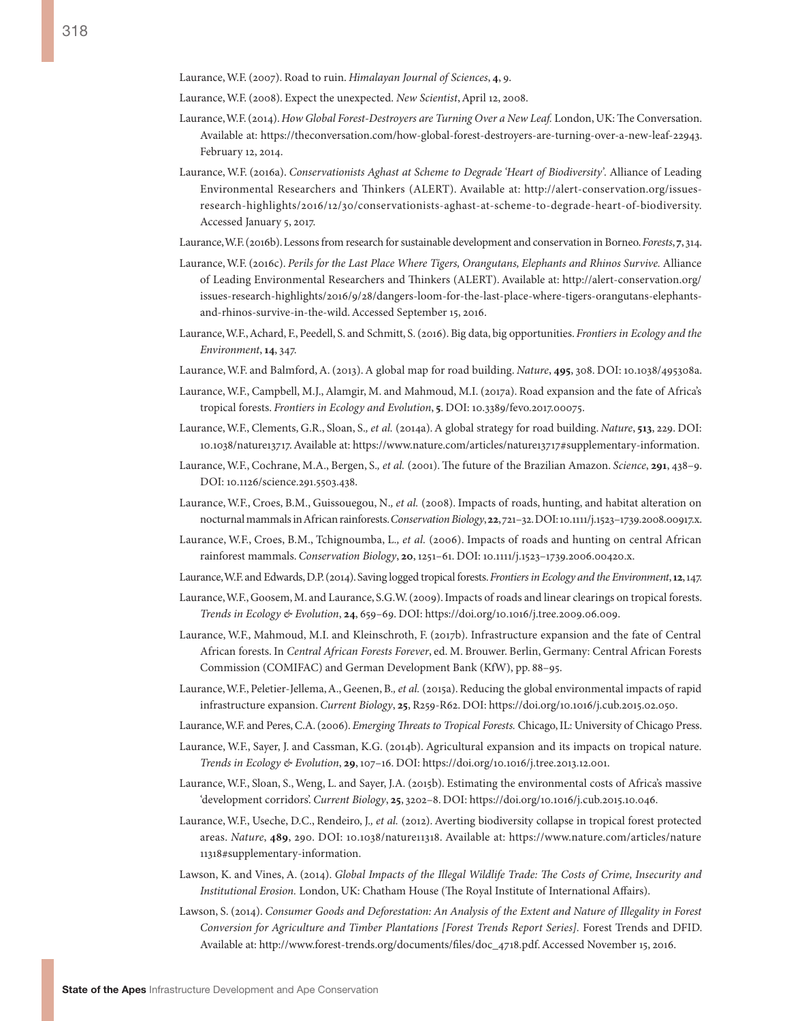Laurance, W.F. (2007). Road to ruin. *Himalayan Journal of Sciences*, **4**, 9.

Laurance, W.F. (2008). Expect the unexpected. *New Scientist*, April 12, 2008.

- Laurance, W.F. (2014). *How Global Forest-Destroyers are Turning Over a New Leaf.* London, UK: The Conversation. Available at: [https://theconversation.com/how-global-forest-destroyers-are-turning-over-a-new-leaf-22943.](https://theconversation.com/how-global-forest-destroyers-are-turning-over-a-new-leaf-22943) February 12, 2014.
- Laurance, W.F. (2016a). *Conservationists Aghast at Scheme to Degrade 'Heart of Biodiversity'.* Alliance of Leading Environmental Researchers and Thinkers (ALERT). Available at: [http://alert-conservation.org/issues](http://alert-conservation.org/issues-research-highlights/2016/12/30/conservationists-aghast-at-scheme-to-degrade-heart-of-biodiversity)[research-highlights/2016/12/30/conservationists-aghast-at-scheme-to-degrade-heart-of-biodiversity.](http://alert-conservation.org/issues-research-highlights/2016/12/30/conservationists-aghast-at-scheme-to-degrade-heart-of-biodiversity) Accessed January 5, 2017.
- Laurance, W.F. (2016b). Lessons from research for sustainable development and conservation in Borneo. *Forests*, **7**, 314.
- Laurance, W.F. (2016c). *Perils for the Last Place Where Tigers, Orangutans, Elephants and Rhinos Survive.* Alliance of Leading Environmental Researchers and Thinkers (ALERT). Available at: [http://alert-conservation.org/](http://alert-conservation.org/issues-research-highlights/2016/9/28/dangers-loom-for-the-last-place-where-tigers-orangutans-elephants-and-rhinos-survive-in-the-wild) [issues-research-highlights/2016/9/28/dangers-loom-for-the-last-place-where-tigers-orangutans-elephants](http://alert-conservation.org/issues-research-highlights/2016/9/28/dangers-loom-for-the-last-place-where-tigers-orangutans-elephants-and-rhinos-survive-in-the-wild)[and-rhinos-survive-in-the-wild](http://alert-conservation.org/issues-research-highlights/2016/9/28/dangers-loom-for-the-last-place-where-tigers-orangutans-elephants-and-rhinos-survive-in-the-wild). Accessed September 15, 2016.
- Laurance, W.F., Achard, F., Peedell, S. and Schmitt, S. (2016). Big data, big opportunities. *Frontiers in Ecology and the Environment*, **14**, 347.
- Laurance, W.F. and Balmford, A. (2013). A global map for road building. *Nature*, **495**, 308. DOI: 10.1038/495308a.
- Laurance, W.F., Campbell, M.J., Alamgir, M. and Mahmoud, M.I. (2017a). Road expansion and the fate of Africa's tropical forests. *Frontiers in Ecology and Evolution*, **5**. DOI: 10.3389/fevo.2017.00075.
- Laurance, W.F., Clements, G.R., Sloan, S.*, et al.* (2014a). A global strategy for road building. *Nature*, **513**, 229. DOI: 10.1038/nature13717. Available at: https://www.nature.com/articles/nature13717#supplementary-information.
- Laurance, W.F., Cochrane, M.A., Bergen, S.*, et al.* (2001). The future of the Brazilian Amazon. *Science*, **291**, 438–9. DOI: 10.1126/science.291.5503.438.
- Laurance, W.F., Croes, B.M., Guissouegou, N.*, et al.* (2008). Impacts of roads, hunting, and habitat alteration on nocturnal mammals in African rainforests. *Conservation Biology*, **22**, 721–32. DOI: 10.1111/j.1523–1739.2008.00917.x.
- Laurance, W.F., Croes, B.M., Tchignoumba, L.*, et al.* (2006). Impacts of roads and hunting on central African rainforest mammals. *Conservation Biology*, **20**, 1251–61. DOI: 10.1111/j.1523–1739.2006.00420.x.
- Laurance, W.F. and Edwards, D.P. (2014). Saving logged tropical forests. *Frontiers in Ecology and the Environment*, **12**, 147.
- Laurance, W.F., Goosem, M. and Laurance, S.G.W. (2009). Impacts of roads and linear clearings on tropical forests. *Trends in Ecology & Evolution*, **24**, 659–69. DOI: [https://doi.org/10.1016/j.tree.2009.06.009.](https://doi.org/10.1016/j.tree.2009.06.009)
- Laurance, W.F., Mahmoud, M.I. and Kleinschroth, F. (2017b). Infrastructure expansion and the fate of Central African forests. In *Central African Forests Forever*, ed. M. Brouwer. Berlin, Germany: Central African Forests Commission (COMIFAC) and German Development Bank (KfW), pp. 88–95.
- Laurance, W.F., Peletier-Jellema, A., Geenen, B.*, et al.* (2015a). Reducing the global environmental impacts of rapid infrastructure expansion. *Current Biology*, **25**, R259-R62. DOI: <https://doi.org/10.1016/j.cub.2015.02.050>.
- Laurance, W.F. and Peres, C.A. (2006). *Emerging Threats to Tropical Forests.* Chicago, IL: University of Chicago Press.
- Laurance, W.F., Sayer, J. and Cassman, K.G. (2014b). Agricultural expansion and its impacts on tropical nature. *Trends in Ecology & Evolution*, **29**, 107–16. DOI: https://doi.org/10.1016/j.tree.2013.12.001.
- Laurance, W.F., Sloan, S., Weng, L. and Sayer, J.A. (2015b). Estimating the environmental costs of Africa's massive 'development corridors'. *Current Biology*, **25**, 3202–8. DOI: [https://doi.org/10.1016/j.cub.2015.10.046.](https://doi.org/10.1016/j.cub.2015.10.046)
- Laurance, W.F., Useche, D.C., Rendeiro, J.*, et al.* (2012). Averting biodiversity collapse in tropical forest protected areas. *Nature*, **489**, 290. DOI: 10.1038/nature11318. Available at: [https://www.nature.com/articles/nature](https://www.nature.com/articles/nature11318#supplementary-information) [11318#supplementary-information.](https://www.nature.com/articles/nature11318#supplementary-information)
- Lawson, K. and Vines, A. (2014). *Global Impacts of the Illegal Wildlife Trade: The Costs of Crime, Insecurity and Institutional Erosion.* London, UK: Chatham House (The Royal Institute of International Affairs).
- Lawson, S. (2014). *Consumer Goods and Deforestation: An Analysis of the Extent and Nature of Illegality in Forest Conversion for Agriculture and Timber Plantations [Forest Trends Report Series].* Forest Trends and DFID. Available at: [http://www.forest-trends.org/documents/files/doc\\_4718](http://www.forest-trends.org/documents/files/doc_4718).pdf. Accessed November 15, 2016.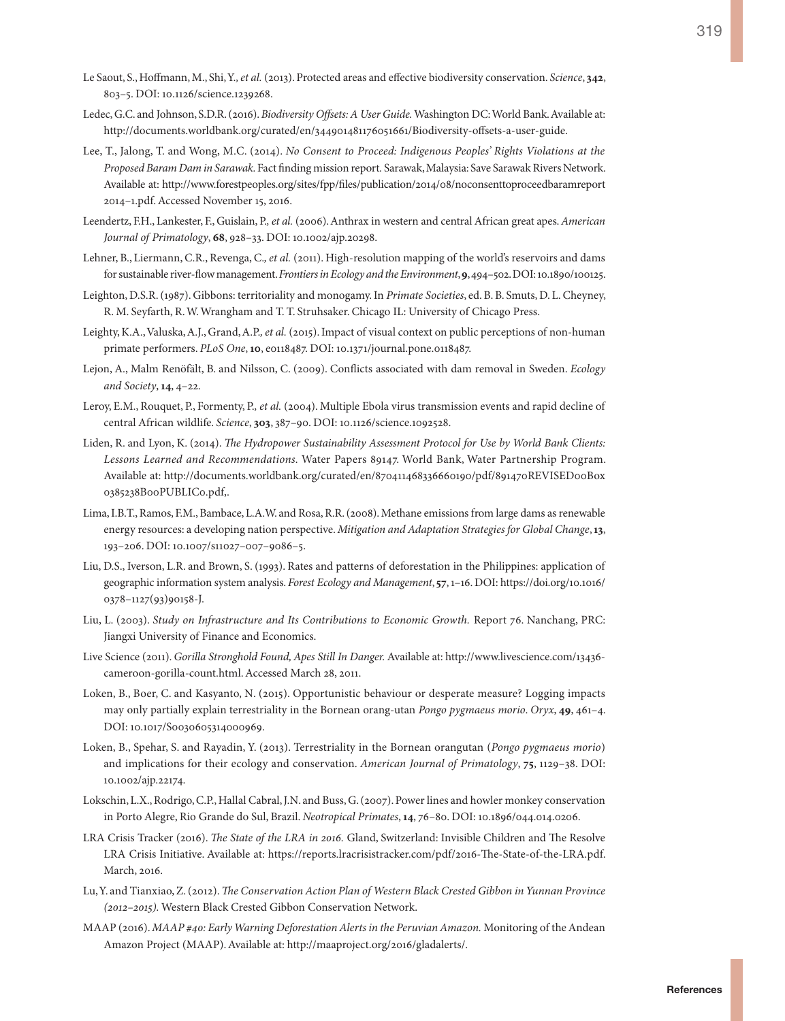- Le Saout, S., Hoffmann, M., Shi, Y.*, et al.* (2013). Protected areas and effective biodiversity conservation. *Science*, **342**, 803–5. DOI: 10.1126/science.1239268.
- Ledec, G.C. and Johnson, S.D.R. (2016). *Biodiversity Offsets: A User Guide.* Washington DC: World Bank. Available at: [http://documents.worldbank.org/curated/en/344901481176051661/Biodiversity-offsets-a-user-guide.](http://documents.worldbank.org/curated/en/344901481176051661/Biodiversity-offsets-a-user-guide)
- Lee, T., Jalong, T. and Wong, M.C. (2014). *No Consent to Proceed: Indigenous Peoples' Rights Violations at the Proposed Baram Dam in Sarawak.* Fact finding mission report*.* Sarawak, Malaysia: Save Sarawak Rivers Network. Available at: [http://www.forestpeoples.org/sites/fpp/files/publication/2014/08/noconsenttoproceedbaramreport](http://www.forestpeoples.org/sites/fpp/files/publication/2014/08/noconsenttoproceedbaramreport2014-1.pdf) [2014–1.pdf.](http://www.forestpeoples.org/sites/fpp/files/publication/2014/08/noconsenttoproceedbaramreport2014-1.pdf) Accessed November 15, 2016.
- Leendertz, F.H., Lankester, F., Guislain, P.*, et al.* (2006). Anthrax in western and central African great apes. *American Journal of Primatology*, **68**, 928–33. DOI: 10.1002/ajp.20298.
- Lehner, B., Liermann, C.R., Revenga, C.*, et al.* (2011). High-resolution mapping of the world's reservoirs and dams for sustainable river-flow management. *Frontiers in Ecology and the Environment*, **9**, 494–502. DOI: 10.1890/100125.
- Leighton, D.S.R. (1987). Gibbons: territoriality and monogamy. In *Primate Societies*, ed. B. B. Smuts, D. L. Cheyney, R. M. Seyfarth, R. W. Wrangham and T. T. Struhsaker. Chicago IL: University of Chicago Press.
- Leighty, K.A., Valuska, A.J., Grand, A.P.*, et al.* (2015). Impact of visual context on public perceptions of non-human primate performers. *PLoS One*, **10**, e0118487. DOI: 10.1371/journal.pone.0118487.
- Lejon, A., Malm Renöfält, B. and Nilsson, C. (2009). Conflicts associated with dam removal in Sweden. *Ecology and Society*, **14**, 4–22.
- Leroy, E.M., Rouquet, P., Formenty, P.*, et al.* (2004). Multiple Ebola virus transmission events and rapid decline of central African wildlife. *Science*, **303**, 387–90. DOI: 10.1126/science.1092528.
- Liden, R. and Lyon, K. (2014). *The Hydropower Sustainability Assessment Protocol for Use by World Bank Clients: Lessons Learned and Recommendations.* Water Papers 89147. World Bank, Water Partnership Program. Available at: [http://documents.worldbank.org/curated/en/870411468336660190/pdf/891470REVISED00Box](http://documents.worldbank.org/curated/en/870411468336660190/pdf/891470REVISED00Box0385238B00PUBLIC0.pdf,) [0385238B00PUBLIC0.pdf,.](http://documents.worldbank.org/curated/en/870411468336660190/pdf/891470REVISED00Box0385238B00PUBLIC0.pdf,)
- Lima, I.B.T., Ramos, F.M., Bambace, L.A.W. and Rosa, R.R. (2008). Methane emissions from large dams as renewable energy resources: a developing nation perspective. *Mitigation and Adaptation Strategies for Global Change*, **13**, 193–206. DOI: 10.1007/s11027–007–9086–5.
- Liu, D.S., Iverson, L.R. and Brown, S. (1993). Rates and patterns of deforestation in the Philippines: application of geographic information system analysis. *Forest Ecology and Management*, **57**, 1–16. DOI: [https://doi.org/10.1016/](https://doi.org/10.1016/0378-1127(93)90158-J) [0378–1127\(93\)90158-J.](https://doi.org/10.1016/0378-1127(93)90158-J)
- Liu, L. (2003). *Study on Infrastructure and Its Contributions to Economic Growth.* Report 76. Nanchang, PRC: Jiangxi University of Finance and Economics.
- Live Science (2011). *Gorilla Stronghold Found, Apes Still In Danger.* Available at: [http://www.livescience.com/13436](http://www.livescience.com/13436-cameroon-gorilla-count.html) [cameroon-gorilla-count.html](http://www.livescience.com/13436-cameroon-gorilla-count.html). Accessed March 28, 2011.
- Loken, B., Boer, C. and Kasyanto, N. (2015). Opportunistic behaviour or desperate measure? Logging impacts may only partially explain terrestriality in the Bornean orang-utan *Pongo pygmaeus morio*. *Oryx*, **49**, 461–4. DOI: 10.1017/S0030605314000969.
- Loken, B., Spehar, S. and Rayadin, Y. (2013). Terrestriality in the Bornean orangutan (*Pongo pygmaeus morio*) and implications for their ecology and conservation. *American Journal of Primatology*, **75**, 1129–38. DOI: 10.1002/ajp.22174.
- Lokschin, L.X., Rodrigo, C.P., Hallal Cabral, J.N. and Buss, G. (2007). Power lines and howler monkey conservation in Porto Alegre, Rio Grande do Sul, Brazil. *Neotropical Primates*, **14**, 76–80. DOI: 10.1896/044.014.0206.
- LRA Crisis Tracker (2016). *The State of the LRA in 2016.* Gland, Switzerland: Invisible Children and The Resolve LRA Crisis Initiative. Available at: [https://reports.lracrisistracker.com/pdf/2016-The-State-of-the-LRA.pdf.](https://reports.lracrisistracker.com/pdf/2016-The-State-of-the-LRA.pdf) March, 2016.
- Lu, Y. and Tianxiao, Z. (2012). *The Conservation Action Plan of Western Black Crested Gibbon in Yunnan Province (2012–2015).* Western Black Crested Gibbon Conservation Network.
- MAAP (2016). *MAAP #40: Early Warning Deforestation Alerts in the Peruvian Amazon.* Monitoring of the Andean Amazon Project (MAAP). Available at: [http://maaproject.org/2016/gladalerts/.](http://maaproject.org/2016/gladalerts/)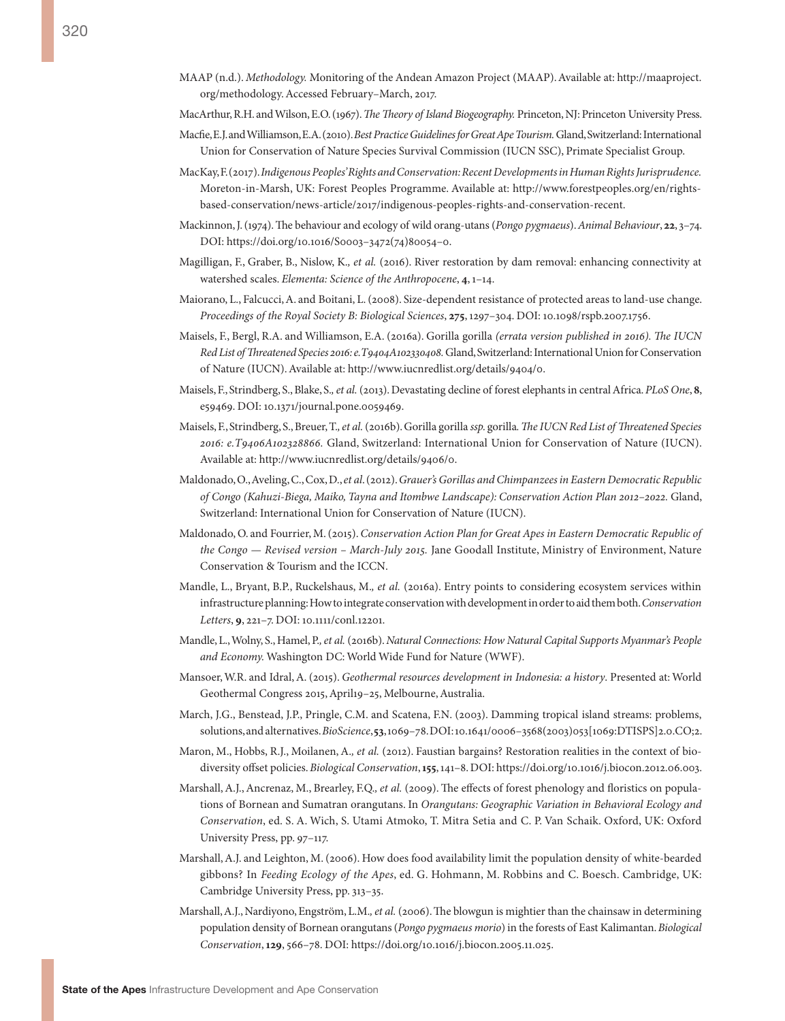- MAAP (n.d.). *Methodology.* Monitoring of the Andean Amazon Project (MAAP). Available at: [http://maaproject.](http://maaproject.org/methodology) [org/methodology](http://maaproject.org/methodology). Accessed February–March, 2017.
- MacArthur, R.H. and Wilson, E.O. (1967). *The Theory of Island Biogeography.* Princeton, NJ: Princeton University Press.
- Macfie, E.J. and Williamson, E.A. (2010). *Best Practice Guidelines for Great Ape Tourism.* Gland, Switzerland: International Union for Conservation of Nature Species Survival Commission (IUCN SSC), Primate Specialist Group.
- MacKay, F. (2017). *Indigenous Peoples' Rights and Conservation: Recent Developments in Human Rights Jurisprudence.* Moreton-in-Marsh, UK: Forest Peoples Programme. Available at: [http://www.forestpeoples.org/en/rights]( http://www.forestpeoples.org/en/rights-based-conservation/news-article/2017/indigenous-peoples-rights-and-conservation-recent)[based-conservation/news-article/2017/indigenous-peoples-rights-and-conservation-recent]( http://www.forestpeoples.org/en/rights-based-conservation/news-article/2017/indigenous-peoples-rights-and-conservation-recent).
- Mackinnon, J. (1974). The behaviour and ecology of wild orang-utans (*Pongo pygmaeus*). *Animal Behaviour*, **22**, 3–74. DOI: https://doi.org/10.1016/S0003–3472(74)80054–0.
- Magilligan, F., Graber, B., Nislow, K.*, et al.* (2016). River restoration by dam removal: enhancing connectivity at watershed scales. *Elementa: Science of the Anthropocene*, **4**, 1–14.
- Maiorano, L., Falcucci, A. and Boitani, L. (2008). Size-dependent resistance of protected areas to land-use change. *Proceedings of the Royal Society B: Biological Sciences*, **275**, 1297–304. DOI: 10.1098/rspb.2007.1756.
- Maisels, F., Bergl, R.A. and Williamson, E.A. (2016a). Gorilla gorilla *(errata version published in 2016). The IUCN Red List of Threatened Species 2016: e.T9404A102330408.* Gland, Switzerland: International Union for Conservation of Nature (IUCN). Available at: [http://www.iucnredlist.org/details/9404/0.](http://www.iucnredlist.org/details/9404/0)
- Maisels, F., Strindberg, S., Blake, S.*, et al.* (2013). Devastating decline of forest elephants in central Africa. *PLoS One*, **8**, e59469. DOI: 10.1371/journal.pone.0059469.
- Maisels, F., Strindberg, S., Breuer, T.*, et al.* (2016b). Gorilla gorilla *ssp.* gorilla*. The IUCN Red List of Threatened Species 2016: e.T9406A102328866.* Gland, Switzerland: International Union for Conservation of Nature (IUCN). Available at: <http://www.iucnredlist.org/details/9406/0>.
- Maldonado, O., Aveling, C., Cox, D., *et al*. (2012). *Grauer's Gorillas and Chimpanzees in Eastern Democratic Republic of Congo (Kahuzi-Biega, Maiko, Tayna and Itombwe Landscape): Conservation Action Plan 2012–2022.* Gland, Switzerland: International Union for Conservation of Nature (IUCN).
- Maldonado, O. and Fourrier, M. (2015). *Conservation Action Plan for Great Apes in Eastern Democratic Republic of the Congo — Revised version – March-July 2015.* Jane Goodall Institute, Ministry of Environment, Nature Conservation & Tourism and the ICCN.
- Mandle, L., Bryant, B.P., Ruckelshaus, M.*, et al.* (2016a). Entry points to considering ecosystem services within infrastructure planning: How to integrate conservation with development in order to aid them both. *Conservation Letters*, **9**, 221–7. DOI: 10.1111/conl.12201.
- Mandle, L., Wolny, S., Hamel, P.*, et al.* (2016b). *Natural Connections: How Natural Capital Supports Myanmar's People and Economy.* Washington DC: World Wide Fund for Nature (WWF).
- Mansoer, W.R. and Idral, A. (2015). *Geothermal resources development in Indonesia: a history*. Presented at: World Geothermal Congress 2015, April19–25, Melbourne, Australia.
- March, J.G., Benstead, J.P., Pringle, C.M. and Scatena, F.N. (2003). Damming tropical island streams: problems, solutions, and alternatives. *BioScience*, **53**, 1069–78. DOI: 10.1641/0006–3568(2003)053[1069:DTISPS]2.0.CO;2.
- Maron, M., Hobbs, R.J., Moilanen, A.*, et al.* (2012). Faustian bargains? Restoration realities in the context of biodiversity offset policies. *Biological Conservation*, **155**, 141–8. DOI: [https://doi.org/10.1016/j.biocon.2012.06.003.](https://doi.org/10.1016/j.biocon.2012.06.003)
- Marshall, A.J., Ancrenaz, M., Brearley, F.Q.*, et al.* (2009). The effects of forest phenology and floristics on populations of Bornean and Sumatran orangutans. In *Orangutans: Geographic Variation in Behavioral Ecology and Conservation*, ed. S. A. Wich, S. Utami Atmoko, T. Mitra Setia and C. P. Van Schaik. Oxford, UK: Oxford University Press, pp. 97–117.
- Marshall, A.J. and Leighton, M. (2006). How does food availability limit the population density of white-bearded gibbons? In *Feeding Ecology of the Apes*, ed. G. Hohmann, M. Robbins and C. Boesch. Cambridge, UK: Cambridge University Press, pp. 313–35.
- Marshall, A.J., Nardiyono, Engström, L.M.*, et al.* (2006). The blowgun is mightier than the chainsaw in determining population density of Bornean orangutans (*Pongo pygmaeus morio*) in the forests of East Kalimantan. *Biological Conservation*, **129**, 566–78. DOI: <https://doi.org/10.1016/j.biocon.2005.11.025>.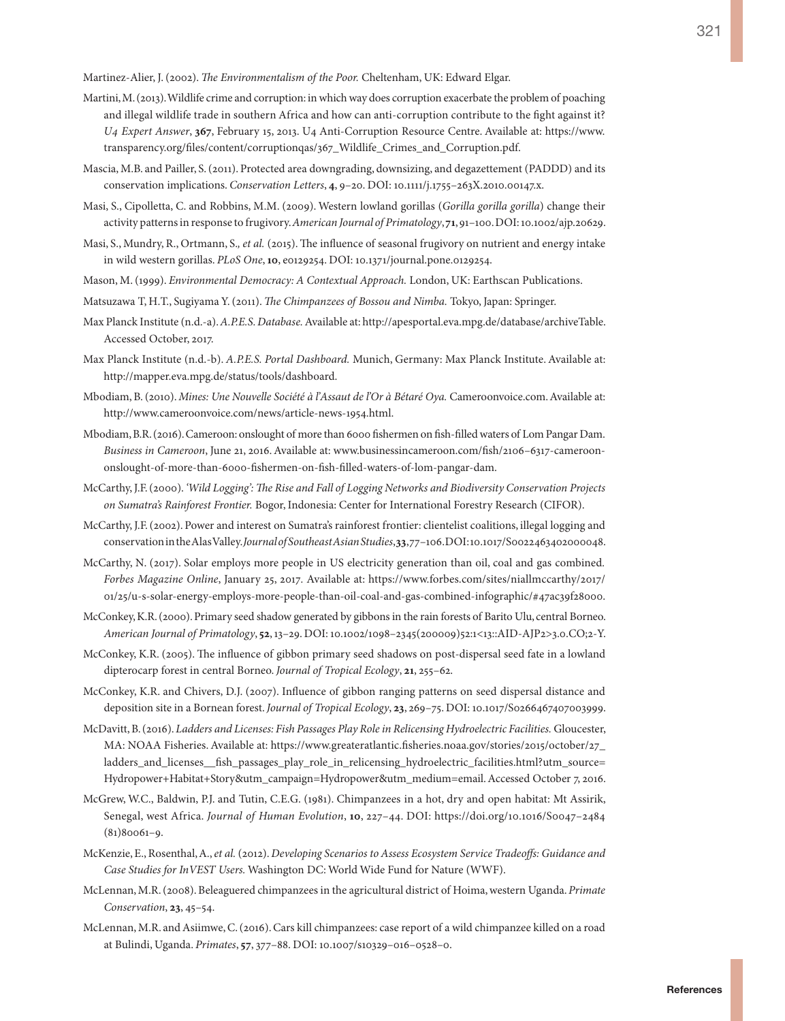Martinez-Alier, J. (2002). *The Environmentalism of the Poor.* Cheltenham, UK: Edward Elgar.

- Martini, M. (2013). Wildlife crime and corruption: in which way does corruption exacerbate the problem of poaching and illegal wildlife trade in southern Africa and how can anti-corruption contribute to the fight against it? *U4 Expert Answer*, **367**, February 15, 2013. U4 Anti-Corruption Resource Centre. Available at: [https://www.](https://www.transparency.org/files/content/corruptionqas/367_Wildlife_Crimes_and_Corruption.pdf) [transparency.org/files/content/corruptionqas/367\\_Wildlife\\_Crimes\\_and\\_Corruption.pdf.](https://www.transparency.org/files/content/corruptionqas/367_Wildlife_Crimes_and_Corruption.pdf)
- Mascia, M.B. and Pailler, S. (2011). Protected area downgrading, downsizing, and degazettement (PADDD) and its conservation implications. *Conservation Letters*, **4**, 9–20. DOI: 10.1111/j.1755–263X.2010.00147.x.
- Masi, S., Cipolletta, C. and Robbins, M.M. (2009). Western lowland gorillas (*Gorilla gorilla gorilla*) change their activity patterns in response to frugivory. *American Journal of Primatology*, **71**, 91–100. DOI: 10.1002/ajp.20629.
- Masi, S., Mundry, R., Ortmann, S.*, et al.* (2015). The influence of seasonal frugivory on nutrient and energy intake in wild western gorillas. *PLoS One*, **10**, e0129254. DOI: 10.1371/journal.pone.0129254.
- Mason, M. (1999). *Environmental Democracy: A Contextual Approach.* London, UK: Earthscan Publications.
- Matsuzawa T, H.T., Sugiyama Y. (2011). *The Chimpanzees of Bossou and Nimba.* Tokyo, Japan: Springer.
- Max Planck Institute (n.d.-a). *A.P.E.S. Database.* Available at: [http://apesportal.eva.mpg.de/database/archiveTable.](http://apesportal.eva.mpg.de/database/archiveTable) Accessed October, 2017.
- Max Planck Institute (n.d.-b). *A.P.E.S. Portal Dashboard.* Munich, Germany: Max Planck Institute. Available at: [http://mapper.eva.mpg.de/status/tools/dashboard.](http://mapper.eva.mpg.de/status/tools/dashboard)
- Mbodiam, B. (2010). *Mines: Une Nouvelle Société à l'Assaut de l'Or à Bétaré Oya.* Cameroonvoice.com. Available at: <http://www.cameroonvoice.com/news/article-news-1954.html>.
- Mbodiam, B.R. (2016). Cameroon: onslought of more than 6000 fishermen on fish-filled waters of Lom Pangar Dam. *Business in Cameroon*, June 21, 2016. Available at: [www.businessincameroon.com/fish/2106–6317-cameroon](www.businessincameroon.com/fish/2106-6317-cameroon-onslought-of-more-than-6000-fishermen-on-fish-filled-waters-of-lom-pangar-dam)[onslought-of-more-than-6000-fishermen-on-fish-filled-waters-of-lom-pangar-dam.](www.businessincameroon.com/fish/2106-6317-cameroon-onslought-of-more-than-6000-fishermen-on-fish-filled-waters-of-lom-pangar-dam)
- McCarthy, J.F. (2000). *'Wild Logging': The Rise and Fall of Logging Networks and Biodiversity Conservation Projects on Sumatra's Rainforest Frontier.* Bogor, Indonesia: Center for International Forestry Research (CIFOR).
- McCarthy, J.F. (2002). Power and interest on Sumatra's rainforest frontier: clientelist coalitions, illegal logging and conservation in the Alas Valley. *Journal of Southeast Asian Studies*, **33**, 77–106. DOI: 10.1017/S0022463402000048.
- McCarthy, N. (2017). Solar employs more people in US electricity generation than oil, coal and gas combined*. Forbes Magazine Online*, January 25, 2017*.* Available at: [https://www.forbes.com/sites/niallmccarthy/2017/](https://www.forbes.com/sites/niallmccarthy/2017/01/25/u-s-solar-energy-employs-more-people-than-oil-coal-and-gas-combined-infographic/#47ac39f28000) [01/25/u-s-solar-energy-employs-more-people-than-oil-coal-and-gas-combined-infographic/#47ac39f28000.](https://www.forbes.com/sites/niallmccarthy/2017/01/25/u-s-solar-energy-employs-more-people-than-oil-coal-and-gas-combined-infographic/#47ac39f28000)
- McConkey, K.R. (2000). Primary seed shadow generated by gibbons in the rain forests of Barito Ulu, central Borneo. *American Journal of Primatology*, **52**, 13–29. DOI: 10.1002/1098–2345(200009)52:1<13::AID-AJP2>3.0.CO;2-Y.
- McConkey, K.R. (2005). The influence of gibbon primary seed shadows on post-dispersal seed fate in a lowland dipterocarp forest in central Borneo. *Journal of Tropical Ecology*, **21**, 255–62.
- McConkey, K.R. and Chivers, D.J. (2007). Influence of gibbon ranging patterns on seed dispersal distance and deposition site in a Bornean forest. *Journal of Tropical Ecology*, **23**, 269–75. DOI: 10.1017/S0266467407003999.
- McDavitt, B. (2016). *Ladders and Licenses: Fish Passages Play Role in Relicensing Hydroelectric Facilities.* Gloucester, MA: NOAA Fisheries. Available at: [https://www.greateratlantic.fisheries.noaa.gov/stories/2015/october/27\\_](https://www.greateratlantic.fisheries.noaa.gov/stories/2015/october/27_ladders_and_licenses__fish_passages_play_role_in_relicensing_hydroelectric_facilities.html?utm_source=Hydropower+Habitat+Story&utm_campaign=Hydropower&utm_medium=email) [ladders\\_and\\_licenses\\_\\_fish\\_passages\\_play\\_role\\_in\\_relicensing\\_hydroelectric\\_facilities.html?utm\\_source=](https://www.greateratlantic.fisheries.noaa.gov/stories/2015/october/27_ladders_and_licenses__fish_passages_play_role_in_relicensing_hydroelectric_facilities.html?utm_source=Hydropower+Habitat+Story&utm_campaign=Hydropower&utm_medium=email) [Hydropower+Habitat+Story&utm\\_campaign=Hydropower&utm\\_medium=email](https://www.greateratlantic.fisheries.noaa.gov/stories/2015/october/27_ladders_and_licenses__fish_passages_play_role_in_relicensing_hydroelectric_facilities.html?utm_source=Hydropower+Habitat+Story&utm_campaign=Hydropower&utm_medium=email). Accessed October 7, 2016.
- McGrew, W.C., Baldwin, P.J. and Tutin, C.E.G. (1981). Chimpanzees in a hot, dry and open habitat: Mt Assirik, Senegal, west Africa. *Journal of Human Evolution*, **10**, 227–44. DOI: [https://doi.org/10.1016/S0047–2484](https://doi.org/10.1016/S0047-2484 (81)80061-9) [\(81\)80061–9.](https://doi.org/10.1016/S0047-2484 (81)80061-9)
- McKenzie, E., Rosenthal, A., *et al.* (2012). *Developing Scenarios to Assess Ecosystem Service Tradeoffs: Guidance and Case Studies for InVEST Users.* Washington DC: World Wide Fund for Nature (WWF).
- McLennan, M.R. (2008). Beleaguered chimpanzees in the agricultural district of Hoima, western Uganda. *Primate Conservation*, **23**, 45–54.
- McLennan, M.R. and Asiimwe, C. (2016). Cars kill chimpanzees: case report of a wild chimpanzee killed on a road at Bulindi, Uganda. *Primates*, **57**, 377–88. DOI: 10.1007/s10329–016–0528–0.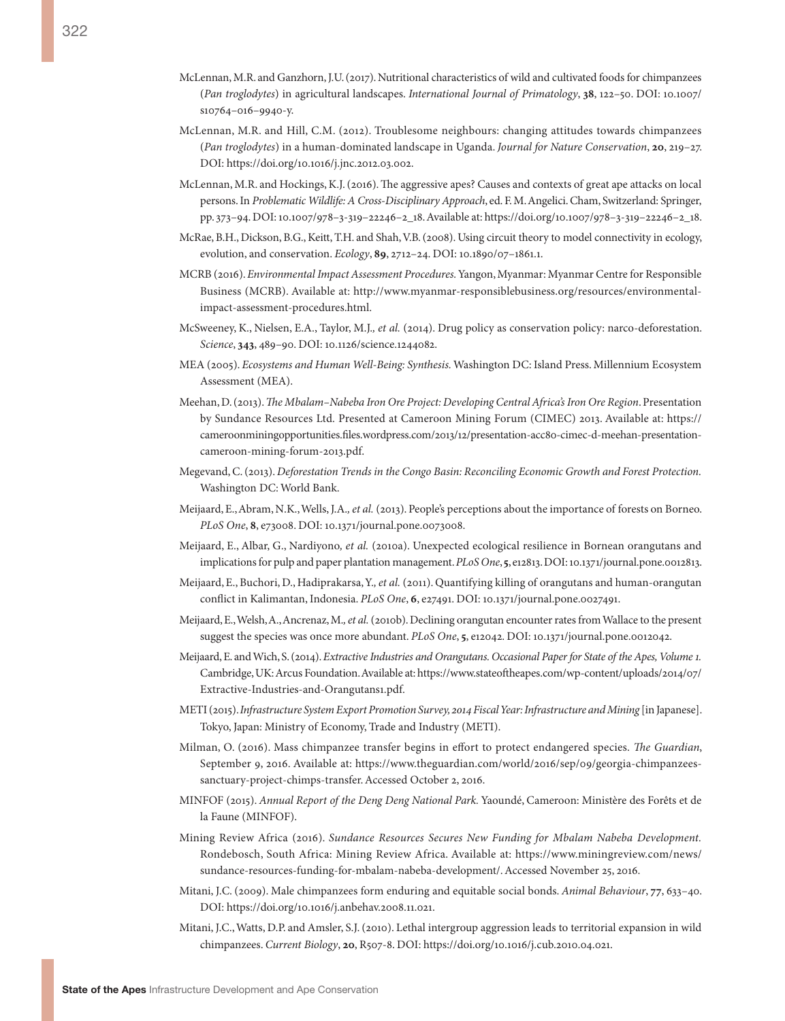- McLennan, M.R. and Ganzhorn, J.U. (2017). Nutritional characteristics of wild and cultivated foods for chimpanzees (*Pan troglodytes*) in agricultural landscapes. *International Journal of Primatology*, **38**, 122–50. DOI: 10.1007/ s10764–016–9940-y.
- McLennan, M.R. and Hill, C.M. (2012). Troublesome neighbours: changing attitudes towards chimpanzees (*Pan troglodytes*) in a human-dominated landscape in Uganda. *Journal for Nature Conservation*, **20**, 219–27. DOI: [https://doi.org/10.1016/j.jnc.2012.03.002.](https://doi.org/10.1016/j.jnc.2012.03.002)
- McLennan, M.R. and Hockings, K.J. (2016). The aggressive apes? Causes and contexts of great ape attacks on local persons. In *Problematic Wildlife: A Cross-Disciplinary Approach*, ed. F. M. Angelici. Cham, Switzerland: Springer, pp. 373–94. DOI: 10.1007/978–3-319–22246–2\_18. Available at: [https://doi.org/10.1007/978–3-319–22246–2\\_18.](https://doi.org/10.1007/978-3-319-22246-2_18)
- McRae, B.H., Dickson, B.G., Keitt, T.H. and Shah, V.B. (2008). Using circuit theory to model connectivity in ecology, evolution, and conservation. *Ecology*, **89**, 2712–24. DOI: 10.1890/07–1861.1.
- MCRB (2016). *Environmental Impact Assessment Procedures.* Yangon, Myanmar: Myanmar Centre for Responsible Business (MCRB). Available at: [http://www.myanmar-responsiblebusiness.org/resources/environmental](http://www.myanmar-responsiblebusiness.org/resources/environmental-impact-assessment-procedures.html)[impact-assessment-procedures.html](http://www.myanmar-responsiblebusiness.org/resources/environmental-impact-assessment-procedures.html).
- McSweeney, K., Nielsen, E.A., Taylor, M.J.*, et al.* (2014). Drug policy as conservation policy: narco-deforestation. *Science*, **343**, 489–90. DOI: 10.1126/science.1244082.
- MEA (2005). *Ecosystems and Human Well-Being: Synthesis.* Washington DC: Island Press. Millennium Ecosystem Assessment (MEA).
- Meehan, D. (2013). *The Mbalam–Nabeba Iron Ore Project: Developing Central Africa's Iron Ore Region*. Presentation by Sundance Resources Ltd. Presented at Cameroon Mining Forum (CIMEC) 2013. Available at: [https://](https://cameroonminingopportunities.files.wordpress.com/2013/12/presentation-acc80-cimec-d-meehan-presentation-cameroon-mining-forum-2013.pdf) [cameroonminingopportunities.files.wordpress.com/2013/12/presentation-acc80-cimec-d-meehan-presentation](https://cameroonminingopportunities.files.wordpress.com/2013/12/presentation-acc80-cimec-d-meehan-presentation-cameroon-mining-forum-2013.pdf)[cameroon-mining-forum-2013.pdf](https://cameroonminingopportunities.files.wordpress.com/2013/12/presentation-acc80-cimec-d-meehan-presentation-cameroon-mining-forum-2013.pdf).
- Megevand, C. (2013). *Deforestation Trends in the Congo Basin: Reconciling Economic Growth and Forest Protection.* Washington DC: World Bank.
- Meijaard, E., Abram, N.K., Wells, J.A.*, et al.* (2013). People's perceptions about the importance of forests on Borneo. *PLoS One*, **8**, e73008. DOI: 10.1371/journal.pone.0073008.
- Meijaard, E., Albar, G., Nardiyono*, et al.* (2010a). Unexpected ecological resilience in Bornean orangutans and implications for pulp and paper plantation management. *PLoS One*, **5**, e12813. DOI: 10.1371/journal.pone.0012813.
- Meijaard, E., Buchori, D., Hadiprakarsa, Y.*, et al.* (2011). Quantifying killing of orangutans and human-orangutan conflict in Kalimantan, Indonesia. *PLoS One*, **6**, e27491. DOI: 10.1371/journal.pone.0027491.
- Meijaard, E., Welsh, A., Ancrenaz, M.*, et al.* (2010b). Declining orangutan encounter rates from Wallace to the present suggest the species was once more abundant. *PLoS One*, **5**, e12042. DOI: 10.1371/journal.pone.0012042.
- Meijaard, E. and Wich, S. (2014). *Extractive Industries and Orangutans. Occasional Paper for State of the Apes, Volume 1.* Cambridge, UK: Arcus Foundation. Available at: [https://www.stateoftheapes.com/wp-content/uploads/2014/07/](https://www.stateoftheapes.com/wp-content/uploads/2014/07/Extractive-Industries-and-Orangutans1.pdf) [Extractive-Industries-and-Orangutans1.pdf.](https://www.stateoftheapes.com/wp-content/uploads/2014/07/Extractive-Industries-and-Orangutans1.pdf)
- METI (2015). *Infrastructure System Export Promotion Survey, 2014 Fiscal Year: Infrastructure and Mining* [in Japanese]. Tokyo, Japan: Ministry of Economy, Trade and Industry (METI).
- Milman, O. (2016). Mass chimpanzee transfer begins in effort to protect endangered species. *The Guardian*, September 9, 2016. Available at: [https://www.theguardian.com/world/2016/sep/09/georgia-chimpanzees](https://www.theguardian.com/world/2016/sep/09/georgia-chimpanzees-sanctuary-project-chimps-transfer)[sanctuary-project-chimps-transfer](https://www.theguardian.com/world/2016/sep/09/georgia-chimpanzees-sanctuary-project-chimps-transfer). Accessed October 2, 2016.
- MINFOF (2015). *Annual Report of the Deng Deng National Park.* Yaoundé, Cameroon: Ministère des Forêts et de la Faune (MINFOF).
- Mining Review Africa (2016). *Sundance Resources Secures New Funding for Mbalam Nabeba Development.* Rondebosch, South Africa: Mining Review Africa. Available at: [https://www.miningreview.com/news/](https://www.miningreview.com/news/sundance-resources-funding-for-mbalam-nabeba-development/) [sundance-resources-funding-for-mbalam-nabeba-development/.](https://www.miningreview.com/news/sundance-resources-funding-for-mbalam-nabeba-development/) Accessed November 25, 2016.
- Mitani, J.C. (2009). Male chimpanzees form enduring and equitable social bonds. *Animal Behaviour*, **77**, 633–40. DOI: <https://doi.org/10.1016/j.anbehav.2008.11.021>.
- Mitani, J.C., Watts, D.P. and Amsler, S.J. (2010). Lethal intergroup aggression leads to territorial expansion in wild chimpanzees. *Current Biology*, **20**, R507-8. DOI: https://doi.org/10.1016/j.cub.2010.04.021.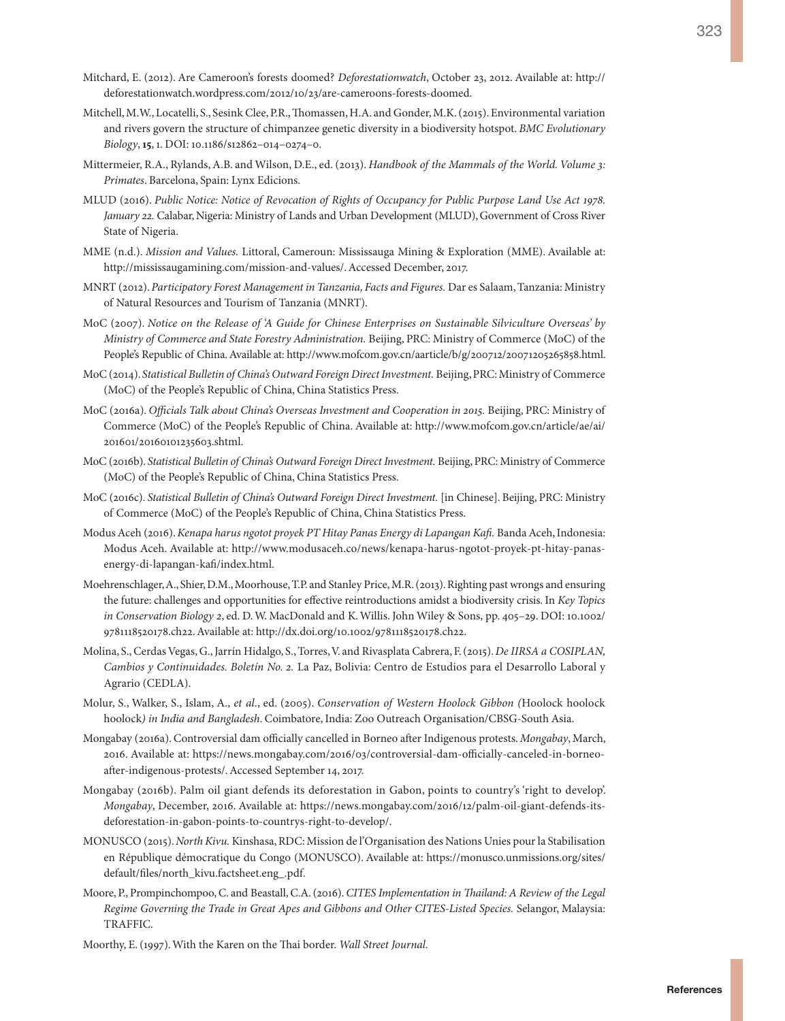- Mitchard, E. (2012). Are Cameroon's forests doomed? *Deforestationwatch*, October 23, 2012. Available at: [http://](http://deforestationwatch.wordpress.com/2012/10/23/are-cameroons-forests-doomed) [deforestationwatch.wordpress.com/2012/10/23/are-cameroons-forests-doomed.](http://deforestationwatch.wordpress.com/2012/10/23/are-cameroons-forests-doomed)
- Mitchell, M.W., Locatelli, S., Sesink Clee, P.R., Thomassen, H.A. and Gonder, M.K. (2015). Environmental variation and rivers govern the structure of chimpanzee genetic diversity in a biodiversity hotspot. *BMC Evolutionary Biology*, **15**, 1. DOI: 10.1186/s12862–014–0274–0.
- Mittermeier, R.A., Rylands, A.B. and Wilson, D.E., ed. (2013). *Handbook of the Mammals of the World. Volume 3: Primates*. Barcelona, Spain: Lynx Edicions.
- MLUD (2016). *Public Notice: Notice of Revocation of Rights of Occupancy for Public Purpose Land Use Act 1978. January 22.* Calabar, Nigeria: Ministry of Lands and Urban Development (MLUD), Government of Cross River State of Nigeria.
- MME (n.d.). *Mission and Values.* Littoral, Cameroun: Mississauga Mining & Exploration (MME). Available at: [http://mississaugamining.com/mission-and-values/.](http://mississaugamining.com/mission-and-values/) Accessed December, 2017.
- MNRT (2012). *Participatory Forest Management in Tanzania, Facts and Figures.* Dar es Salaam, Tanzania: Ministry of Natural Resources and Tourism of Tanzania (MNRT).
- MoC (2007). *Notice on the Release of 'A Guide for Chinese Enterprises on Sustainable Silviculture Overseas' by Ministry of Commerce and State Forestry Administration.* Beijing, PRC: Ministry of Commerce (MoC) of the People's Republic of China. Available at: [http://www.mofcom.gov.cn/aarticle/b/g/200712/20071205265858.html.](http://www.mofcom.gov.cn/aarticle/b/g/200712/20071205265858.html)
- MoC (2014). *Statistical Bulletin of China's Outward Foreign Direct Investment.* Beijing, PRC: Ministry of Commerce (MoC) of the People's Republic of China, China Statistics Press.
- MoC (2016a). *Officials Talk about China's Overseas Investment and Cooperation in 2015.* Beijing, PRC: Ministry of Commerce (MoC) of the People's Republic of China. Available at: [http://www.mofcom.gov.cn/article/ae/ai/](http://www.mofcom.gov.cn/article/ae/ai/201601/20160101235603.shtml) [201601/20160101235603.shtml](http://www.mofcom.gov.cn/article/ae/ai/201601/20160101235603.shtml).
- MoC (2016b). *Statistical Bulletin of China's Outward Foreign Direct Investment.* Beijing, PRC: Ministry of Commerce (MoC) of the People's Republic of China, China Statistics Press.
- MoC (2016c). *Statistical Bulletin of China's Outward Foreign Direct Investment.* [in Chinese]. Beijing, PRC: Ministry of Commerce (MoC) of the People's Republic of China, China Statistics Press.
- Modus Aceh (2016). *Kenapa harus ngotot proyek PT Hitay Panas Energy di Lapangan Kafi.* Banda Aceh, Indonesia: Modus Aceh. Available at: [http://www.modusaceh.co/news/kenapa-harus-ngotot-proyek-pt-hitay-panas](http://www.modusaceh.co/news/kenapa-harus-ngotot-proyek-pt-hitay-panas-energy-di-lapangan-kafi/index.html)[energy-di-lapangan-kafi/index.html.](http://www.modusaceh.co/news/kenapa-harus-ngotot-proyek-pt-hitay-panas-energy-di-lapangan-kafi/index.html)
- Moehrenschlager, A., Shier, D.M., Moorhouse, T.P. and Stanley Price, M.R. (2013). Righting past wrongs and ensuring the future: challenges and opportunities for effective reintroductions amidst a biodiversity crisis. In *Key Topics in Conservation Biology 2*, ed. D. W. MacDonald and K. Willis. John Wiley & Sons, pp. 405–29. DOI: 10.1002/ 9781118520178.ch22. Available at: [http://dx.doi.org/10.1002/9781118520178.ch22.](http://dx.doi.org/10.1002/9781118520178.ch22)
- Molina, S., Cerdas Vegas, G., Jarrín Hidalgo, S., Torres, V. and Rivasplata Cabrera, F. (2015). *De IIRSA a COSIPLAN, Cambios y Continuidades. Boletín No. 2.* La Paz, Bolivia: Centro de Estudios para el Desarrollo Laboral y Agrario (CEDLA).
- Molur, S., Walker, S., Islam, A., *et al*., ed. (2005). *Conservation of Western Hoolock Gibbon (*Hoolock hoolock hoolock*) in India and Bangladesh*. Coimbatore, India: Zoo Outreach Organisation/CBSG-South Asia.
- Mongabay (2016a). Controversial dam officially cancelled in Borneo after Indigenous protests. *Mongabay*, March, 2016. Available at: [https://news.mongabay.com/2016/03/controversial-dam-officially-canceled-in-borneo](https://news.mongabay.com/2016/03/controversial-dam-officially-canceled-in-borneo-after-indigenous-protests/)[after-indigenous-protests/.](https://news.mongabay.com/2016/03/controversial-dam-officially-canceled-in-borneo-after-indigenous-protests/) Accessed September 14, 2017.
- Mongabay (2016b). Palm oil giant defends its deforestation in Gabon, points to country's 'right to develop'. *Mongabay*, December, 2016. Available at: [https://news.mongabay.com/2016/12/palm-oil-giant-defends-its](https://news.mongabay.com/2016/12/palm-oil-giant-defends-its-deforestation-in-gabon-points-to-countrys-right-to-develop/)[deforestation-in-gabon-points-to-countrys-right-to-develop/.](https://news.mongabay.com/2016/12/palm-oil-giant-defends-its-deforestation-in-gabon-points-to-countrys-right-to-develop/)
- MONUSCO (2015). *North Kivu.* Kinshasa, RDC: Mission de l'Organisation des Nations Unies pour la Stabilisation en République démocratique du Congo (MONUSCO). Available at: [https://monusco.unmissions.org/sites/](https://monusco.unmissions.org/sites/default/files/north_kivu.factsheet.eng_.pdf) [default/files/north\\_kivu.factsheet.eng\\_.pdf.](https://monusco.unmissions.org/sites/default/files/north_kivu.factsheet.eng_.pdf)
- Moore, P., Prompinchompoo, C. and Beastall, C.A. (2016). *CITES Implementation in Thailand: A Review of the Legal Regime Governing the Trade in Great Apes and Gibbons and Other CITES-Listed Species.* Selangor, Malaysia: TRAFFIC.

Moorthy, E. (1997). With the Karen on the Thai border. *Wall Street Journal*.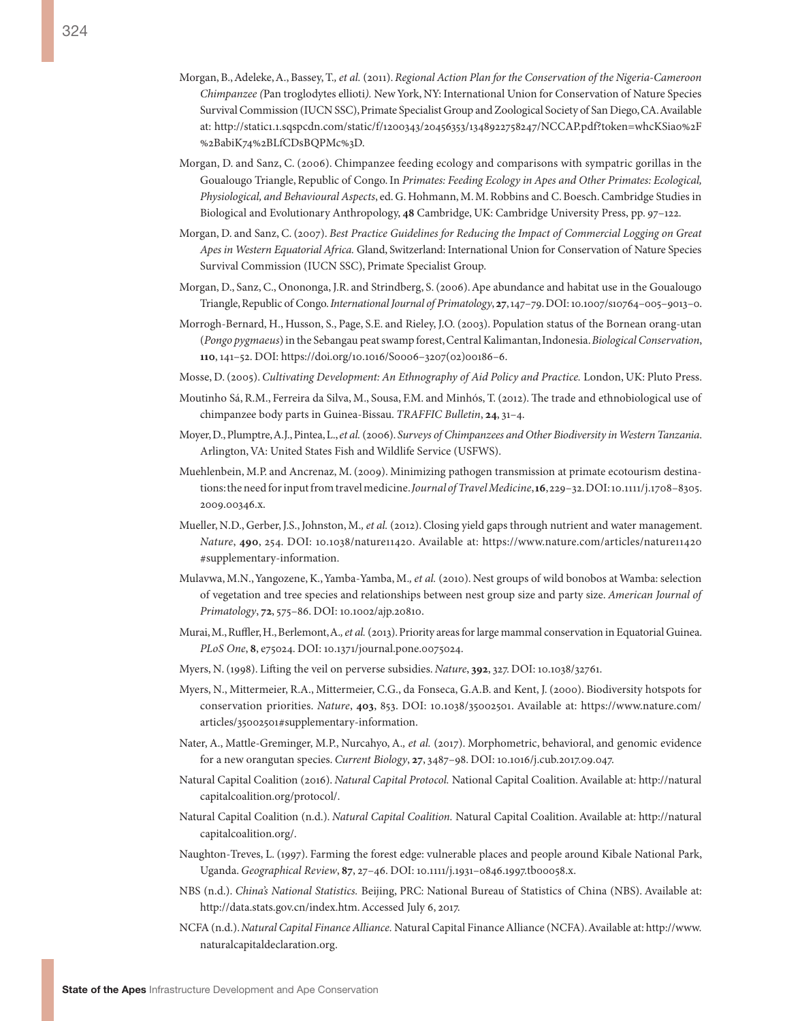- Morgan, B., Adeleke, A., Bassey, T.*, et al.* (2011). *Regional Action Plan for the Conservation of the Nigeria-Cameroon Chimpanzee (*Pan troglodytes ellioti*).* New York, NY: International Union for Conservation of Nature Species Survival Commission (IUCN SSC), Primate Specialist Group and Zoological Society of San Diego, CA. Available at: [http://static1.1.sqspcdn.com/static/f/1200343/20456353/1348922758247/NCCAP.pdf?token=whcKSia0%2F](http://static1.1.sqspcdn.com/static/f/1200343/20456353/1348922758247/NCCAP.pdf?token=whcKSia0%2F%2BabiK74%2BLfCDsBQPMc%3D) [%2BabiK74%2BLfCDsBQPMc%3D](http://static1.1.sqspcdn.com/static/f/1200343/20456353/1348922758247/NCCAP.pdf?token=whcKSia0%2F%2BabiK74%2BLfCDsBQPMc%3D).
- Morgan, D. and Sanz, C. (2006). Chimpanzee feeding ecology and comparisons with sympatric gorillas in the Goualougo Triangle, Republic of Congo. In *Primates: Feeding Ecology in Apes and Other Primates: Ecological, Physiological, and Behavioural Aspects*, ed. G. Hohmann, M. M. Robbins and C. Boesch. [Cambridge Studies in](https://www.nhbs.com/series/cambridge-studies-in-biological-and-evolutionary-anthropology) [Biological and Evolutionary Anthropology,](https://www.nhbs.com/series/cambridge-studies-in-biological-and-evolutionary-anthropology) **48** Cambridge, UK: Cambridge University Press, pp. 97–122.
- Morgan, D. and Sanz, C. (2007). *Best Practice Guidelines for Reducing the Impact of Commercial Logging on Great Apes in Western Equatorial Africa.* Gland, Switzerland: International Union for Conservation of Nature Species Survival Commission (IUCN SSC), Primate Specialist Group.
- Morgan, D., Sanz, C., Onononga, J.R. and Strindberg, S. (2006). Ape abundance and habitat use in the Goualougo Triangle, Republic of Congo. *International Journal of Primatology*, **27**, 147–79. DOI: 10.1007/s10764–005–9013–0.
- Morrogh-Bernard, H., Husson, S., Page, S.E. and Rieley, J.O. (2003). Population status of the Bornean orang-utan (*Pongo pygmaeus*) in the Sebangau peat swamp forest, Central Kalimantan, Indonesia. *Biological Conservation*, **110**, 141–52. DOI: https://doi.org/10.1016/S0006–3207(02)00186–6.
- Mosse, D. (2005). *Cultivating Development: An Ethnography of Aid Policy and Practice.* London, UK: Pluto Press.
- Moutinho Sá, R.M., Ferreira da Silva, M., Sousa, F.M. and Minhós, T. (2012). The trade and ethnobiological use of chimpanzee body parts in Guinea-Bissau. *TRAFFIC Bulletin*, **24**, 31–4.
- Moyer, D., Plumptre, A.J., Pintea, L., *et al.* (2006). *Surveys of Chimpanzees and Other Biodiversity in Western Tanzania*. Arlington, VA: United States Fish and Wildlife Service (USFWS).
- Muehlenbein, M.P. and Ancrenaz, M. (2009). Minimizing pathogen transmission at primate ecotourism destinations: the need for input from travel medicine. *Journal of Travel Medicine*, **16**, 229–32. DOI: 10.1111/j.1708–8305. 2009.00346.x.
- Mueller, N.D., Gerber, J.S., Johnston, M.*, et al.* (2012). Closing yield gaps through nutrient and water management. *Nature*, **490**, 254. DOI: 10.1038/nature11420. Available at: [https://www.nature.com/articles/nature11420](https://www.nature.com/articles/nature11420#supplementary-information) [#supplementary-information.](https://www.nature.com/articles/nature11420#supplementary-information)
- Mulavwa, M.N., Yangozene, K., Yamba-Yamba, M.*, et al.* (2010). Nest groups of wild bonobos at Wamba: selection of vegetation and tree species and relationships between nest group size and party size. *American Journal of Primatology*, **72**, 575–86. DOI: 10.1002/ajp.20810.
- Murai, M., Ruffler, H., Berlemont, A.*, et al.* (2013). Priority areas for large mammal conservation in Equatorial Guinea. *PLoS One*, **8**, e75024. DOI: 10.1371/journal.pone.0075024.
- Myers, N. (1998). Lifting the veil on perverse subsidies. *Nature*, **392**, 327. DOI: 10.1038/32761.
- Myers, N., Mittermeier, R.A., Mittermeier, C.G., da Fonseca, G.A.B. and Kent, J. (2000). Biodiversity hotspots for conservation priorities. *Nature*, **403**, 853. DOI: 10.1038/35002501. Available at: [https://www.nature.com/](https://www.nature.com/articles/35002501#supplementary-information) [articles/35002501#supplementary-information.](https://www.nature.com/articles/35002501#supplementary-information)
- Nater, A., Mattle-Greminger, M.P., Nurcahyo, A.*, et al.* (2017). Morphometric, behavioral, and genomic evidence for a new orangutan species. *Current Biology*, **27**, 3487–98. DOI: 10.1016/j.cub.2017.09.047.
- Natural Capital Coalition (2016). *Natural Capital Protocol.* National Capital Coalition. Available at: [http://natural](http://naturalcapitalcoalition.org/protocol/) [capitalcoalition.org/protocol/](http://naturalcapitalcoalition.org/protocol/).
- Natural Capital Coalition (n.d.). *Natural Capital Coalition.* Natural Capital Coalition. Available at: [http://natural](http://naturalcapitalcoalition.org/) [capitalcoalition.org/.](http://naturalcapitalcoalition.org/)
- Naughton-Treves, L. (1997). Farming the forest edge: vulnerable places and people around Kibale National Park, Uganda. *Geographical Review*, **87**, 27–46. DOI: 10.1111/j.1931–0846.1997.tb00058.x.
- NBS (n.d.). *China's National Statistics.* Beijing, PRC: National Bureau of Statistics of China (NBS). Available at: <http://data.stats.gov.cn/index.htm>. Accessed July 6, 2017.
- NCFA (n.d.). *Natural Capital Finance Alliance.* Natural Capital Finance Alliance (NCFA). Available at: [http://www.](http://www.naturalcapitaldeclaration.org) [naturalcapitaldeclaration.org.](http://www.naturalcapitaldeclaration.org)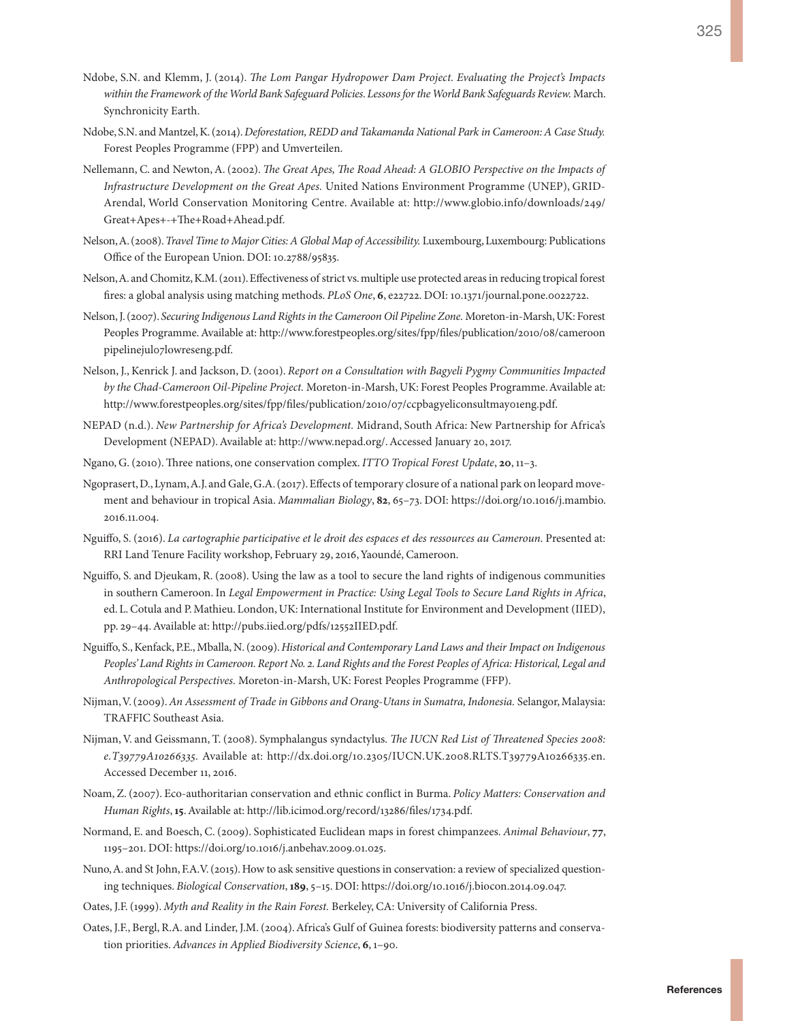- Ndobe, S.N. and Klemm, J. (2014). *The Lom Pangar Hydropower Dam Project. Evaluating the Project's Impacts within the Framework of the World Bank Safeguard Policies. Lessons for the World Bank Safeguards Review.* March. Synchronicity Earth.
- Ndobe, S.N. and Mantzel, K. (2014). *Deforestation, REDD and Takamanda National Park in Cameroon: A Case Study.* Forest Peoples Programme (FPP) and Umverteilen.
- Nellemann, C. and Newton, A. (2002). *The Great Apes, The Road Ahead: A GLOBIO Perspective on the Impacts of Infrastructure Development on the Great Apes.* United Nations Environment Programme (UNEP), GRID-Arendal, World Conservation Monitoring Centre. Available at: [http://www.globio.info/downloads/249/](http://www.globio.info/downloads/249/Great+Apes+-+The+Road+Ahead.pdf) [Great+Apes+-+The+Road+Ahead.pdf.](http://www.globio.info/downloads/249/Great+Apes+-+The+Road+Ahead.pdf)
- Nelson, A. (2008). *Travel Time to Major Cities: A Global Map of Accessibility.* Luxembourg, Luxembourg: Publications Office of the European Union. DOI: 10.2788/95835.
- Nelson, A. and Chomitz, K.M. (2011). Effectiveness of strict vs. multiple use protected areas in reducing tropical forest fires: a global analysis using matching methods. *PLoS One*, **6**, e22722. DOI: 10.1371/journal.pone.0022722.
- Nelson, J. (2007). *Securing Indigenous Land Rights in the Cameroon Oil Pipeline Zone.* Moreton-in-Marsh, UK: Forest Peoples Programme. Available at: [http://www.forestpeoples.org/sites/fpp/files/publication/2010/08/cameroon](http://www.forestpeoples.org/sites/fpp/files/publication/2010/08/cameroonpipelinejul07lowreseng.pdf) [pipelinejul07lowreseng.pdf](http://www.forestpeoples.org/sites/fpp/files/publication/2010/08/cameroonpipelinejul07lowreseng.pdf).
- Nelson, J., Kenrick J. and Jackson, D. (2001). *Report on a Consultation with Bagyeli Pygmy Communities Impacted by the Chad-Cameroon Oil-Pipeline Project.* Moreton-in-Marsh, UK: Forest Peoples Programme. Available at: <http://www.forestpeoples.org/sites/fpp/files/publication/2010/07/ccpbagyeliconsultmay01eng.pdf>.
- NEPAD (n.d.). *New Partnership for Africa's Development.* Midrand, South Africa: New Partnership for Africa's Development (NEPAD). Available at:<http://www.nepad.org/>. Accessed January 20, 2017.
- Ngano, G. (2010). Three nations, one conservation complex. *ITTO Tropical Forest Update*, **20**, 11–3.
- Ngoprasert, D., Lynam, A.J. and Gale, G.A. (2017). Effects of temporary closure of a national park on leopard movement and behaviour in tropical Asia. *Mammalian Biology*, **82**, 65–73. DOI: [https://doi.org/10.1016/j.mambio.](https://doi.org/10.1016/j.mambio. 2016.11.004) [2016.11.004.](https://doi.org/10.1016/j.mambio. 2016.11.004)
- Nguiffo, S. (2016). *La cartographie participative et le droit des espaces et des ressources au Cameroun*. Presented at: RRI Land Tenure Facility workshop, February 29, 2016, Yaoundé, Cameroon.
- Nguiffo, S. and Djeukam, R. (2008). Using the law as a tool to secure the land rights of indigenous communities in southern Cameroon. In *Legal Empowerment in Practice: Using Legal Tools to Secure Land Rights in Africa*, ed. L. Cotula and P. Mathieu. London, UK: International Institute for Environment and Development (IIED), pp. 29–44. Available at: [http://pubs.iied.org/pdfs/12552IIED.pdf.](http://pubs.iied.org/pdfs/12552IIED.pdf)
- Nguiffo, S., Kenfack, P.E., Mballa, N. (2009). *Historical and Contemporary Land Laws and their Impact on Indigenous Peoples' Land Rights in Cameroon. Report No. 2. Land Rights and the Forest Peoples of Africa: Historical, Legal and Anthropological Perspectives.* Moreton-in-Marsh, UK: Forest Peoples Programme (FFP).
- Nijman, V. (2009). *An Assessment of Trade in Gibbons and Orang-Utans in Sumatra, Indonesia.* Selangor, Malaysia: TRAFFIC Southeast Asia.
- Nijman, V. and Geissmann, T. (2008). Symphalangus syndactylus*. The IUCN Red List of Threatened Species 2008: e.T39779A10266335.* Available at: [http://dx.doi.org/10.2305/IUCN.UK.2008.RLTS.T39779A10266335.en.](http://dx.doi.org/10.2305/IUCN.UK.2008.RLTS.T39779A10266335.en) Accessed December 11, 2016.
- Noam, Z. (2007). Eco-authoritarian conservation and ethnic conflict in Burma. *Policy Matters: Conservation and Human Rights*, **15**. Available at: [http://lib.icimod.org/record/13286/files/1734.pdf.](http://lib.icimod.org/record/13286/files/1734.pdf)
- Normand, E. and Boesch, C. (2009). Sophisticated Euclidean maps in forest chimpanzees. *Animal Behaviour*, **77**, 1195–201. DOI: [https://doi.org/10.1016/j.anbehav.2009.01.025.](https://doi.org/10.1016/j.anbehav.2009.01.025)
- Nuno, A. and St John, F.A.V. (2015). How to ask sensitive questions in conservation: a review of specialized questioning techniques. *Biological Conservation*, **189**, 5–15. DOI: [https://doi.org/10.1016/j.biocon.2014.09.047.](https://doi.org/10.1016/j.biocon.2014.09.047)
- Oates, J.F. (1999). *Myth and Reality in the Rain Forest.* Berkeley, CA: University of California Press.
- Oates, J.F., Bergl, R.A. and Linder, J.M. (2004). Africa's Gulf of Guinea forests: biodiversity patterns and conservation priorities. *Advances in Applied Biodiversity Science*, **6**, 1–90.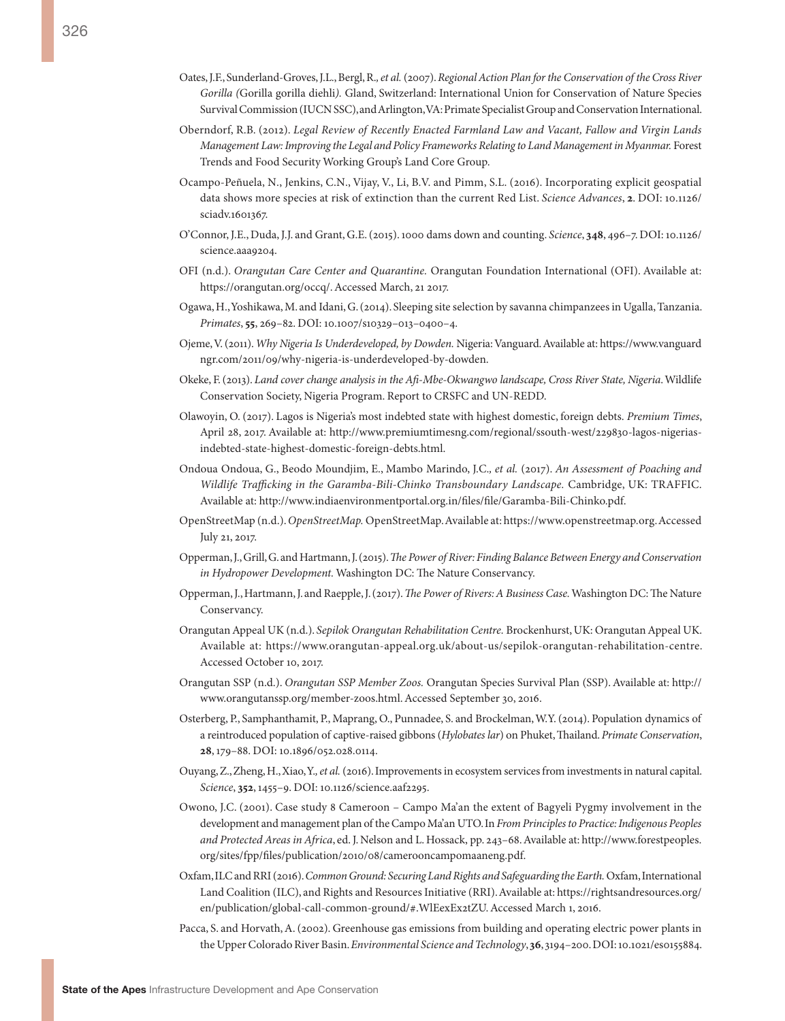- Oates, J.F., Sunderland-Groves, J.L., Bergl, R.*, et al.* (2007). *Regional Action Plan for the Conservation of the Cross River Gorilla (*Gorilla gorilla diehli*).* Gland, Switzerland: International Union for Conservation of Nature Species Survival Commission (IUCN SSC), and Arlington, VA: Primate Specialist Group and Conservation International.
- Oberndorf, R.B. (2012). *Legal Review of Recently Enacted Farmland Law and Vacant, Fallow and Virgin Lands Management Law: Improving the Legal and Policy Frameworks Relating to Land Management in Myanmar.* Forest Trends and Food Security Working Group's Land Core Group.
- Ocampo-Peñuela, N., Jenkins, C.N., Vijay, V., Li, B.V. and Pimm, S.L. (2016). Incorporating explicit geospatial data shows more species at risk of extinction than the current Red List. *Science Advances*, **2**. DOI: 10.1126/ sciadv.1601367.
- O'Connor, J.E., Duda, J.J. and Grant, G.E. (2015). 1000 dams down and counting. *Science*, **348**, 496–7. DOI: 10.1126/ science.aaa9204.
- OFI (n.d.). *Orangutan Care Center and Quarantine.* Orangutan Foundation International (OFI). Available at: <https://orangutan.org/occq/>. Accessed March, 21 2017.
- Ogawa, H., Yoshikawa, M. and Idani, G. (2014). Sleeping site selection by savanna chimpanzees in Ugalla, Tanzania. *Primates*, **55**, 269–82. DOI: 10.1007/s10329–013–0400–4.
- Ojeme, V. (2011). *Why Nigeria Is Underdeveloped, by Dowden.* Nigeria: Vanguard. Available at: [https://www.vanguard](https://www.vanguardngr.com/2011/09/why-nigeria-is-underdeveloped-by-dowden) [ngr.com/2011/09/why-nigeria-is-underdeveloped-by-dowden.](https://www.vanguardngr.com/2011/09/why-nigeria-is-underdeveloped-by-dowden)
- Okeke, F. (2013). *Land cover change analysis in the Afi-Mbe-Okwangwo landscape, Cross River State, Nigeria*. Wildlife Conservation Society, Nigeria Program. Report to CRSFC and UN-REDD.
- Olawoyin, O. (2017). Lagos is Nigeria's most indebted state with highest domestic, foreign debts. *Premium Times*, April 28, 2017. Available at: [http://www.premiumtimesng.com/regional/ssouth-west/229830-lagos-nigerias](http://www.premiumtimesng.com/regional/ssouth-west/229830-lagos-nigerias-indebted-state-highest-domestic-foreign-debts.html)[indebted-state-highest-domestic-foreign-debts.html](http://www.premiumtimesng.com/regional/ssouth-west/229830-lagos-nigerias-indebted-state-highest-domestic-foreign-debts.html).
- Ondoua Ondoua, G., Beodo Moundjim, E., Mambo Marindo, J.C.*, et al.* (2017). *An Assessment of Poaching and Wildlife Trafficking in the Garamba-Bili-Chinko Transboundary Landscape.* Cambridge, UK: TRAFFIC. Available at: [http://www.indiaenvironmentportal.org.in/files/file/Garamba-Bili-Chinko.pdf.](http://www.indiaenvironmentportal.org.in/files/file/Garamba-Bili-Chinko.pdf)
- OpenStreetMap (n.d.). *OpenStreetMap.* OpenStreetMap. Available at:<https://www.openstreetmap.org>. Accessed July 21, 2017.
- Opperman, J., Grill, G. and Hartmann, J. (2015). *The Power of River: Finding Balance Between Energy and Conservation in Hydropower Development.* Washington DC: The Nature Conservancy.
- Opperman, J., Hartmann, J. and Raepple, J. (2017). *The Power of Rivers: A Business Case.* Washington DC: The Nature Conservancy.
- Orangutan Appeal UK (n.d.). *Sepilok Orangutan Rehabilitation Centre.* Brockenhurst, UK: Orangutan Appeal UK. Available at: [https://www.orangutan-appeal.org.uk/about-us/sepilok-orangutan-rehabilitation-centre.](https://www.orangutan-appeal.org.uk/about-us/sepilok-orangutan-rehabilitation-centre) Accessed October 10, 2017.
- Orangutan SSP (n.d.). *Orangutan SSP Member Zoos.* Orangutan Species Survival Plan (SSP). Available at: [http://](http://www.orangutanssp.org/member-zoos.html) [www.orangutanssp.org/member-zoos.html](http://www.orangutanssp.org/member-zoos.html). Accessed September 30, 2016.
- Osterberg, P., Samphanthamit, P., Maprang, O., Punnadee, S. and Brockelman, W.Y. (2014). Population dynamics of a reintroduced population of captive-raised gibbons (*Hylobates lar*) on Phuket, Thailand. *Primate Conservation*, **28**, 179–88. DOI: 10.1896/052.028.0114.
- Ouyang, Z., Zheng, H., Xiao, Y.*, et al.* (2016). Improvements in ecosystem services from investments in natural capital. *Science*, **352**, 1455–9. DOI: 10.1126/science.aaf2295.
- Owono, J.C. (2001). Case study 8 Cameroon Campo Ma'an the extent of Bagyeli Pygmy involvement in the development and management plan of the Campo Ma'an UTO. In *From Principles to Practice: Indigenous Peoples and Protected Areas in Africa*, ed. J. Nelson and L. Hossack, pp. 243–68. Available at: [http://www.forestpeoples.](http://www.forestpeoples.org/sites/fpp/files/publication/2010/08/camerooncampomaaneng.pdf) [org/sites/fpp/files/publication/2010/08/camerooncampomaaneng.pdf](http://www.forestpeoples.org/sites/fpp/files/publication/2010/08/camerooncampomaaneng.pdf).
- Oxfam, ILC and RRI (2016). *Common Ground: Securing Land Rights and Safeguarding the Earth.* Oxfam, International Land Coalition (ILC), and Rights and Resources Initiative (RRI). Available at: [https://rightsandresources.org/](https://rightsandresources.org/en/publication/global-call-common-ground/#.WlEexEx2tZU) [en/publication/global-call-common-ground/#.WlEexEx2tZU.](https://rightsandresources.org/en/publication/global-call-common-ground/#.WlEexEx2tZU) Accessed March 1, 2016.
- Pacca, S. and Horvath, A. (2002). Greenhouse gas emissions from building and operating electric power plants in the Upper Colorado River Basin. *Environmental Science and Technology*, **36**, 3194–200. DOI: 10.1021/es0155884.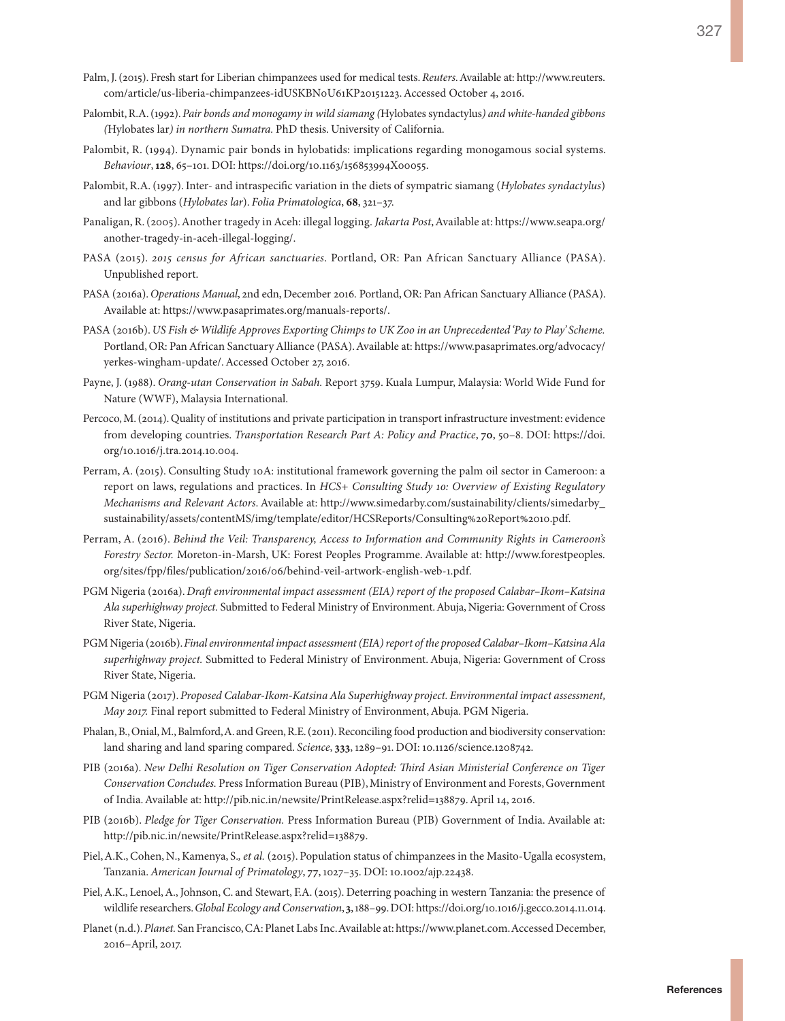- Palm, J. (2015). Fresh start for Liberian chimpanzees used for medical tests. *Reuters*. Available at: [http://www.reuters.](http://www.reuters.com/article/us-liberia-chimpanzees-idUSKBN0U61KP20151223) [com/article/us-liberia-chimpanzees-idUSKBN0U61KP20151223.](http://www.reuters.com/article/us-liberia-chimpanzees-idUSKBN0U61KP20151223) Accessed October 4, 2016.
- Palombit, R.A. (1992). *Pair bonds and monogamy in wild siamang (*Hylobates syndactylus*) and white-handed gibbons (*Hylobates lar*) in northern Sumatra.* PhD thesis. University of California.
- Palombit, R. (1994). Dynamic pair bonds in hylobatids: implications regarding monogamous social systems. *Behaviour*, **128**, 65–101. DOI: https://doi.org/10.1163/156853994X00055.
- Palombit, R.A. (1997). Inter- and intraspecific variation in the diets of sympatric siamang (*Hylobates syndactylus*) and lar gibbons (*Hylobates lar*). *Folia Primatologica*, **68**, 321–37.
- Panaligan, R. (2005). Another tragedy in Aceh: illegal logging. *Jakarta Post*, Available at: [https://www.seapa.org/](https://www.seapa.org/another-tragedy-in-aceh-illegal-logging/) [another-tragedy-in-aceh-illegal-logging/](https://www.seapa.org/another-tragedy-in-aceh-illegal-logging/).
- PASA (2015). *2015 census for African sanctuaries*. Portland, OR: Pan African Sanctuary Alliance (PASA). Unpublished report.
- PASA (2016a). *Operations Manual*, 2nd edn, December 2016*.* Portland, OR: Pan African Sanctuary Alliance (PASA). Available at: [https://www.pasaprimates.org/manuals-reports/.](https://www.pasaprimates.org/manuals-reports/)
- PASA (2016b). *US Fish & Wildlife Approves Exporting Chimps to UK Zoo in an Unprecedented 'Pay to Play' Scheme.* Portland, OR: Pan African Sanctuary Alliance (PASA). Available at: [https://www.pasaprimates.org/advocacy/](https://www.pasaprimates.org/advocacy/yerkes-wingham-update/) [yerkes-wingham-update/](https://www.pasaprimates.org/advocacy/yerkes-wingham-update/). Accessed October 27, 2016.
- Payne, J. (1988). *Orang-utan Conservation in Sabah.* Report 3759. Kuala Lumpur, Malaysia: World Wide Fund for Nature (WWF), Malaysia International.
- Percoco, M. (2014). Quality of institutions and private participation in transport infrastructure investment: evidence from developing countries. *Transportation Research Part A: Policy and Practice*, **70**, 50–8. DOI: [https://doi.](https://doi.org/10.1016/j.tra.2014.10.004) [org/10.1016/j.tra.2014.10.004](https://doi.org/10.1016/j.tra.2014.10.004).
- Perram, A. (2015). Consulting Study 10A: institutional framework governing the palm oil sector in Cameroon: a report on laws, regulations and practices. In *HCS+ Consulting Study 10: Overview of Existing Regulatory Mechanisms and Relevant Actors*. Available at: [http://www.simedarby.com/sustainability/clients/simedarby\\_](http://www.simedarby.com/sustainability/clients/simedarby_sustainability/assets/contentMS/img/template/editor/HCSReports/Consulting%20Report%2010.pdf) [sustainability/assets/contentMS/img/template/editor/HCSReports/Consulting%20Report%2010.pdf](http://www.simedarby.com/sustainability/clients/simedarby_sustainability/assets/contentMS/img/template/editor/HCSReports/Consulting%20Report%2010.pdf).
- Perram, A. (2016). *Behind the Veil: Transparency, Access to Information and Community Rights in Cameroon's Forestry Sector.* Moreton-in-Marsh, UK: Forest Peoples Programme. Available at: [http://www.forestpeoples.](http://www.forestpeoples.org/sites/fpp/files/publication/2016/06/behind-veil-artwork-english-web-1.pdf) [org/sites/fpp/files/publication/2016/06/behind-veil-artwork-english-web-1.pdf](http://www.forestpeoples.org/sites/fpp/files/publication/2016/06/behind-veil-artwork-english-web-1.pdf).
- PGM Nigeria (2016a). *Draft environmental impact assessment (EIA) report of the proposed Calabar–Ikom–Katsina Ala superhighway project.* Submitted to Federal Ministry of Environment. Abuja, Nigeria: Government of Cross River State, Nigeria.
- PGM Nigeria (2016b). *Final environmental impact assessment (EIA) report of the proposed Calabar–Ikom–Katsina Ala superhighway project.* Submitted to Federal Ministry of Environment. Abuja, Nigeria: Government of Cross River State, Nigeria.
- PGM Nigeria (2017). *Proposed Calabar-Ikom-Katsina Ala Superhighway project. Environmental impact assessment, May 2017.* Final report submitted to Federal Ministry of Environment, Abuja. PGM Nigeria.
- Phalan, B., Onial, M., Balmford, A. and Green, R.E. (2011). Reconciling food production and biodiversity conservation: land sharing and land sparing compared. *Science*, **333**, 1289–91. DOI: 10.1126/science.1208742.
- PIB (2016a). *New Delhi Resolution on Tiger Conservation Adopted: Third Asian Ministerial Conference on Tiger Conservation Concludes.* Press Information Bureau (PIB), Ministry of Environment and Forests, Government of India. Available at: [http://pib.nic.in/newsite/PrintRelease.aspx?relid=138879.](http://pib.nic.in/newsite/PrintRelease.aspx?relid=138879) April 14, 2016.
- PIB (2016b). *Pledge for Tiger Conservation.* Press Information Bureau (PIB) Government of India. Available at: <http://pib.nic.in/newsite/PrintRelease.aspx?relid=138879>.
- Piel, A.K., Cohen, N., Kamenya, S.*, et al.* (2015). Population status of chimpanzees in the Masito-Ugalla ecosystem, Tanzania. *American Journal of Primatology*, **77**, 1027–35. DOI: 10.1002/ajp.22438.
- Piel, A.K., Lenoel, A., Johnson, C. and Stewart, F.A. (2015). Deterring poaching in western Tanzania: the presence of wildlife researchers. *Global Ecology and Conservation*, **3**, 188–99. DOI: [https://doi.org/10.1016/j.gecco.2014.11.014.](https://doi.org/10.1016/j.gecco.2014.11.014)
- Planet (n.d.). *Planet.* San Francisco, CA: Planet Labs Inc. Available at: [https://www.planet.com.](https://www.planet.com) Accessed December, 2016–April, 2017.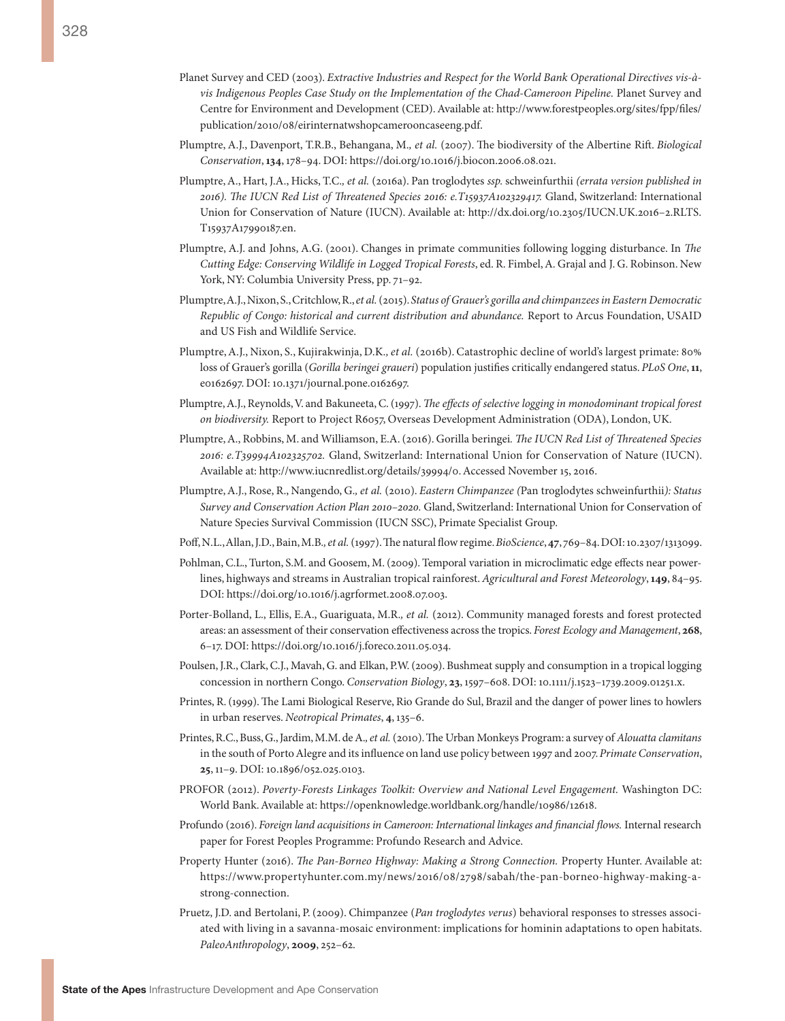- Planet Survey and CED (2003). *Extractive Industries and Respect for the World Bank Operational Directives vis-àvis Indigenous Peoples Case Study on the Implementation of the Chad-Cameroon Pipeline.* Planet Survey and Centre for Environment and Development (CED). Available at: [http://www.forestpeoples.org/sites/fpp/files/](http://www.forestpeoples.org/sites/fpp/files/publication/2010/08/eirinternatwshopcamerooncaseeng.pdf.) [publication/2010/08/eirinternatwshopcamerooncaseeng.pdf.](http://www.forestpeoples.org/sites/fpp/files/publication/2010/08/eirinternatwshopcamerooncaseeng.pdf.)
- Plumptre, A.J., Davenport, T.R.B., Behangana, M.*, et al.* (2007). The biodiversity of the Albertine Rift. *Biological Conservation*, **134**, 178–94. DOI: <https://doi.org/10.1016/j.biocon.2006.08.021>.
- Plumptre, A., Hart, J.A., Hicks, T.C.*, et al.* (2016a). Pan troglodytes *ssp.* schweinfurthii *(errata version published in 2016). The IUCN Red List of Threatened Species 2016: e.T15937A102329417.* Gland, Switzerland: International Union for Conservation of Nature (IUCN). Available at: [http://dx.doi.org/10.2305/IUCN.UK.2016–2.RLTS.](http://dx.doi.org/10.2305/IUCN.UK.2016-2.RLTS.T15937A17990187.en) [T15937A17990187.en](http://dx.doi.org/10.2305/IUCN.UK.2016-2.RLTS.T15937A17990187.en).
- Plumptre, A.J. and Johns, A.G. (2001). Changes in primate communities following logging disturbance. In *The Cutting Edge: Conserving Wildlife in Logged Tropical Forests*, ed. R. Fimbel, A. Grajal and J. G. Robinson. New York, NY: Columbia University Press, pp. 71–92.
- Plumptre, A.J., Nixon, S., Critchlow, R., *et al.* (2015). *Status of Grauer's gorilla and chimpanzees in Eastern Democratic Republic of Congo: historical and current distribution and abundance.* Report to Arcus Foundation, USAID and US Fish and Wildlife Service.
- Plumptre, A.J., Nixon, S., Kujirakwinja, D.K.*, et al.* (2016b). Catastrophic decline of world's largest primate: 80% loss of Grauer's gorilla (*Gorilla beringei graueri*) population justifies critically endangered status. *PLoS One*, **11**, e0162697. DOI: 10.1371/journal.pone.0162697.
- Plumptre, A.J., Reynolds, V. and Bakuneeta, C. (1997). *The effects of selective logging in monodominant tropical forest on biodiversity.* Report to Project R6057, Overseas Development Administration (ODA), London, UK.
- Plumptre, A., Robbins, M. and Williamson, E.A. (2016). Gorilla beringei*. The IUCN Red List of Threatened Species 2016: e.T39994A102325702.* Gland, Switzerland: International Union for Conservation of Nature (IUCN). Available at: <http://www.iucnredlist.org/details/39994/0>. Accessed November 15, 2016.
- Plumptre, A.J., Rose, R., Nangendo, G.*, et al.* (2010). *Eastern Chimpanzee (*Pan troglodytes schweinfurthii*): Status Survey and Conservation Action Plan 2010–2020.* Gland, Switzerland: International Union for Conservation of Nature Species Survival Commission (IUCN SSC), Primate Specialist Group.
- Poff, N.L., Allan, J.D., Bain, M.B.*, et al.* (1997). The natural flow regime. *BioScience*, **47**, 769–84. DOI: 10.2307/1313099.
- Pohlman, C.L., Turton, S.M. and Goosem, M. (2009). Temporal variation in microclimatic edge effects near powerlines, highways and streams in Australian tropical rainforest. *Agricultural and Forest Meteorology*, **149**, 84–95. DOI: [https://doi.org/10.1016/j.agrformet.2008.07.003.](https://doi.org/10.1016/j.agrformet.2008.07.003)
- Porter-Bolland, L., Ellis, E.A., Guariguata, M.R.*, et al.* (2012). Community managed forests and forest protected areas: an assessment of their conservation effectiveness across the tropics. *Forest Ecology and Management*, **268**, 6–17. DOI: <https://doi.org/10.1016/j.foreco.2011.05.034>.
- Poulsen, J.R., Clark, C.J., Mavah, G. and Elkan, P.W. (2009). Bushmeat supply and consumption in a tropical logging concession in northern Congo. *Conservation Biology*, **23**, 1597–608. DOI: 10.1111/j.1523–1739.2009.01251.x.
- Printes, R. (1999). The Lami Biological Reserve, Rio Grande do Sul, Brazil and the danger of power lines to howlers in urban reserves. *Neotropical Primates*, **4**, 135–6.
- Printes, R.C., Buss, G., Jardim, M.M. de A.*, et al.* (2010). The Urban Monkeys Program: a survey of *Alouatta clamitans* in the south of Porto Alegre and its influence on land use policy between 1997 and 2007. *Primate Conservation*, **25**, 11–9. DOI: 10.1896/052.025.0103.
- PROFOR (2012). *Poverty-Forests Linkages Toolkit: Overview and National Level Engagement.* Washington DC: World Bank. Available at: [https://openknowledge.worldbank.org/handle/10986/12618.](https://openknowledge.worldbank.org/handle/10986/12618)
- Profundo (2016). *Foreign land acquisitions in Cameroon: International linkages and financial flows.* Internal research paper for Forest Peoples Programme: Profundo Research and Advice.
- Property Hunter (2016). *The Pan-Borneo Highway: Making a Strong Connection.* Property Hunter. Available at: [https://www.propertyhunter.com.my/news/2016/08/2798/sabah/the-pan-borneo-highway-making-a](https://www.propertyhunter.com.my/news/2016/08/2798/sabah/the-pan-borneo-highway-making-a-strong-connection)[strong-connection.](https://www.propertyhunter.com.my/news/2016/08/2798/sabah/the-pan-borneo-highway-making-a-strong-connection)
- Pruetz, J.D. and Bertolani, P. (2009). Chimpanzee (*Pan troglodytes verus*) behavioral responses to stresses associated with living in a savanna-mosaic environment: implications for hominin adaptations to open habitats. *PaleoAnthropology*, **2009**, 252–62.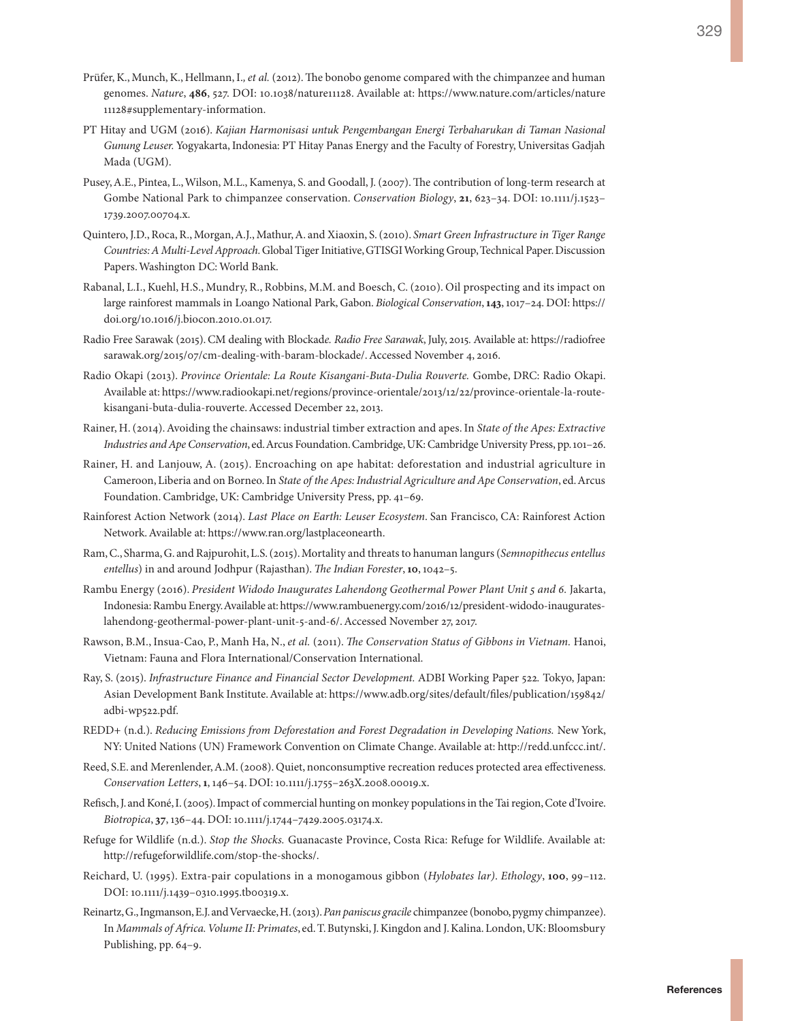- Prüfer, K., Munch, K., Hellmann, I.*, et al.* (2012). The bonobo genome compared with the chimpanzee and human genomes. *Nature*, **486**, 527. DOI: 10.1038/nature11128. Available at: [https://www.nature.com/articles/nature](https://www.nature.com/articles/nature11128#supplementary-information) [11128#supplementary-information.](https://www.nature.com/articles/nature11128#supplementary-information)
- PT Hitay and UGM (2016). *Kajian Harmonisasi untuk Pengembangan Energi Terbaharukan di Taman Nasional Gunung Leuser.* Yogyakarta, Indonesia: PT Hitay Panas Energy and the Faculty of Forestry, Universitas Gadjah Mada (UGM).
- Pusey, A.E., Pintea, L., Wilson, M.L., Kamenya, S. and Goodall, J. (2007). The contribution of long-term research at Gombe National Park to chimpanzee conservation. *Conservation Biology*, **21**, 623–34. DOI: 10.1111/j.1523– 1739.2007.00704.x.
- Quintero, J.D., Roca, R., Morgan, A.J., Mathur, A. and Xiaoxin, S. (2010). *Smart Green Infrastructure in Tiger Range Countries: A Multi-Level Approach.* Global Tiger Initiative, GTISGI Working Group, Technical Paper. Discussion Papers. Washington DC: World Bank.
- Rabanal, L.I., Kuehl, H.S., Mundry, R., Robbins, M.M. and Boesch, C. (2010). Oil prospecting and its impact on large rainforest mammals in Loango National Park, Gabon. *Biological Conservation*, **143**, 1017–24. DOI: [https://](https://doi.org/10.1016/j.biocon.2010.01.017) [doi.org/10.1016/j.biocon.2010.01.017.](https://doi.org/10.1016/j.biocon.2010.01.017)
- Radio Free Sarawak (2015). CM dealing with Blockad*e. Radio Free Sarawak*, July, 2015*.* Available at: [https://radiofree](https://radiofreesarawak.org/2015/07/cm-dealing-with-baram-blockade/) [sarawak.org/2015/07/cm-dealing-with-baram-blockade/](https://radiofreesarawak.org/2015/07/cm-dealing-with-baram-blockade/). Accessed November 4, 2016.
- Radio Okapi (2013). *Province Orientale: La Route Kisangani-Buta-Dulia Rouverte.* Gombe, DRC: Radio Okapi. Available at: [https://www.radiookapi.net/regions/province-orientale/2013/12/22/province-orientale-la-route](https://www.radiookapi.net/regions/province-orientale/2013/12/22/province-orientale-la-route-kisangani-buta-dulia-rouverte)[kisangani-buta-dulia-rouverte](https://www.radiookapi.net/regions/province-orientale/2013/12/22/province-orientale-la-route-kisangani-buta-dulia-rouverte). Accessed December 22, 2013.
- Rainer, H. (2014). Avoiding the chainsaws: industrial timber extraction and apes. In *State of the Apes: Extractive Industries and Ape Conservation*, ed. Arcus Foundation. Cambridge, UK: Cambridge University Press, pp. 101–26.
- Rainer, H. and Lanjouw, A. (2015). Encroaching on ape habitat: deforestation and industrial agriculture in Cameroon, Liberia and on Borneo. In *State of the Apes: Industrial Agriculture and Ape Conservation*, ed. Arcus Foundation. Cambridge, UK: Cambridge University Press, pp. 41–69.
- Rainforest Action Network (2014). *Last Place on Earth: Leuser Ecosystem*. San Francisco, CA: Rainforest Action Network. Available at:<https://www.ran.org/lastplaceonearth>.
- Ram, C., Sharma, G. and Rajpurohit, L.S. (2015). Mortality and threats to hanuman langurs (*Semnopithecus entellus entellus*) in and around Jodhpur (Rajasthan). *The Indian Forester*, **10**, 1042–5.
- Rambu Energy (2016). *President Widodo Inaugurates Lahendong Geothermal Power Plant Unit 5 and 6.* Jakarta, Indonesia: Rambu Energy. Available at: [https://www.rambuenergy.com/2016/12/president-widodo-inaugurates](https://www.rambuenergy.com/2016/12/president-widodo-inaugurates-lahendong-geothermal-power-plant-unit-5-and-6/)[lahendong-geothermal-power-plant-unit-5-and-6/](https://www.rambuenergy.com/2016/12/president-widodo-inaugurates-lahendong-geothermal-power-plant-unit-5-and-6/). Accessed November 27, 2017.
- Rawson, B.M., Insua-Cao, P., Manh Ha, N., *et al.* (2011). *The Conservation Status of Gibbons in Vietnam.* Hanoi, Vietnam: Fauna and Flora International/Conservation International.
- Ray, S. (2015). *Infrastructure Finance and Financial Sector Development.* ADBI Working Paper 522*.* Tokyo, Japan: Asian Development Bank Institute. Available at: [https://www.adb.org/sites/default/files/publication/159842/](https://www.adb.org/sites/default/files/publication/159842/adbi-wp522.pdf) [adbi-wp522.pdf](https://www.adb.org/sites/default/files/publication/159842/adbi-wp522.pdf).
- REDD+ (n.d.). *Reducing Emissions from Deforestation and Forest Degradation in Developing Nations.* New York, NY: United Nations (UN) Framework Convention on Climate Change. Available at: http://redd.unfccc.int/.
- Reed, S.E. and Merenlender, A.M. (2008). Quiet, nonconsumptive recreation reduces protected area effectiveness. *Conservation Letters*, **1**, 146–54. DOI: 10.1111/j.1755–263X.2008.00019.x.
- Refisch, J. and Koné, I. (2005). Impact of commercial hunting on monkey populations in the Tai region, Cote d'Ivoire. *Biotropica*, **37**, 136–44. DOI: 10.1111/j.1744–7429.2005.03174.x.
- Refuge for Wildlife (n.d.). *Stop the Shocks.* Guanacaste Province, Costa Rica: Refuge for Wildlife. Available at: <http://refugeforwildlife.com/stop-the-shocks/>.
- Reichard, U. (1995). Extra-pair copulations in a monogamous gibbon (*Hylobates lar)*. *Ethology*, **100**, 99–112. DOI: 10.1111/j.1439–0310.1995.tb00319.x.
- Reinartz, G., Ingmanson, E.J. and Vervaecke, H. (2013). *Pan paniscus gracile* chimpanzee (bonobo, pygmy chimpanzee). In *Mammals of Africa. Volume II: Primates*, ed. T. Butynski, J. Kingdon and J. Kalina. London, UK: Bloomsbury Publishing, pp. 64–9.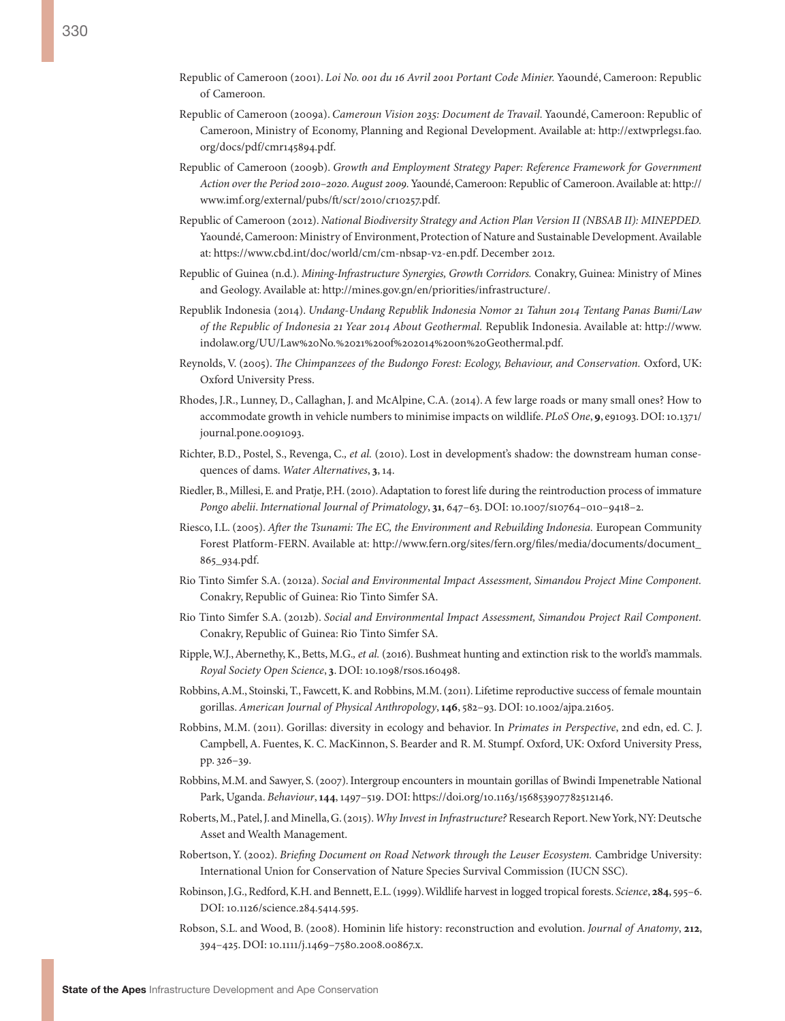- Republic of Cameroon (2001). *Loi No. 001 du 16 Avril 2001 Portant Code Minier.* Yaoundé, Cameroon: Republic of Cameroon.
- Republic of Cameroon (2009a). *Cameroun Vision 2035: Document de Travail.* Yaoundé, Cameroon: Republic of Cameroon, Ministry of Economy, Planning and Regional Development. Available at: [http://extwprlegs1.fao.](http://extwprlegs1.fao.org/docs/pdf/cmr145894.pdf) [org/docs/pdf/cmr145894.pdf.](http://extwprlegs1.fao.org/docs/pdf/cmr145894.pdf)
- Republic of Cameroon (2009b). *Growth and Employment Strategy Paper: Reference Framework for Government Action over the Period 2010–2020. August 2009.* Yaoundé, Cameroon: Republic of Cameroon. Available at: http:// [www.imf.org/external/pubs/ft/scr/2010/cr10257.pdf.](www.imf.org/external/pubs/ft/scr/2010/cr10257.pdf)
- Republic of Cameroon (2012). *National Biodiversity Strategy and Action Plan Version II (NBSAB II): MINEPDED.* Yaoundé, Cameroon: Ministry of Environment, Protection of Nature and Sustainable Development. Available at: <https://www.cbd.int/doc/world/cm/cm-nbsap-v2-en.pdf>. December 2012.
- Republic of Guinea (n.d.). *Mining-Infrastructure Synergies, Growth Corridors.* Conakry, Guinea: Ministry of Mines and Geology. Available at: http://mines.gov.gn/en/priorities/infrastructure/.
- Republik Indonesia (2014). *Undang-Undang Republik Indonesia Nomor 21 Tahun 2014 Tentang Panas Bumi/Law of the Republic of Indonesia 21 Year 2014 About Geothermal.* Republik Indonesia. Available at: [http://www.](http://www.indolaw.org/UU/Law%20No.%2021%20of%202014%20on%20Geothermal.pdf) [indolaw.org/UU/Law%20No.%2021%20of%202014%20on%20Geothermal.pdf](http://www.indolaw.org/UU/Law%20No.%2021%20of%202014%20on%20Geothermal.pdf).
- Reynolds, V. (2005). *The Chimpanzees of the Budongo Forest: Ecology, Behaviour, and Conservation.* Oxford, UK: Oxford University Press.
- Rhodes, J.R., Lunney, D., Callaghan, J. and McAlpine, C.A. (2014). A few large roads or many small ones? How to accommodate growth in vehicle numbers to minimise impacts on wildlife. *PLoS One*, **9**, e91093. DOI: 10.1371/ journal.pone.0091093.
- Richter, B.D., Postel, S., Revenga, C.*, et al.* (2010). Lost in development's shadow: the downstream human consequences of dams. *Water Alternatives*, **3**, 14.
- Riedler, B., Millesi, E. and Pratje, P.H. (2010). Adaptation to forest life during the reintroduction process of immature *Pongo abelii*. *International Journal of Primatology*, **31**, 647–63. DOI: 10.1007/s10764–010–9418–2.
- Riesco, I.L. (2005). *After the Tsunami: The EC, the Environment and Rebuilding Indonesia.* European Community Forest Platform-FERN. Available at: [http://www.fern.org/sites/fern.org/files/media/documents/document\\_](http://www.fern.org/sites/fern.org/files/media/documents/document_ 865_934.pdf) [865\\_934.pdf](http://www.fern.org/sites/fern.org/files/media/documents/document_ 865_934.pdf).
- Rio Tinto Simfer S.A. (2012a). *Social and Environmental Impact Assessment, Simandou Project Mine Component.* Conakry, Republic of Guinea: Rio Tinto Simfer SA.
- Rio Tinto Simfer S.A. (2012b). *Social and Environmental Impact Assessment, Simandou Project Rail Component.* Conakry, Republic of Guinea: Rio Tinto Simfer SA.
- Ripple, W.J., Abernethy, K., Betts, M.G.*, et al.* (2016). Bushmeat hunting and extinction risk to the world's mammals. *Royal Society Open Science*, **3**. DOI: 10.1098/rsos.160498.
- Robbins, A.M., Stoinski, T., Fawcett, K. and Robbins, M.M. (2011). Lifetime reproductive success of female mountain gorillas. *American Journal of Physical Anthropology*, **146**, 582–93. DOI: 10.1002/ajpa.21605.
- Robbins, M.M. (2011). Gorillas: diversity in ecology and behavior. In *Primates in Perspective*, 2nd edn, ed. C. J. Campbell, A. Fuentes, K. C. MacKinnon, S. Bearder and R. M. Stumpf. Oxford, UK: Oxford University Press, pp. 326–39.
- Robbins, M.M. and Sawyer, S. (2007). Intergroup encounters in mountain gorillas of Bwindi Impenetrable National Park, Uganda. *Behaviour*, **144**, 1497–519. DOI: [https://doi.org/10.1163/156853907782512146.](https://doi.org/10.1163/156853907782512146)
- Roberts, M., Patel, J. and Minella, G. (2015). *Why Invest in Infrastructure?* Research Report. New York, NY: Deutsche Asset and Wealth Management.
- Robertson, Y. (2002). *Briefing Document on Road Network through the Leuser Ecosystem.* Cambridge University: International Union for Conservation of Nature Species Survival Commission (IUCN SSC).
- Robinson, J.G., Redford, K.H. and Bennett, E.L. (1999). Wildlife harvest in logged tropical forests. *Science*, **284**, 595–6. DOI: 10.1126/science.284.5414.595.
- Robson, S.L. and Wood, B. (2008). Hominin life history: reconstruction and evolution. *Journal of Anatomy*, **212**, 394–425. DOI: 10.1111/j.1469–7580.2008.00867.x.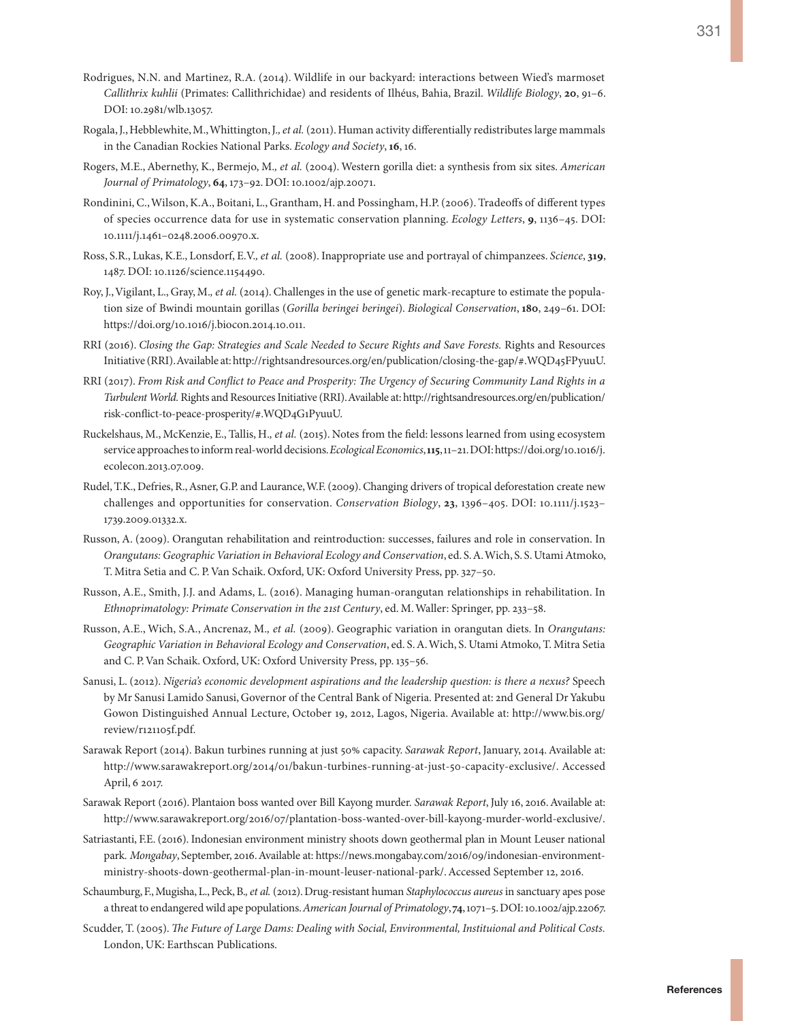- Rodrigues, N.N. and Martinez, R.A. (2014). Wildlife in our backyard: interactions between Wied's marmoset *Callithrix kuhlii* (Primates: Callithrichidae) and residents of Ilhéus, Bahia, Brazil. *Wildlife Biology*, **20**, 91–6. DOI: 10.2981/wlb.13057.
- Rogala, J., Hebblewhite, M., Whittington, J.*, et al.* (2011). Human activity differentially redistributes large mammals in the Canadian Rockies National Parks. *Ecology and Society*, **16**, 16.
- Rogers, M.E., Abernethy, K., Bermejo, M.*, et al.* (2004). Western gorilla diet: a synthesis from six sites. *American Journal of Primatology*, **64**, 173–92. DOI: 10.1002/ajp.20071.
- Rondinini, C., Wilson, K.A., Boitani, L., Grantham, H. and Possingham, H.P. (2006). Tradeoffs of different types of species occurrence data for use in systematic conservation planning. *Ecology Letters*, **9**, 1136–45. DOI: 10.1111/j.1461–0248.2006.00970.x.
- Ross, S.R., Lukas, K.E., Lonsdorf, E.V.*, et al.* (2008). Inappropriate use and portrayal of chimpanzees. *Science*, **319**, 1487. DOI: 10.1126/science.1154490.
- Roy, J., Vigilant, L., Gray, M.*, et al.* (2014). Challenges in the use of genetic mark-recapture to estimate the population size of Bwindi mountain gorillas (*Gorilla beringei beringei*). *Biological Conservation*, **180**, 249–61. DOI: [https://doi.org/10.1016/j.biocon.2014.10.011.](https://doi.org/10.1016/j.biocon.2014.10.011)
- RRI (2016). *Closing the Gap: Strategies and Scale Needed to Secure Rights and Save Forests.* Rights and Resources Initiative (RRI). Available at: [http://rightsandresources.org/en/publication/closing-the-gap/#.WQD45FPyuuU.](http://rightsandresources.org/en/publication/closing-the-gap/#.WQD45FPyuuU)
- RRI (2017). *From Risk and Conflict to Peace and Prosperity: The Urgency of Securing Community Land Rights in a Turbulent World.* Rights and Resources Initiative (RRI). Available at: [http://rightsandresources.org/en/publication/](http://rightsandresources.org/en/publication/risk-conflict-to-peace-prosperity/#.WQD4G1PyuuU) [risk-conflict-to-peace-prosperity/#.WQD4G1PyuuU](http://rightsandresources.org/en/publication/risk-conflict-to-peace-prosperity/#.WQD4G1PyuuU).
- Ruckelshaus, M., McKenzie, E., Tallis, H.*, et al.* (2015). Notes from the field: lessons learned from using ecosystem service approaches to inform real-world decisions. *Ecological Economics*, **115**, 11–21. DOI: [https://doi.org/10.1016/j.](https://doi.org/10.1016/j.ecolecon.2013.07.009) [ecolecon.2013.07.009](https://doi.org/10.1016/j.ecolecon.2013.07.009).
- Rudel, T.K., Defries, R., Asner, G.P. and Laurance, W.F. (2009). Changing drivers of tropical deforestation create new challenges and opportunities for conservation. *Conservation Biology*, **23**, 1396–405. DOI: 10.1111/j.1523– 1739.2009.01332.x.
- Russon, A. (2009). Orangutan rehabilitation and reintroduction: successes, failures and role in conservation. In *Orangutans: Geographic Variation in Behavioral Ecology and Conservation*, ed. S. A. Wich, S. S. Utami Atmoko, T. Mitra Setia and C. P. Van Schaik. Oxford, UK: Oxford University Press, pp. 327–50.
- Russon, A.E., Smith, J.J. and Adams, L. (2016). Managing human-orangutan relationships in rehabilitation. In *Ethnoprimatology: Primate Conservation in the 21st Century*, ed. M. Waller: Springer, pp. 233–58.
- Russon, A.E., Wich, S.A., Ancrenaz, M.*, et al.* (2009). Geographic variation in orangutan diets. In *Orangutans: Geographic Variation in Behavioral Ecology and Conservation*, ed. S. A. Wich, S. Utami Atmoko, T. Mitra Setia and C. P. Van Schaik. Oxford, UK: Oxford University Press, pp. 135–56.
- Sanusi, L. (2012). *Nigeria's economic development aspirations and the leadership question: is there a nexus?* Speech by Mr Sanusi Lamido Sanusi, Governor of the Central Bank of Nigeria. Presented at: 2nd General Dr Yakubu Gowon Distinguished Annual Lecture, October 19, 2012, Lagos, Nigeria. Available at: [http://www.bis.org/](http://www.bis.org/review/r121105f.pdf) [review/r121105f.pdf.](http://www.bis.org/review/r121105f.pdf)
- Sarawak Report (2014). Bakun turbines running at just 50% capacity. *Sarawak Report*, January, 2014. Available at: [http://www.sarawakreport.org/2014/01/bakun-turbines-running-at-just-50-capacity-exclusive/.](http://www.sarawakreport.org/2014/01/bakun-turbines-running-at-just-50-capacity-exclusive/) Accessed April, 6 2017.
- Sarawak Report (2016). Plantaion boss wanted over Bill Kayong murder. *Sarawak Report*, July 16, 2016. Available at: [http://www.sarawakreport.org/2016/07/plantation-boss-wanted-over-bill-kayong-murder-world-exclusive/.](http://www.sarawakreport.org/2016/07/plantation-boss-wanted-over-bill-kayong-murder-world-exclusive/)
- Satriastanti, F.E. (2016). Indonesian environment ministry shoots down geothermal plan in Mount Leuser national park*. Mongabay*, September, 2016. Available at: [https://news.mongabay.com/2016/09/indonesian-environment](https://news.mongabay.com/2016/09/indonesian-environment-ministry-shoots-down-geothermal-plan-in-mount-leuser-national-park/)[ministry-shoots-down-geothermal-plan-in-mount-leuser-national-park/](https://news.mongabay.com/2016/09/indonesian-environment-ministry-shoots-down-geothermal-plan-in-mount-leuser-national-park/). Accessed September 12, 2016.
- Schaumburg, F., Mugisha, L., Peck, B.*, et al.* (2012). Drug-resistant human *Staphylococcus aureus* in sanctuary apes pose a threat to endangered wild ape populations. *American Journal of Primatology*, **74**, 1071–5. DOI: 10.1002/ajp.22067.
- Scudder, T. (2005). *The Future of Large Dams: Dealing with Social, Environmental, Instituional and Political Costs.* London, UK: Earthscan Publications.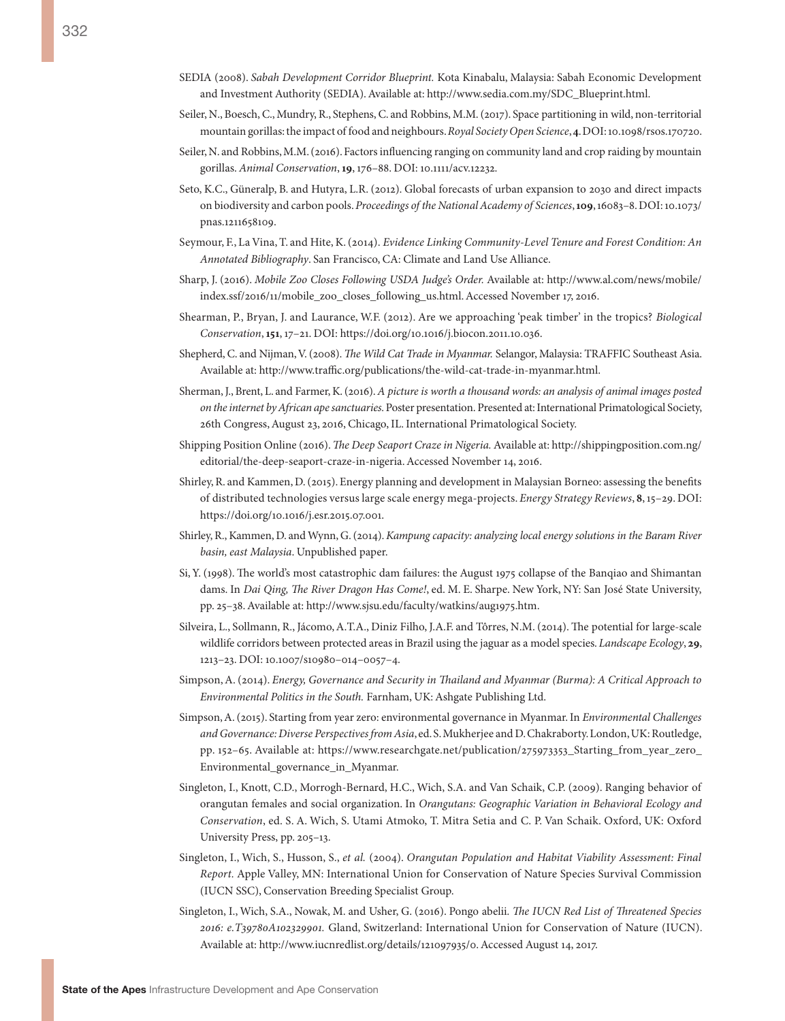- SEDIA (2008). *Sabah Development Corridor Blueprint.* Kota Kinabalu, Malaysia: Sabah Economic Development and Investment Authority (SEDIA). Available at: [http://www.sedia.com.my/SDC\\_Blueprint.html](http://www.sedia.com.my/SDC_Blueprint.html).
- Seiler, N., Boesch, C., Mundry, R., Stephens, C. and Robbins, M.M. (2017). Space partitioning in wild, non-territorial mountain gorillas: the impact of food and neighbours. *Royal Society Open Science*, **4**. DOI: 10.1098/rsos.170720.
- Seiler, N. and Robbins, M.M. (2016). Factors influencing ranging on community land and crop raiding by mountain gorillas. *Animal Conservation*, **19**, 176–88. DOI: 10.1111/acv.12232.
- Seto, K.C., Güneralp, B. and Hutyra, L.R. (2012). Global forecasts of urban expansion to 2030 and direct impacts on biodiversity and carbon pools. *Proceedings of the National Academy of Sciences*, **109**, 16083–8. DOI: 10.1073/ pnas.1211658109.
- Seymour, F., La Vina, T. and Hite, K. (2014). *Evidence Linking Community-Level Tenure and Forest Condition: An Annotated Bibliography*. San Francisco, CA: Climate and Land Use Alliance.
- Sharp, J. (2016). *Mobile Zoo Closes Following USDA Judge's Order.* Available at: [http://www.al.com/news/mobile/](http://www.al.com/news/mobile/index.ssf/2016/11/mobile_zoo_closes_following_us.html) [index.ssf/2016/11/mobile\\_zoo\\_closes\\_following\\_us.html](http://www.al.com/news/mobile/index.ssf/2016/11/mobile_zoo_closes_following_us.html). Accessed November 17, 2016.
- Shearman, P., Bryan, J. and Laurance, W.F. (2012). Are we approaching 'peak timber' in the tropics? *Biological Conservation*, **151**, 17–21. DOI: [https://doi.org/10.1016/j.biocon.2011.10.036.](https://doi.org/10.1016/j.biocon.2011.10.036)
- Shepherd, C. and Nijman, V. (2008). *The Wild Cat Trade in Myanmar.* Selangor, Malaysia: TRAFFIC Southeast Asia. Available at: <http://www.traffic.org/publications/the-wild-cat-trade-in-myanmar.html>.
- Sherman, J., Brent, L. and Farmer, K. (2016). *A picture is worth a thousand words: an analysis of animal images posted on the internet by African ape sanctuaries.* Poster presentation. Presented at: International Primatological Society, 26th Congress, August 23, 2016, Chicago, IL. International Primatological Society.
- Shipping Position Online (2016). *The Deep Seaport Craze in Nigeria.* Available at: [http://shippingposition.com.ng/](http://shippingposition.com.ng/editorial/the-deep-seaport-craze-in-nigeria) [editorial/the-deep-seaport-craze-in-nigeria.](http://shippingposition.com.ng/editorial/the-deep-seaport-craze-in-nigeria) Accessed November 14, 2016.
- Shirley, R. and Kammen, D. (2015). Energy planning and development in Malaysian Borneo: assessing the benefits of distributed technologies versus large scale energy mega-projects. *Energy Strategy Reviews*, **8**, 15–29. DOI: [https://doi.org/10.1016/j.esr.2015.07.001.](https://doi.org/10.1016/j.esr.2015.07.001)
- Shirley, R., Kammen, D. and Wynn, G. (2014). *Kampung capacity: analyzing local energy solutions in the Baram River basin, east Malaysia*. Unpublished paper.
- Si, Y. (1998). The world's most catastrophic dam failures: the August 1975 collapse of the Banqiao and Shimantan dams. In *Dai Qing, The River Dragon Has Come!*, ed. M. E. Sharpe. New York, NY: San José State University, pp. 25–38. Available at: [http://www.sjsu.edu/faculty/watkins/aug1975.htm.](http://www.sjsu.edu/faculty/watkins/aug1975.htm)
- Silveira, L., Sollmann, R., Jácomo, A.T.A., Diniz Filho, J.A.F. and Tôrres, N.M. (2014). The potential for large-scale wildlife corridors between protected areas in Brazil using the jaguar as a model species. *Landscape Ecology*, **29**, 1213–23. DOI: 10.1007/s10980–014–0057–4.
- Simpson, A. (2014). *Energy, Governance and Security in Thailand and Myanmar (Burma): A Critical Approach to Environmental Politics in the South.* Farnham, UK: Ashgate Publishing Ltd.
- Simpson, A. (2015). Starting from year zero: environmental governance in Myanmar. In *Environmental Challenges and Governance: Diverse Perspectives from Asia*, ed. S. Mukherjee and D. Chakraborty. London, UK: Routledge, pp. 152–65. Available at: [https://www.researchgate.net/publication/275973353\\_Starting\\_from\\_year\\_zero\\_](https://www.researchgate.net/publication/275973353_Starting_from_year_zero_Environmental_governance_in_Myanmar) [Environmental\\_governance\\_in\\_Myanmar.](https://www.researchgate.net/publication/275973353_Starting_from_year_zero_Environmental_governance_in_Myanmar)
- Singleton, I., Knott, C.D., Morrogh-Bernard, H.C., Wich, S.A. and Van Schaik, C.P. (2009). Ranging behavior of orangutan females and social organization. In *Orangutans: Geographic Variation in Behavioral Ecology and Conservation*, ed. S. A. Wich, S. Utami Atmoko, T. Mitra Setia and C. P. Van Schaik. Oxford, UK: Oxford University Press, pp. 205–13.
- Singleton, I., Wich, S., Husson, S., *et al.* (2004). *Orangutan Population and Habitat Viability Assessment: Final Report.* Apple Valley, MN: International Union for Conservation of Nature Species Survival Commission (IUCN SSC), Conservation Breeding Specialist Group.
- Singleton, I., Wich, S.A., Nowak, M. and Usher, G. (2016). Pongo abelii*. The IUCN Red List of Threatened Species 2016: e.T39780A102329901.* Gland, Switzerland: International Union for Conservation of Nature (IUCN). Available at: <http://www.iucnredlist.org/details/121097935/0>. Accessed August 14, 2017.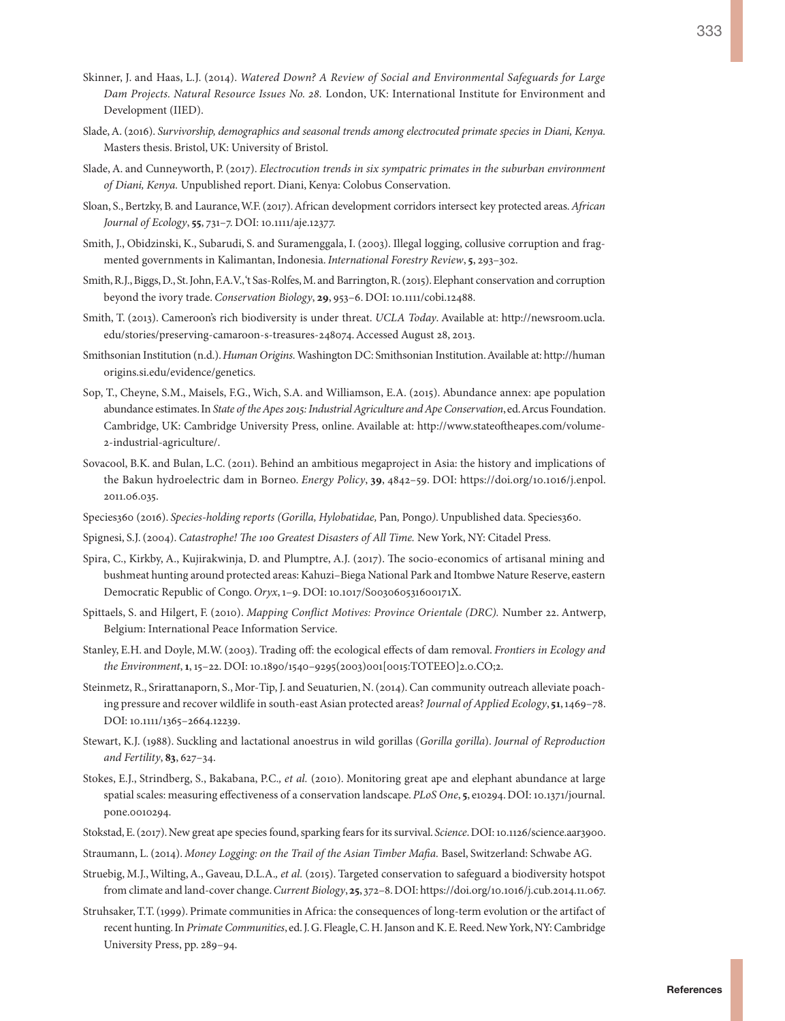- 333
- Skinner, J. and Haas, L.J. (2014). *Watered Down? A Review of Social and Environmental Safeguards for Large Dam Projects. Natural Resource Issues No. 28.* London, UK: International Institute for Environment and Development (IIED).
- Slade, A. (2016). *Survivorship, demographics and seasonal trends among electrocuted primate species in Diani, Kenya.*  Masters thesis. Bristol, UK: University of Bristol.
- Slade, A. and Cunneyworth, P. (2017). *Electrocution trends in six sympatric primates in the suburban environment of Diani, Kenya.* Unpublished report. Diani, Kenya: Colobus Conservation.
- Sloan, S., Bertzky, B. and Laurance, W.F. (2017). African development corridors intersect key protected areas. *African Journal of Ecology*, **55**, 731–7. DOI: 10.1111/aje.12377.
- Smith, J., Obidzinski, K., Subarudi, S. and Suramenggala, I. (2003). Illegal logging, collusive corruption and fragmented governments in Kalimantan, Indonesia. *International Forestry Review*, **5**, 293–302.
- Smith, R.J., Biggs, D., St. John, F.A.V., 't Sas-Rolfes, M. and Barrington, R. (2015). Elephant conservation and corruption beyond the ivory trade. *Conservation Biology*, **29**, 953–6. DOI: 10.1111/cobi.12488.
- Smith, T. (2013). Cameroon's rich biodiversity is under threat. *UCLA Today*. Available at: [http://newsroom.ucla.](http://newsroom.ucla.edu/stories/preserving-camaroon-s-treasures-248074) [edu/stories/preserving-camaroon-s-treasures-248074](http://newsroom.ucla.edu/stories/preserving-camaroon-s-treasures-248074). Accessed August 28, 2013.
- Smithsonian Institution (n.d.). *Human Origins.* Washington DC: Smithsonian Institution. Available at: [http://human](http://humanorigins.si.edu/evidence/genetics) [origins.si.edu/evidence/genetics.](http://humanorigins.si.edu/evidence/genetics)
- Sop, T., Cheyne, S.M., Maisels, F.G., Wich, S.A. and Williamson, E.A. (2015). Abundance annex: ape population abundance estimates. In *State of the Apes 2015: Industrial Agriculture and Ape Conservation*, ed. Arcus Foundation. Cambridge, UK: Cambridge University Press, online. Available at: [http://www.stateoftheapes.com/volume-](ttp://www.stateoftheapes.com/volume-2-industrial-agriculture/)[2-industrial-agriculture/.](ttp://www.stateoftheapes.com/volume-2-industrial-agriculture/)
- Sovacool, B.K. and Bulan, L.C. (2011). Behind an ambitious megaproject in Asia: the history and implications of the Bakun hydroelectric dam in Borneo. *Energy Policy*, **39**, 4842–59. DOI: [https://doi.org/10.1016/j.enpol.](https://doi.org/10.1016/j.enpol.2011.06.035) [2011.06.035](https://doi.org/10.1016/j.enpol.2011.06.035).
- Species360 (2016). *Species-holding reports (Gorilla, Hylobatidae,* Pan*,* Pongo*)*. Unpublished data. Species360.
- Spignesi, S.J. (2004). *Catastrophe! The 100 Greatest Disasters of All Time.* New York, NY: Citadel Press.
- Spira, C., Kirkby, A., Kujirakwinja, D. and Plumptre, A.J. (2017). The socio-economics of artisanal mining and bushmeat hunting around protected areas: Kahuzi–Biega National Park and Itombwe Nature Reserve, eastern Democratic Republic of Congo. *Oryx*, 1–9. DOI: 10.1017/S003060531600171X.
- Spittaels, S. and Hilgert, F. (2010). *Mapping Conflict Motives: Province Orientale (DRC).* Number 22. Antwerp, Belgium: International Peace Information Service.
- Stanley, E.H. and Doyle, M.W. (2003). Trading off: the ecological effects of dam removal. *Frontiers in Ecology and the Environment*, **1**, 15–22. DOI: 10.1890/1540–9295(2003)001[0015:TOTEEO]2.0.CO;2.
- Steinmetz, R., Srirattanaporn, S., Mor-Tip, J. and Seuaturien, N. (2014). Can community outreach alleviate poaching pressure and recover wildlife in south-east Asian protected areas? *Journal of Applied Ecology*, **51**, 1469–78. DOI: 10.1111/1365-2664.12239.
- Stewart, K.J. (1988). Suckling and lactational anoestrus in wild gorillas (*Gorilla gorilla*). *Journal of Reproduction and Fertility*, **83**, 627–34.
- Stokes, E.J., Strindberg, S., Bakabana, P.C.*, et al.* (2010). Monitoring great ape and elephant abundance at large spatial scales: measuring effectiveness of a conservation landscape. *PLoS One*, **5**, e10294. DOI: 10.1371/journal. pone.0010294.
- Stokstad, E. (2017). New great ape species found, sparking fears for its survival. *Science*. DOI: 10.1126/science.aar3900.
- Straumann, L. (2014). *Money Logging: on the Trail of the Asian Timber Mafia.* Basel, Switzerland: Schwabe AG.
- Struebig, M.J., Wilting, A., Gaveau, D.L.A.*, et al.* (2015). Targeted conservation to safeguard a biodiversity hotspot from climate and land-cover change. *Current Biology*, **25**, 372–8. DOI: [https://doi.org/10.1016/j.cub.2014.11.067.](https://doi.org/10.1016/j.cub.2014.11.067)
- Struhsaker, T.T. (1999). Primate communities in Africa: the consequences of long-term evolution or the artifact of recent hunting. In *Primate Communities*, ed. J. G. Fleagle, C. H. Janson and K. E. Reed. New York, NY: Cambridge University Press, pp. 289–94.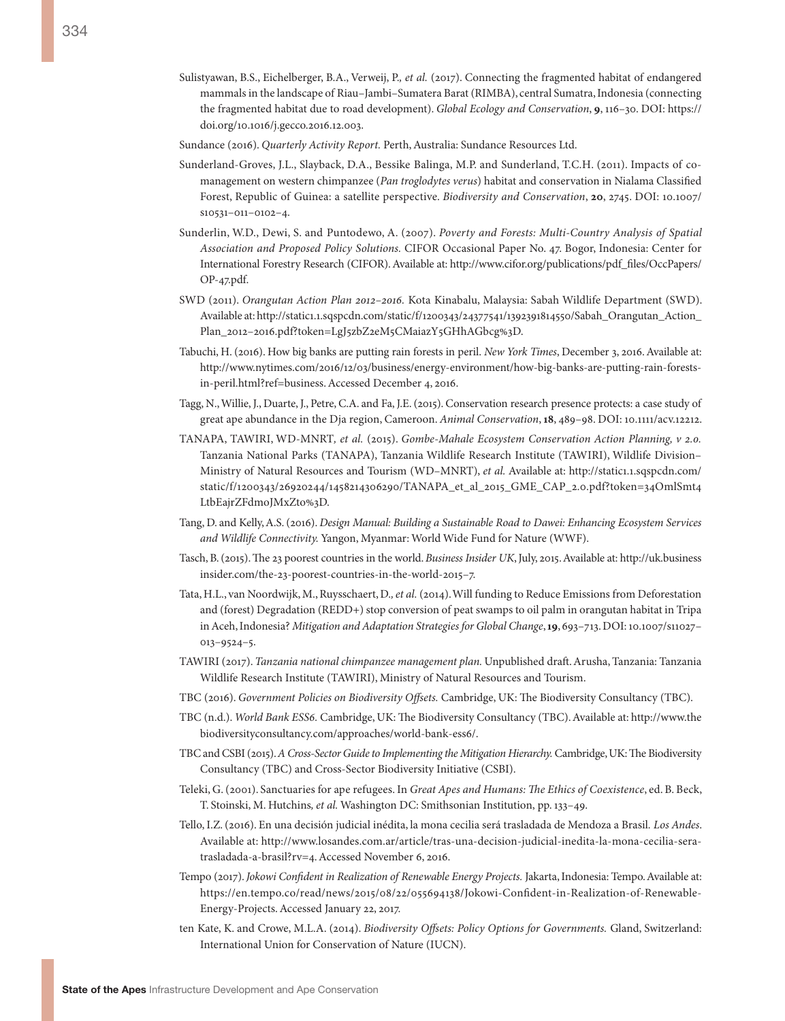- Sulistyawan, B.S., Eichelberger, B.A., Verweij, P.*, et al.* (2017). Connecting the fragmented habitat of endangered mammals in the landscape of Riau–Jambi–Sumatera Barat (RIMBA), central Sumatra, Indonesia (connecting the fragmented habitat due to road development). *Global Ecology and Conservation*, **9**, 116–30. DOI: [https://](https://doi.org/10.1016/j.gecco.2016.12.003) [doi.org/10.1016/j.gecco.2016.12.003.](https://doi.org/10.1016/j.gecco.2016.12.003)
- Sundance (2016). *Quarterly Activity Report.* Perth, Australia: Sundance Resources Ltd.
- Sunderland-Groves, J.L., Slayback, D.A., Bessike Balinga, M.P. and Sunderland, T.C.H. (2011). Impacts of comanagement on western chimpanzee (*Pan troglodytes verus*) habitat and conservation in Nialama Classified Forest, Republic of Guinea: a satellite perspective. *Biodiversity and Conservation*, **20**, 2745. DOI: 10.1007/ s10531–011–0102–4.
- Sunderlin, W.D., Dewi, S. and Puntodewo, A. (2007). *Poverty and Forests: Multi-Country Analysis of Spatial Association and Proposed Policy Solutions.* CIFOR Occasional Paper No. 47. Bogor, Indonesia: Center for International Forestry Research (CIFOR). Available at: [http://www.cifor.org/publications/pdf\\_files/OccPapers/](http://www.cifor.org/publications/pdf_files/OccPapers/OP-47.pdf) [OP-47.pdf](http://www.cifor.org/publications/pdf_files/OccPapers/OP-47.pdf).
- SWD (2011). *Orangutan Action Plan 2012–2016.* Kota Kinabalu, Malaysia: Sabah Wildlife Department (SWD). Available at: [http://static1.1.sqspcdn.com/static/f/1200343/24377541/1392391814550/Sabah\\_Orangutan\\_Action\\_](http://static1.1.sqspcdn.com/static/f/1200343/24377541/1392391814550/Sabah_Orangutan_Action_Plan_2012-2016.pdf?token=LgJ5zbZ2eM5CMaiazY5GHhAGbcg%3D) [Plan\\_2012–2016.pdf?token=LgJ5zbZ2eM5CMaiazY5GHhAGbcg%3D.](http://static1.1.sqspcdn.com/static/f/1200343/24377541/1392391814550/Sabah_Orangutan_Action_Plan_2012-2016.pdf?token=LgJ5zbZ2eM5CMaiazY5GHhAGbcg%3D)
- Tabuchi, H. (2016). How big banks are putting rain forests in peril. *New York Times*, December 3, 2016. Available at: [http://www.nytimes.com/2016/12/03/business/energy-environment/how-big-banks-are-putting-rain-forests](http://www.nytimes.com/2016/12/03/business/energy-environment/how-big-banks-are-putting-rain-forests-in-peril.html?ref=business)[in-peril.html?ref=business.](http://www.nytimes.com/2016/12/03/business/energy-environment/how-big-banks-are-putting-rain-forests-in-peril.html?ref=business) Accessed December 4, 2016.
- Tagg, N., Willie, J., Duarte, J., Petre, C.A. and Fa, J.E. (2015). Conservation research presence protects: a case study of great ape abundance in the Dja region, Cameroon. *Animal Conservation*, **18**, 489–98. DOI: 10.1111/acv.12212.
- TANAPA, TAWIRI, WD-MNRT*, et al.* (2015). *Gombe-Mahale Ecosystem Conservation Action Planning, v 2.0.* Tanzania National Parks (TANAPA), Tanzania Wildlife Research Institute (TAWIRI), Wildlife Division– Ministry of Natural Resources and Tourism (WD-MNRT), *et al.* Available at: [http://static1.1.sqspcdn.com/](http://static1.1.sqspcdn.com/static/f/1200343/26920244/1458214306290/TANAPA_et_al_2015_GME_CAP_2.0.pdf?token=34OmlSmt4LtbEajrZFdmoJMxZto%3D) [static/f/1200343/26920244/1458214306290/TANAPA\\_et\\_al\\_2015\\_GME\\_CAP\\_2.0.pdf?token=34OmlSmt4](http://static1.1.sqspcdn.com/static/f/1200343/26920244/1458214306290/TANAPA_et_al_2015_GME_CAP_2.0.pdf?token=34OmlSmt4LtbEajrZFdmoJMxZto%3D) [LtbEajrZFdmoJMxZto%3D](http://static1.1.sqspcdn.com/static/f/1200343/26920244/1458214306290/TANAPA_et_al_2015_GME_CAP_2.0.pdf?token=34OmlSmt4LtbEajrZFdmoJMxZto%3D).
- Tang, D. and Kelly, A.S. (2016). *Design Manual: Building a Sustainable Road to Dawei: Enhancing Ecosystem Services and Wildlife Connectivity.* Yangon, Myanmar: World Wide Fund for Nature (WWF).
- Tasch, B. (2015). The 23 poorest countries in the world. *Business Insider UK*, July, 2015. Available at: [http://uk.business](http://uk.businessinsider.com/the-23-poorest-countries-in-the-world-2015-7) [insider.com/the-23-poorest-countries-in-the-world-2015–7.](http://uk.businessinsider.com/the-23-poorest-countries-in-the-world-2015-7)
- Tata, H.L., van Noordwijk, M., Ruysschaert, D.*, et al.* (2014). Will funding to Reduce Emissions from Deforestation and (forest) Degradation (REDD+) stop conversion of peat swamps to oil palm in orangutan habitat in Tripa in Aceh, Indonesia? *Mitigation and Adaptation Strategies for Global Change*, **19**, 693–713. DOI: 10.1007/s11027– 013–9524–5.
- TAWIRI (2017). *Tanzania national chimpanzee management plan.* Unpublished draft. Arusha, Tanzania: Tanzania Wildlife Research Institute (TAWIRI), Ministry of Natural Resources and Tourism.
- TBC (2016). *Government Policies on Biodiversity Offsets.* Cambridge, UK: The Biodiversity Consultancy (TBC).
- TBC (n.d.). *World Bank ESS6.* Cambridge, UK: The Biodiversity Consultancy (TBC). Available at: [http://www.the](http://www.thebiodiversityconsultancy.com/approaches/world-bank-ess6/) [biodiversityconsultancy.com/approaches/world-bank-ess6/.](http://www.thebiodiversityconsultancy.com/approaches/world-bank-ess6/)
- TBC and CSBI (2015). *A Cross-Sector Guide to Implementing the Mitigation Hierarchy.* Cambridge, UK: The Biodiversity Consultancy (TBC) and Cross-Sector Biodiversity Initiative (CSBI).
- Teleki, G. (2001). Sanctuaries for ape refugees. In *Great Apes and Humans: The Ethics of Coexistence*, ed. B. Beck, T. Stoinski, M. Hutchins*, et al.* Washington DC: Smithsonian Institution, pp. 133–49.
- Tello, I.Z. (2016). En una decisión judicial inédita, la mona cecilia será trasladada de Mendoza a Brasil*. Los Andes*. Available at: [http://www.losandes.com.ar/article/tras-una-decision-judicial-inedita-la-mona-cecilia-sera](http://www.losandes.com.ar/article/tras-una-decision-judicial-inedita-la-mona-cecilia-sera-trasladada-a-brasil?rv=4)[trasladada-a-brasil?rv=4.](http://www.losandes.com.ar/article/tras-una-decision-judicial-inedita-la-mona-cecilia-sera-trasladada-a-brasil?rv=4) Accessed November 6, 2016.
- Tempo (2017). *Jokowi Confident in Realization of Renewable Energy Projects.* Jakarta, Indonesia: Tempo. Available at: [https://en.tempo.co/read/news/2015/08/22/055694138/Jokowi-Confident-in-Realization-of-Renewable-](https://en.tempo.co/read/news/2015/08/22/055694138/Jokowi-Confident-in-Realization-of-Renewable-Energy-Projects)[Energy-Projects.](https://en.tempo.co/read/news/2015/08/22/055694138/Jokowi-Confident-in-Realization-of-Renewable-Energy-Projects) Accessed January 22, 2017.
- ten Kate, K. and Crowe, M.L.A. (2014). *Biodiversity Offsets: Policy Options for Governments.* Gland, Switzerland: International Union for Conservation of Nature (IUCN).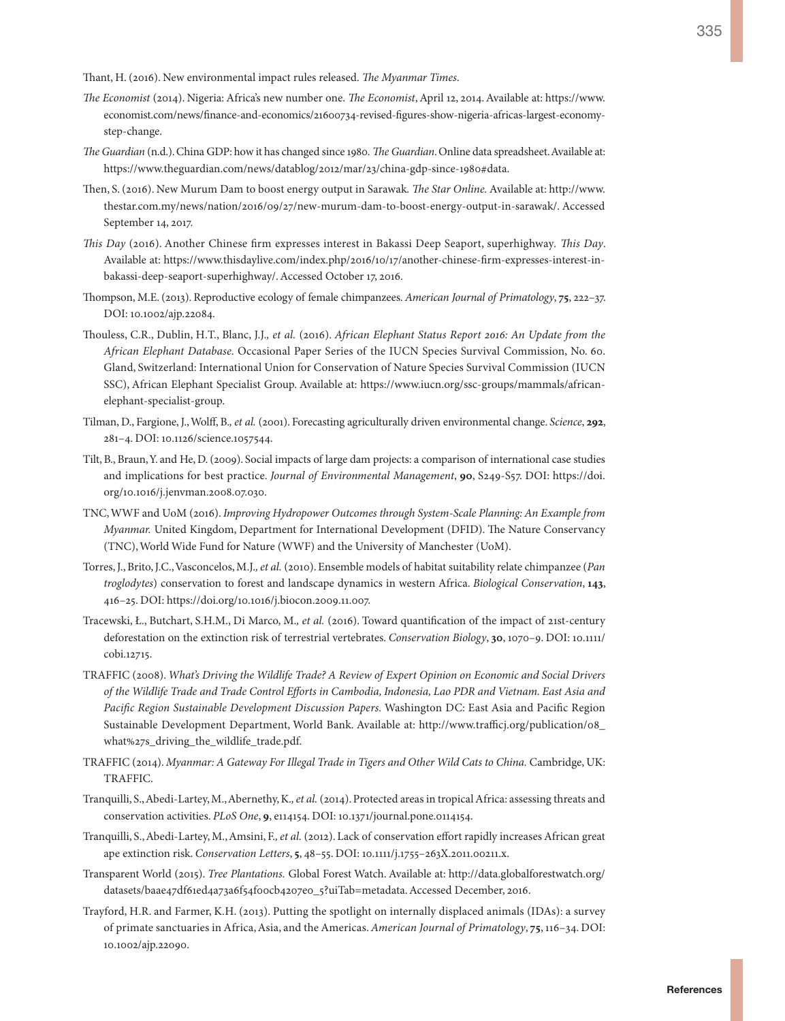Thant, H. (2016). New environmental impact rules released. *The Myanmar Times*.

- *The Economist* (2014). Nigeria: Africa's new number one. *The Economist*, April 12, 2014. Available at: [https://www.](https://www.economist.com/news/finance-and-economics/21600734-revised-figures-show-nigeria-africas-largest-economy-step-change) [economist.com/news/finance-and-economics/21600734-revised-figures-show-nigeria-africas-largest-economy](https://www.economist.com/news/finance-and-economics/21600734-revised-figures-show-nigeria-africas-largest-economy-step-change)[step-change.](https://www.economist.com/news/finance-and-economics/21600734-revised-figures-show-nigeria-africas-largest-economy-step-change)
- *The Guardian* (n.d.). China GDP: how it has changed since 1980*. The Guardian*. Online data spreadsheet. Available at: <https://www.theguardian.com/news/datablog/2012/mar/23/china-gdp-since-1980#data>.
- Then, S. (2016). New Murum Dam to boost energy output in Sarawak*. The Star Online.* Available at: [http://www.](http://www.thestar.com.my/news/nation/2016/09/27/new-murum-dam-to-boost-energy-output-in-sarawak/) [thestar.com.my/news/nation/2016/09/27/new-murum-dam-to-boost-energy-output-in-sarawak/.](http://www.thestar.com.my/news/nation/2016/09/27/new-murum-dam-to-boost-energy-output-in-sarawak/) Accessed September 14, 2017.
- *This Day* (2016). Another Chinese firm expresses interest in Bakassi Deep Seaport, superhighway*. This Day*. Available at: [https://www.thisdaylive.com/index.php/2016/10/17/another-chinese-firm-expresses-interest-in](https://www.thisdaylive.com/index.php/2016/10/17/another-chinese-firm-expresses-interest-in-bakassi-deep-seaport-superhighway/)[bakassi-deep-seaport-superhighway/](https://www.thisdaylive.com/index.php/2016/10/17/another-chinese-firm-expresses-interest-in-bakassi-deep-seaport-superhighway/). Accessed October 17, 2016.
- Thompson, M.E. (2013). Reproductive ecology of female chimpanzees. *American Journal of Primatology*, **75**, 222–37. DOI: 10.1002/ajp.22084.
- Thouless, C.R., Dublin, H.T., Blanc, J.J.*, et al.* (2016). *African Elephant Status Report 2016: An Update from the African Elephant Database.* Occasional Paper Series of the IUCN Species Survival Commission, No. 60. Gland, Switzerland: International Union for Conservation of Nature Species Survival Commission (IUCN SSC), African Elephant Specialist Group. Available at: [https://www.iucn.org/ssc-groups/mammals/african](https://www.iucn.org/ssc-groups/mammals/african-elephant-specialist-group)[elephant-specialist-group.](https://www.iucn.org/ssc-groups/mammals/african-elephant-specialist-group)
- Tilman, D., Fargione, J., Wolff, B.*, et al.* (2001). Forecasting agriculturally driven environmental change. *Science*, **292**, 281–4. DOI: 10.1126/science.1057544.
- Tilt, B., Braun, Y. and He, D. (2009). Social impacts of large dam projects: a comparison of international case studies and implications for best practice. *Journal of Environmental Management*, **90**, S249-S57. DOI: [https://doi.](https://doi.org/10.1016/j.jenvman.2008.07.030) [org/10.1016/j.jenvman.2008.07.030.](https://doi.org/10.1016/j.jenvman.2008.07.030)
- TNC, WWF and UoM (2016). *Improving Hydropower Outcomes through System-Scale Planning: An Example from Myanmar.* United Kingdom, Department for International Development (DFID). The Nature Conservancy (TNC), World Wide Fund for Nature (WWF) and the University of Manchester (UoM).
- Torres, J., Brito, J.C., Vasconcelos, M.J.*, et al.* (2010). Ensemble models of habitat suitability relate chimpanzee (*Pan troglodytes*) conservation to forest and landscape dynamics in western Africa. *Biological Conservation*, **143**, 416–25. DOI: <https://doi.org/10.1016/j.biocon.2009.11.007>.
- Tracewski, Ł., Butchart, S.H.M., Di Marco, M.*, et al.* (2016). Toward quantification of the impact of 21st-century deforestation on the extinction risk of terrestrial vertebrates. *Conservation Biology*, **30**, 1070–9. DOI: 10.1111/ cobi.12715.
- TRAFFIC (2008). *What's Driving the Wildlife Trade? A Review of Expert Opinion on Economic and Social Drivers of the Wildlife Trade and Trade Control Efforts in Cambodia, Indonesia, Lao PDR and Vietnam. East Asia and Pacific Region Sustainable Development Discussion Papers.* Washington DC: East Asia and Pacific Region Sustainable Development Department, World Bank. Available at: [http://www.trafficj.org/publication/08\\_](http://www.trafficj.org/publication/08_what%27s_driving_the_wildlife_trade.pdf) [what%27s\\_driving\\_the\\_wildlife\\_trade.pdf](http://www.trafficj.org/publication/08_what%27s_driving_the_wildlife_trade.pdf).
- TRAFFIC (2014). *Myanmar: A Gateway For Illegal Trade in Tigers and Other Wild Cats to China.* Cambridge, UK: TRAFFIC.
- Tranquilli, S., Abedi-Lartey, M., Abernethy, K.*, et al.* (2014). Protected areas in tropical Africa: assessing threats and conservation activities. *PLoS One*, **9**, e114154. DOI: 10.1371/journal.pone.0114154.
- Tranquilli, S., Abedi-Lartey, M., Amsini, F.*, et al.* (2012). Lack of conservation effort rapidly increases African great ape extinction risk. *Conservation Letters*, **5**, 48–55. DOI: 10.1111/j.1755–263X.2011.00211.x.
- Transparent World (2015). *Tree Plantations.* Global Forest Watch. Available at: [http://data.globalforestwatch.org/](http://data.globalforestwatch.org/datasets/baae47df61ed4a73a6f54f00cb4207e0_5?uiTab=metadata) [datasets/baae47df61ed4a73a6f54f00cb4207e0\\_5?uiTab=metadata.](http://data.globalforestwatch.org/datasets/baae47df61ed4a73a6f54f00cb4207e0_5?uiTab=metadata) Accessed December, 2016.
- Trayford, H.R. and Farmer, K.H. (2013). Putting the spotlight on internally displaced animals (IDAs): a survey of primate sanctuaries in Africa, Asia, and the Americas. *American Journal of Primatology*, **75**, 116–34. DOI: 10.1002/ajp.22090.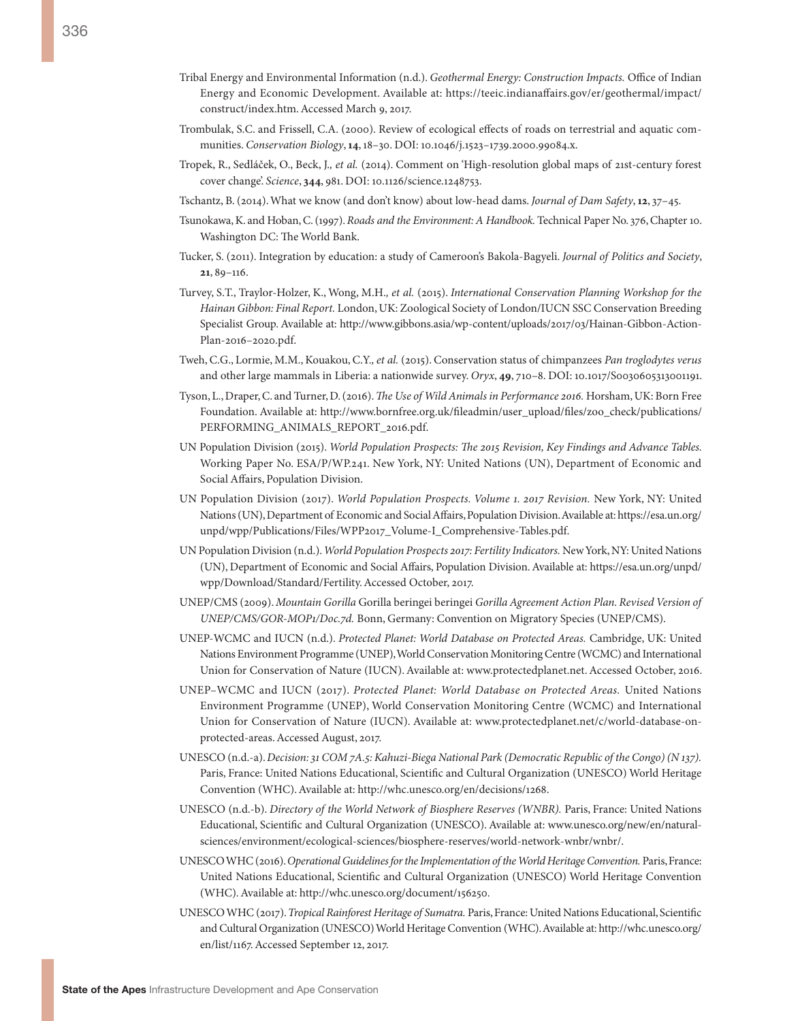- Trombulak, S.C. and Frissell, C.A. (2000). Review of ecological effects of roads on terrestrial and aquatic communities. *Conservation Biology*, **14**, 18–30. DOI: 10.1046/j.1523–1739.2000.99084.x.
- Tropek, R., Sedláček, O., Beck, J.*, et al.* (2014). Comment on 'High-resolution global maps of 21st-century forest cover change'. *Science*, **344**, 981. DOI: 10.1126/science.1248753.
- Tschantz, B. (2014). What we know (and don't know) about low-head dams. *Journal of Dam Safety*, **12**, 37–45.
- Tsunokawa, K. and Hoban, C. (1997). *Roads and the Environment: A Handbook.* Technical Paper No. 376, Chapter 10. Washington DC: The World Bank.
- Tucker, S. (2011). Integration by education: a study of Cameroon's Bakola-Bagyeli. *Journal of Politics and Society*, **21**, 89–116.
- Turvey, S.T., Traylor-Holzer, K., Wong, M.H.*, et al.* (2015). *International Conservation Planning Workshop for the Hainan Gibbon: Final Report.* London, UK: Zoological Society of London/IUCN SSC Conservation Breeding Specialist Group. Available at: [http://www.gibbons.asia/wp-content/uploads/2017/03/Hainan-Gibbon-Action-](http://www.gibbons.asia/wp-content/uploads/2017/03/Hainan-Gibbon-Action-Plan-2016-2020.pdf)[Plan-2016–2020.pdf.](http://www.gibbons.asia/wp-content/uploads/2017/03/Hainan-Gibbon-Action-Plan-2016-2020.pdf)
- Tweh, C.G., Lormie, M.M., Kouakou, C.Y.*, et al.* (2015). Conservation status of chimpanzees *Pan troglodytes verus* and other large mammals in Liberia: a nationwide survey. *Oryx*, **49**, 710–8. DOI: 10.1017/S0030605313001191.
- Tyson, L., Draper, C. and Turner, D. (2016). *The Use of Wild Animals in Performance 2016.* Horsham, UK: Born Free Foundation. Available at: [http://www.bornfree.org.uk/fileadmin/user\\_upload/files/zoo\\_check/publications/](http://www.bornfree.org.uk/fileadmin/user_upload/files/zoo_check/publications/PERFORMING_ANIMALS_REPORT_2016.pdf) [PERFORMING\\_ANIMALS\\_REPORT\\_2016.pdf.](http://www.bornfree.org.uk/fileadmin/user_upload/files/zoo_check/publications/PERFORMING_ANIMALS_REPORT_2016.pdf)
- UN Population Division (2015). *World Population Prospects: The 2015 Revision, Key Findings and Advance Tables.*  Working Paper No. ESA/P/WP.241. New York, NY: United Nations (UN), Department of Economic and Social Affairs, Population Division.
- UN Population Division (2017). *World Population Prospects. Volume 1. 2017 Revision.* New York, NY: United Nations (UN), Department of Economic and Social Affairs, Population Division. Available at: [https://esa.un.org/](https://esa.un.org/unpd/wpp/Publications/Files/WPP2017_Volume-I_Comprehensive-Tables.pdf) [unpd/wpp/Publications/Files/WPP2017\\_Volume-I\\_Comprehensive-Tables.pdf](https://esa.un.org/unpd/wpp/Publications/Files/WPP2017_Volume-I_Comprehensive-Tables.pdf).
- UN Population Division (n.d.). *World Population Prospects 2017: Fertility Indicators.* New York, NY: United Nations (UN), Department of Economic and Social Affairs, Population Division. Available at: [https://esa.un.org/unpd/](https://esa.un.org/unpd/wpp/Download/Standard/Fertility) [wpp/Download/Standard/Fertility.](https://esa.un.org/unpd/wpp/Download/Standard/Fertility) Accessed October, 2017.
- UNEP/CMS (2009). *Mountain Gorilla* Gorilla beringei beringei *Gorilla Agreement Action Plan. Revised Version of UNEP/CMS/GOR-MOP1/Doc.7d.* Bonn, Germany: Convention on Migratory Species (UNEP/CMS).
- UNEP-WCMC and IUCN (n.d.). *Protected Planet: World Database on Protected Areas.* Cambridge, UK: United Nations Environment Programme (UNEP), World Conservation Monitoring Centre (WCMC) and International Union for Conservation of Nature (IUCN). Available at:<www.protectedplanet.net>. Accessed October, 2016.
- UNEP–WCMC and IUCN (2017). *Protected Planet: World Database on Protected Areas.* United Nations Environment Programme (UNEP), World Conservation Monitoring Centre (WCMC) and International Union for Conservation of Nature (IUCN). Available at: [www.protectedplanet.net/c/world-database-on](www.protectedplanet.net/c/world-database-on-protected-areas)[protected-areas.](www.protectedplanet.net/c/world-database-on-protected-areas) Accessed August, 2017.
- UNESCO (n.d.-a). *Decision: 31 COM 7A.5: Kahuzi-Biega National Park (Democratic Republic of the Congo) (N 137).* Paris, France: United Nations Educational, Scientific and Cultural Organization (UNESCO) World Heritage Convention (WHC). Available at:<http://whc.unesco.org/en/decisions/1268>.
- UNESCO (n.d.-b). *Directory of the World Network of Biosphere Reserves (WNBR).* Paris, France: United Nations Educational, Scientific and Cultural Organization (UNESCO). Available at: [www.unesco.org/new/en/natural](www.unesco.org/new/en/natural-sciences/environment/ecological-sciences/biosphere-reserves/world-network-wnbr/wnbr/)[sciences/environment/ecological-sciences/biosphere-reserves/world-network-wnbr/wnbr/](www.unesco.org/new/en/natural-sciences/environment/ecological-sciences/biosphere-reserves/world-network-wnbr/wnbr/).
- UNESCO WHC (2016). *Operational Guidelines for the Implementation of the World Heritage Convention.* Paris, France: United Nations Educational, Scientific and Cultural Organization (UNESCO) World Heritage Convention (WHC). Available at: [http://whc.unesco.org/document/156250.](http://whc.unesco.org/document/156250)
- UNESCO WHC (2017). *Tropical Rainforest Heritage of Sumatra.* Paris, France: United Nations Educational, Scientific and Cultural Organization (UNESCO) World Heritage Convention (WHC). Available at: [http://whc.unesco.org/](http://whc.unesco.org/en/list/1167) [en/list/1167](http://whc.unesco.org/en/list/1167). Accessed September 12, 2017.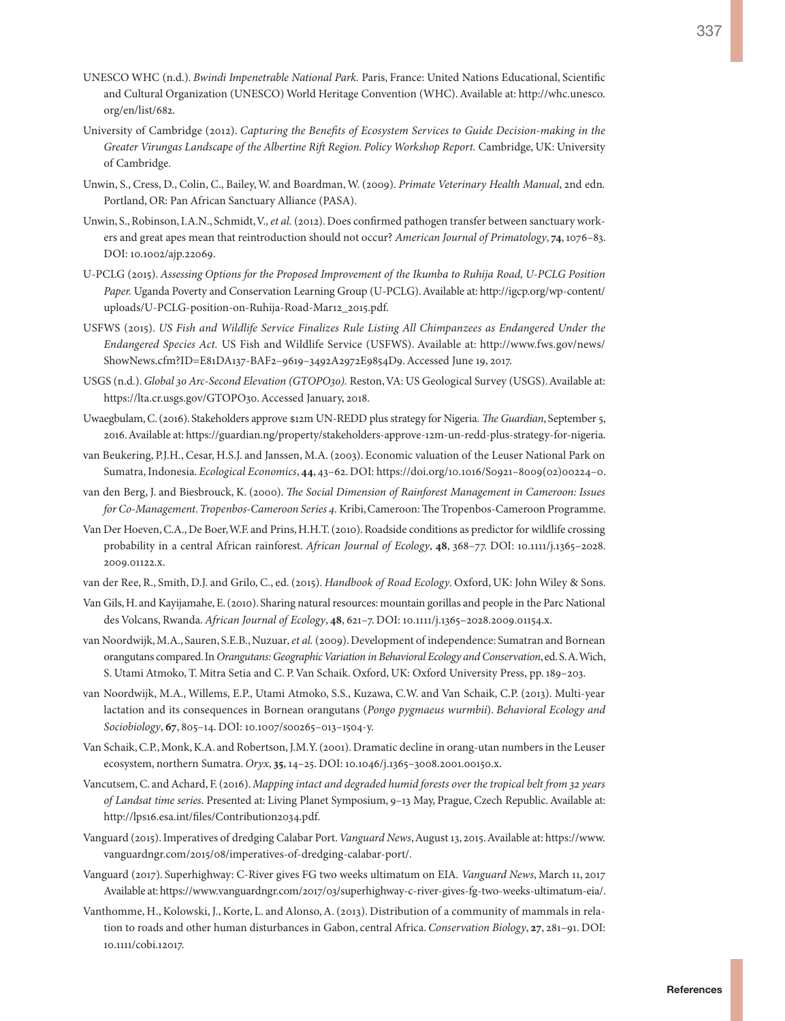- UNESCO WHC (n.d.). *Bwindi Impenetrable National Park.* Paris, France: United Nations Educational, Scientific and Cultural Organization (UNESCO) World Heritage Convention (WHC). Available at: [http://whc.unesco.](http://whc.unesco.org/en/list/682) [org/en/list/682.](http://whc.unesco.org/en/list/682)
- University of Cambridge (2012). *Capturing the Benefits of Ecosystem Services to Guide Decision-making in the Greater Virungas Landscape of the Albertine Rift Region. Policy Workshop Report.* Cambridge, UK: University of Cambridge.
- Unwin, S., Cress, D., Colin, C., Bailey, W. and Boardman, W. (2009). *Primate Veterinary Health Manual*, 2nd edn*.* Portland, OR: Pan African Sanctuary Alliance (PASA).
- Unwin, S., Robinson, I.A.N., Schmidt, V.*, et al.* (2012). Does confirmed pathogen transfer between sanctuary workers and great apes mean that reintroduction should not occur? *American Journal of Primatology*, **74**, 1076–83. DOI: 10.1002/ajp.22069.
- U-PCLG (2015). *Assessing Options for the Proposed Improvement of the Ikumba to Ruhija Road, U-PCLG Position Paper.* Uganda Poverty and Conservation Learning Group (U-PCLG). Available at: [http://igcp.org/wp-content/](http://igcp.org/wp-content/uploads/U-PCLG-position-on-Ruhija-Road-Mar12_2015.pdf) [uploads/U-PCLG-position-on-Ruhija-Road-Mar12\\_2015.pdf.](http://igcp.org/wp-content/uploads/U-PCLG-position-on-Ruhija-Road-Mar12_2015.pdf)
- USFWS (2015). *US Fish and Wildlife Service Finalizes Rule Listing All Chimpanzees as Endangered Under the Endangered Species Act.* US Fish and Wildlife Service (USFWS). Available at: [http://www.fws.gov/news/](http://www.fws.gov/news/ShowNews.cfm?ID=E81DA137-BAF2-9619-3492A2972E9854D9) [ShowNews.cfm?ID=E81DA137-BAF2–9619–3492A2972E9854D9.](http://www.fws.gov/news/ShowNews.cfm?ID=E81DA137-BAF2-9619-3492A2972E9854D9) Accessed June 19, 2017.
- USGS (n.d.). *Global 30 Arc-Second Elevation (GTOPO30).* Reston, VA: US Geological Survey (USGS). Available at: <https://lta.cr.usgs.gov/GTOPO30>. Accessed January, 2018.
- Uwaegbulam, C. (2016). Stakeholders approve \$12m UN-REDD plus strategy for Nigeria. *The Guardian*, September 5, 2016. Available at: [https://guardian.ng/property/stakeholders-approve-12m-un-redd-plus-strategy-for-nigeria.](https://guardian.ng/property/stakeholders-approve-12m-un-redd-plus-strategy-for-nigeria)
- van Beukering, P.J.H., Cesar, H.S.J. and Janssen, M.A. (2003). Economic valuation of the Leuser National Park on Sumatra, Indonesia. *Ecological Economics*, **44**, 43–62. DOI: [https://doi.org/10.1016/S0921–8009\(02\)00224–0.](https://doi.org/10.1016/S0921-8009(02)00224-0)
- van den Berg, J. and Biesbrouck, K. (2000). *The Social Dimension of Rainforest Management in Cameroon: Issues for Co-Management. Tropenbos-Cameroon Series 4.* Kribi, Cameroon: The Tropenbos-Cameroon Programme.
- Van Der Hoeven, C.A., De Boer, W.F. and Prins, H.H.T. (2010). Roadside conditions as predictor for wildlife crossing probability in a central African rainforest. *African Journal of Ecology*, **48**, 368–77. DOI: 10.1111/j.1365–2028. 2009.01122.x.
- van der Ree, R., Smith, D.J. and Grilo, C., ed. (2015). *Handbook of Road Ecology*. Oxford, UK: John Wiley & Sons.
- Van Gils, H. and Kayijamahe, E. (2010). Sharing natural resources: mountain gorillas and people in the Parc National des Volcans, Rwanda. *African Journal of Ecology*, **48**, 621–7. DOI: 10.1111/j.1365–2028.2009.01154.x.
- van Noordwijk, M.A., Sauren, S.E.B., Nuzuar*, et al.* (2009). Development of independence: Sumatran and Bornean orangutans compared. In *Orangutans: Geographic Variation in Behavioral Ecology and Conservation*, ed. S. A. Wich, S. Utami Atmoko, T. Mitra Setia and C. P. Van Schaik. Oxford, UK: Oxford University Press, pp. 189–203.
- van Noordwijk, M.A., Willems, E.P., Utami Atmoko, S.S., Kuzawa, C.W. and Van Schaik, C.P. (2013). Multi-year lactation and its consequences in Bornean orangutans (*Pongo pygmaeus wurmbii*). *Behavioral Ecology and Sociobiology*, **67**, 805–14. DOI: 10.1007/s00265–013–1504-y.
- Van Schaik, C.P., Monk, K.A. and Robertson, J.M.Y. (2001). Dramatic decline in orang-utan numbers in the Leuser ecosystem, northern Sumatra. *Oryx*, **35**, 14–25. DOI: 10.1046/j.1365–3008.2001.00150.x.
- Vancutsem, C. and Achard, F. (2016). *Mapping intact and degraded humid forests over the tropical belt from 32 years of Landsat time series*. Presented at: Living Planet Symposium, 9–13 May, Prague, Czech Republic. Available at: [http://lps16.esa.int/files/Contribution2034.pdf.](http://lps16.esa.int/files/Contribution2034.pdf)
- Vanguard (2015). Imperatives of dredging Calabar Port. *Vanguard News*, August 13, 2015. Available at: [https://www.](https://www.vanguardngr.com/2015/08/imperatives-of-dredging-calabar-port/) [vanguardngr.com/2015/08/imperatives-of-dredging-calabar-port/](https://www.vanguardngr.com/2015/08/imperatives-of-dredging-calabar-port/).
- Vanguard (2017). Superhighway: C-River gives FG two weeks ultimatum on EIA*. Vanguard News*, March 11, 2017 Available at: [https://www.vanguardngr.com/2017/03/superhighway-c-river-gives-fg-two-weeks-ultimatum-eia/.](https://www.vanguardngr.com/2017/03/superhighway-c-river-gives-fg-two-weeks-ultimatum-eia/)
- Vanthomme, H., Kolowski, J., Korte, L. and Alonso, A. (2013). Distribution of a community of mammals in relation to roads and other human disturbances in Gabon, central Africa. *Conservation Biology*, **27**, 281–91. DOI: 10.1111/cobi.12017.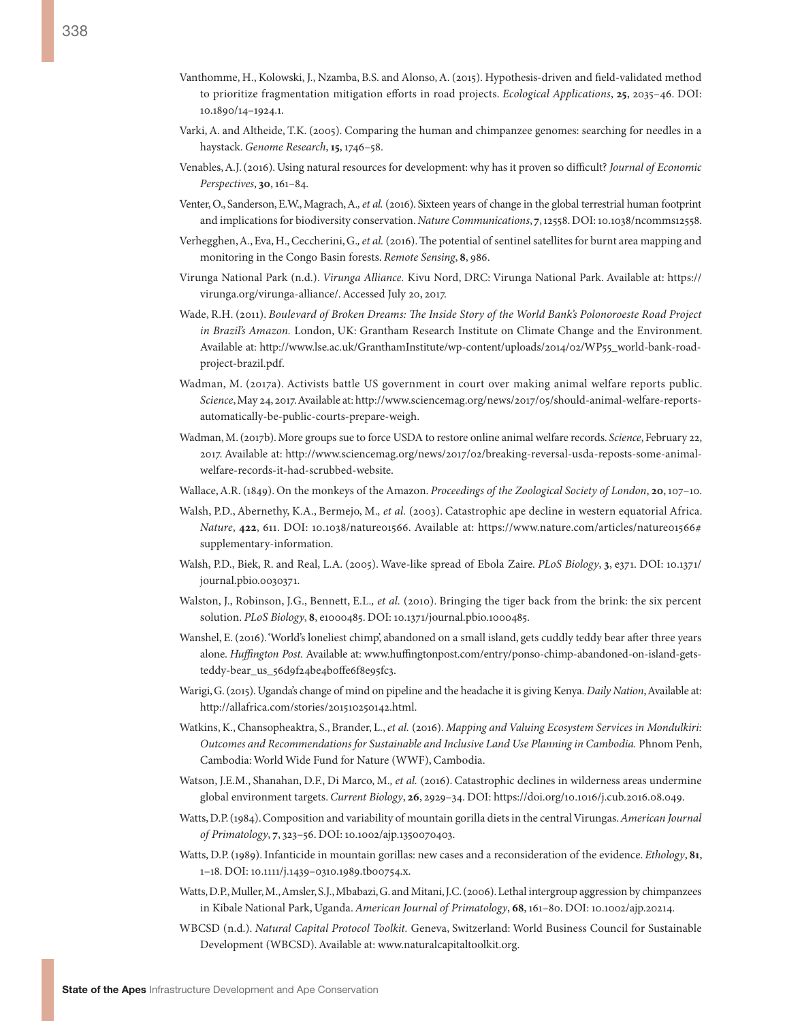- Varki, A. and Altheide, T.K. (2005). Comparing the human and chimpanzee genomes: searching for needles in a haystack. *Genome Research*, **15**, 1746–58.
- Venables, A.J. (2016). Using natural resources for development: why has it proven so difficult? *Journal of Economic Perspectives*, **30**, 161–84.
- Venter, O., Sanderson, E.W., Magrach, A.*, et al.* (2016). Sixteen years of change in the global terrestrial human footprint and implications for biodiversity conservation. *Nature Communications*, **7**, 12558. DOI: 10.1038/ncomms12558.
- Verhegghen, A., Eva, H., Ceccherini, G.*, et al.* (2016). The potential of sentinel satellites for burnt area mapping and monitoring in the Congo Basin forests. *Remote Sensing*, **8**, 986.
- Virunga National Park (n.d.). *Virunga Alliance.* Kivu Nord, DRC: Virunga National Park. Available at: [https://](https://virunga.org/virunga-alliance/) [virunga.org/virunga-alliance/](https://virunga.org/virunga-alliance/). Accessed July 20, 2017.
- Wade, R.H. (2011). *Boulevard of Broken Dreams: The Inside Story of the World Bank's Polonoroeste Road Project in Brazil's Amazon.* London, UK: Grantham Research Institute on Climate Change and the Environment. Available at: [http://www.lse.ac.uk/GranthamInstitute/wp-content/uploads/2014/02/WP55\\_world-bank-road](http://www.lse.ac.uk/GranthamInstitute/wp-content/uploads/2014/02/WP55_world-bank-road-project-brazil.pdf)[project-brazil.pdf](http://www.lse.ac.uk/GranthamInstitute/wp-content/uploads/2014/02/WP55_world-bank-road-project-brazil.pdf).
- Wadman, M. (2017a). Activists battle US government in court over making animal welfare reports public. *Science*, May 24, 2017. Available at: [http://www.sciencemag.org/news/2017/05/should-animal-welfare-reports](http://www.sciencemag.org/news/2017/05/should-animal-welfare-reports-automatically-be-public-courts-prepare-weigh)[automatically-be-public-courts-prepare-weigh.](http://www.sciencemag.org/news/2017/05/should-animal-welfare-reports-automatically-be-public-courts-prepare-weigh)
- Wadman, M. (2017b). More groups sue to force USDA to restore online animal welfare records. *Science*, February 22, 2017. Available at: [http://www.sciencemag.org/news/2017/02/breaking-reversal-usda-reposts-some-animal](http://www.sciencemag.org/news/2017/02/breaking-reversal-usda-reposts-some-animal-welfare-records-it-had-scrubbed-website)[welfare-records-it-had-scrubbed-website.](http://www.sciencemag.org/news/2017/02/breaking-reversal-usda-reposts-some-animal-welfare-records-it-had-scrubbed-website)
- Wallace, A.R. (1849). On the monkeys of the Amazon. *Proceedings of the Zoological Society of London*, **20**, 107–10.
- Walsh, P.D., Abernethy, K.A., Bermejo, M.*, et al.* (2003). Catastrophic ape decline in western equatorial Africa. *Nature*, 422, 611. DOI: 10.1038/nature01566. Available at: [https://www.nature.com/articles/nature01566#](https://www.nature.com/articles/nature01566#supplementary-information) [supplementary-information.](https://www.nature.com/articles/nature01566#supplementary-information)
- Walsh, P.D., Biek, R. and Real, L.A. (2005). Wave-like spread of Ebola Zaire. *PLoS Biology*, **3**, e371. DOI: 10.1371/ journal.pbio.0030371.
- Walston, J., Robinson, J.G., Bennett, E.L.*, et al.* (2010). Bringing the tiger back from the brink: the six percent solution. *PLoS Biology*, **8**, e1000485. DOI: 10.1371/journal.pbio.1000485.
- Wanshel, E. (2016). 'World's loneliest chimp', abandoned on a small island, gets cuddly teddy bear after three years alone. *Huffington Post.* Available at: [www.huffingtonpost.com/entry/ponso-chimp-abandoned-on-island-gets](www.huffingtonpost.com/entry/ponso-chimp-abandoned-on-island-gets-teddy-bear_us_56d9f24be4b0ffe6f8e95fc3)[teddy-bear\\_us\\_56d9f24be4b0ffe6f8e95fc3.](www.huffingtonpost.com/entry/ponso-chimp-abandoned-on-island-gets-teddy-bear_us_56d9f24be4b0ffe6f8e95fc3)
- Warigi, G. (2015). Uganda's change of mind on pipeline and the headache it is giving Kenya. *Daily Nation*, Available at: http://allafrica.com/stories/201510250142.html.
- Watkins, K., Chansopheaktra, S., Brander, L., *et al.* (2016). *Mapping and Valuing Ecosystem Services in Mondulkiri: Outcomes and Recommendations for Sustainable and Inclusive Land Use Planning in Cambodia.* Phnom Penh, Cambodia: World Wide Fund for Nature (WWF), Cambodia.
- Watson, J.E.M., Shanahan, D.F., Di Marco, M.*, et al.* (2016). Catastrophic declines in wilderness areas undermine global environment targets. *Current Biology*, **26**, 2929–34. DOI: [https://doi.org/10.1016/j.cub.2016.08.049.](https://doi.org/10.1016/j.cub.2016.08.049)
- Watts, D.P. (1984). Composition and variability of mountain gorilla diets in the central Virungas. *American Journal of Primatology*, **7**, 323–56. DOI: 10.1002/ajp.1350070403.
- Watts, D.P. (1989). Infanticide in mountain gorillas: new cases and a reconsideration of the evidence. *Ethology*, **81**, 1–18. DOI: 10.1111/j.1439–0310.1989.tb00754.x.
- Watts, D.P., Muller, M., Amsler, S.J., Mbabazi, G. and Mitani, J.C. (2006). Lethal intergroup aggression by chimpanzees in Kibale National Park, Uganda. *American Journal of Primatology*, **68**, 161–80. DOI: 10.1002/ajp.20214.
- WBCSD (n.d.). *Natural Capital Protocol Toolkit.* Geneva, Switzerland: World Business Council for Sustainable Development (WBCSD). Available at: <www.naturalcapitaltoolkit.org>.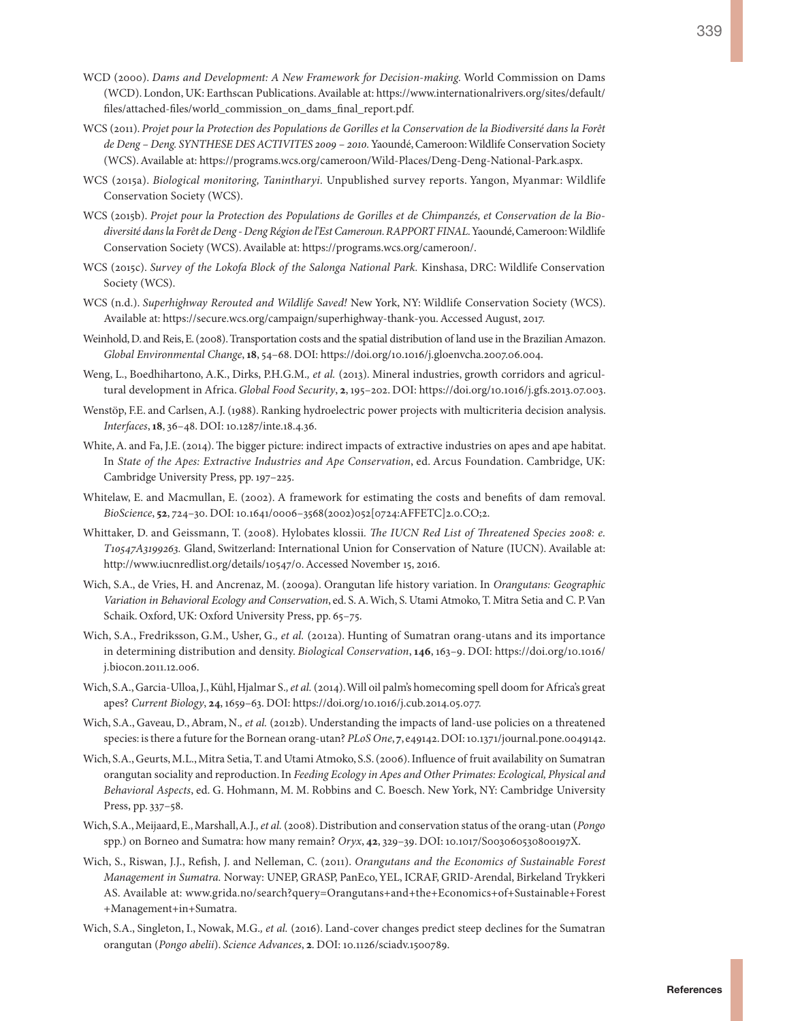- WCD (2000). *Dams and Development: A New Framework for Decision-making.* World Commission on Dams (WCD). London, UK: Earthscan Publications. Available at: [https://www.internationalrivers.org/sites/default/](https://www.internationalrivers.org/sites/default/files/attached-files/world_commission_on_dams_final_report.pdf) [files/attached-files/world\\_commission\\_on\\_dams\\_final\\_report.pdf](https://www.internationalrivers.org/sites/default/files/attached-files/world_commission_on_dams_final_report.pdf).
- WCS (2011). *Projet pour la Protection des Populations de Gorilles et la Conservation de la Biodiversité dans la Forêt de Deng – Deng. SYNTHESE DES ACTIVITES 2009 – 2010.* Yaoundé, Cameroon: Wildlife Conservation Society (WCS). Available at:<https://programs.wcs.org/cameroon/Wild-Places/Deng-Deng-National-Park.aspx>.
- WCS (2015a). *Biological monitoring, Tanintharyi.* Unpublished survey reports. Yangon, Myanmar: Wildlife Conservation Society (WCS).
- WCS (2015b). *Projet pour la Protection des Populations de Gorilles et de Chimpanzés, et Conservation de la Biodiversité dans la Forêt de Deng - Deng Région de l'Est Cameroun. RAPPORT FINAL.* Yaoundé, Cameroon: Wildlife Conservation Society (WCS). Available at: https://programs.wcs.org/cameroon/.
- WCS (2015c). *Survey of the Lokofa Block of the Salonga National Park.* Kinshasa, DRC: Wildlife Conservation Society (WCS).
- WCS (n.d.). *Superhighway Rerouted and Wildlife Saved!* New York, NY: Wildlife Conservation Society (WCS). Available at: [https://secure.wcs.org/campaign/superhighway-thank-you.](https://secure.wcs.org/campaign/superhighway-thank-you) Accessed August, 2017.
- Weinhold, D. and Reis, E. (2008). Transportation costs and the spatial distribution of land use in the Brazilian Amazon. *Global Environmental Change*, **18**, 54–68. DOI: <https://doi.org/10.1016/j.gloenvcha.2007.06.004>.
- Weng, L., Boedhihartono, A.K., Dirks, P.H.G.M.*, et al.* (2013). Mineral industries, growth corridors and agricultural development in Africa. *Global Food Security*, **2**, 195–202. DOI: [https://doi.org/10.1016/j.gfs.2013.07.003.](https://doi.org/10.1016/j.gfs.2013.07.003)
- Wenstöp, F.E. and Carlsen, A.J. (1988). Ranking hydroelectric power projects with multicriteria decision analysis. *Interfaces*, **18**, 36–48. DOI: 10.1287/inte.18.4.36.
- White, A. and Fa, J.E. (2014). The bigger picture: indirect impacts of extractive industries on apes and ape habitat. In *State of the Apes: Extractive Industries and Ape Conservation*, ed. Arcus Foundation. Cambridge, UK: Cambridge University Press, pp. 197–225.
- Whitelaw, E. and Macmullan, E. (2002). A framework for estimating the costs and benefits of dam removal. *BioScience*, **52**, 724–30. DOI: 10.1641/0006–3568(2002)052[0724:AFFETC]2.0.CO;2.
- Whittaker, D. and Geissmann, T. (2008). Hylobates klossii*. The IUCN Red List of Threatened Species 2008: e. T10547A3199263.* Gland, Switzerland: International Union for Conservation of Nature (IUCN). Available at: [http://www.iucnredlist.org/details/10547/0.](http://www.iucnredlist.org/details/10547/0) Accessed November 15, 2016.
- Wich, S.A., de Vries, H. and Ancrenaz, M. (2009a). Orangutan life history variation. In *Orangutans: Geographic Variation in Behavioral Ecology and Conservation*, ed. S. A. Wich, S. Utami Atmoko, T. Mitra Setia and C. P. Van Schaik. Oxford, UK: Oxford University Press, pp. 65–75.
- Wich, S.A., Fredriksson, G.M., Usher, G.*, et al.* (2012a). Hunting of Sumatran orang-utans and its importance in determining distribution and density. *Biological Conservation*, **146**, 163–9. DOI: [https://doi.org/10.1016/](https://doi.org/10.1016/j.biocon.2011.12.006) [j.biocon.2011.12.006](https://doi.org/10.1016/j.biocon.2011.12.006).
- Wich, S.A., Garcia-Ulloa, J., Kühl, Hjalmar S.*, et al.* (2014). Will oil palm's homecoming spell doom for Africa's great apes? *Current Biology*, **24**, 1659–63. DOI: https://doi.org/10.1016/j.cub.2014.05.077.
- Wich, S.A., Gaveau, D., Abram, N.*, et al.* (2012b). Understanding the impacts of land-use policies on a threatened species: is there a future for the Bornean orang-utan? *PLoS One*, **7**, e49142. DOI: 10.1371/journal.pone.0049142.
- Wich, S.A., Geurts, M.L., Mitra Setia, T. and Utami Atmoko, S.S. (2006). Influence of fruit availability on Sumatran orangutan sociality and reproduction. In *Feeding Ecology in Apes and Other Primates: Ecological, Physical and Behavioral Aspects*, ed. G. Hohmann, M. M. Robbins and C. Boesch. New York, NY: Cambridge University Press, pp. 337–58.
- Wich, S.A., Meijaard, E., Marshall, A.J.*, et al.* (2008). Distribution and conservation status of the orang-utan (*Pongo*  spp.) on Borneo and Sumatra: how many remain? *Oryx*, **42**, 329–39. DOI: 10.1017/S003060530800197X.
- Wich, S., Riswan, J.J., Refish, J. and Nelleman, C. (2011). *Orangutans and the Economics of Sustainable Forest Management in Sumatra.* Norway: UNEP, GRASP, PanEco, YEL, ICRAF, GRID-Arendal, Birkeland Trykkeri AS. Available at: www.grida.no/search?query=Orangutans+and+the+Economics+of+Sustainable+Forest +Management+in+Sumatra.
- Wich, S.A., Singleton, I., Nowak, M.G.*, et al.* (2016). Land-cover changes predict steep declines for the Sumatran orangutan (*Pongo abelii*). *Science Advances*, **2**. DOI: 10.1126/sciadv.1500789.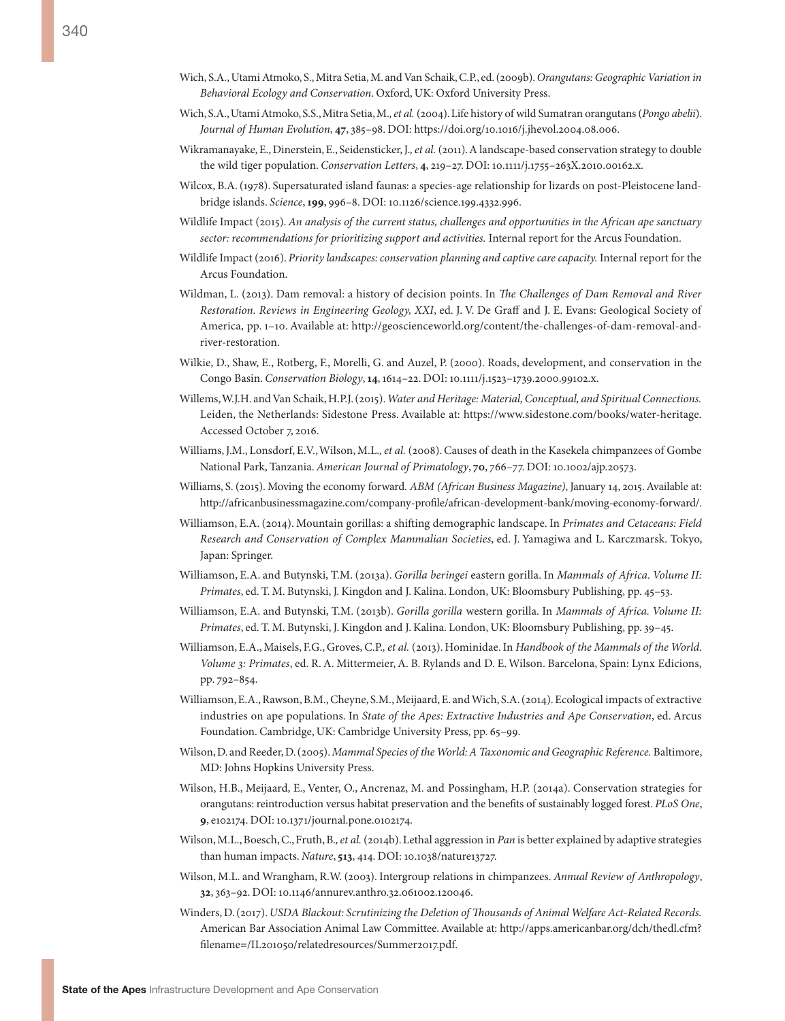- Wich, S.A., Utami Atmoko, S., Mitra Setia, M. and Van Schaik, C.P., ed. (2009b). *Orangutans: Geographic Variation in Behavioral Ecology and Conservation*. Oxford, UK: Oxford University Press.
- Wich, S.A., Utami Atmoko, S.S., Mitra Setia, M.*, et al.* (2004). Life history of wild Sumatran orangutans (*Pongo abelii*). *Journal of Human Evolution*, **47**, 385–98. DOI: https://doi.org/10.1016/j.jhevol.2004.08.006.
- Wikramanayake, E., Dinerstein, E., Seidensticker, J.*, et al.* (2011). A landscape-based conservation strategy to double the wild tiger population. *Conservation Letters*, **4**, 219–27. DOI: 10.1111/j.1755–263X.2010.00162.x.
- Wilcox, B.A. (1978). Supersaturated island faunas: a species-age relationship for lizards on post-Pleistocene landbridge islands. *Science*, **199**, 996–8. DOI: 10.1126/science.199.4332.996.
- Wildlife Impact (2015). *An analysis of the current status, challenges and opportunities in the African ape sanctuary sector: recommendations for prioritizing support and activities.* Internal report for the Arcus Foundation.
- Wildlife Impact (2016). *Priority landscapes: conservation planning and captive care capacity.* Internal report for the Arcus Foundation.
- Wildman, L. (2013). Dam removal: a history of decision points. In *The Challenges of Dam Removal and River Restoration. Reviews in Engineering Geology, XXI*, ed. J. V. De Graff and J. E. Evans: Geological Society of America, pp. 1–10. Available at: [http://geoscienceworld.org/content/the-challenges-of-dam-removal-and](http://geoscienceworld.org/content/the-challenges-of-dam-removal-and-river-restoration)[river-restoration](http://geoscienceworld.org/content/the-challenges-of-dam-removal-and-river-restoration).
- Wilkie, D., Shaw, E., Rotberg, F., Morelli, G. and Auzel, P. (2000). Roads, development, and conservation in the Congo Basin. *Conservation Biology*, **14**, 1614–22. DOI: 10.1111/j.1523–1739.2000.99102.x.
- Willems, W.J.H. and Van Schaik, H.P.J. (2015). *Water and Heritage: Material, Conceptual, and Spiritual Connections.* Leiden, the Netherlands: Sidestone Press. Available at: [https://www.sidestone.com/books/water-heritage.](https://www.sidestone.com/books/water-heritage) Accessed October 7, 2016.
- Williams, J.M., Lonsdorf, E.V., Wilson, M.L.*, et al.* (2008). Causes of death in the Kasekela chimpanzees of Gombe National Park, Tanzania. *American Journal of Primatology*, **70**, 766–77. DOI: 10.1002/ajp.20573.
- Williams, S. (2015). Moving the economy forward. *ABM (African Business Magazine)*, January 14, 2015. Available at: [http://africanbusinessmagazine.com/company-profile/african-development-bank/moving-economy-forward/.](http://africanbusinessmagazine.com/company-profile/african-development-bank/moving-economy-forward/)
- Williamson, E.A. (2014). Mountain gorillas: a shifting demographic landscape. In *Primates and Cetaceans: Field Research and Conservation of Complex Mammalian Societies*, ed. J. Yamagiwa and L. Karczmarsk. Tokyo, Japan: Springer.
- Williamson, E.A. and Butynski, T.M. (2013a). *Gorilla beringei* eastern gorilla. In *Mammals of Africa. Volume II: Primates*, ed. T. M. Butynski, J. Kingdon and J. Kalina. London, UK: Bloomsbury Publishing, pp. 45–53.
- Williamson, E.A. and Butynski, T.M. (2013b). *Gorilla gorilla* western gorilla. In *Mammals of Africa. Volume II: Primates*, ed. T. M. Butynski, J. Kingdon and J. Kalina. London, UK: Bloomsbury Publishing, pp. 39–45.
- Williamson, E.A., Maisels, F.G., Groves, C.P.*, et al.* (2013). Hominidae. In *Handbook of the Mammals of the World. Volume 3: Primates*, ed. R. A. Mittermeier, A. B. Rylands and D. E. Wilson. Barcelona, Spain: Lynx Edicions, pp. 792–854.
- Williamson, E.A., Rawson, B.M., Cheyne, S.M., Meijaard, E. and Wich, S.A. (2014). Ecological impacts of extractive industries on ape populations. In *State of the Apes: Extractive Industries and Ape Conservation*, ed. Arcus Foundation. Cambridge, UK: Cambridge University Press, pp. 65–99.
- Wilson, D. and Reeder, D. (2005). *Mammal Species of the World: A Taxonomic and Geographic Reference.* Baltimore, MD: Johns Hopkins University Press.
- Wilson, H.B., Meijaard, E., Venter, O., Ancrenaz, M. and Possingham, H.P. (2014a). Conservation strategies for orangutans: reintroduction versus habitat preservation and the benefits of sustainably logged forest. *PLoS One*, **9**, e102174. DOI: 10.1371/journal.pone.0102174.
- Wilson, M.L., Boesch, C., Fruth, B.*, et al.* (2014b). Lethal aggression in *Pan* is better explained by adaptive strategies than human impacts. *Nature*, **513**, 414. DOI: 10.1038/nature13727.
- Wilson, M.L. and Wrangham, R.W. (2003). Intergroup relations in chimpanzees. *Annual Review of Anthropology*, **32**, 363–92. DOI: 10.1146/annurev.anthro.32.061002.120046.
- Winders, D. (2017). *USDA Blackout: Scrutinizing the Deletion of Thousands of Animal Welfare Act-Related Records.* American Bar Association Animal Law Committee. Available at: [http://apps.americanbar.org/dch/thedl.cfm?](http://apps.americanbar.org/dch/thedl.cfm?filename=/IL201050/relatedresources/Summer2017.pdf) [filename=/IL201050/relatedresources/Summer2017.pdf.](http://apps.americanbar.org/dch/thedl.cfm?filename=/IL201050/relatedresources/Summer2017.pdf)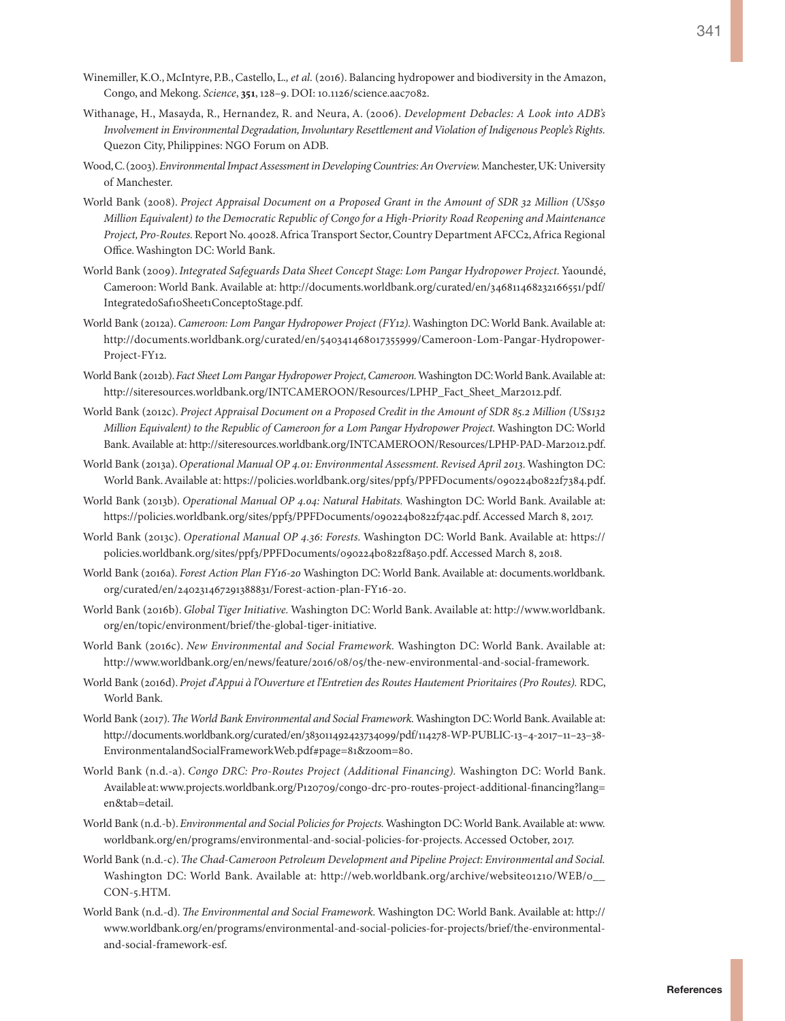- Winemiller, K.O., McIntyre, P.B., Castello, L.*, et al.* (2016). Balancing hydropower and biodiversity in the Amazon, Congo, and Mekong. *Science*, **351**, 128–9. DOI: 10.1126/science.aac7082.
- Withanage, H., Masayda, R., Hernandez, R. and Neura, A. (2006). *Development Debacles: A Look into ADB's Involvement in Environmental Degradation, Involuntary Resettlement and Violation of Indigenous People's Rights.* Quezon City, Philippines: NGO Forum on ADB.
- Wood, C. (2003). *Environmental Impact Assessment in Developing Countries: An Overview.* Manchester, UK: University of Manchester.
- World Bank (2008). *Project Appraisal Document on a Proposed Grant in the Amount of SDR 32 Million (US\$50 Million Equivalent) to the Democratic Republic of Congo for a High-Priority Road Reopening and Maintenance Project, Pro-Routes.* Report No. 40028. Africa Transport Sector, Country Department AFCC2, Africa Regional Office. Washington DC: World Bank.
- World Bank (2009). *Integrated Safeguards Data Sheet Concept Stage: Lom Pangar Hydropower Project.* Yaoundé, Cameroon: World Bank. Available at: [http://documents.worldbank.org/curated/en/346811468232166551/pdf/](http://documents.worldbank.org/curated/en/346811468232166551/pdf/Integrated0Saf10Sheet1Concept0Stage.pdf) [Integrated0Saf10Sheet1Concept0Stage.pdf](http://documents.worldbank.org/curated/en/346811468232166551/pdf/Integrated0Saf10Sheet1Concept0Stage.pdf).
- World Bank (2012a). *Cameroon: Lom Pangar Hydropower Project (FY12).* Washington DC: World Bank. Available at: [http://documents.worldbank.org/curated/en/540341468017355999/Cameroon-Lom-Pangar-Hydropower-](http://documents.worldbank.org/curated/en/540341468017355999/Cameroon-Lom-Pangar-Hydropower-Project-FY12)[Project-FY12](http://documents.worldbank.org/curated/en/540341468017355999/Cameroon-Lom-Pangar-Hydropower-Project-FY12).
- World Bank (2012b). *Fact Sheet Lom Pangar Hydropower Project, Cameroon.* Washington DC: World Bank. Available at: [http://siteresources.worldbank.org/INTCAMEROON/Resources/LPHP\\_Fact\\_Sheet\\_Mar2012.pdf.](http://siteresources.worldbank.org/INTCAMEROON/Resources/LPHP_Fact_Sheet_Mar2012.pdf)
- World Bank (2012c). *Project Appraisal Document on a Proposed Credit in the Amount of SDR 85.2 Million (US\$132 Million Equivalent) to the Republic of Cameroon for a Lom Pangar Hydropower Project.* Washington DC: World Bank. Available at: [http://siteresources.worldbank.org/INTCAMEROON/Resources/LPHP-PAD-Mar2012.pdf.](http://siteresources.worldbank.org/INTCAMEROON/Resources/LPHP-PAD-Mar2012.pdf)
- World Bank (2013a). *Operational Manual OP 4.01: Environmental Assessment. Revised April 2013.* Washington DC: World Bank. Available at: [https://policies.worldbank.org/sites/ppf3/PPFDocuments/090224b0822f7384.pdf.](https://policies.worldbank.org/sites/ppf3/PPFDocuments/090224b0822f7384.pdf)
- World Bank (2013b). *Operational Manual OP 4.04: Natural Habitats.* Washington DC: World Bank. Available at: [https://policies.worldbank.org/sites/ppf3/PPFDocuments/090224b0822f74ac.pdf.](https://policies.worldbank.org/sites/ppf3/PPFDocuments/090224b0822f74ac.pdf) Accessed March 8, 2017.
- World Bank (2013c). *Operational Manual OP 4.36: Forests.* Washington DC: World Bank. Available at: [https://](https://policies.worldbank.org/sites/ppf3/PPFDocuments/090224b0822f8a50.pdf) [policies.worldbank.org/sites/ppf3/PPFDocuments/090224b0822f8a50.pdf](https://policies.worldbank.org/sites/ppf3/PPFDocuments/090224b0822f8a50.pdf). Accessed March 8, 2018.
- World Bank (2016a). *Forest Action Plan FY16-20* Washington DC: World Bank. Available at: [documents.worldbank.](documents.worldbank.org/curated/en/240231467291388831/Forest-action-plan-FY16-20) [org/curated/en/240231467291388831/Forest-action-plan-FY16-20.](documents.worldbank.org/curated/en/240231467291388831/Forest-action-plan-FY16-20)
- World Bank (2016b). *Global Tiger Initiative.* Washington DC: World Bank. Available at: [http://www.worldbank.](http://www.worldbank.org/en/topic/environment/brief/the-global-tiger-initiative) [org/en/topic/environment/brief/the-global-tiger-initiative](http://www.worldbank.org/en/topic/environment/brief/the-global-tiger-initiative).
- World Bank (2016c). *New Environmental and Social Framework.* Washington DC: World Bank. Available at: [http://www.worldbank.org/en/news/feature/2016/08/05/the-new-environmental-and-social-framework.](http://www.worldbank.org/en/news/feature/2016/08/05/the-new-environmental-and-social-framework)
- World Bank (2016d). *Projet d'Appui à l'Ouverture et l'Entretien des Routes Hautement Prioritaires (Pro Routes).* RDC, World Bank.
- World Bank (2017). *The World Bank Environmental and Social Framework.* Washington DC: World Bank. Available at: [http://documents.worldbank.org/curated/en/383011492423734099/pdf/114278-WP-PUBLIC-13–4-2017–11–23–38-](http://documents.worldbank.org/curated/en/383011492423734099/pdf/114278-WP-PUBLIC-13-4-2017-11-23-38-EnvironmentalandSocialFrameworkWeb.pdf#page=81&zoom=80) [EnvironmentalandSocialFrameworkWeb.pdf#page=81&zoom=80](http://documents.worldbank.org/curated/en/383011492423734099/pdf/114278-WP-PUBLIC-13-4-2017-11-23-38-EnvironmentalandSocialFrameworkWeb.pdf#page=81&zoom=80).
- World Bank (n.d.-a). *Congo DRC: Pro-Routes Project (Additional Financing).* Washington DC: World Bank. Available at: [www.projects.worldbank.org/P120709/congo-drc-pro-routes-project-additional-financing?lang=](www.projects.worldbank.org/P120709/congo-drc-pro-routes-project-additional-financing?lang=en&tab=detail) [en&tab=detail.](www.projects.worldbank.org/P120709/congo-drc-pro-routes-project-additional-financing?lang=en&tab=detail)
- World Bank (n.d.-b). *Environmental and Social Policies for Projects.* Washington DC: World Bank. Available at: [www.](www.worldbank.org/en/programs/environmental-and-social-policies-for-projects) [worldbank.org/en/programs/environmental-and-social-policies-for-projects](www.worldbank.org/en/programs/environmental-and-social-policies-for-projects). Accessed October, 2017.
- World Bank (n.d.-c). *The Chad-Cameroon Petroleum Development and Pipeline Project: Environmental and Social.* Washington DC: World Bank. Available at: http://web.worldbank.org/archive/website01210/WEB/0\_ [CON-5.HTM.](http://web.worldbank.org/archive/website01210/WEB/0__CON-5.HTM)
- World Bank (n.d.-d). *The Environmental and Social Framework.* Washington DC: World Bank. Available at: http:// [www.worldbank.org/en/programs/environmental-and-social-policies-for-projects/brief/the-environmental](www.worldbank.org/en/programs/environmental-and-social-policies-for-projects/brief/the-environmental-and-social-framework-esf)[and-social-framework-esf](www.worldbank.org/en/programs/environmental-and-social-policies-for-projects/brief/the-environmental-and-social-framework-esf).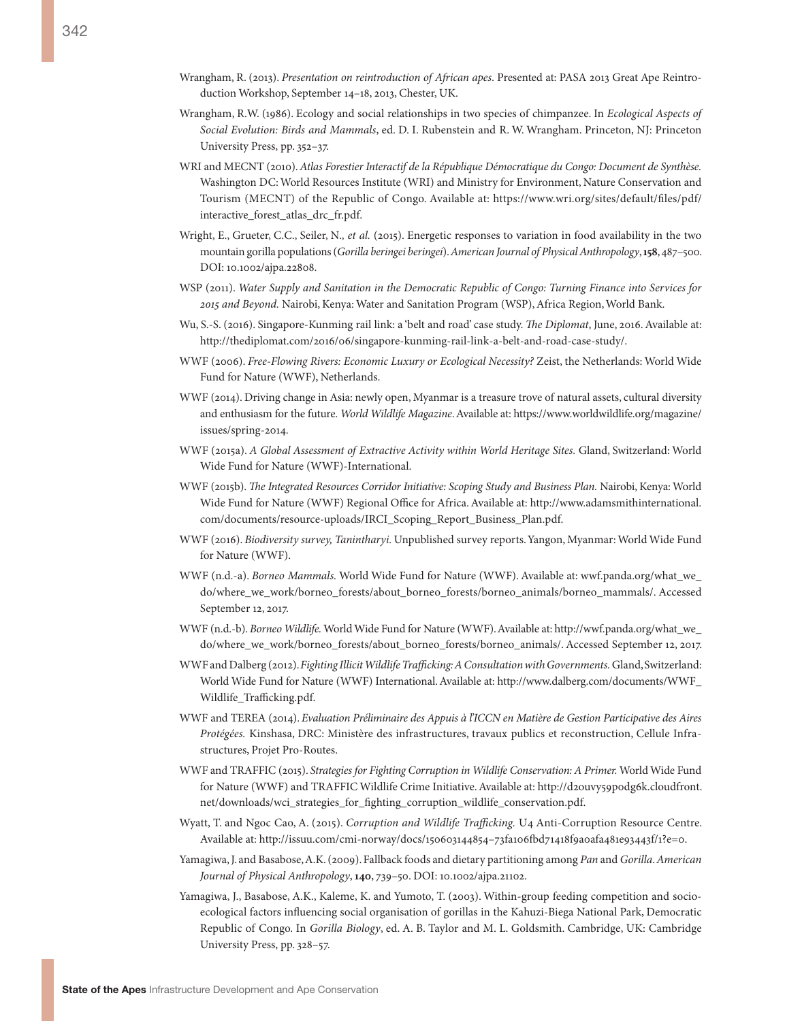- Wrangham, R. (2013). *Presentation on reintroduction of African apes*. Presented at: PASA 2013 Great Ape Reintroduction Workshop, September 14–18, 2013, Chester, UK.
- Wrangham, R.W. (1986). Ecology and social relationships in two species of chimpanzee. In *Ecological Aspects of Social Evolution: Birds and Mammals*, ed. D. I. Rubenstein and R. W. Wrangham. Princeton, NJ: Princeton University Press, pp. 352–37.
- WRI and MECNT (2010). *Atlas Forestier Interactif de la République Démocratique du Congo: Document de Synthèse.* Washington DC: World Resources Institute (WRI) and Ministry for Environment, Nature Conservation and Tourism (MECNT) of the Republic of Congo. Available at: [https://www.wri.org/sites/default/files/pdf/](https://www.wri.org/sites/default/files/pdf/interactive_forest_atlas_drc_fr.pdf) interactive forest atlas drc fr.pdf.
- Wright, E., Grueter, C.C., Seiler, N.*, et al.* (2015). Energetic responses to variation in food availability in the two mountain gorilla populations (*Gorilla beringei beringei*). *American Journal of Physical Anthropology*, **158**, 487–500. DOI: 10.1002/ajpa.22808.
- WSP (2011). *Water Supply and Sanitation in the Democratic Republic of Congo: Turning Finance into Services for 2015 and Beyond.* Nairobi, Kenya: Water and Sanitation Program (WSP), Africa Region, World Bank.
- Wu, S.-S. (2016). Singapore-Kunming rail link: a 'belt and road' case study. *The Diplomat*, June, 2016. Available at: <http://thediplomat.com/2016/06/singapore-kunming-rail-link-a-belt-and-road-case-study/>.
- WWF (2006). *Free-Flowing Rivers: Economic Luxury or Ecological Necessity?* Zeist, the Netherlands: World Wide Fund for Nature (WWF), Netherlands.
- WWF (2014). Driving change in Asia: newly open, Myanmar is a treasure trove of natural assets, cultural diversity and enthusiasm for the future. *World Wildlife Magazine*. Available at: [https://www.worldwildlife.org/magazine/](https://www.worldwildlife.org/magazine/issues/spring-2014) [issues/spring-2014](https://www.worldwildlife.org/magazine/issues/spring-2014).
- WWF (2015a). *A Global Assessment of Extractive Activity within World Heritage Sites.* Gland, Switzerland: World Wide Fund for Nature (WWF)-International.
- WWF (2015b). *The Integrated Resources Corridor Initiative: Scoping Study and Business Plan.* Nairobi, Kenya: World Wide Fund for Nature (WWF) Regional Office for Africa. Available at: [http://www.adamsmithinternational.](http://www.adamsmithinternational.com/documents/resource-uploads/IRCI_Scoping_Report_Business_Plan.pdf.) [com/documents/resource-uploads/IRCI\\_Scoping\\_Report\\_Business\\_Plan.pdf.](http://www.adamsmithinternational.com/documents/resource-uploads/IRCI_Scoping_Report_Business_Plan.pdf.)
- WWF (2016). *Biodiversity survey, Tanintharyi.* Unpublished survey reports. Yangon, Myanmar: World Wide Fund for Nature (WWF).
- WWF (n.d.-a). *Borneo Mammals*. World Wide Fund for Nature (WWF). Available at: [wwf.panda.org/what\\_we\\_](wwf.panda.org/what_we_do/where_we_work/borneo_forests/about_borneo_forests/borneo_animals/borneo_mammals/) [do/where\\_we\\_work/borneo\\_forests/about\\_borneo\\_forests/borneo\\_animals/borneo\\_mammals/](wwf.panda.org/what_we_do/where_we_work/borneo_forests/about_borneo_forests/borneo_animals/borneo_mammals/). Accessed September 12, 2017.
- WWF (n.d.-b). *Borneo Wildlife.* World Wide Fund for Nature (WWF). Available at: [http://wwf.panda.org/what\\_we\\_](http://wwf.panda.org/what_we_do/where_we_work/borneo_forests/about_borneo_forests/borneo_animals/) [do/where\\_we\\_work/borneo\\_forests/about\\_borneo\\_forests/borneo\\_animals/](http://wwf.panda.org/what_we_do/where_we_work/borneo_forests/about_borneo_forests/borneo_animals/). Accessed September 12, 2017.
- WWF and Dalberg (2012). *Fighting Illicit Wildlife Trafficking: A Consultation with Governments.* Gland, Switzerland: World Wide Fund for Nature (WWF) International. Available at: [http://www.dalberg.com/documents/WWF\\_](http://www.dalberg.com/documents/WWF_Wildlife_Trafficking.pdf) [Wildlife\\_Trafficking.pdf.](http://www.dalberg.com/documents/WWF_Wildlife_Trafficking.pdf)
- WWF and TEREA (2014). *Evaluation Préliminaire des Appuis à l'ICCN en Matière de Gestion Participative des Aires Protégées.* Kinshasa, DRC: Ministère des infrastructures, travaux publics et reconstruction, Cellule Infrastructures, Projet Pro-Routes.
- WWF and TRAFFIC (2015). *Strategies for Fighting Corruption in Wildlife Conservation: A Primer.* World Wide Fund for Nature (WWF) and TRAFFIC Wildlife Crime Initiative. Available at: [http://d2ouvy59p0dg6k.cloudfront.](http://d2ouvy59p0dg6k.cloudfront.net/downloads/wci_strategies_for_fighting_corruption_wildlife_conservation.pdf) [net/downloads/wci\\_strategies\\_for\\_fighting\\_corruption\\_wildlife\\_conservation.pdf](http://d2ouvy59p0dg6k.cloudfront.net/downloads/wci_strategies_for_fighting_corruption_wildlife_conservation.pdf).
- Wyatt, T. and Ngoc Cao, A. (2015). *Corruption and Wildlife Trafficking.* U4 Anti-Corruption Resource Centre. Available at: [http://issuu.com/cmi-norway/docs/150603144854–73fa106fbd71418f9a0afa481e93443f/1?e=0](http://issuu.com/cmi-norway/docs/150603144854-73fa106fbd71418f9a0afa481e93443f/1?e=0).
- Yamagiwa, J. and Basabose, A.K. (2009). Fallback foods and dietary partitioning among *Pan* and *Gorilla*. *American Journal of Physical Anthropology*, **140**, 739–50. DOI: 10.1002/ajpa.21102.
- Yamagiwa, J., Basabose, A.K., Kaleme, K. and Yumoto, T. (2003). Within-group feeding competition and socioecological factors influencing social organisation of gorillas in the Kahuzi-Biega National Park, Democratic Republic of Congo. In *Gorilla Biology*, ed. A. B. Taylor and M. L. Goldsmith. Cambridge, UK: Cambridge University Press, pp. 328–57.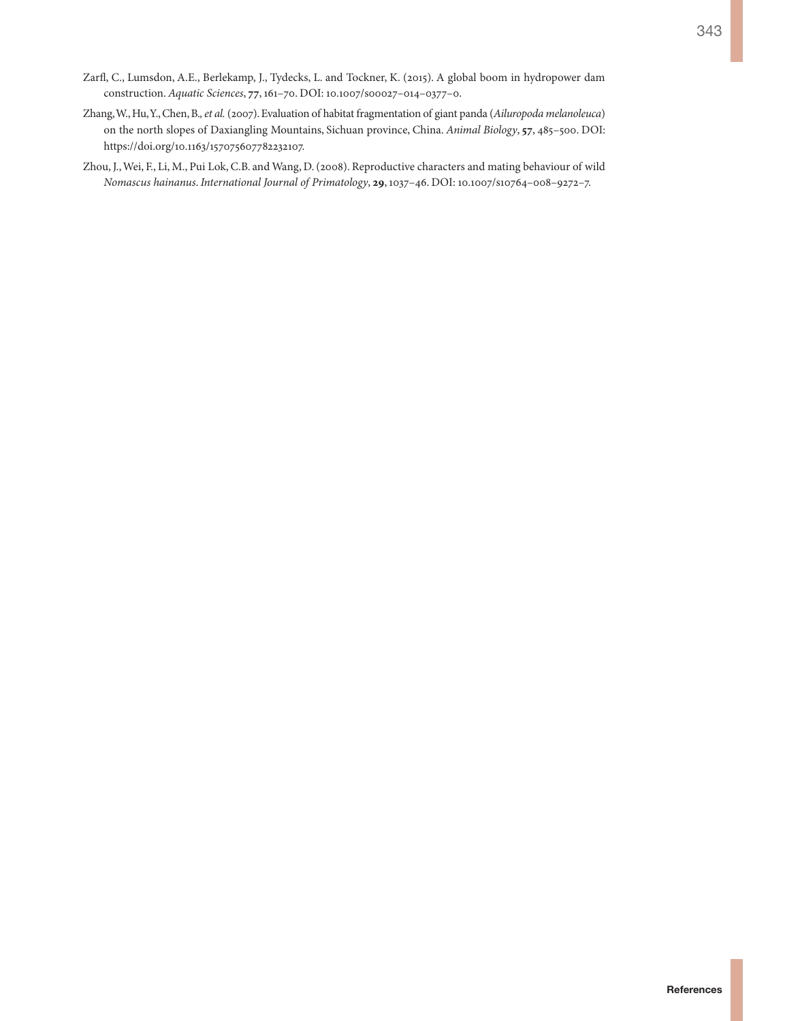- Zarfl, C., Lumsdon, A.E., Berlekamp, J., Tydecks, L. and Tockner, K. (2015). A global boom in hydropower dam construction. *Aquatic Sciences*, **77**, 161–70. DOI: 10.1007/s00027–014–0377–0.
- Zhang, W., Hu, Y., Chen, B.*, et al.* (2007). Evaluation of habitat fragmentation of giant panda (*Ailuropoda melanoleuca*) on the north slopes of Daxiangling Mountains, Sichuan province, China. *Animal Biology*, **57**, 485–500. DOI: <https://doi.org/10.1163/157075607782232107>.
- Zhou, J., Wei, F., Li, M., Pui Lok, C.B. and Wang, D. (2008). Reproductive characters and mating behaviour of wild *Nomascus hainanus*. *International Journal of Primatology*, **29**, 1037–46. DOI: 10.1007/s10764–008–9272–7.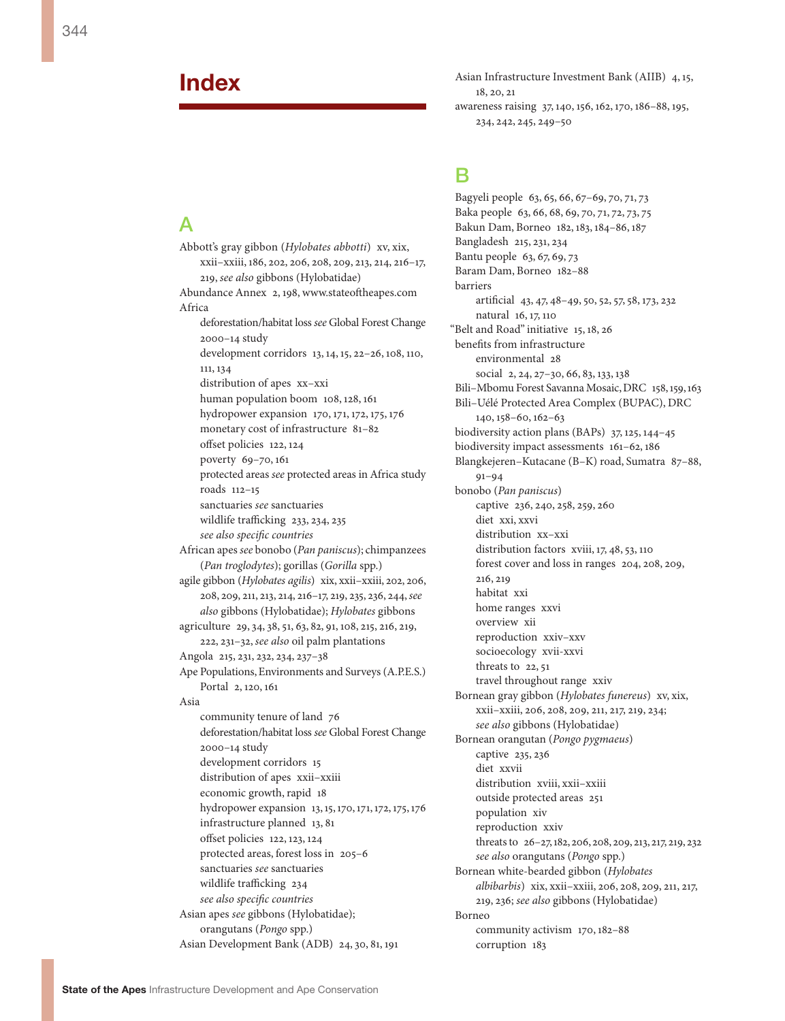## **Index**

### $\Delta$

Abbott's gray gibbon (*Hylobates abbotti*) xv, xix, xxii–xxiii, 186, 202, 206, 208, 209, 213, 214, 216–17, 219, *see also* gibbons (Hylobatidae) Abundance Annex 2, 198,<www.stateoftheapes.com> Africa deforestation/habitat loss *see* Global Forest Change 2000–14 study development corridors 13, 14, 15, 22–26, 108, 110, 111, 134 distribution of apes xx–xxi human population boom 108, 128, 161 hydropower expansion 170, 171, 172, 175, 176 monetary cost of infrastructure 81–82 offset policies 122, 124 poverty 69–70, 161 protected areas *see* protected areas in Africa study roads 112–15 sanctuaries *see* sanctuaries wildlife trafficking 233, 234, 235 *see also specific countries* African apes *see* bonobo (*Pan paniscus*); chimpanzees (*Pan troglodytes*); gorillas (*Gorilla* spp.) agile gibbon (*Hylobates agilis*) xix, xxii–xxiii, 202, 206, 208, 209, 211, 213, 214, 216–17, 219, 235, 236, 244, *see also* gibbons (Hylobatidae); *Hylobates* gibbons agriculture 29, 34, 38, 51, 63, 82, 91, 108, 215, 216, 219, 222, 231–32, *see also* oil palm plantations Angola 215, 231, 232, 234, 237–38 Ape Populations, Environments and Surveys (A.P.E.S.) Portal 2, 120, 161 Asia community tenure of land 76 deforestation/habitat loss *see* Global Forest Change 2000–14 study development corridors 15 distribution of apes xxii–xxiii economic growth, rapid 18 hydropower expansion 13, 15, 170, 171, 172, 175, 176 infrastructure planned 13, 81 offset policies 122, 123, 124 protected areas, forest loss in 205–6 sanctuaries *see* sanctuaries wildlife trafficking 234 *see also specific countries* Asian apes *see* gibbons (Hylobatidae); orangutans (*Pongo* spp.)

Asian Infrastructure Investment Bank (AIIB) 4, 15, 18, 20, 21 awareness raising 37, 140, 156, 162, 170, 186–88, 195, 234, 242, 245, 249–50

## B

Bagyeli people 63, 65, 66, 67–69, 70, 71, 73 Baka people 63, 66, 68, 69, 70, 71, 72, 73, 75 Bakun Dam, Borneo 182, 183, 184–86, 187 Bangladesh 215, 231, 234 Bantu people 63, 67, 69, 73 Baram Dam, Borneo 182–88 barriers artificial 43, 47, 48–49, 50, 52, 57, 58, 173, 232 natural 16, 17, 110 "Belt and Road" initiative 15, 18, 26 benefits from infrastructure environmental 28 social 2, 24, 27–30, 66, 83, 133, 138 Bili–Mbomu Forest Savanna Mosaic, DRC 158, 159, 163 Bili–Uélé Protected Area Complex (BUPAC), DRC 140, 158–60, 162–63 biodiversity action plans (BAPs) 37, 125, 144–45 biodiversity impact assessments 161–62, 186 Blangkejeren–Kutacane (B–K) road, Sumatra 87–88, 91–94 bonobo (*Pan paniscus*) captive 236, 240, 258, 259, 260 diet xxi, xxvi distribution xx–xxi distribution factors xviii, 17, 48, 53, 110 forest cover and loss in ranges 204, 208, 209, 216, 219 habitat xxi home ranges xxvi overview xii reproduction xxiv–xxv socioecology xvii-xxvi threats to 22,51 travel throughout range xxiv Bornean gray gibbon (*Hylobates funereus*) xv, xix, xxii–xxiii, 206, 208, 209, 211, 217, 219, 234; *see also* gibbons (Hylobatidae) Bornean orangutan (*Pongo pygmaeus*) captive 235, 236 diet xxvii distribution xviii, xxii–xxiii outside protected areas 251 population xiv reproduction xxiv threats to 26–27, 182, 206, 208, 209, 213, 217, 219, 232 *see also* orangutans (*Pongo* spp.) Bornean white-bearded gibbon (*Hylobates albibarbis*) xix, xxii–xxiii, 206, 208, 209, 211, 217, 219, 236; *see also* gibbons (Hylobatidae) Borneo community activism 170, 182–88 corruption 183

Asian Development Bank (ADB) 24, 30, 81, 191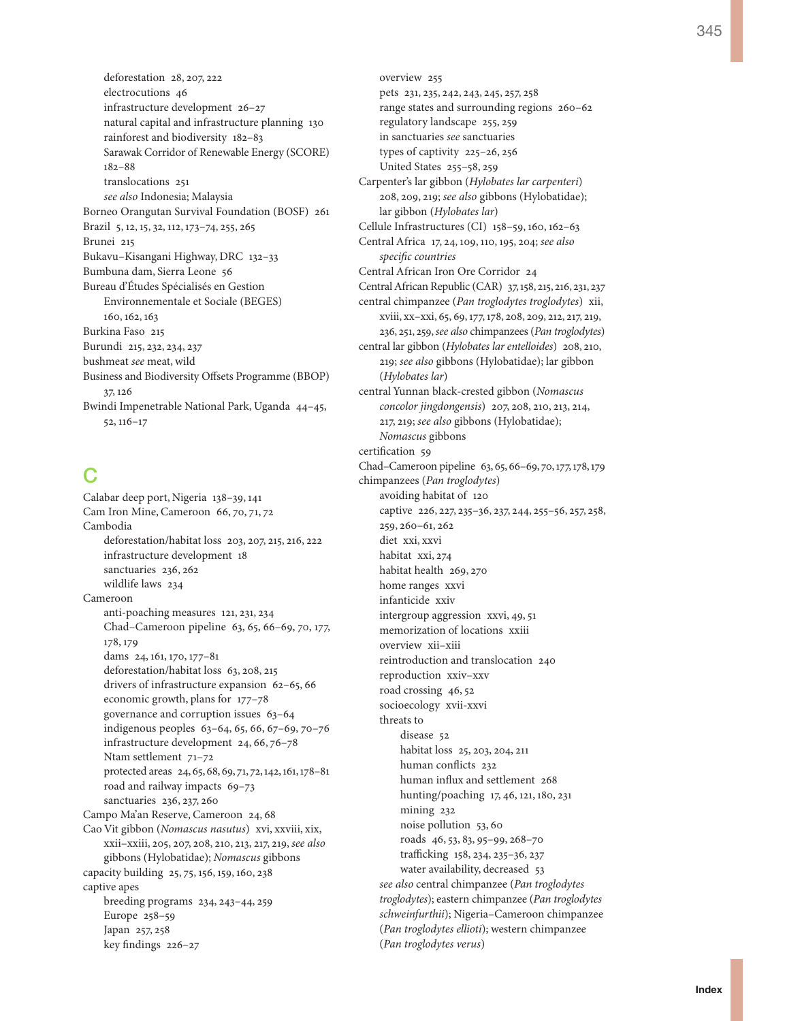deforestation 28, 207, 222 electrocutions 46 infrastructure development 26–27 natural capital and infrastructure planning 130 rainforest and biodiversity 182–83 Sarawak Corridor of Renewable Energy (SCORE) 182–88 translocations 251 *see also* Indonesia; Malaysia Borneo Orangutan Survival Foundation (BOSF) 261 Brazil 5, 12, 15, 32, 112, 173–74, 255, 265 Brunei 215 Bukavu–Kisangani Highway, DRC 132–33 Bumbuna dam, Sierra Leone 56 Bureau d'Études Spécialisés en Gestion Environnementale et Sociale (BEGES) 160, 162, 163 Burkina Faso 215 Burundi 215, 232, 234, 237 bushmeat *see* meat, wild Business and Biodiversity Offsets Programme (BBOP) 37, 126 Bwindi Impenetrable National Park, Uganda 44–45, 52, 116–17

## $\mathsf{C}$

Calabar deep port, Nigeria 138–39, 141 Cam Iron Mine, Cameroon 66, 70, 71, 72 Cambodia deforestation/habitat loss 203, 207, 215, 216, 222 infrastructure development 18 sanctuaries 236, 262 wildlife laws 234 Cameroon anti-poaching measures 121, 231, 234 Chad–Cameroon pipeline 63, 65, 66–69, 70, 177, 178, 179 dams 24, 161, 170, 177–81 deforestation/habitat loss 63, 208, 215 drivers of infrastructure expansion 62–65, 66 economic growth, plans for 177–78 governance and corruption issues 63–64 indigenous peoples 63–64, 65, 66, 67–69, 70–76 infrastructure development 24, 66, 76–78 Ntam settlement 71–72 protected areas 24, 65, 68, 69, 71, 72, 142, 161, 178–81 road and railway impacts 69–73 sanctuaries 236, 237, 260 Campo Ma'an Reserve, Cameroon 24, 68 Cao Vit gibbon (*Nomascus nasutus*) xvi, xxviii, xix, xxii–xxiii, 205, 207, 208, 210, 213, 217, 219, *see also* gibbons (Hylobatidae); *Nomascus* gibbons capacity building 25, 75, 156, 159, 160, 238 captive apes breeding programs 234, 243–44, 259 Europe 258–59 Japan 257, 258 key findings 226–27

overview 255 pets 231, 235, 242, 243, 245, 257, 258 range states and surrounding regions 260–62 regulatory landscape 255, 259 in sanctuaries *see* sanctuaries types of captivity 225–26, 256 United States 255–58, 259 Carpenter's lar gibbon (*Hylobates lar carpenteri*) 208, 209, 219; *see also* gibbons (Hylobatidae); lar gibbon (*Hylobates lar*) Cellule Infrastructures (CI) 158–59, 160, 162–63 Central Africa 17, 24, 109, 110, 195, 204; *see also specific countries* Central African Iron Ore Corridor 24 Central African Republic (CAR) 37, 158, 215, 216, 231, 237 central chimpanzee (*Pan troglodytes troglodytes*) xii, xviii, xx–xxi, 65, 69, 177, 178, 208, 209, 212, 217, 219, 236, 251, 259, *see also* chimpanzees (*Pan troglodytes*) central lar gibbon (*Hylobates lar entelloides*) 208, 210, 219; *see also* gibbons (Hylobatidae); lar gibbon (*Hylobates lar*) central Yunnan black-crested gibbon (*Nomascus concolor jingdongensis*) 207, 208, 210, 213, 214, 217, 219; *see also* gibbons (Hylobatidae); *Nomascus* gibbons certification 59 Chad–Cameroon pipeline 63, 65, 66–69, 70, 177, 178, 179 chimpanzees (*Pan troglodytes*) avoiding habitat of 120 captive 226, 227, 235–36, 237, 244, 255–56, 257, 258, 259, 260–61, 262 diet xxi, xxvi habitat xxi, 274 habitat health 269, 270 home ranges xxvi infanticide xxiv intergroup aggression xxvi, 49, 51 memorization of locations xxiii overview xii–xiii reintroduction and translocation 240 reproduction xxiv–xxv road crossing 46, 52 socioecology xvii-xxvi threats to disease 52 habitat loss 25, 203, 204, 211 human conflicts 232 human influx and settlement 268 hunting/poaching 17, 46, 121, 180, 231 mining 232 noise pollution 53, 60 roads 46, 53, 83, 95–99, 268–70 trafficking 158, 234, 235–36, 237 water availability, decreased 53 *see also* central chimpanzee (*Pan troglodytes troglodytes*); eastern chimpanzee (*Pan troglodytes schweinfurthii*); Nigeria–Cameroon chimpanzee (*Pan troglodytes ellioti*); western chimpanzee (*Pan troglodytes verus*)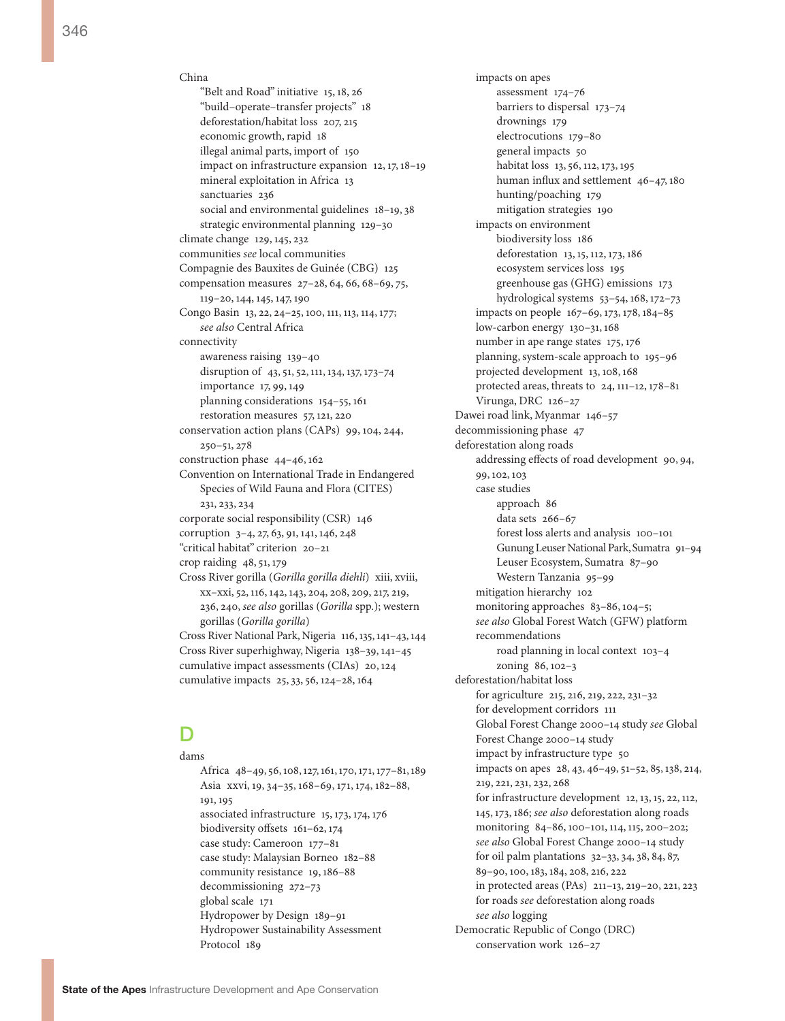China "Belt and Road" initiative 15, 18, 26 "build–operate–transfer projects" 18 deforestation/habitat loss 207, 215 economic growth, rapid 18 illegal animal parts, import of 150 impact on infrastructure expansion 12, 17, 18–19 mineral exploitation in Africa 13 sanctuaries 236 social and environmental guidelines 18–19, 38 strategic environmental planning 129–30 climate change 129, 145, 232 communities *see* local communities Compagnie des Bauxites de Guinée (CBG) 125 compensation measures 27–28, 64, 66, 68–69, 75, 119–20, 144, 145, 147, 190 Congo Basin 13, 22, 24–25, 100, 111, 113, 114, 177; *see also* Central Africa connectivity awareness raising 139–40 disruption of 43, 51, 52, 111, 134, 137, 173–74 importance 17, 99, 149 planning considerations 154–55, 161 restoration measures 57, 121, 220 conservation action plans (CAPs) 99, 104, 244, 250–51, 278 construction phase 44–46, 162 Convention on International Trade in Endangered Species of Wild Fauna and Flora (CITES) 231, 233, 234 corporate social responsibility (CSR) 146 corruption 3–4, 27, 63, 91, 141, 146, 248 "critical habitat" criterion 20–21 crop raiding 48, 51, 179 Cross River gorilla (*Gorilla gorilla diehli*) xiii, xviii, xx–xxi, 52, 116, 142, 143, 204, 208, 209, 217, 219, 236, 240, *see also* gorillas (*Gorilla* spp.); western gorillas (*Gorilla gorilla*) Cross River National Park, Nigeria 116, 135, 141–43, 144 Cross River superhighway, Nigeria 138–39, 141–45 cumulative impact assessments (CIAs) 20, 124 cumulative impacts 25, 33, 56, 124–28, 164

### D

dams Africa 48–49, 56, 108, 127, 161, 170, 171, 177–81, 189 Asia xxvi, 19, 34–35, 168–69, 171, 174, 182–88, 191, 195 associated infrastructure 15, 173, 174, 176 biodiversity offsets 161–62, 174 case study: Cameroon 177–81 case study: Malaysian Borneo 182–88 community resistance 19, 186–88 decommissioning 272–73 global scale 171 Hydropower by Design 189–91 Hydropower Sustainability Assessment Protocol 189

impacts on apes assessment 174–76 barriers to dispersal 173–74 drownings 179 electrocutions 179–80 general impacts 50 habitat loss 13, 56, 112, 173, 195 human influx and settlement 46–47, 180 hunting/poaching 179 mitigation strategies 190 impacts on environment biodiversity loss 186 deforestation 13, 15, 112, 173, 186 ecosystem services loss 195 greenhouse gas (GHG) emissions 173 hydrological systems 53–54, 168, 172–73 impacts on people 167–69, 173, 178, 184–85 low-carbon energy 130–31, 168 number in ape range states 175, 176 planning, system-scale approach to 195–96 projected development 13, 108, 168 protected areas, threats to 24, 111–12, 178–81 Virunga, DRC 126–27 Dawei road link, Myanmar 146–57 decommissioning phase 47 deforestation along roads addressing effects of road development 90, 94, 99, 102, 103 case studies approach 86 data sets 266–67 forest loss alerts and analysis 100–101 Gunung Leuser National Park, Sumatra 91–94 Leuser Ecosystem, Sumatra 87–90 Western Tanzania 95–99 mitigation hierarchy 102 monitoring approaches 83–86, 104–5; *see also* Global Forest Watch (GFW) platform recommendations road planning in local context 103–4 zoning 86, 102–3 deforestation/habitat loss for agriculture 215, 216, 219, 222, 231–32 for development corridors 111 Global Forest Change 2000–14 study *see* Global Forest Change 2000–14 study impact by infrastructure type 50 impacts on apes 28, 43, 46–49, 51–52, 85, 138, 214, 219, 221, 231, 232, 268 for infrastructure development 12, 13, 15, 22, 112, 145, 173, 186; *see also* deforestation along roads monitoring 84–86, 100–101, 114, 115, 200–202; *see also* Global Forest Change 2000–14 study for oil palm plantations 32–33, 34, 38, 84, 87, 89–90, 100, 183, 184, 208, 216, 222 in protected areas (PAs) 211–13, 219–20, 221, 223 for roads *see* deforestation along roads *see also* logging Democratic Republic of Congo (DRC) conservation work 126–27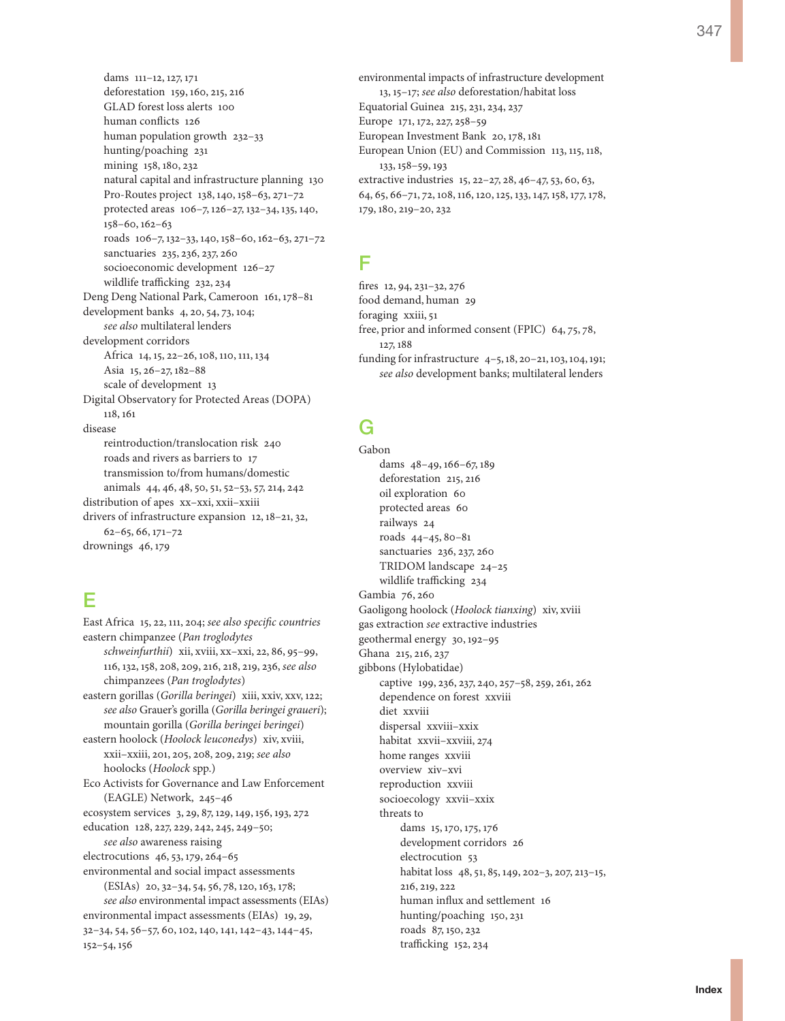dams 111–12, 127, 171 deforestation 159, 160, 215, 216 GLAD forest loss alerts 100 human conflicts 126 human population growth 232–33 hunting/poaching 231 mining 158, 180, 232 natural capital and infrastructure planning 130 Pro-Routes project 138, 140, 158–63, 271–72 protected areas 106–7, 126–27, 132–34, 135, 140, 158–60, 162–63 roads 106–7, 132–33, 140, 158–60, 162–63, 271–72 sanctuaries 235, 236, 237, 260 socioeconomic development 126–27 wildlife trafficking 232, 234 Deng Deng National Park, Cameroon 161, 178–81 development banks 4, 20, 54, 73, 104; *see also* multilateral lenders development corridors Africa 14, 15, 22–26, 108, 110, 111, 134 Asia 15, 26–27, 182–88 scale of development 13 Digital Observatory for Protected Areas (DOPA) 118, 161 disease reintroduction/translocation risk 240 roads and rivers as barriers to 17 transmission to/from humans/domestic animals 44, 46, 48, 50, 51, 52–53, 57, 214, 242 distribution of apes xx–xxi, xxii–xxiii drivers of infrastructure expansion 12, 18–21, 32, 62–65, 66, 171–72 drownings 46, 179

## E

East Africa 15, 22, 111, 204; *see also specific countries* eastern chimpanzee (*Pan troglodytes schweinfurthii*) xii, xviii, xx–xxi, 22, 86, 95–99, 116, 132, 158, 208, 209, 216, 218, 219, 236, *see also* chimpanzees (*Pan troglodytes*) eastern gorillas (*Gorilla beringei*) xiii, xxiv, xxv, 122; *see also* Grauer's gorilla (*Gorilla beringei graueri*); mountain gorilla (*Gorilla beringei beringei*) eastern hoolock (*Hoolock leuconedys*) xiv, xviii, xxii–xxiii, 201, 205, 208, 209, 219; *see also* hoolocks (*Hoolock* spp.) Eco Activists for Governance and Law Enforcement (EAGLE) Network, 245–46 ecosystem services 3, 29, 87, 129, 149, 156, 193, 272 education 128, 227, 229, 242, 245, 249–50; *see also* awareness raising electrocutions 46, 53, 179, 264–65 environmental and social impact assessments (ESIAs) 20, 32–34, 54, 56, 78, 120, 163, 178; *see also* environmental impact assessments (EIAs) environmental impact assessments (EIAs) 19, 29, 32–34, 54, 56–57, 60, 102, 140, 141, 142–43, 144–45, 152–54, 156

environmental impacts of infrastructure development 13, 15–17; *see also* deforestation/habitat loss Equatorial Guinea 215, 231, 234, 237 Europe 171, 172, 227, 258–59 European Investment Bank 20, 178, 181 European Union (EU) and Commission 113, 115, 118, 133, 158–59, 193 extractive industries 15, 22–27, 28, 46–47, 53, 60, 63, 64, 65, 66–71, 72, 108, 116, 120, 125, 133, 147, 158, 177, 178, 179, 180, 219–20, 232

# F

fires 12, 94, 231–32, 276 food demand, human 29 foraging xxiii, 51 free, prior and informed consent (FPIC) 64, 75, 78, 127, 188 funding for infrastructure 4–5, 18, 20–21, 103, 104, 191; *see also* development banks; multilateral lenders

# G

Gabon dams 48–49, 166–67, 189 deforestation 215, 216 oil exploration 60 protected areas 60 railways 24 roads 44–45, 80–81 sanctuaries 236, 237, 260 TRIDOM landscape 24–25 wildlife trafficking 234 Gambia 76, 260 Gaoligong hoolock (*Hoolock tianxing*) xiv, xviii gas extraction *see* extractive industries geothermal energy 30, 192–95 Ghana 215, 216, 237 gibbons (Hylobatidae) captive 199, 236, 237, 240, 257–58, 259, 261, 262 dependence on forest xxviii diet xxviii dispersal xxviii–xxix habitat xxvii–xxviii, 274 home ranges xxviii overview xiv–xvi reproduction xxviii socioecology xxvii–xxix threats to dams 15, 170, 175, 176 development corridors 26 electrocution 53 habitat loss 48, 51, 85, 149, 202–3, 207, 213–15, 216, 219, 222 human influx and settlement 16 hunting/poaching 150, 231 roads 87, 150, 232 trafficking 152, 234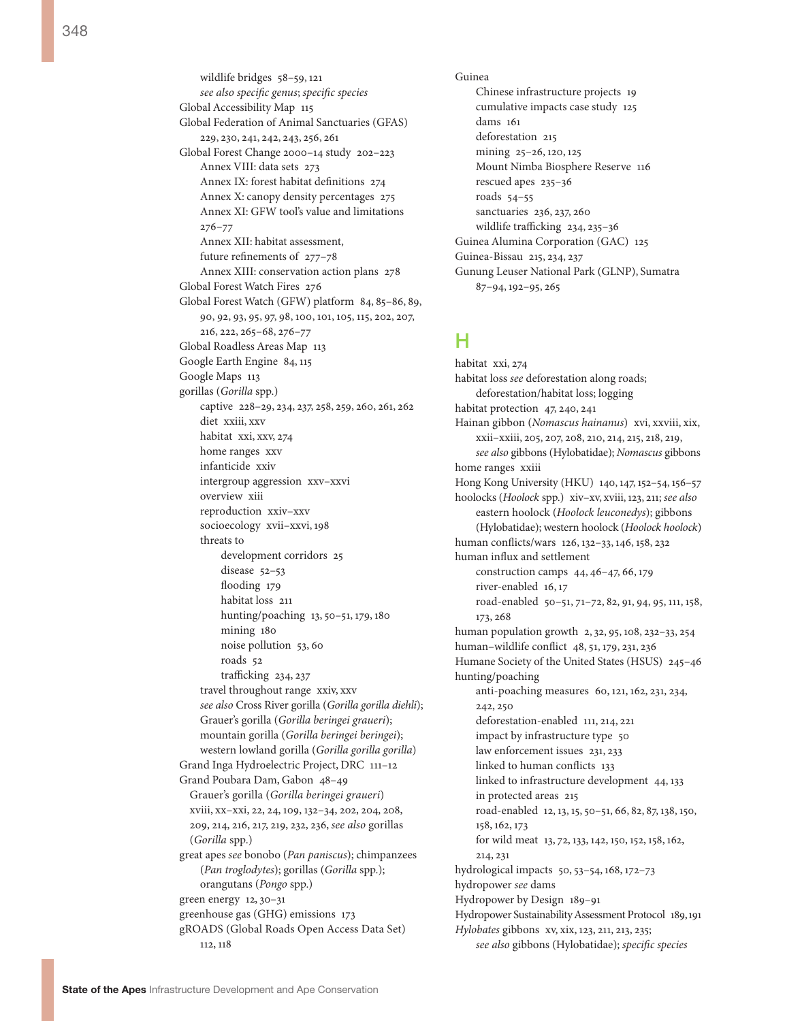348

wildlife bridges 58–59, 121 *see also specific genus*; *specific species* Global Accessibility Map 115 Global Federation of Animal Sanctuaries (GFAS) 229, 230, 241, 242, 243, 256, 261 Global Forest Change 2000–14 study 202–223 Annex VIII: data sets 273 Annex IX: forest habitat definitions 274 Annex X: canopy density percentages 275 Annex XI: GFW tool's value and limitations 276–77 Annex XII: habitat assessment, future refinements of 277–78 Annex XIII: conservation action plans 278 Global Forest Watch Fires 276 Global Forest Watch (GFW) platform 84, 85–86, 89, 90, 92, 93, 95, 97, 98, 100, 101, 105, 115, 202, 207, 216, 222, 265–68, 276–77 Global Roadless Areas Map 113 Google Earth Engine 84, 115 Google Maps 113 gorillas (*Gorilla* spp.) captive 228–29, 234, 237, 258, 259, 260, 261, 262 diet xxiii, xxv habitat xxi, xxv, 274 home ranges xxv infanticide xxiv intergroup aggression xxv–xxvi overview xiii reproduction xxiv–xxv socioecology xvii–xxvi, 198 threats to development corridors 25 disease 52–53 flooding 179 habitat loss 211 hunting/poaching 13, 50–51, 179, 180 mining 180 noise pollution 53, 60 roads 52 trafficking 234, 237 travel throughout range xxiv, xxv *see also* Cross River gorilla (*Gorilla gorilla diehli*); Grauer's gorilla (*Gorilla beringei graueri*); mountain gorilla (*Gorilla beringei beringei*); western lowland gorilla (*Gorilla gorilla gorilla*) Grand Inga Hydroelectric Project, DRC 111–12 Grand Poubara Dam, Gabon 48–49 Grauer's gorilla (*Gorilla beringei graueri*) xviii, xx–xxi, 22, 24, 109, 132–34, 202, 204, 208, 209, 214, 216, 217, 219, 232, 236, *see also* gorillas (*Gorilla* spp.) great apes *see* bonobo (*Pan paniscus*); chimpanzees (*Pan troglodytes*); gorillas (*Gorilla* spp.); orangutans (*Pongo* spp.) green energy 12, 30–31 greenhouse gas (GHG) emissions 173 gROADS (Global Roads Open Access Data Set) 112, 118

Guinea Chinese infrastructure projects 19 cumulative impacts case study 125 dams 161 deforestation 215 mining 25–26, 120, 125 Mount Nimba Biosphere Reserve 116 rescued apes 235–36 roads 54–55 sanctuaries 236, 237, 260 wildlife trafficking 234, 235–36 Guinea Alumina Corporation (GAC) 125 Guinea-Bissau 215, 234, 237 Gunung Leuser National Park (GLNP), Sumatra 87–94, 192–95, 265

#### H

habitat xxi, 274 habitat loss *see* deforestation along roads; deforestation/habitat loss; logging habitat protection 47, 240, 241 Hainan gibbon (*Nomascus hainanus*) xvi, xxviii, xix, xxii–xxiii, 205, 207, 208, 210, 214, 215, 218, 219, *see also* gibbons (Hylobatidae); *Nomascus* gibbons home ranges xxiii Hong Kong University (HKU) 140, 147, 152–54, 156–57 hoolocks (*Hoolock* spp.) xiv–xv, xviii, 123, 211; *see also* eastern hoolock (*Hoolock leuconedys*); gibbons (Hylobatidae); western hoolock (*Hoolock hoolock*) human conflicts/wars 126, 132–33, 146, 158, 232 human influx and settlement construction camps 44, 46–47, 66, 179 river-enabled 16, 17 road-enabled 50–51, 71–72, 82, 91, 94, 95, 111, 158, 173, 268 human population growth 2, 32, 95, 108, 232–33, 254 human–wildlife conflict 48, 51, 179, 231, 236 Humane Society of the United States (HSUS) 245–46 hunting/poaching anti-poaching measures 60, 121, 162, 231, 234, 242, 250 deforestation-enabled 111, 214, 221 impact by infrastructure type 50 law enforcement issues 231, 233 linked to human conflicts 133 linked to infrastructure development 44, 133 in protected areas 215 road-enabled 12, 13, 15, 50–51, 66, 82, 87, 138, 150, 158, 162, 173 for wild meat 13, 72, 133, 142, 150, 152, 158, 162, 214, 231 hydrological impacts 50, 53–54, 168, 172–73 hydropower *see* dams Hydropower by Design 189–91 Hydropower Sustainability Assessment Protocol 189, 191 *Hylobates* gibbons xv, xix, 123, 211, 213, 235; *see also* gibbons (Hylobatidae); *specific species*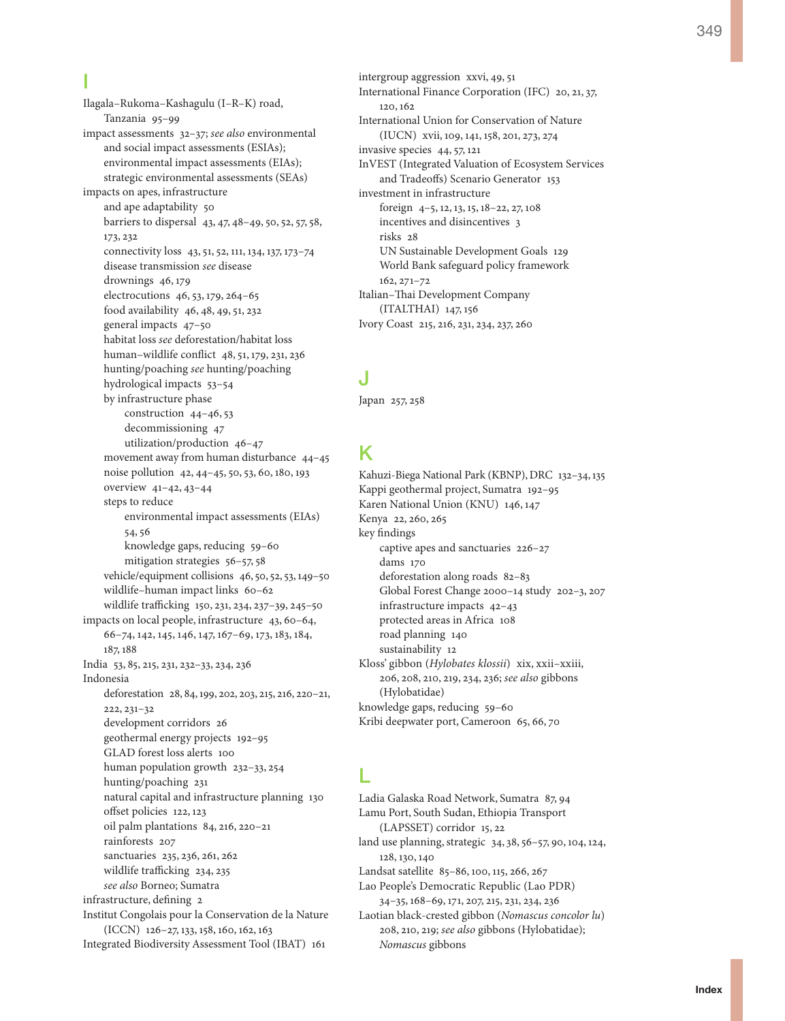Ilagala–Rukoma–Kashagulu (I–R–K) road, Tanzania 95–99 impact assessments 32–37; *see also* environmental and social impact assessments (ESIAs); environmental impact assessments (EIAs); strategic environmental assessments (SEAs) impacts on apes, infrastructure and ape adaptability 50 barriers to dispersal 43, 47, 48–49, 50, 52, 57, 58, 173, 232 connectivity loss 43, 51, 52, 111, 134, 137, 173–74 disease transmission *see* disease drownings 46, 179 electrocutions 46, 53, 179, 264–65 food availability 46, 48, 49, 51, 232 general impacts 47–50 habitat loss *see* deforestation/habitat loss human–wildlife conflict 48, 51, 179, 231, 236 hunting/poaching *see* hunting/poaching hydrological impacts 53–54 by infrastructure phase construction 44–46, 53 decommissioning 47 utilization/production 46–47 movement away from human disturbance 44–45 noise pollution 42, 44–45, 50, 53, 60, 180, 193 overview 41–42, 43–44 steps to reduce environmental impact assessments (EIAs) 54, 56 knowledge gaps, reducing 59–60 mitigation strategies 56–57, 58 vehicle/equipment collisions 46, 50, 52, 53, 149–50 wildlife–human impact links 60–62 wildlife trafficking 150, 231, 234, 237–39, 245–50 impacts on local people, infrastructure 43, 60–64, 66–74, 142, 145, 146, 147, 167–69, 173, 183, 184, 187, 188 India 53, 85, 215, 231, 232–33, 234, 236 Indonesia deforestation 28, 84, 199, 202, 203, 215, 216, 220–21, 222, 231–32 development corridors 26 geothermal energy projects 192–95 GLAD forest loss alerts 100 human population growth 232–33, 254 hunting/poaching 231 natural capital and infrastructure planning 130 offset policies 122, 123 oil palm plantations 84, 216, 220–21 rainforests 207 sanctuaries 235, 236, 261, 262 wildlife trafficking 234, 235 *see also* Borneo; Sumatra infrastructure, defining 2 Institut Congolais pour la Conservation de la Nature (ICCN) 126–27, 133, 158, 160, 162, 163

Integrated Biodiversity Assessment Tool (IBAT) 161

intergroup aggression xxvi, 49, 51 International Finance Corporation (IFC) 20, 21, 37, 120, 162 International Union for Conservation of Nature (IUCN) xvii, 109, 141, 158, 201, 273, 274 invasive species 44, 57, 121 InVEST (Integrated Valuation of Ecosystem Services and Tradeoffs) Scenario Generator 153 investment in infrastructure foreign 4–5, 12, 13, 15, 18–22, 27, 108 incentives and disincentives 3 risks 28 UN Sustainable Development Goals 129 World Bank safeguard policy framework 162, 271–72 Italian–Thai Development Company (ITALTHAI) 147, 156 Ivory Coast 215, 216, 231, 234, 237, 260

# J

Japan 257, 258

# K

Kahuzi-Biega National Park (KBNP), DRC 132–34, 135 Kappi geothermal project, Sumatra 192–95 Karen National Union (KNU) 146, 147 Kenya 22, 260, 265 key findings captive apes and sanctuaries 226–27 dams 170 deforestation along roads 82–83 Global Forest Change 2000–14 study 202–3, 207 infrastructure impacts 42–43 protected areas in Africa 108 road planning 140 sustainability 12 Kloss' gibbon (*Hylobates klossii*) xix, xxii–xxiii, 206, 208, 210, 219, 234, 236; *see also* gibbons (Hylobatidae) knowledge gaps, reducing 59–60 Kribi deepwater port, Cameroon 65, 66, 70

# L

Ladia Galaska Road Network, Sumatra 87, 94 Lamu Port, South Sudan, Ethiopia Transport (LAPSSET) corridor 15, 22 land use planning, strategic 34, 38, 56–57, 90, 104, 124, 128, 130, 140 Landsat satellite 85–86, 100, 115, 266, 267 Lao People's Democratic Republic (Lao PDR) 34–35, 168–69, 171, 207, 215, 231, 234, 236 Laotian black-crested gibbon (*Nomascus concolor lu*) 208, 210, 219; *see also* gibbons (Hylobatidae); *Nomascus* gibbons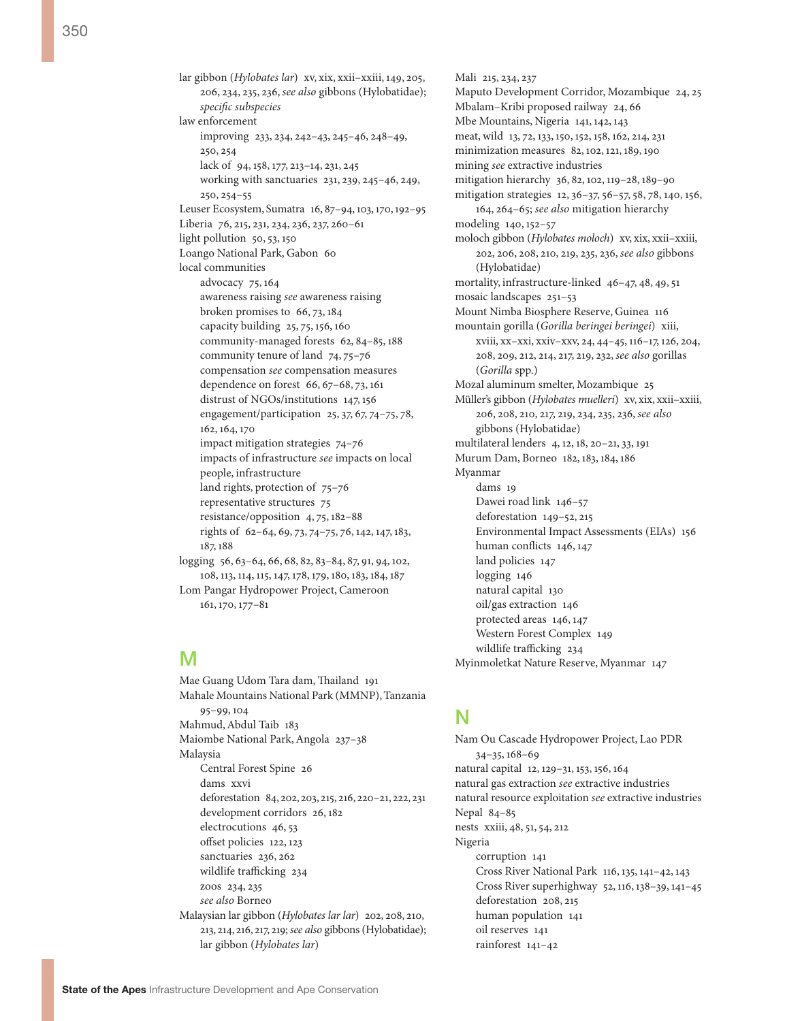lar gibbon (*Hylobates lar*) xv, xix, xxii–xxiii, 149, 205, 206, 234, 235, 236, *see also* gibbons (Hylobatidae); *specific subspecies* law enforcement improving 233, 234, 242–43, 245–46, 248–49, 250, 254 lack of 94, 158, 177, 213–14, 231, 245 working with sanctuaries 231, 239, 245–46, 249, 250, 254–55 Leuser Ecosystem, Sumatra 16, 87–94, 103, 170, 192–95 Liberia 76, 215, 231, 234, 236, 237, 260–61 light pollution 50, 53, 150 Loango National Park, Gabon 60 local communities advocacy 75, 164 awareness raising *see* awareness raising broken promises to 66, 73, 184 capacity building 25, 75, 156, 160 community-managed forests 62, 84–85, 188 community tenure of land 74, 75–76 compensation *see* compensation measures dependence on forest 66, 67–68, 73, 161 distrust of NGOs/institutions 147, 156 engagement/participation 25, 37, 67, 74–75, 78, 162, 164, 170 impact mitigation strategies 74–76 impacts of infrastructure *see* impacts on local people, infrastructure land rights, protection of 75–76 representative structures 75 resistance/opposition 4, 75, 182–88 rights of 62–64, 69, 73, 74–75, 76, 142, 147, 183, 187, 188 logging 56, 63–64, 66, 68, 82, 83–84, 87, 91, 94, 102, 108, 113, 114, 115, 147, 178, 179, 180, 183, 184, 187 Lom Pangar Hydropower Project, Cameroon 161, 170, 177–81

#### M

Mae Guang Udom Tara dam, Thailand 191 Mahale Mountains National Park (MMNP), Tanzania 95–99, 104 Mahmud, Abdul Taib 183 Maiombe National Park, Angola 237–38 Malaysia Central Forest Spine 26 dams xxvi deforestation 84, 202, 203, 215, 216, 220–21, 222, 231 development corridors 26, 182 electrocutions 46, 53 offset policies 122, 123 sanctuaries 236, 262 wildlife trafficking 234 zoos 234, 235 *see also* Borneo Malaysian lar gibbon (*Hylobates lar lar*) 202, 208, 210, 213, 214, 216, 217, 219; *see also* gibbons (Hylobatidae); lar gibbon (*Hylobates lar*)

Mali 215, 234, 237 Maputo Development Corridor, Mozambique 24, 25 Mbalam–Kribi proposed railway 24, 66 Mbe Mountains, Nigeria 141, 142, 143 meat, wild 13, 72, 133, 150, 152, 158, 162, 214, 231 minimization measures 82, 102, 121, 189, 190 mining *see* extractive industries mitigation hierarchy 36, 82, 102, 119–28, 189–90 mitigation strategies 12, 36–37, 56–57, 58, 78, 140, 156, 164, 264–65; *see also* mitigation hierarchy modeling 140, 152–57 moloch gibbon (*Hylobates moloch*) xv, xix, xxii–xxiii, 202, 206, 208, 210, 219, 235, 236, *see also* gibbons (Hylobatidae) mortality, infrastructure-linked 46–47, 48, 49, 51 mosaic landscapes 251–53 Mount Nimba Biosphere Reserve, Guinea 116 mountain gorilla (*Gorilla beringei beringei*) xiii, xviii, xx–xxi, xxiv–xxv, 24, 44–45, 116–17, 126, 204, 208, 209, 212, 214, 217, 219, 232, *see also* gorillas (*Gorilla* spp.) Mozal aluminum smelter, Mozambique 25 Müller's gibbon (*Hylobates muelleri*) xv, xix, xxii–xxiii, 206, 208, 210, 217, 219, 234, 235, 236, *see also* gibbons (Hylobatidae) multilateral lenders 4, 12, 18, 20–21, 33, 191 Murum Dam, Borneo 182, 183, 184, 186 Myanmar dams 10 Dawei road link 146–57 deforestation 149–52, 215 Environmental Impact Assessments (EIAs) 156 human conflicts 146, 147 land policies 147 logging 146 natural capital 130 oil/gas extraction 146 protected areas 146, 147 Western Forest Complex 149 wildlife trafficking 234 Myinmoletkat Nature Reserve, Myanmar 147

### N

Nam Ou Cascade Hydropower Project, Lao PDR 34–35, 168–69 natural capital 12, 129–31, 153, 156, 164 natural gas extraction *see* extractive industries natural resource exploitation *see* extractive industries Nepal 84–85 nests xxiii, 48, 51, 54, 212 Nigeria corruption 141 Cross River National Park 116, 135, 141–42, 143 Cross River superhighway 52, 116, 138–39, 141–45 deforestation 208, 215 human population 141 oil reserves 141 rainforest 141–42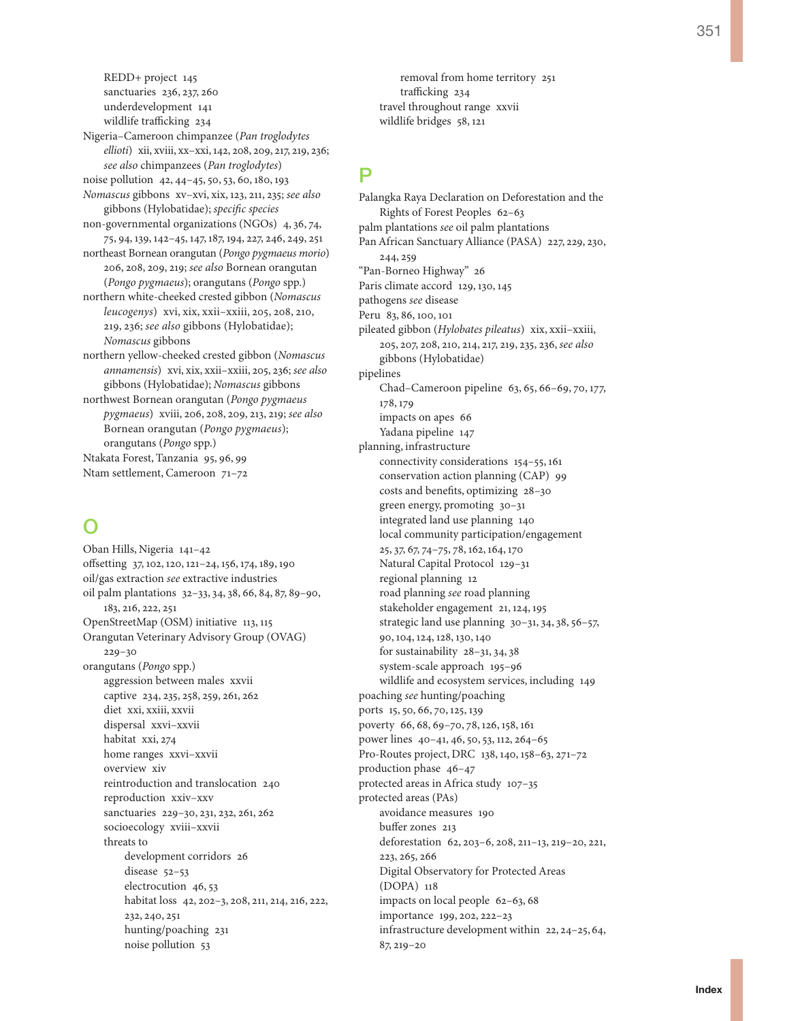REDD+ project 145 sanctuaries 236, 237, 260 underdevelopment 141 wildlife trafficking 234 Nigeria–Cameroon chimpanzee (*Pan troglodytes ellioti*) xii, xviii, xx–xxi, 142, 208, 209, 217, 219, 236; *see also* chimpanzees (*Pan troglodytes*) noise pollution 42, 44–45, 50, 53, 60, 180, 193 *Nomascus* gibbons xv–xvi, xix, 123, 211, 235; *see also* gibbons (Hylobatidae); *specific species* non-governmental organizations (NGOs) 4, 36, 74, 75, 94, 139, 142–45, 147, 187, 194, 227, 246, 249, 251 northeast Bornean orangutan (*Pongo pygmaeus morio*) 206, 208, 209, 219; *see also* Bornean orangutan (*Pongo pygmaeus*); orangutans (*Pongo* spp.) northern white-cheeked crested gibbon (*Nomascus leucogenys*) xvi, xix, xxii–xxiii, 205, 208, 210, 219, 236; *see also* gibbons (Hylobatidae); *Nomascus* gibbons northern yellow-cheeked crested gibbon (*Nomascus annamensis*) xvi, xix, xxii–xxiii, 205, 236; *see also* gibbons (Hylobatidae); *Nomascus* gibbons northwest Bornean orangutan (*Pongo pygmaeus pygmaeus*) xviii, 206, 208, 209, 213, 219; *see also* Bornean orangutan (*Pongo pygmaeus*); orangutans (*Pongo* spp.) Ntakata Forest, Tanzania 95, 96, 99 Ntam settlement, Cameroon 71–72

### O

Oban Hills, Nigeria 141–42 offsetting 37, 102, 120, 121–24, 156, 174, 189, 190 oil/gas extraction *see* extractive industries oil palm plantations 32–33, 34, 38, 66, 84, 87, 89–90, 183, 216, 222, 251 OpenStreetMap (OSM) initiative 113, 115 Orangutan Veterinary Advisory Group (OVAG) 229–30 orangutans (*Pongo* spp.) aggression between males xxvii captive 234, 235, 258, 259, 261, 262 diet xxi, xxiii, xxvii dispersal xxvi–xxvii habitat xxi, 274 home ranges xxvi–xxvii overview xiv reintroduction and translocation 240 reproduction xxiv–xxv sanctuaries 229–30, 231, 232, 261, 262 socioecology xviii–xxvii threats to development corridors 26 disease 52–53 electrocution 46, 53 habitat loss 42, 202–3, 208, 211, 214, 216, 222, 232, 240, 251 hunting/poaching 231 noise pollution 53

removal from home territory 251 trafficking 234 travel throughout range xxvii wildlife bridges 58, 121

## P

Palangka Raya Declaration on Deforestation and the Rights of Forest Peoples 62–63 palm plantations *see* oil palm plantations Pan African Sanctuary Alliance (PASA) 227, 229, 230, 244, 259 "Pan-Borneo Highway" 26 Paris climate accord 129, 130, 145 pathogens *see* disease Peru 83, 86, 100, 101 pileated gibbon (*Hylobates pileatus*) xix, xxii–xxiii, 205, 207, 208, 210, 214, 217, 219, 235, 236, *see also* gibbons (Hylobatidae) pipelines Chad–Cameroon pipeline 63, 65, 66–69, 70, 177, 178, 179 impacts on apes 66 Yadana pipeline 147 planning, infrastructure connectivity considerations 154–55, 161 conservation action planning (CAP) 99 costs and benefits, optimizing 28–30 green energy, promoting 30–31 integrated land use planning 140 local community participation/engagement 25, 37, 67, 74–75, 78, 162, 164, 170 Natural Capital Protocol 129–31 regional planning 12 road planning *see* road planning stakeholder engagement 21, 124, 195 strategic land use planning 30–31, 34, 38, 56–57, 90, 104, 124, 128, 130, 140 for sustainability 28–31, 34, 38 system-scale approach 195–96 wildlife and ecosystem services, including 149 poaching *see* hunting/poaching ports 15, 50, 66, 70, 125, 139 poverty 66, 68, 69–70, 78, 126, 158, 161 power lines 40–41, 46, 50, 53, 112, 264–65 Pro-Routes project, DRC 138, 140, 158–63, 271–72 production phase 46–47 protected areas in Africa study 107–35 protected areas (PAs) avoidance measures 190 buffer zones 213 deforestation 62, 203–6, 208, 211–13, 219–20, 221, 223, 265, 266 Digital Observatory for Protected Areas (DOPA) 118 impacts on local people 62–63, 68 importance 199, 202, 222–23 infrastructure development within 22, 24–25, 64, 87, 219–20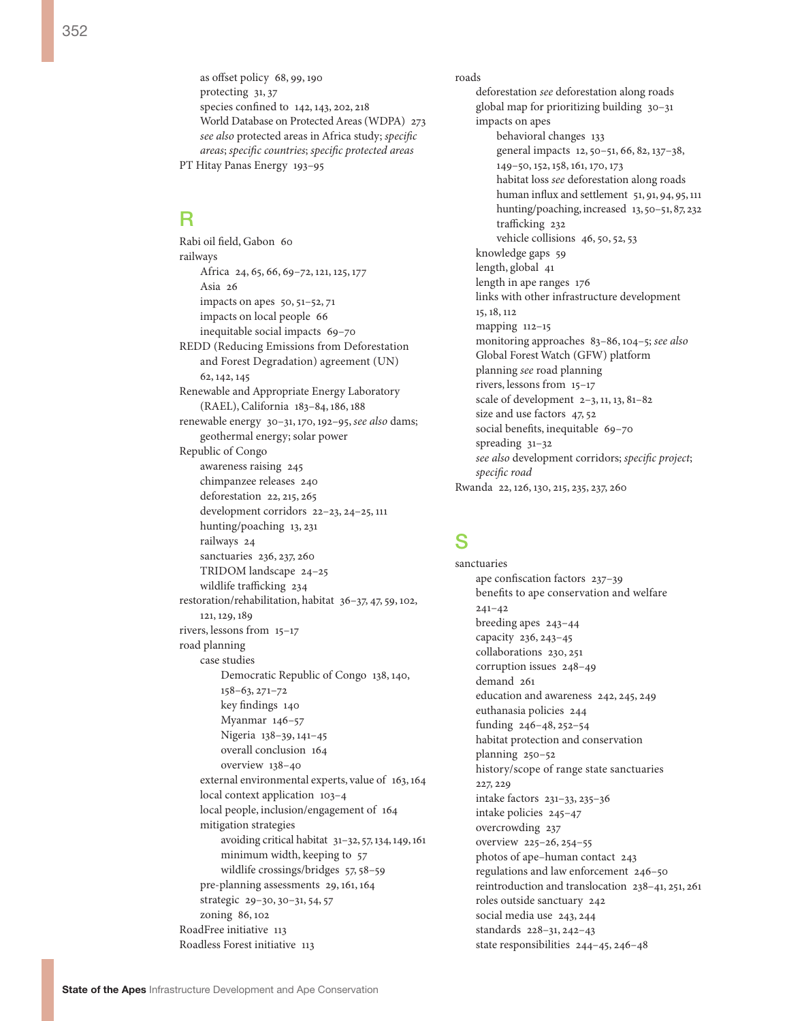as offset policy 68, 99, 190 protecting 31, 37 species confined to 142, 143, 202, 218 World Database on Protected Areas (WDPA) 273 *see also* protected areas in Africa study; *specific areas*; *specific countries*; *specific protected areas* PT Hitay Panas Energy 193–95

## R

Rabi oil field, Gabon 60 railways Africa 24, 65, 66, 69–72, 121, 125, 177 Asia 26 impacts on apes 50, 51–52, 71 impacts on local people 66 inequitable social impacts 69–70 REDD (Reducing Emissions from Deforestation and Forest Degradation) agreement (UN) 62, 142, 145 Renewable and Appropriate Energy Laboratory (RAEL), California 183–84, 186, 188 renewable energy 30–31, 170, 192–95, *see also* dams; geothermal energy; solar power Republic of Congo awareness raising 245 chimpanzee releases 240 deforestation 22, 215, 265 development corridors 22–23, 24–25, 111 hunting/poaching 13, 231 railways 24 sanctuaries 236, 237, 260 TRIDOM landscape 24–25 wildlife trafficking 234 restoration/rehabilitation, habitat 36–37, 47, 59, 102, 121, 129, 189 rivers, lessons from 15–17 road planning case studies Democratic Republic of Congo 138, 140, 158–63, 271–72 key findings 140 Myanmar 146–57 Nigeria 138–39, 141–45 overall conclusion 164 overview 138–40 external environmental experts, value of 163, 164 local context application 103–4 local people, inclusion/engagement of 164 mitigation strategies avoiding critical habitat 31–32, 57, 134, 149, 161 minimum width, keeping to 57 wildlife crossings/bridges 57, 58–59 pre-planning assessments 29, 161, 164 strategic 29–30, 30–31, 54, 57 zoning 86, 102 RoadFree initiative 113 Roadless Forest initiative 113

roads deforestation *see* deforestation along roads global map for prioritizing building 30–31 impacts on apes behavioral changes 133 general impacts 12, 50–51, 66, 82, 137–38, 149–50, 152, 158, 161, 170, 173 habitat loss *see* deforestation along roads human influx and settlement 51, 91, 94, 95, 111 hunting/poaching, increased 13, 50-51, 87, 232 trafficking 232 vehicle collisions 46, 50, 52, 53 knowledge gaps 59 length, global 41 length in ape ranges 176 links with other infrastructure development 15, 18, 112 mapping 112–15 monitoring approaches 83–86, 104–5; *see also* Global Forest Watch (GFW) platform planning *see* road planning rivers, lessons from 15–17 scale of development 2–3, 11, 13, 81–82 size and use factors 47, 52 social benefits, inequitable 69–70 spreading 31–32 *see also* development corridors; *specific project*; *specific road* Rwanda 22, 126, 130, 215, 235, 237, 260

### S

sanctuaries ape confiscation factors 237–39 benefits to ape conservation and welfare 241–42 breeding apes 243–44 capacity 236, 243–45 collaborations 230, 251 corruption issues 248–49 demand 261 education and awareness 242, 245, 249 euthanasia policies 244 funding 246–48, 252–54 habitat protection and conservation planning 250–52 history/scope of range state sanctuaries 227, 229 intake factors 231–33, 235–36 intake policies 245–47 overcrowding 237 overview 225–26, 254–55 photos of ape–human contact 243 regulations and law enforcement 246–50 reintroduction and translocation 238–41, 251, 261 roles outside sanctuary 242 social media use 243, 244 standards 228–31, 242–43 state responsibilities 244–45, 246–48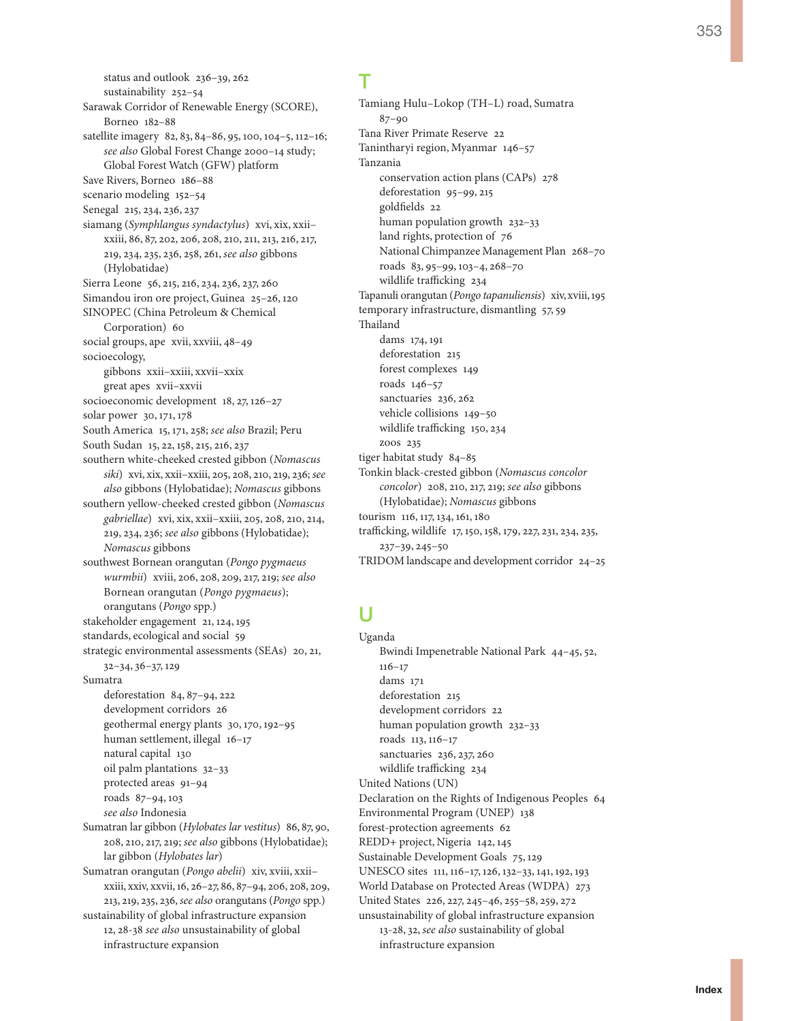status and outlook 236–39, 262 sustainability 252–54 Sarawak Corridor of Renewable Energy (SCORE), Borneo 182–88 satellite imagery 82, 83, 84–86, 95, 100, 104–5, 112–16; *see also* Global Forest Change 2000–14 study; Global Forest Watch (GFW) platform Save Rivers, Borneo 186–88 scenario modeling 152–54 Senegal 215, 234, 236, 237 siamang (*Symphlangus syndactylus*) xvi, xix, xxii– xxiii, 86, 87, 202, 206, 208, 210, 211, 213, 216, 217, 219, 234, 235, 236, 258, 261, *see also* gibbons (Hylobatidae) Sierra Leone 56, 215, 216, 234, 236, 237, 260 Simandou iron ore project, Guinea 25–26, 120 SINOPEC (China Petroleum & Chemical Corporation) 60 social groups, ape xvii, xxviii, 48–49 socioecology, gibbons xxii–xxiii, xxvii–xxix great apes xvii–xxvii socioeconomic development 18, 27, 126–27 solar power 30, 171, 178 South America 15, 171, 258; *see also* Brazil; Peru South Sudan 15, 22, 158, 215, 216, 237 southern white-cheeked crested gibbon (*Nomascus siki*) xvi, xix, xxii–xxiii, 205, 208, 210, 219, 236; *see also* gibbons (Hylobatidae); *Nomascus* gibbons southern yellow-cheeked crested gibbon (*Nomascus gabriellae*) xvi, xix, xxii–xxiii, 205, 208, 210, 214, 219, 234, 236; *see also* gibbons (Hylobatidae); *Nomascus* gibbons southwest Bornean orangutan (*Pongo pygmaeus wurmbii*) xviii, 206, 208, 209, 217, 219; *see also* Bornean orangutan (*Pongo pygmaeus*); orangutans (*Pongo* spp.) stakeholder engagement 21, 124, 195 standards, ecological and social 59 strategic environmental assessments (SEAs) 20, 21, 32–34, 36–37, 129 Sumatra deforestation 84, 87–94, 222 development corridors 26 geothermal energy plants 30, 170, 192–95 human settlement, illegal 16–17 natural capital 130 oil palm plantations 32–33 protected areas 91–94 roads 87–94, 103 *see also* Indonesia Sumatran lar gibbon (*Hylobates lar vestitus*) 86, 87, 90, 208, 210, 217, 219; *see also* gibbons (Hylobatidae); lar gibbon (*Hylobates lar*) Sumatran orangutan (*Pongo abelii*) xiv, xviii, xxii– xxiii, xxiv, xxvii, 16, 26–27, 86, 87–94, 206, 208, 209, 213, 219, 235, 236, *see also* orangutans (*Pongo* spp.) sustainability of global infrastructure expansion 12, 28-38 *see also* unsustainability of global infrastructure expansion

# T

Tamiang Hulu–Lokop (TH–L) road, Sumatra 87–90 Tana River Primate Reserve 22 Tanintharyi region, Myanmar 146–57 Tanzania conservation action plans (CAPs) 278 deforestation 95–99, 215 goldfields 22 human population growth 232–33 land rights, protection of 76 National Chimpanzee Management Plan 268–70 roads 83, 95–99, 103–4, 268–70 wildlife trafficking 234 Tapanuli orangutan (*Pongo tapanuliensis*) xiv, xviii, 195 temporary infrastructure, dismantling 57, 59 Thailand dams 174, 191 deforestation 215 forest complexes 149 roads 146–57 sanctuaries 236, 262 vehicle collisions 149–50 wildlife trafficking 150, 234 zoos 235 tiger habitat study 84–85 Tonkin black-crested gibbon (*Nomascus concolor concolor*) 208, 210, 217, 219; *see also* gibbons (Hylobatidae); *Nomascus* gibbons tourism 116, 117, 134, 161, 180 trafficking, wildlife 17, 150, 158, 179, 227, 231, 234, 235, 237–39, 245–50 TRIDOM landscape and development corridor 24–25

# U

Uganda Bwindi Impenetrable National Park 44–45, 52, 116–17 dams 171 deforestation 215 development corridors 22 human population growth 232–33 roads 113, 116–17 sanctuaries 236, 237, 260 wildlife trafficking 234 United Nations (UN) Declaration on the Rights of Indigenous Peoples 64 Environmental Program (UNEP) 138 forest-protection agreements 62 REDD+ project, Nigeria 142, 145 Sustainable Development Goals 75, 129 UNESCO sites 111, 116–17, 126, 132–33, 141, 192, 193 World Database on Protected Areas (WDPA) 273 United States 226, 227, 245–46, 255–58, 259, 272 unsustainability of global infrastructure expansion 13-28, 32, *see also* sustainability of global infrastructure expansion